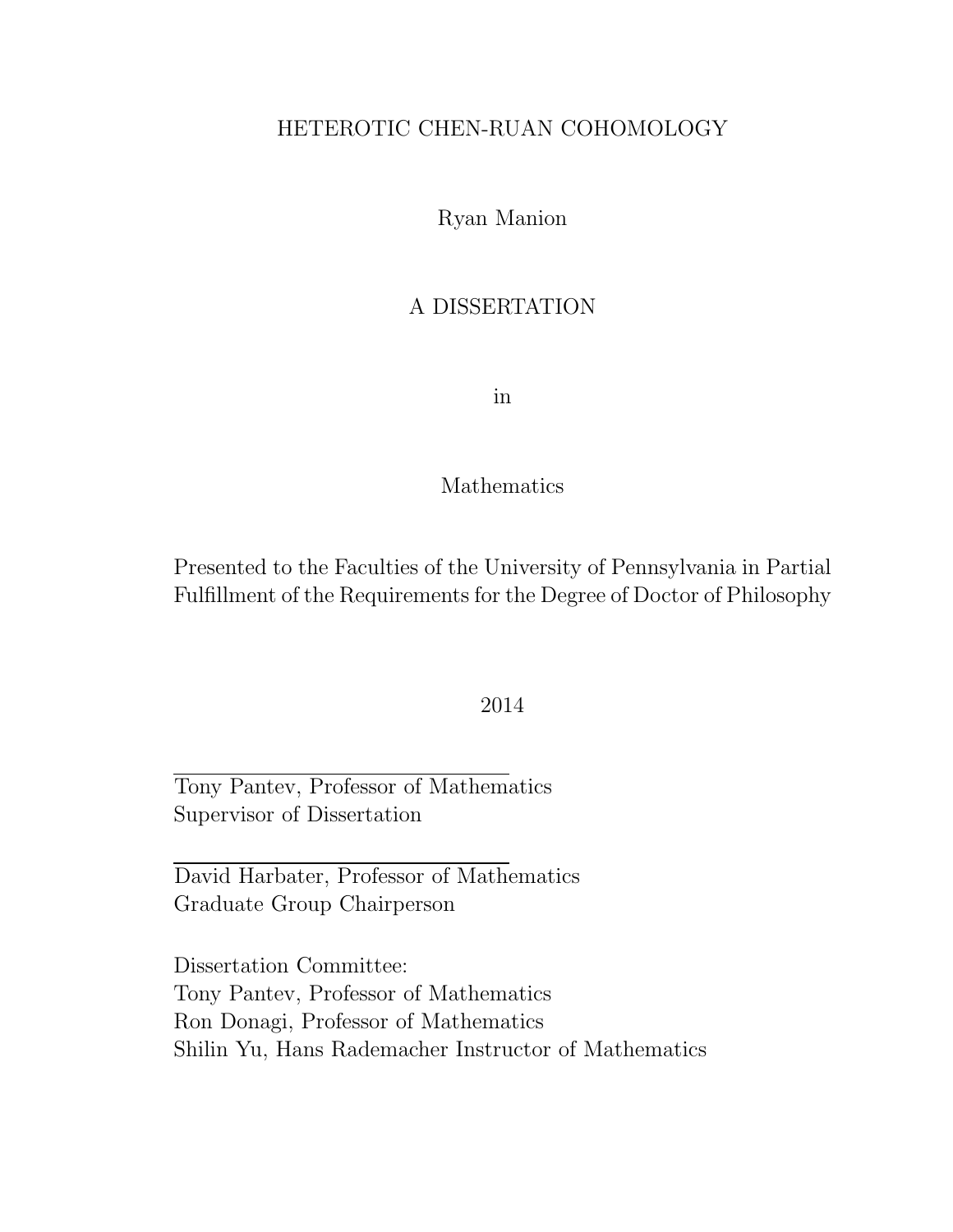# HETEROTIC CHEN-RUAN COHOMOLOGY

Ryan Manion

## A DISSERTATION

in

## Mathematics

Presented to the Faculties of the University of Pennsylvania in Partial Fulfillment of the Requirements for the Degree of Doctor of Philosophy

## 2014

Tony Pantev, Professor of Mathematics Supervisor of Dissertation

David Harbater, Professor of Mathematics Graduate Group Chairperson

Dissertation Committee: Tony Pantev, Professor of Mathematics Ron Donagi, Professor of Mathematics Shilin Yu, Hans Rademacher Instructor of Mathematics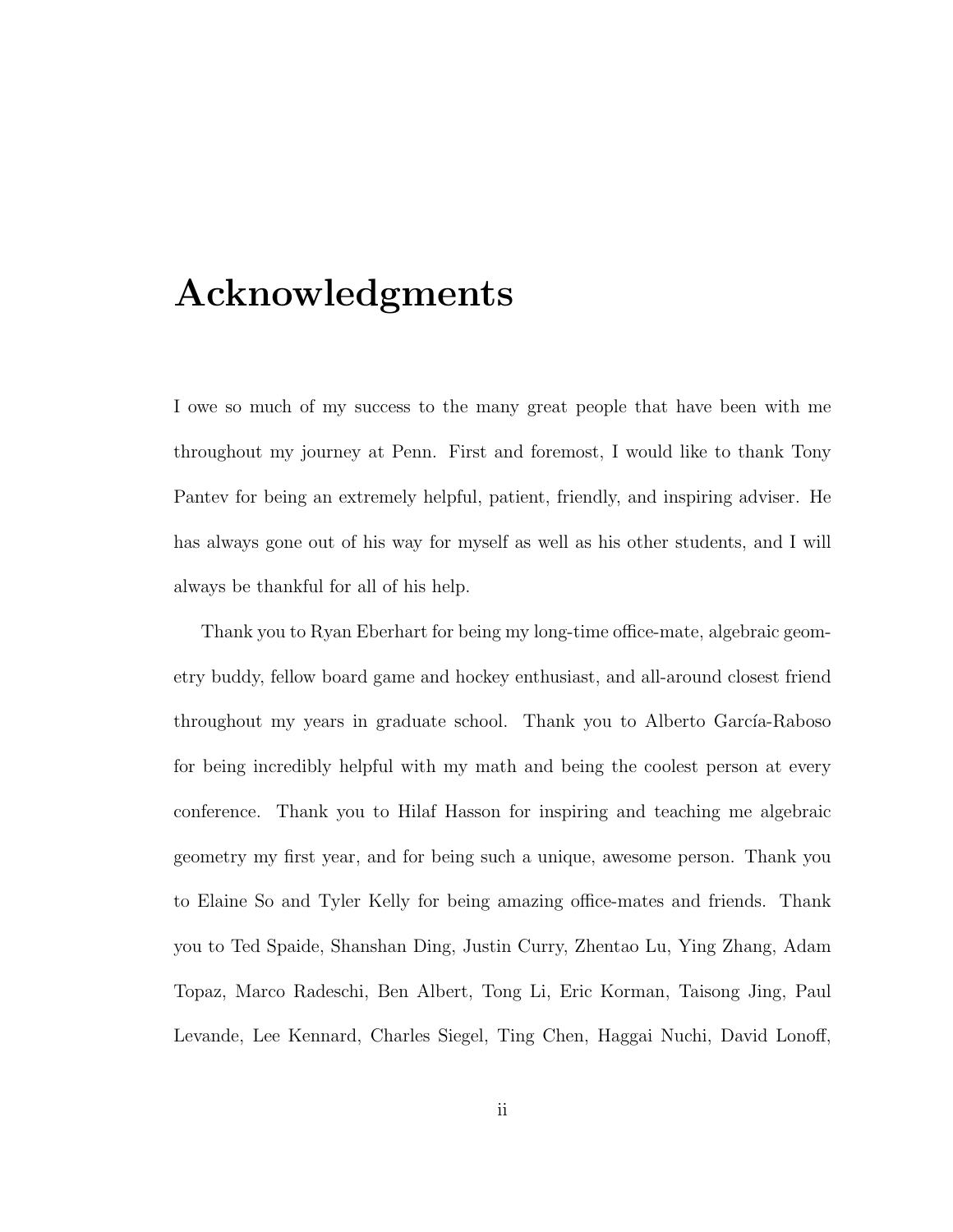# Acknowledgments

I owe so much of my success to the many great people that have been with me throughout my journey at Penn. First and foremost, I would like to thank Tony Pantev for being an extremely helpful, patient, friendly, and inspiring adviser. He has always gone out of his way for myself as well as his other students, and I will always be thankful for all of his help.

Thank you to Ryan Eberhart for being my long-time office-mate, algebraic geometry buddy, fellow board game and hockey enthusiast, and all-around closest friend throughout my years in graduate school. Thank you to Alberto García-Raboso for being incredibly helpful with my math and being the coolest person at every conference. Thank you to Hilaf Hasson for inspiring and teaching me algebraic geometry my first year, and for being such a unique, awesome person. Thank you to Elaine So and Tyler Kelly for being amazing office-mates and friends. Thank you to Ted Spaide, Shanshan Ding, Justin Curry, Zhentao Lu, Ying Zhang, Adam Topaz, Marco Radeschi, Ben Albert, Tong Li, Eric Korman, Taisong Jing, Paul Levande, Lee Kennard, Charles Siegel, Ting Chen, Haggai Nuchi, David Lonoff,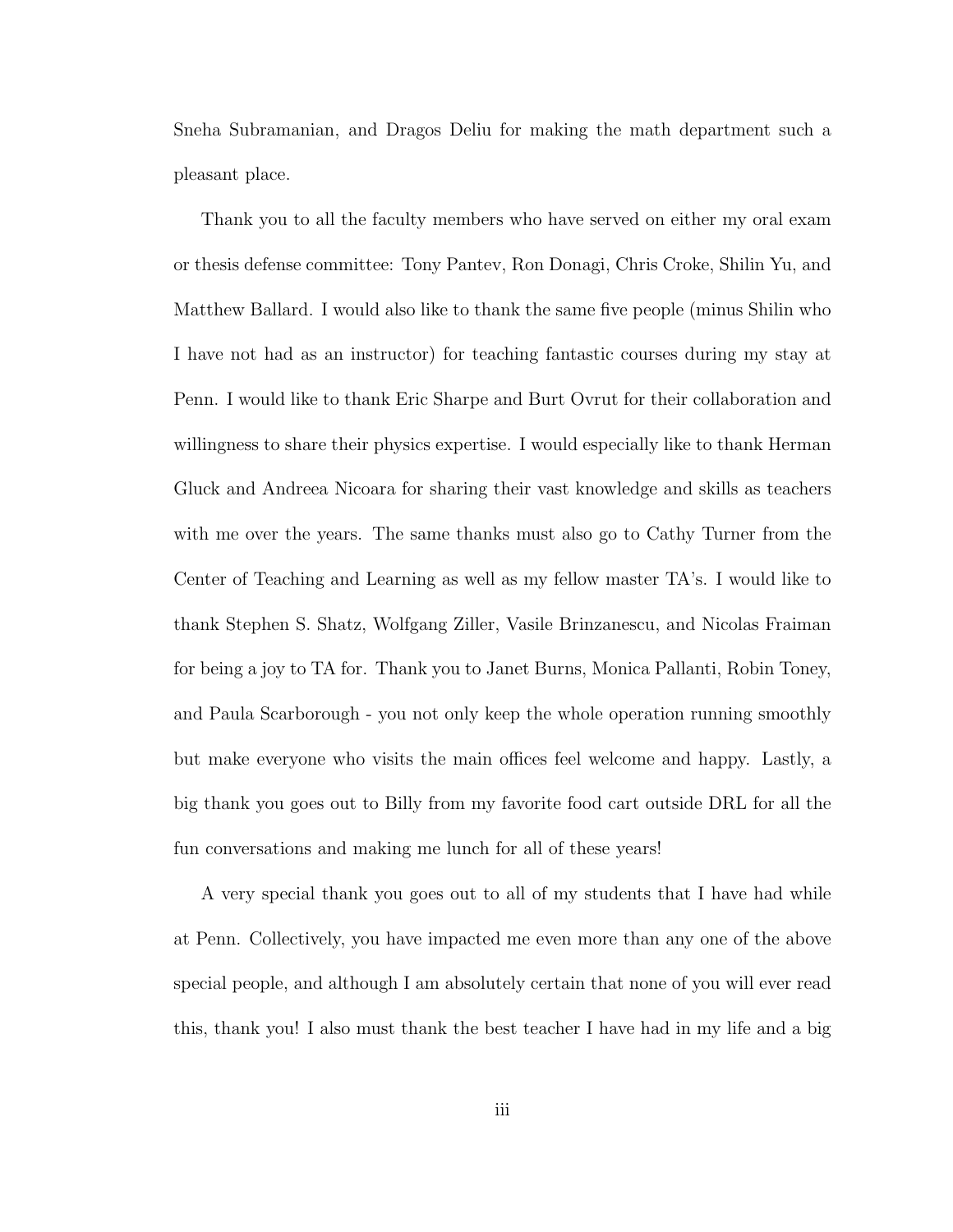Sneha Subramanian, and Dragos Deliu for making the math department such a pleasant place.

Thank you to all the faculty members who have served on either my oral exam or thesis defense committee: Tony Pantev, Ron Donagi, Chris Croke, Shilin Yu, and Matthew Ballard. I would also like to thank the same five people (minus Shilin who I have not had as an instructor) for teaching fantastic courses during my stay at Penn. I would like to thank Eric Sharpe and Burt Ovrut for their collaboration and willingness to share their physics expertise. I would especially like to thank Herman Gluck and Andreea Nicoara for sharing their vast knowledge and skills as teachers with me over the years. The same thanks must also go to Cathy Turner from the Center of Teaching and Learning as well as my fellow master TA's. I would like to thank Stephen S. Shatz, Wolfgang Ziller, Vasile Brinzanescu, and Nicolas Fraiman for being a joy to TA for. Thank you to Janet Burns, Monica Pallanti, Robin Toney, and Paula Scarborough - you not only keep the whole operation running smoothly but make everyone who visits the main offices feel welcome and happy. Lastly, a big thank you goes out to Billy from my favorite food cart outside DRL for all the fun conversations and making me lunch for all of these years!

A very special thank you goes out to all of my students that I have had while at Penn. Collectively, you have impacted me even more than any one of the above special people, and although I am absolutely certain that none of you will ever read this, thank you! I also must thank the best teacher I have had in my life and a big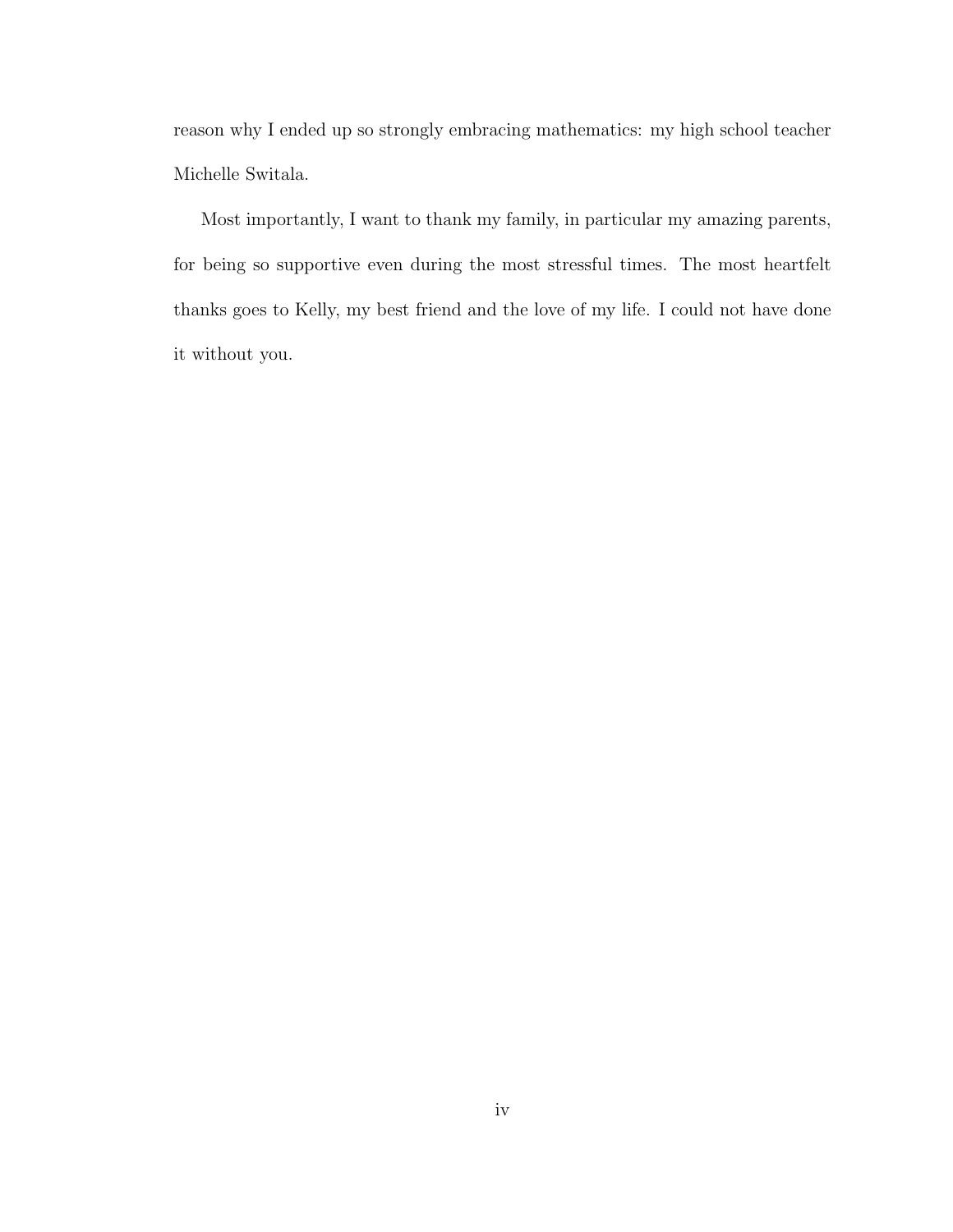reason why I ended up so strongly embracing mathematics: my high school teacher Michelle Switala.

Most importantly, I want to thank my family, in particular my amazing parents, for being so supportive even during the most stressful times. The most heartfelt thanks goes to Kelly, my best friend and the love of my life. I could not have done it without you.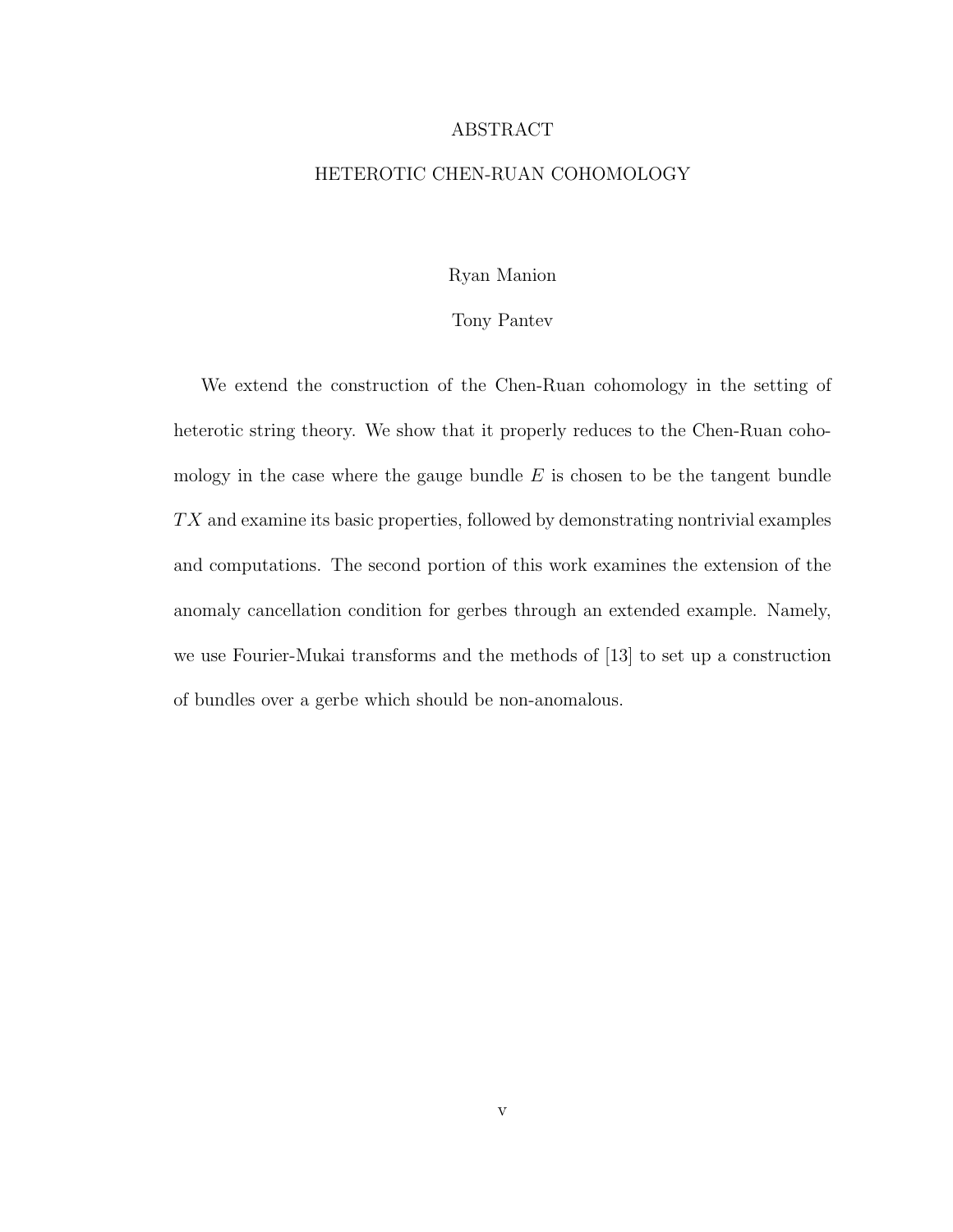#### ABSTRACT

#### HETEROTIC CHEN-RUAN COHOMOLOGY

#### Ryan Manion

#### Tony Pantev

We extend the construction of the Chen-Ruan cohomology in the setting of heterotic string theory. We show that it properly reduces to the Chen-Ruan cohomology in the case where the gauge bundle  $E$  is chosen to be the tangent bundle  $TX$  and examine its basic properties, followed by demonstrating nontrivial examples and computations. The second portion of this work examines the extension of the anomaly cancellation condition for gerbes through an extended example. Namely, we use Fourier-Mukai transforms and the methods of [13] to set up a construction of bundles over a gerbe which should be non-anomalous.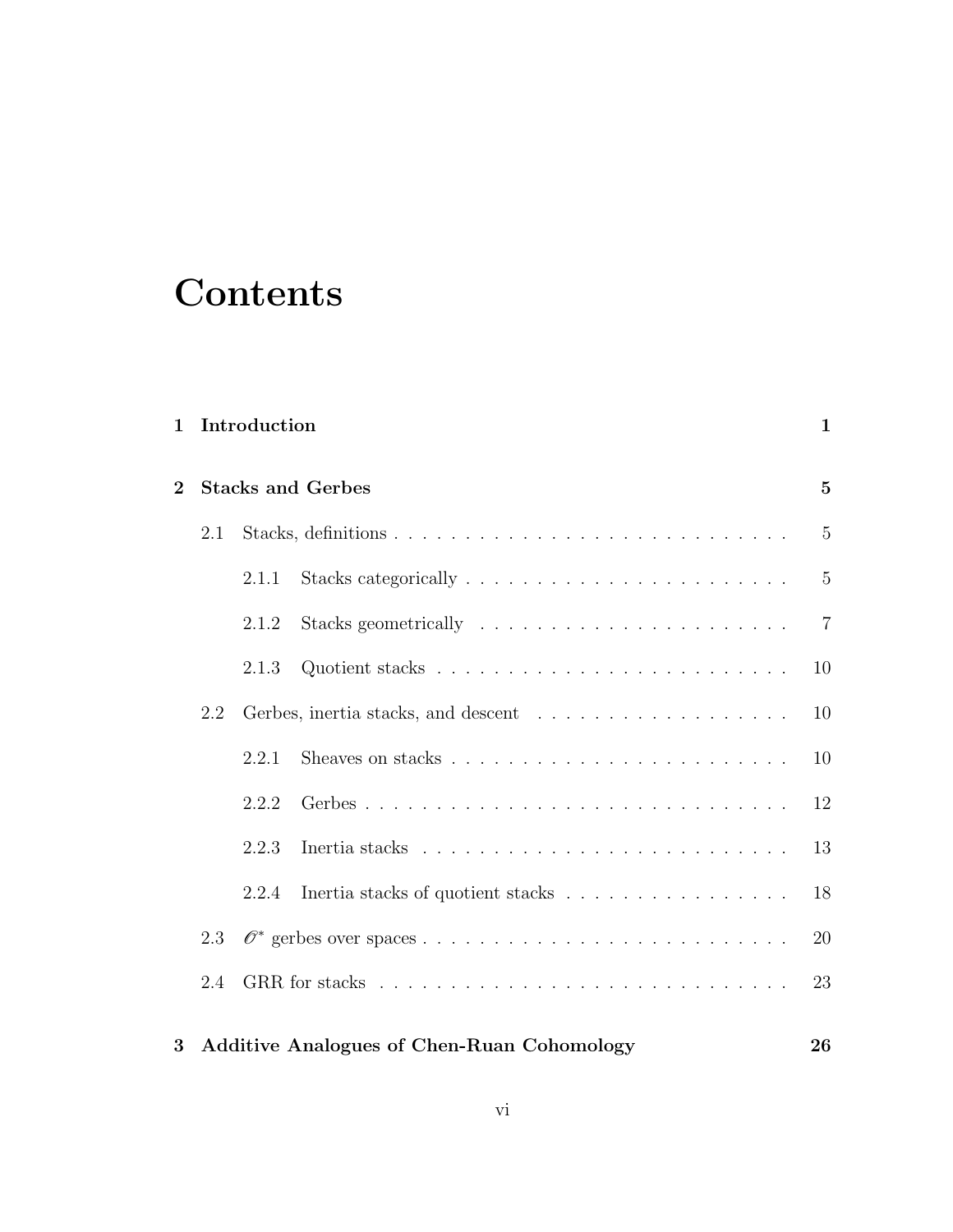# **Contents**

| Introduction                                           |       |                                   |                          |  |
|--------------------------------------------------------|-------|-----------------------------------|--------------------------|--|
|                                                        |       |                                   |                          |  |
| 2.1                                                    |       |                                   | $\overline{5}$           |  |
|                                                        | 2.1.1 |                                   | 5                        |  |
|                                                        | 2.1.2 |                                   | $\overline{7}$           |  |
|                                                        | 2.1.3 |                                   | 10                       |  |
| 2.2                                                    |       |                                   | 10                       |  |
|                                                        | 2.2.1 |                                   | 10                       |  |
|                                                        | 2.2.2 |                                   | 12                       |  |
|                                                        | 2.2.3 |                                   | 13                       |  |
|                                                        | 2.2.4 | Inertia stacks of quotient stacks | 18                       |  |
| 2.3                                                    |       |                                   | 20                       |  |
| 2.4                                                    |       |                                   | 23                       |  |
| <b>Additive Analogues of Chen-Ruan Cohomology</b><br>3 |       |                                   |                          |  |
|                                                        |       |                                   | <b>Stacks and Gerbes</b> |  |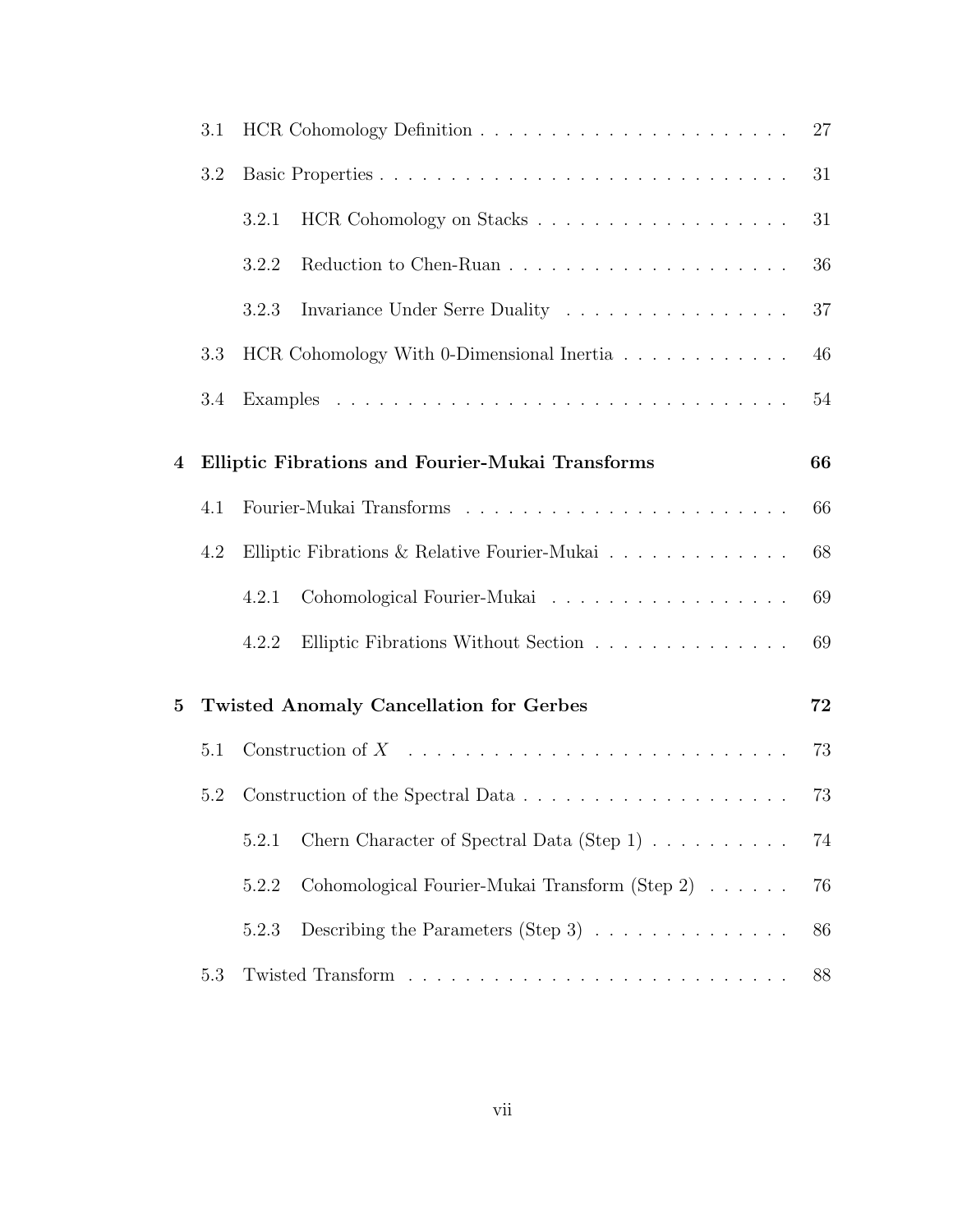|                | 3.1 | 27                                                                                |    |  |
|----------------|-----|-----------------------------------------------------------------------------------|----|--|
|                | 3.2 |                                                                                   |    |  |
|                |     | 3.2.1                                                                             | 31 |  |
|                |     | 3.2.2                                                                             | 36 |  |
|                |     | Invariance Under Serre Duality<br>3.2.3                                           | 37 |  |
|                | 3.3 | HCR Cohomology With 0-Dimensional Inertia                                         | 46 |  |
|                | 3.4 |                                                                                   | 54 |  |
| $\overline{4}$ |     | Elliptic Fibrations and Fourier-Mukai Transforms                                  | 66 |  |
|                | 4.1 |                                                                                   | 66 |  |
|                | 4.2 | Elliptic Fibrations & Relative Fourier-Mukai $\ldots \ldots \ldots \ldots \ldots$ | 68 |  |
|                |     | Cohomological Fourier-Mukai<br>4.2.1                                              | 69 |  |
|                |     | Elliptic Fibrations Without Section<br>4.2.2                                      | 69 |  |
| $\bf{5}$       |     | <b>Twisted Anomaly Cancellation for Gerbes</b>                                    | 72 |  |
|                | 5.1 | 73                                                                                |    |  |
|                | 5.2 |                                                                                   |    |  |
|                |     | Chern Character of Spectral Data (Step 1) $\ldots \ldots \ldots$<br>5.2.1         | 74 |  |
|                |     | Cohomological Fourier-Mukai Transform (Step 2)<br>5.2.2                           | 76 |  |
|                |     | Describing the Parameters (Step 3) $\ldots \ldots \ldots \ldots$<br>5.2.3         | 86 |  |
|                | 5.3 |                                                                                   | 88 |  |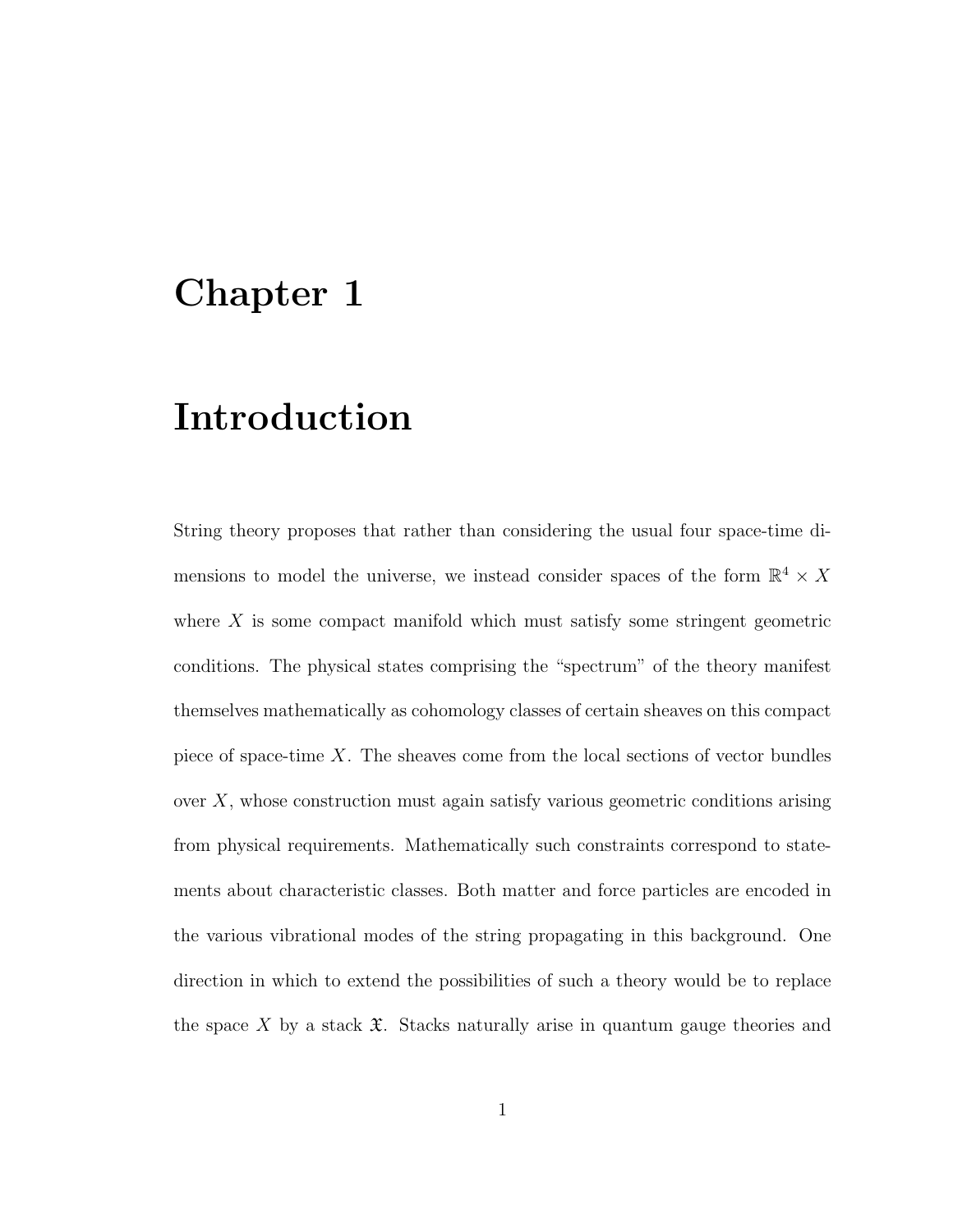# Chapter 1

# Introduction

String theory proposes that rather than considering the usual four space-time dimensions to model the universe, we instead consider spaces of the form  $\mathbb{R}^4 \times X$ where  $X$  is some compact manifold which must satisfy some stringent geometric conditions. The physical states comprising the "spectrum" of the theory manifest themselves mathematically as cohomology classes of certain sheaves on this compact piece of space-time  $X$ . The sheaves come from the local sections of vector bundles over  $X$ , whose construction must again satisfy various geometric conditions arising from physical requirements. Mathematically such constraints correspond to statements about characteristic classes. Both matter and force particles are encoded in the various vibrational modes of the string propagating in this background. One direction in which to extend the possibilities of such a theory would be to replace the space X by a stack  $\mathfrak{X}$ . Stacks naturally arise in quantum gauge theories and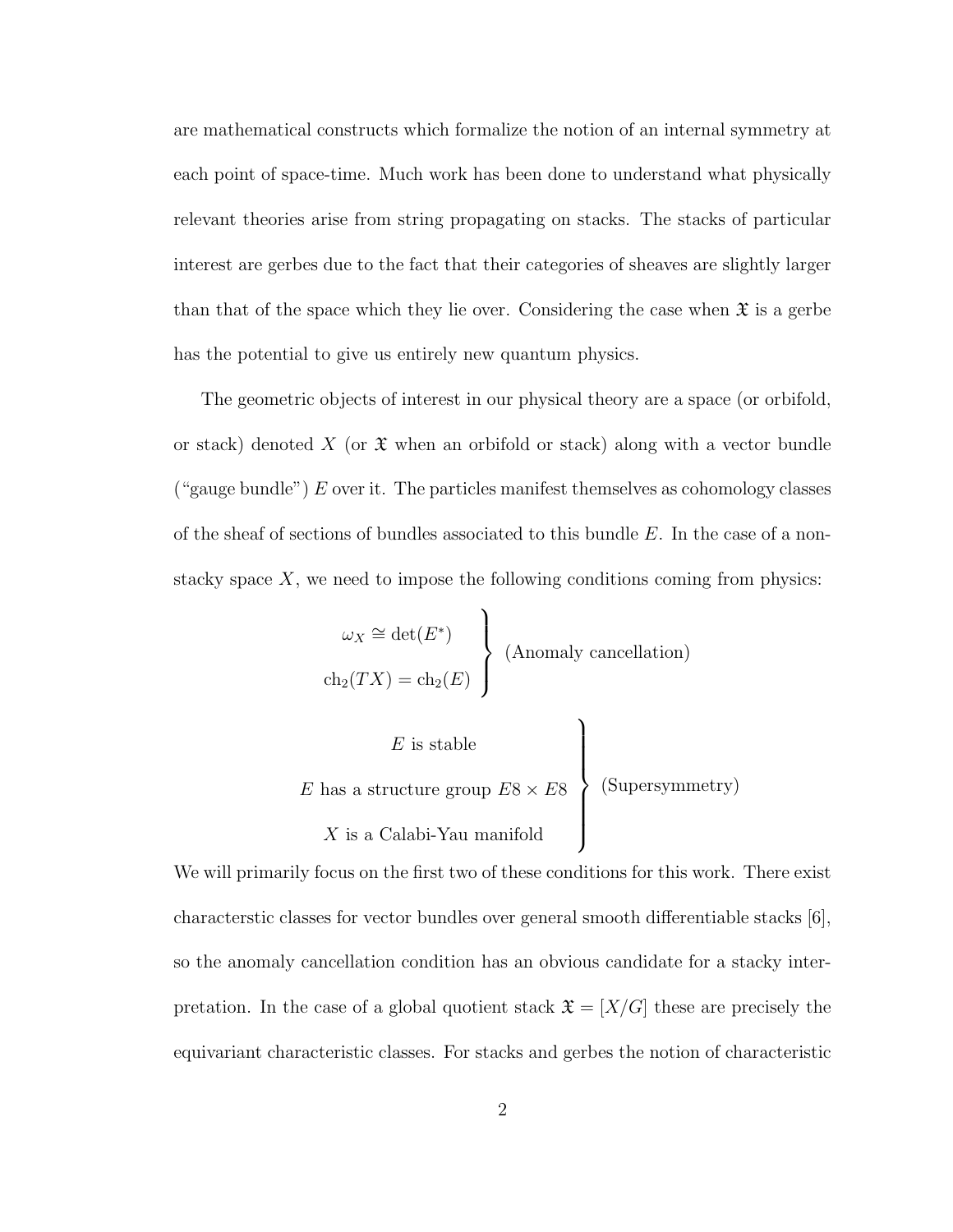are mathematical constructs which formalize the notion of an internal symmetry at each point of space-time. Much work has been done to understand what physically relevant theories arise from string propagating on stacks. The stacks of particular interest are gerbes due to the fact that their categories of sheaves are slightly larger than that of the space which they lie over. Considering the case when  $\mathfrak X$  is a gerbe has the potential to give us entirely new quantum physics.

The geometric objects of interest in our physical theory are a space (or orbifold, or stack) denoted X (or  $\mathfrak X$  when an orbifold or stack) along with a vector bundle ("gauge bundle")  $E$  over it. The particles manifest themselves as cohomology classes of the sheaf of sections of bundles associated to this bundle  $E$ . In the case of a nonstacky space  $X$ , we need to impose the following conditions coming from physics:

$$
\omega_X \cong \det(E^*)
$$
  
ch<sub>2</sub> $(TX) = ch_2(E)$  (Anomaly cancellation)

 $E$  is stable E has a structure group  $E8 \times E8$ X is a Calabi-Yau manifold  $\mathcal{L}$  $\overline{\mathcal{L}}$  $\begin{array}{c} \end{array}$ (Supersymmetry)

We will primarily focus on the first two of these conditions for this work. There exist characterstic classes for vector bundles over general smooth differentiable stacks [6], so the anomaly cancellation condition has an obvious candidate for a stacky interpretation. In the case of a global quotient stack  $\mathfrak{X} = [X/G]$  these are precisely the equivariant characteristic classes. For stacks and gerbes the notion of characteristic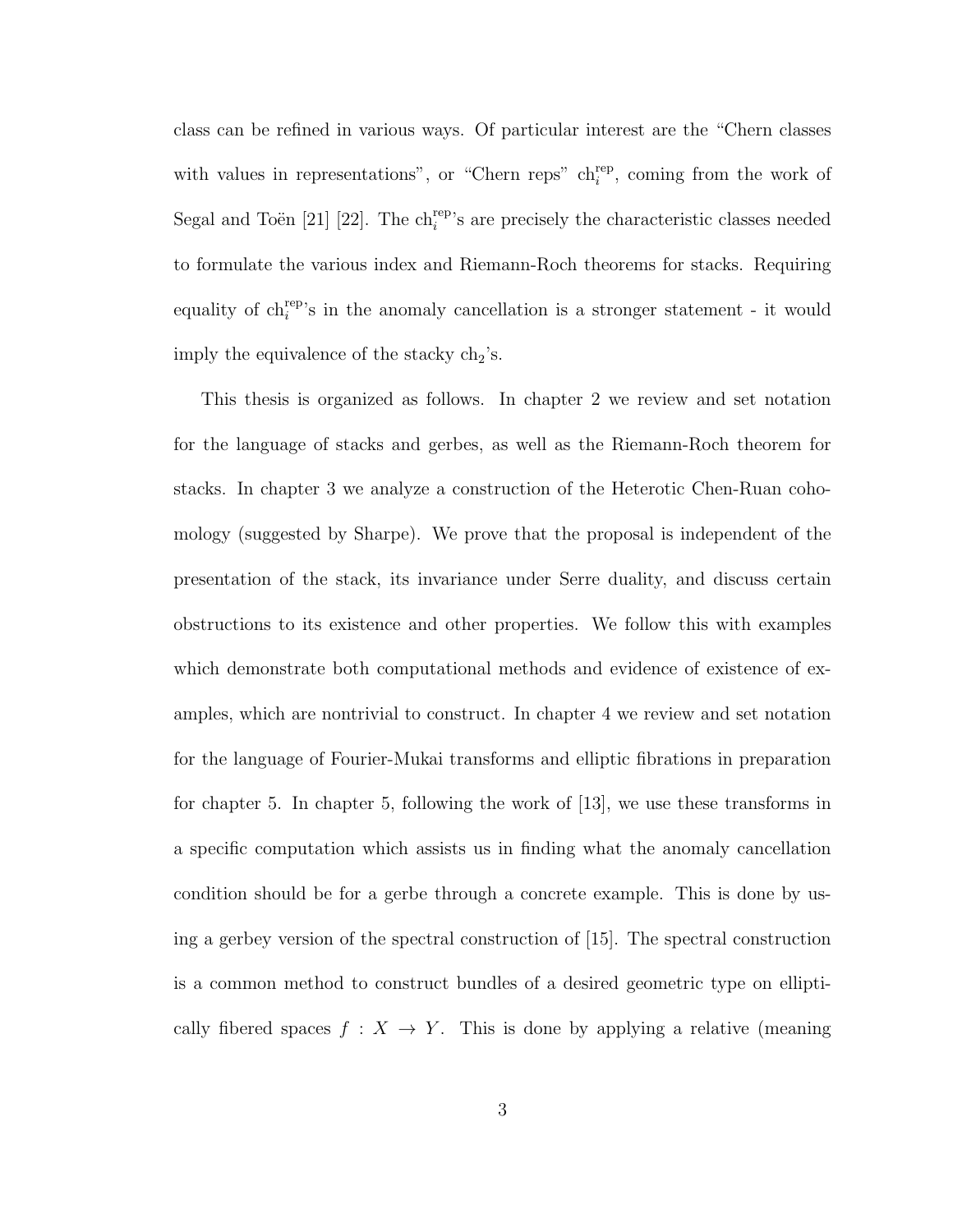class can be refined in various ways. Of particular interest are the "Chern classes with values in representations", or "Chern reps"  $\ch_i^{\text{rep}}$ , coming from the work of Segal and Toën [21] [22]. The  $\mathrm{ch}_{i}^{\mathrm{rep}}$ 's are precisely the characteristic classes needed to formulate the various index and Riemann-Roch theorems for stacks. Requiring equality of  $\mathrm{ch}_i^{\mathrm{rep}}$ 's in the anomaly cancellation is a stronger statement - it would imply the equivalence of the stacky  $ch<sub>2</sub>'s$ .

This thesis is organized as follows. In chapter 2 we review and set notation for the language of stacks and gerbes, as well as the Riemann-Roch theorem for stacks. In chapter 3 we analyze a construction of the Heterotic Chen-Ruan cohomology (suggested by Sharpe). We prove that the proposal is independent of the presentation of the stack, its invariance under Serre duality, and discuss certain obstructions to its existence and other properties. We follow this with examples which demonstrate both computational methods and evidence of existence of examples, which are nontrivial to construct. In chapter 4 we review and set notation for the language of Fourier-Mukai transforms and elliptic fibrations in preparation for chapter 5. In chapter 5, following the work of [13], we use these transforms in a specific computation which assists us in finding what the anomaly cancellation condition should be for a gerbe through a concrete example. This is done by using a gerbey version of the spectral construction of [15]. The spectral construction is a common method to construct bundles of a desired geometric type on elliptically fibered spaces  $f : X \to Y$ . This is done by applying a relative (meaning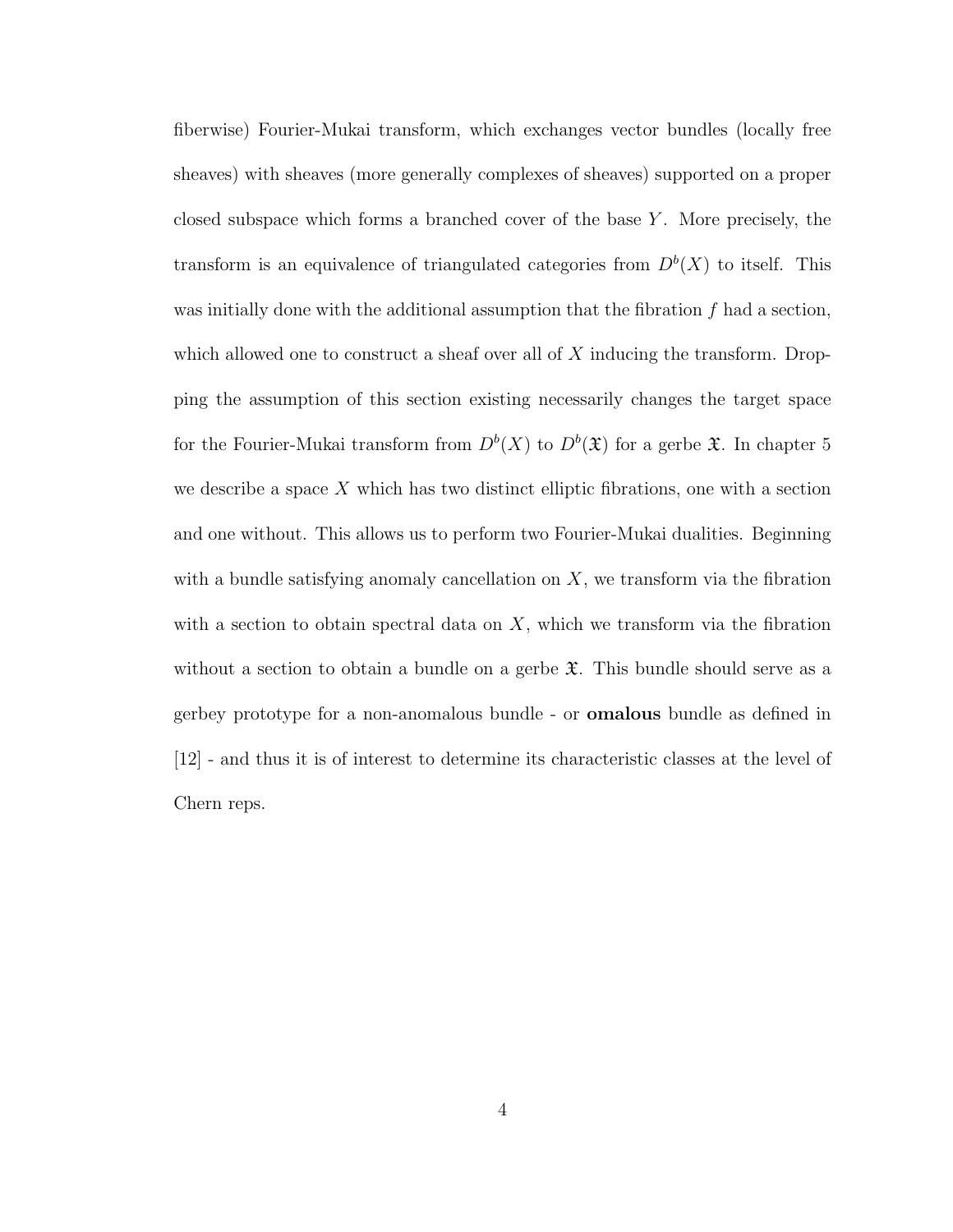fiberwise) Fourier-Mukai transform, which exchanges vector bundles (locally free sheaves) with sheaves (more generally complexes of sheaves) supported on a proper closed subspace which forms a branched cover of the base Y . More precisely, the transform is an equivalence of triangulated categories from  $D^b(X)$  to itself. This was initially done with the additional assumption that the fibration  $f$  had a section, which allowed one to construct a sheaf over all of  $X$  inducing the transform. Dropping the assumption of this section existing necessarily changes the target space for the Fourier-Mukai transform from  $D^b(X)$  to  $D^b(\mathfrak{X})$  for a gerbe  $\mathfrak{X}$ . In chapter 5 we describe a space  $X$  which has two distinct elliptic fibrations, one with a section and one without. This allows us to perform two Fourier-Mukai dualities. Beginning with a bundle satisfying anomaly cancellation on  $X$ , we transform via the fibration with a section to obtain spectral data on  $X$ , which we transform via the fibration without a section to obtain a bundle on a gerbe  $\mathfrak{X}$ . This bundle should serve as a gerbey prototype for a non-anomalous bundle - or omalous bundle as defined in [12] - and thus it is of interest to determine its characteristic classes at the level of Chern reps.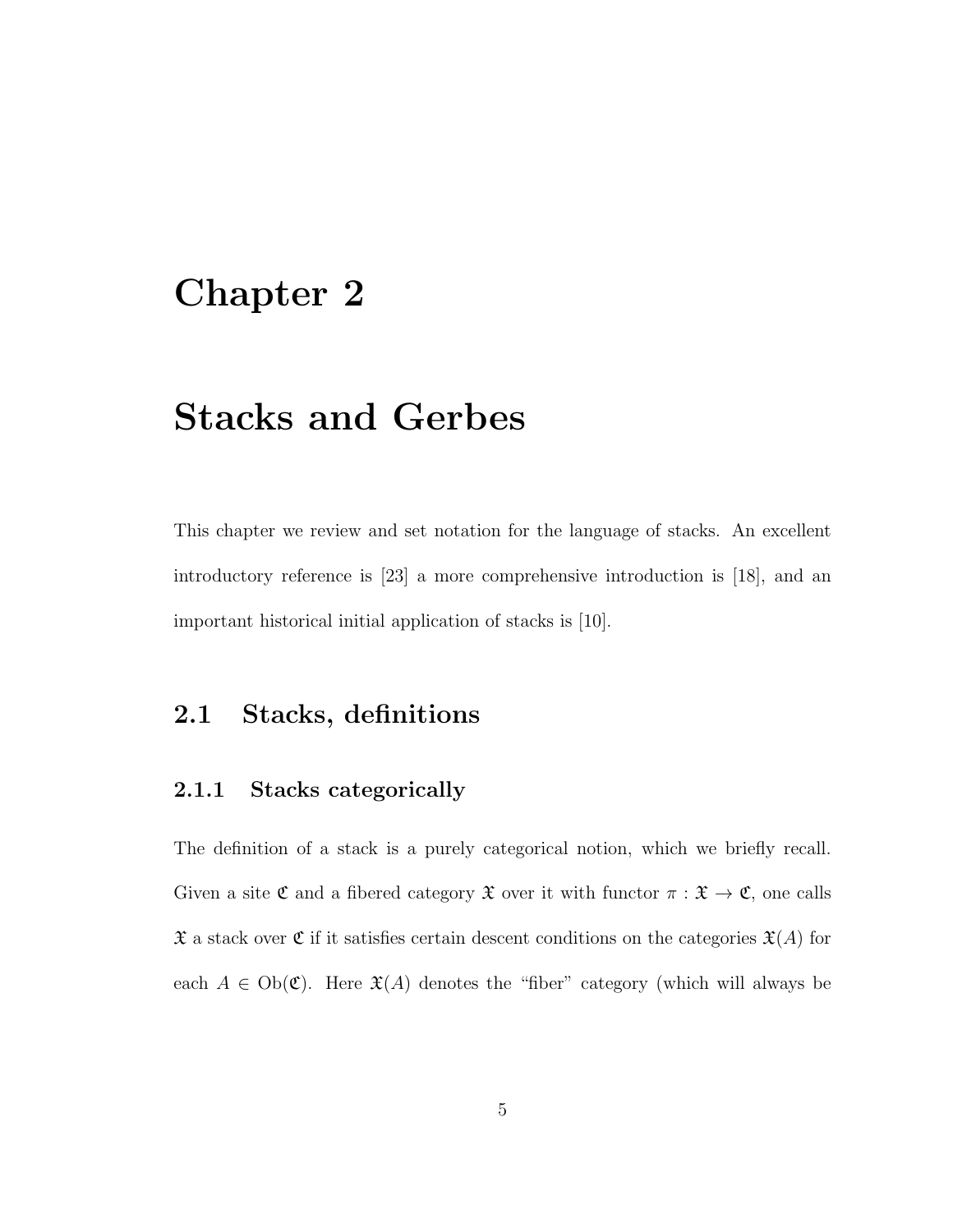# Chapter 2

# Stacks and Gerbes

This chapter we review and set notation for the language of stacks. An excellent introductory reference is [23] a more comprehensive introduction is [18], and an important historical initial application of stacks is [10].

# 2.1 Stacks, definitions

## 2.1.1 Stacks categorically

The definition of a stack is a purely categorical notion, which we briefly recall. Given a site  $\mathfrak C$  and a fibered category  $\mathfrak X$  over it with functor  $\pi : \mathfrak X \to \mathfrak C$ , one calls  $\mathfrak X$  a stack over  $\mathfrak C$  if it satisfies certain descent conditions on the categories  $\mathfrak X(A)$  for each  $A \in Ob(\mathfrak{C})$ . Here  $\mathfrak{X}(A)$  denotes the "fiber" category (which will always be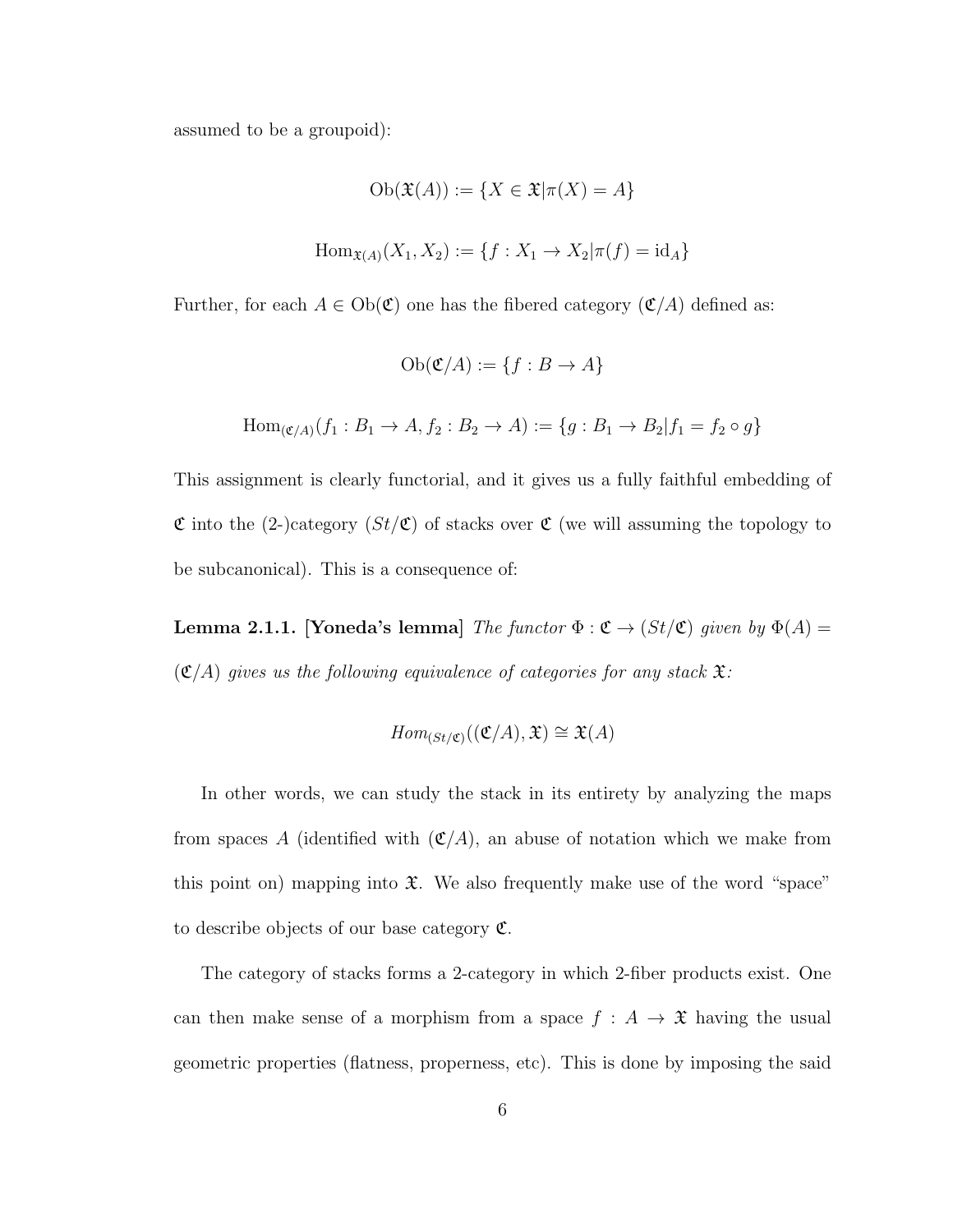assumed to be a groupoid):

$$
Ob(\mathfrak{X}(A)) := \{ X \in \mathfrak{X} | \pi(X) = A \}
$$
  
Hom <sub>$\mathfrak{X}(A)$</sub>  $(X_1, X_2) := \{ f : X_1 \to X_2 | \pi(f) = id_A \}$ 

Further, for each  $A \in Ob(\mathfrak{C})$  one has the fibered category  $(\mathfrak{C}/A)$  defined as:

$$
Ob(\mathfrak{C}/A) := \{ f : B \to A \}
$$

$$
\text{Hom}_{(C/A)}(f_1: B_1 \to A, f_2: B_2 \to A) := \{g: B_1 \to B_2 | f_1 = f_2 \circ g\}
$$

This assignment is clearly functorial, and it gives us a fully faithful embedding of  $\mathfrak C$  into the (2-)category  $(St/\mathfrak C)$  of stacks over  $\mathfrak C$  (we will assuming the topology to be subcanonical). This is a consequence of:

**Lemma 2.1.1.** [Yoneda's lemma] The functor  $\Phi : \mathfrak{C} \to (St/\mathfrak{C})$  given by  $\Phi(A) =$  $(\mathfrak{C}/A)$  gives us the following equivalence of categories for any stack  $\mathfrak{X}$ :

$$
Hom_{(St/\mathfrak{C})}((\mathfrak{C}/A), \mathfrak{X}) \cong \mathfrak{X}(A)
$$

In other words, we can study the stack in its entirety by analyzing the maps from spaces A (identified with  $(\mathfrak{C}/A)$ , an abuse of notation which we make from this point on) mapping into  $\mathfrak{X}$ . We also frequently make use of the word "space" to describe objects of our base category  $\mathfrak{C}$ .

The category of stacks forms a 2-category in which 2-fiber products exist. One can then make sense of a morphism from a space  $f : A \rightarrow \mathfrak{X}$  having the usual geometric properties (flatness, properness, etc). This is done by imposing the said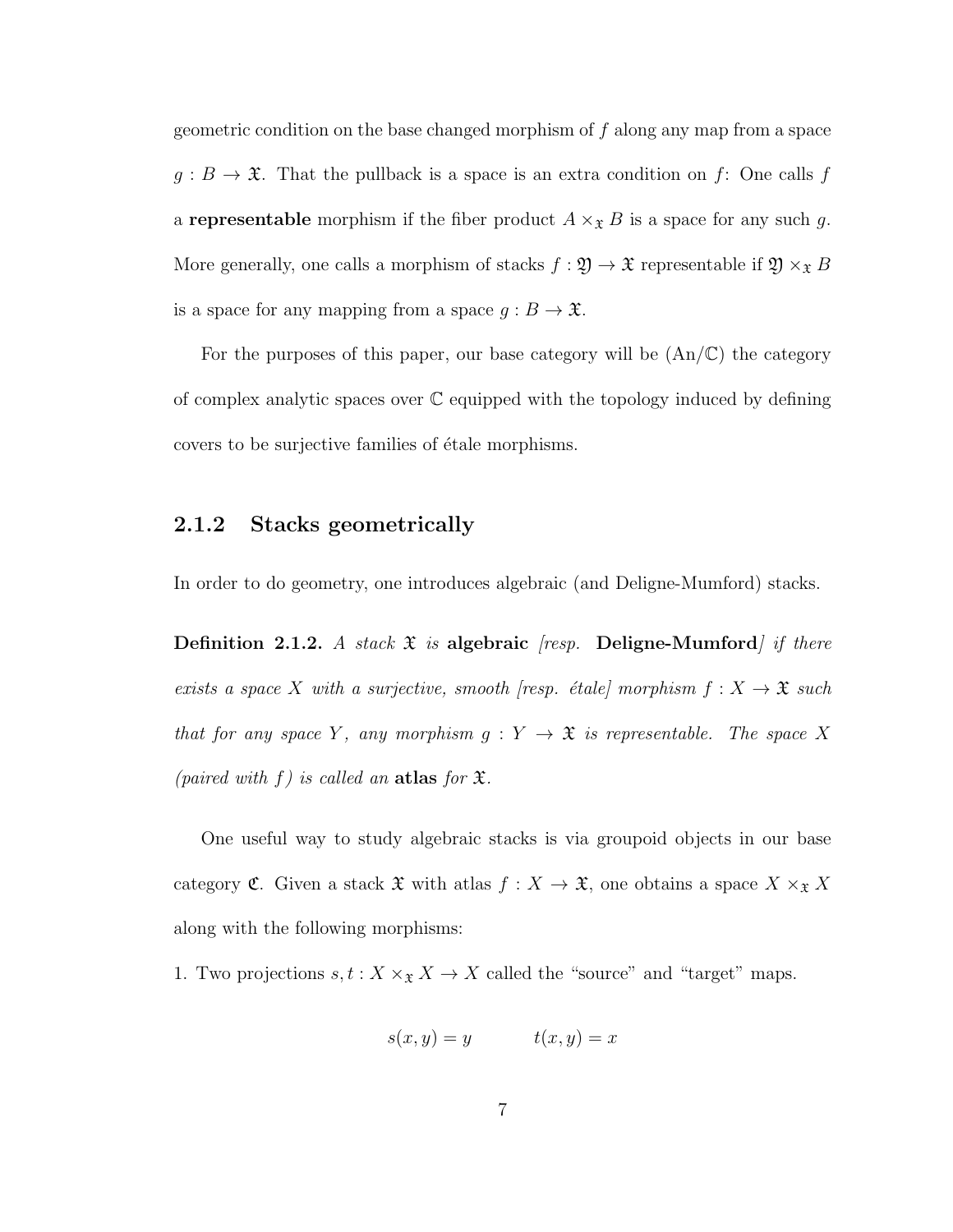geometric condition on the base changed morphism of f along any map from a space  $g : B \to \mathfrak{X}$ . That the pullback is a space is an extra condition on f: One calls f a **representable** morphism if the fiber product  $A \times_{\mathfrak{X}} B$  is a space for any such g. More generally, one calls a morphism of stacks  $f : \mathfrak{Y} \to \mathfrak{X}$  representable if  $\mathfrak{Y} \times_{\mathfrak{X}} B$ is a space for any mapping from a space  $g : B \to \mathfrak{X}$ .

For the purposes of this paper, our base category will be  $(An/\mathbb{C})$  the category of complex analytic spaces over  $\mathbb C$  equipped with the topology induced by defining covers to be surjective families of étale morphisms.

#### 2.1.2 Stacks geometrically

In order to do geometry, one introduces algebraic (and Deligne-Mumford) stacks.

**Definition 2.1.2.** A stack  $\mathfrak{X}$  is algebraic (resp. Deligne-Mumford) if there exists a space X with a surjective, smooth [resp. étale] morphism  $f : X \to \mathfrak{X}$  such that for any space Y, any morphism  $g: Y \to \mathfrak{X}$  is representable. The space X (paired with  $f$ ) is called an atlas for  $\mathfrak{X}.$ 

One useful way to study algebraic stacks is via groupoid objects in our base category **C**. Given a stack  $\mathfrak{X}$  with atlas  $f : X \to \mathfrak{X}$ , one obtains a space  $X \times_{\mathfrak{X}} X$ along with the following morphisms:

1. Two projections  $s, t : X \times_{\mathfrak{X}} X \to X$  called the "source" and "target" maps.

$$
s(x, y) = y \qquad \qquad t(x, y) = x
$$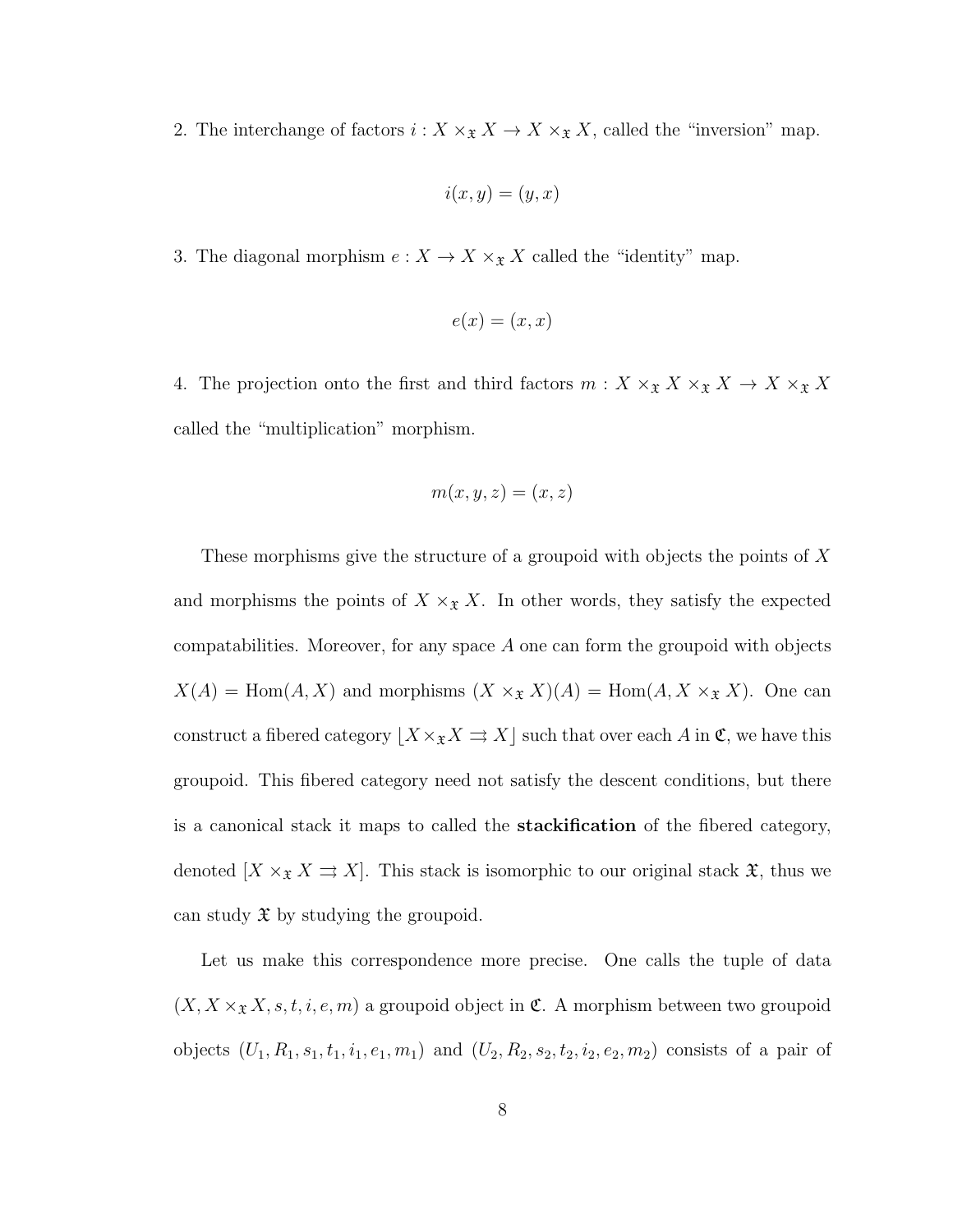2. The interchange of factors  $i: X \times_{\mathfrak{X}} X \to X \times_{\mathfrak{X}} X$ , called the "inversion" map.

$$
i(x, y) = (y, x)
$$

3. The diagonal morphism  $e: X \to X \times_{\mathfrak{X}} X$  called the "identity" map.

$$
e(x) = (x, x)
$$

4. The projection onto the first and third factors  $m: X \times_{\mathfrak{X}} X \times_{\mathfrak{X}} X \to X \times_{\mathfrak{X}} X$ called the "multiplication" morphism.

$$
m(x, y, z) = (x, z)
$$

These morphisms give the structure of a groupoid with objects the points of X and morphisms the points of  $X \times_{\mathfrak{X}} X$ . In other words, they satisfy the expected compatabilities. Moreover, for any space A one can form the groupoid with objects  $X(A) = \text{Hom}(A, X)$  and morphisms  $(X \times_{\mathfrak{X}} X)(A) = \text{Hom}(A, X \times_{\mathfrak{X}} X)$ . One can construct a fibered category  $\lfloor X \times_{\mathfrak{X}} X \rightrightarrows X \rfloor$  such that over each A in  $\mathfrak{C}$ , we have this groupoid. This fibered category need not satisfy the descent conditions, but there is a canonical stack it maps to called the stackification of the fibered category, denoted  $[X \times_{\mathfrak{X}} X \rightrightarrows X]$ . This stack is isomorphic to our original stack  $\mathfrak{X}$ , thus we can study  $\mathfrak X$  by studying the groupoid.

Let us make this correspondence more precise. One calls the tuple of data  $(X, X \times_{\mathfrak{X}} X, s, t, i, e, m)$  a groupoid object in  $\mathfrak{C}$ . A morphism between two groupoid objects  $(U_1, R_1, s_1, t_1, i_1, e_1, m_1)$  and  $(U_2, R_2, s_2, t_2, i_2, e_2, m_2)$  consists of a pair of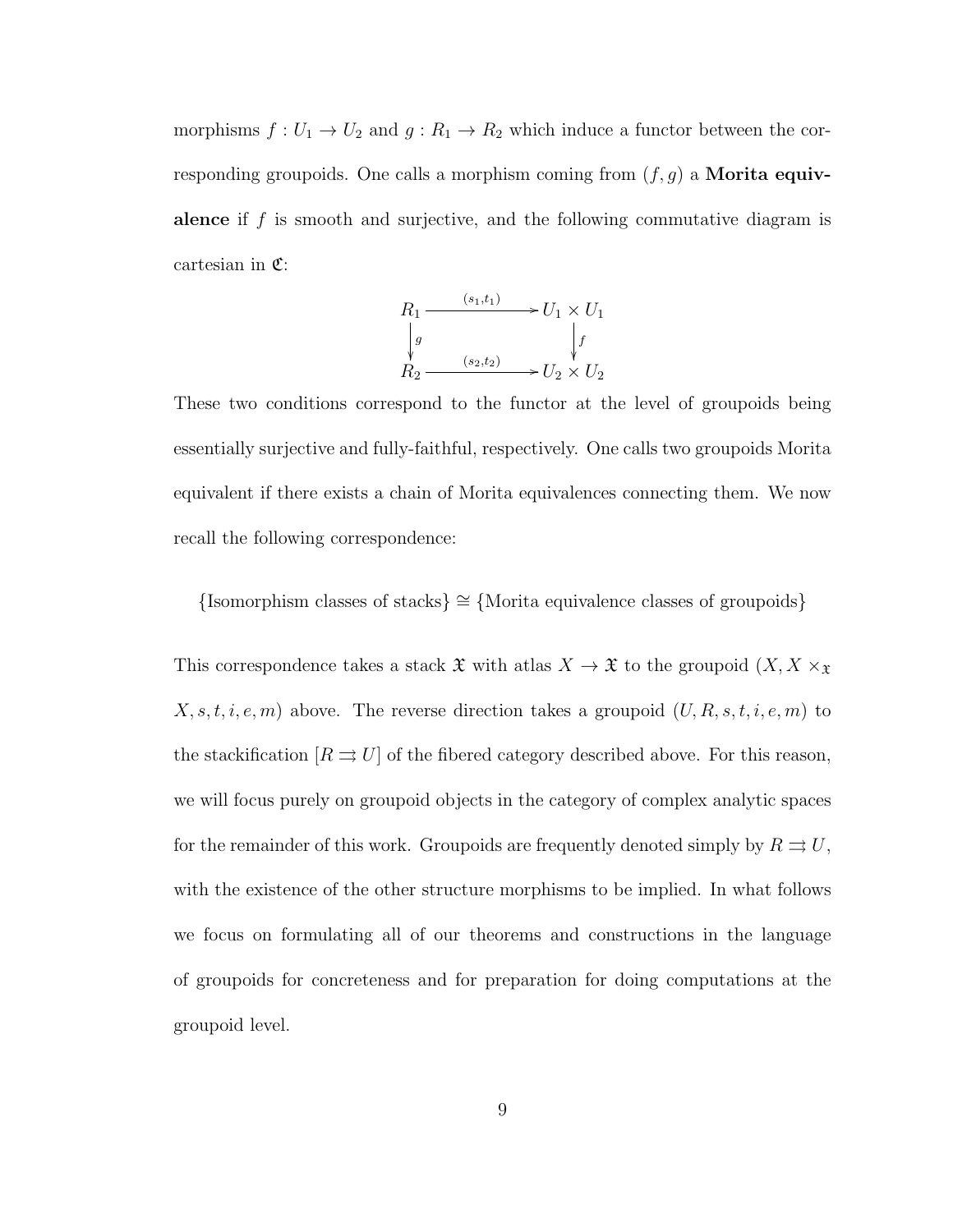morphisms  $f: U_1 \to U_2$  and  $g: R_1 \to R_2$  which induce a functor between the corresponding groupoids. One calls a morphism coming from  $(f, g)$  a **Morita equiv**alence if  $f$  is smooth and surjective, and the following commutative diagram is cartesian in C:

$$
R_1 \xrightarrow{\begin{array}{c} (s_1, t_1) \\ \downarrow g \\ R_2 \end{array}} U_1 \times U_1
$$
  
\n
$$
\begin{array}{c} \downarrow f \\ \downarrow f \\ U_2 \times U_2 \end{array}
$$

These two conditions correspond to the functor at the level of groupoids being essentially surjective and fully-faithful, respectively. One calls two groupoids Morita equivalent if there exists a chain of Morita equivalences connecting them. We now recall the following correspondence:

{Isomorphism classes of stacks} ∼= {Morita equivalence classes of groupoids}

This correspondence takes a stack  $\mathfrak{X}$  with atlas  $X \to \mathfrak{X}$  to the groupoid  $(X, X \times_X \mathfrak{X})$  $X, s, t, i, e, m$  above. The reverse direction takes a groupoid  $(U, R, s, t, i, e, m)$  to the stackification  $[R \rightrightarrows U]$  of the fibered category described above. For this reason, we will focus purely on groupoid objects in the category of complex analytic spaces for the remainder of this work. Groupoids are frequently denoted simply by  $R \rightrightarrows U$ , with the existence of the other structure morphisms to be implied. In what follows we focus on formulating all of our theorems and constructions in the language of groupoids for concreteness and for preparation for doing computations at the groupoid level.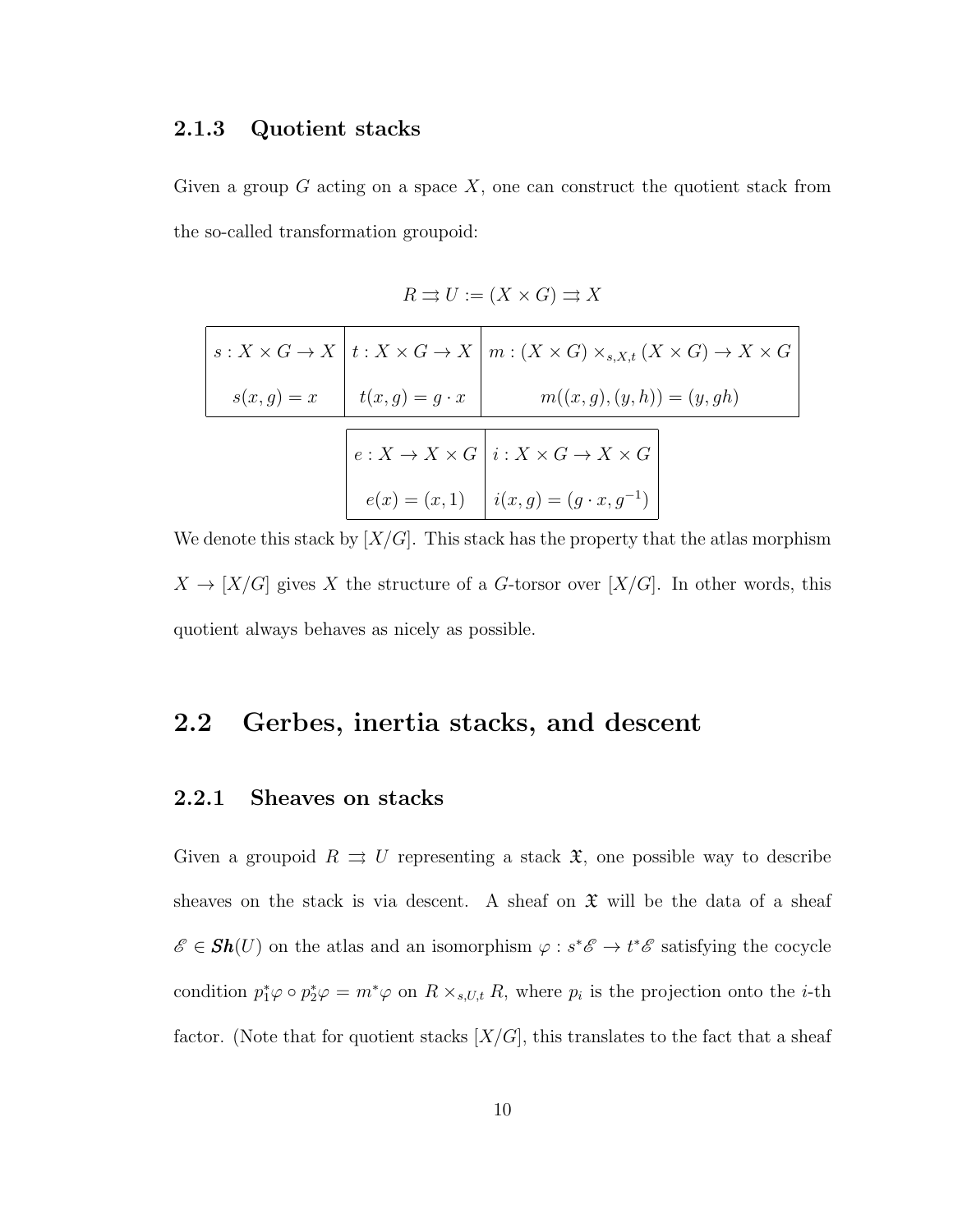### 2.1.3 Quotient stacks

Given a group  $G$  acting on a space  $X$ , one can construct the quotient stack from the so-called transformation groupoid:

$$
R \rightrightarrows U := (X \times G) \rightrightarrows X
$$

$$
s: X \times G \to X \quad t: X \times G \to X \quad m: (X \times G) \times_{s,X,t} (X \times G) \to X \times G
$$

$$
s(x,g) = x \quad t(x,g) = g \cdot x \quad m((x,g),(y,h)) = (y,gh)
$$

$$
e: X \to X \times G \quad i: X \times G \to X \times G
$$

$$
e(x) = (x,1) \quad i(x,g) = (g \cdot x, g^{-1})
$$

We denote this stack by  $[X/G]$ . This stack has the property that the atlas morphism  $X \to [X/G]$  gives X the structure of a G-torsor over  $[X/G]$ . In other words, this quotient always behaves as nicely as possible.

# 2.2 Gerbes, inertia stacks, and descent

## 2.2.1 Sheaves on stacks

Given a groupoid  $R \implies U$  representing a stack  $\mathfrak{X}$ , one possible way to describe sheaves on the stack is via descent. A sheaf on  $\mathfrak X$  will be the data of a sheaf  $\mathscr{E} \in \mathbf{Sh}(U)$  on the atlas and an isomorphism  $\varphi : s^*\mathscr{E} \to t^*\mathscr{E}$  satisfying the cocycle condition  $p_1^*\varphi \circ p_2^*\varphi = m^*\varphi$  on  $R \times_{s,U,t} R$ , where  $p_i$  is the projection onto the *i*-th factor. (Note that for quotient stacks  $[X/G]$ , this translates to the fact that a sheaf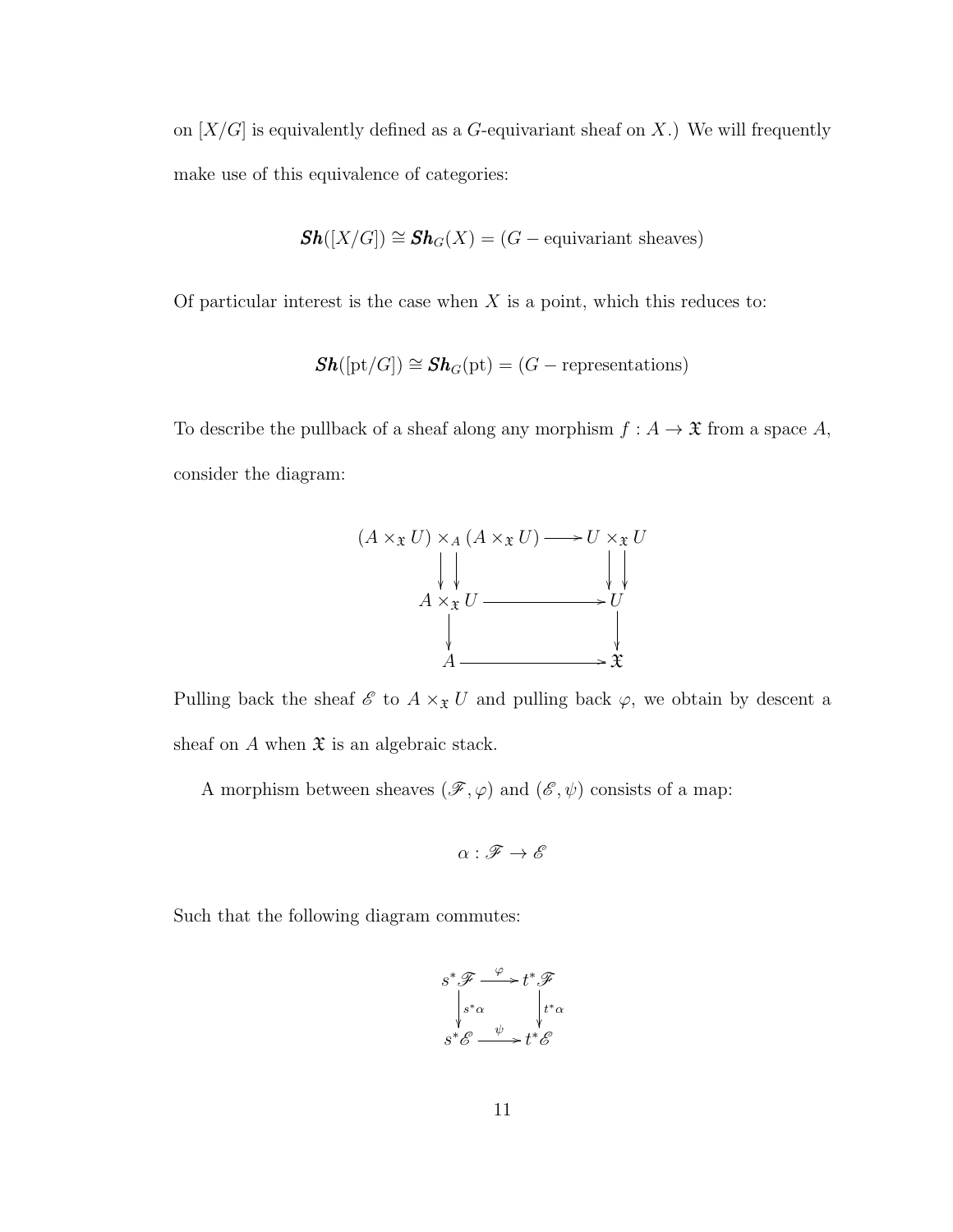on  $[X/G]$  is equivalently defined as a G-equivariant sheaf on X.) We will frequently make use of this equivalence of categories:

$$
Sh([X/G]) \cong Sh_G(X) = (G - \text{equivariant sheaves})
$$

Of particular interest is the case when  $X$  is a point, which this reduces to:

$$
\boldsymbol{\mathit{Sh}}([\operatorname{pt}/G])\cong \boldsymbol{\mathit{Sh}}_G(\operatorname{pt})=(G-\operatorname{representations})
$$

To describe the pullback of a sheaf along any morphism  $f: A \rightarrow \mathfrak{X}$  from a space  $A,$ consider the diagram:



Pulling back the sheaf  $\mathscr E$  to  $A \times_{\mathfrak X} U$  and pulling back  $\varphi$ , we obtain by descent a sheaf on  $A$  when  $\mathfrak X$  is an algebraic stack.

A morphism between sheaves  $(\mathscr{F}, \varphi)$  and  $(\mathscr{E}, \psi)$  consists of a map:

$$
\alpha:\mathscr{F}\to\mathscr{E}
$$

Such that the following diagram commutes:

$$
s^*\mathscr{F} \xrightarrow{\varphi} t^*\mathscr{F}
$$

$$
\downarrow s^*\alpha \qquad \qquad t^*\alpha
$$

$$
s^*\mathscr{E} \xrightarrow{\psi} t^*\mathscr{E}
$$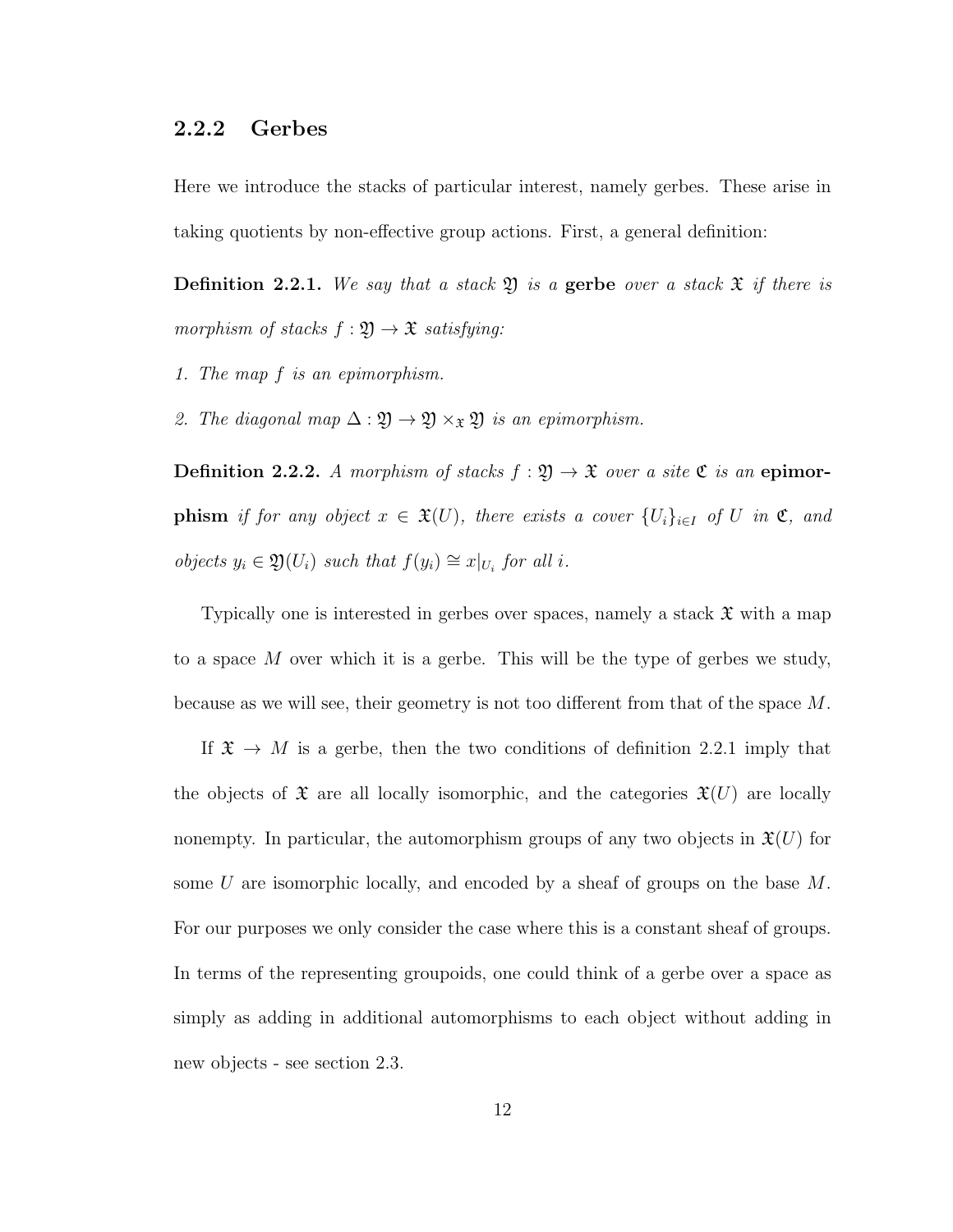#### 2.2.2 Gerbes

Here we introduce the stacks of particular interest, namely gerbes. These arise in taking quotients by non-effective group actions. First, a general definition:

**Definition 2.2.1.** We say that a stack  $\mathfrak{Y}$  is a gerbe over a stack  $\mathfrak{X}$  if there is morphism of stacks  $f: \mathfrak{Y} \to \mathfrak{X}$  satisfying:

- 1. The map f is an epimorphism.
- 2. The diagonal map  $\Delta : \mathfrak{Y} \to \mathfrak{Y} \times_{\mathfrak{X}} \mathfrak{Y}$  is an epimorphism.

Definition 2.2.2. A morphism of stacks  $f : \mathfrak{Y} \to \mathfrak{X}$  over a site  $\mathfrak{C}$  is an epimor**phism** if for any object  $x \in \mathfrak{X}(U)$ , there exists a cover  $\{U_i\}_{i\in I}$  of U in  $\mathfrak{C}$ , and *objects*  $y_i$  ∈  $\mathfrak{Y}(U_i)$  such that  $f(y_i) \cong x|_{U_i}$  for all *i*.

Typically one is interested in gerbes over spaces, namely a stack  $\mathfrak X$  with a map to a space M over which it is a gerbe. This will be the type of gerbes we study, because as we will see, their geometry is not too different from that of the space M.

If  $\mathfrak{X} \to M$  is a gerbe, then the two conditions of definition 2.2.1 imply that the objects of  $\mathfrak X$  are all locally isomorphic, and the categories  $\mathfrak X(U)$  are locally nonempty. In particular, the automorphism groups of any two objects in  $\mathfrak{X}(U)$  for some  $U$  are isomorphic locally, and encoded by a sheaf of groups on the base  $M$ . For our purposes we only consider the case where this is a constant sheaf of groups. In terms of the representing groupoids, one could think of a gerbe over a space as simply as adding in additional automorphisms to each object without adding in new objects - see section 2.3.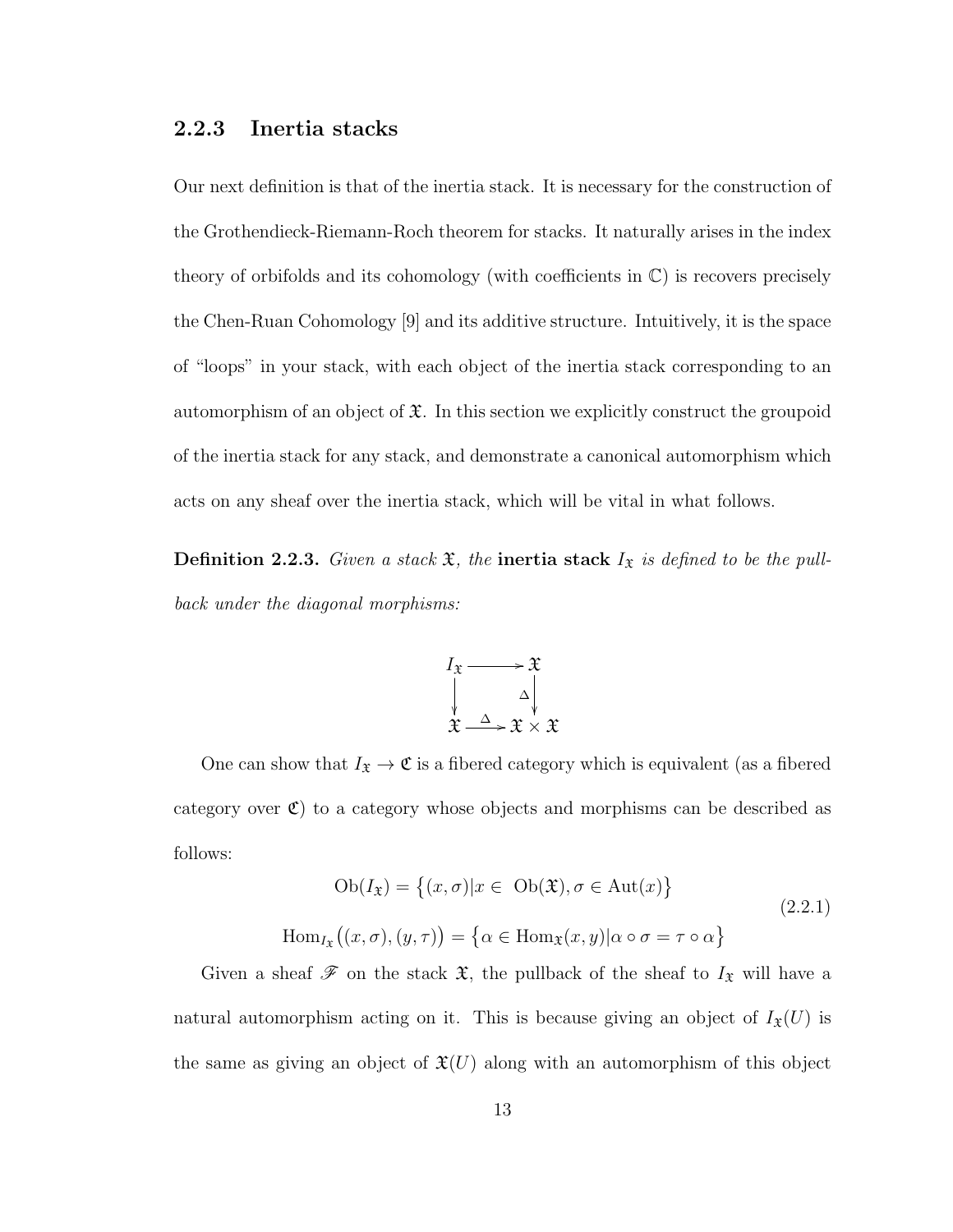#### 2.2.3 Inertia stacks

Our next definition is that of the inertia stack. It is necessary for the construction of the Grothendieck-Riemann-Roch theorem for stacks. It naturally arises in the index theory of orbifolds and its cohomology (with coefficients in  $\mathbb{C}$ ) is recovers precisely the Chen-Ruan Cohomology [9] and its additive structure. Intuitively, it is the space of "loops" in your stack, with each object of the inertia stack corresponding to an automorphism of an object of  $\mathfrak{X}$ . In this section we explicitly construct the groupoid of the inertia stack for any stack, and demonstrate a canonical automorphism which acts on any sheaf over the inertia stack, which will be vital in what follows.

**Definition 2.2.3.** Given a stack  $\mathfrak{X}$ , the **inertia stack**  $I_{\mathfrak{X}}$  is defined to be the pullback under the diagonal morphisms:



One can show that  $I_{\mathfrak{X}} \to \mathfrak{C}$  is a fibered category which is equivalent (as a fibered category over  $\mathfrak{C}$ ) to a category whose objects and morphisms can be described as follows:

$$
Ob(I_{\mathfrak{X}}) = \{(x, \sigma)|x \in Ob(\mathfrak{X}), \sigma \in Aut(x)\}
$$
  
Hom<sub>I<sub>x</sub></sub> $((x, \sigma), (y, \tau)) = \{\alpha \in Hom_{\mathfrak{X}}(x, y)|\alpha \circ \sigma = \tau \circ \alpha\}$  (2.2.1)

Given a sheaf  $\mathscr F$  on the stack  $\mathfrak X$ , the pullback of the sheaf to  $I_{\mathfrak X}$  will have a natural automorphism acting on it. This is because giving an object of  $I_{\mathfrak{X}}(U)$  is the same as giving an object of  $\mathfrak{X}(U)$  along with an automorphism of this object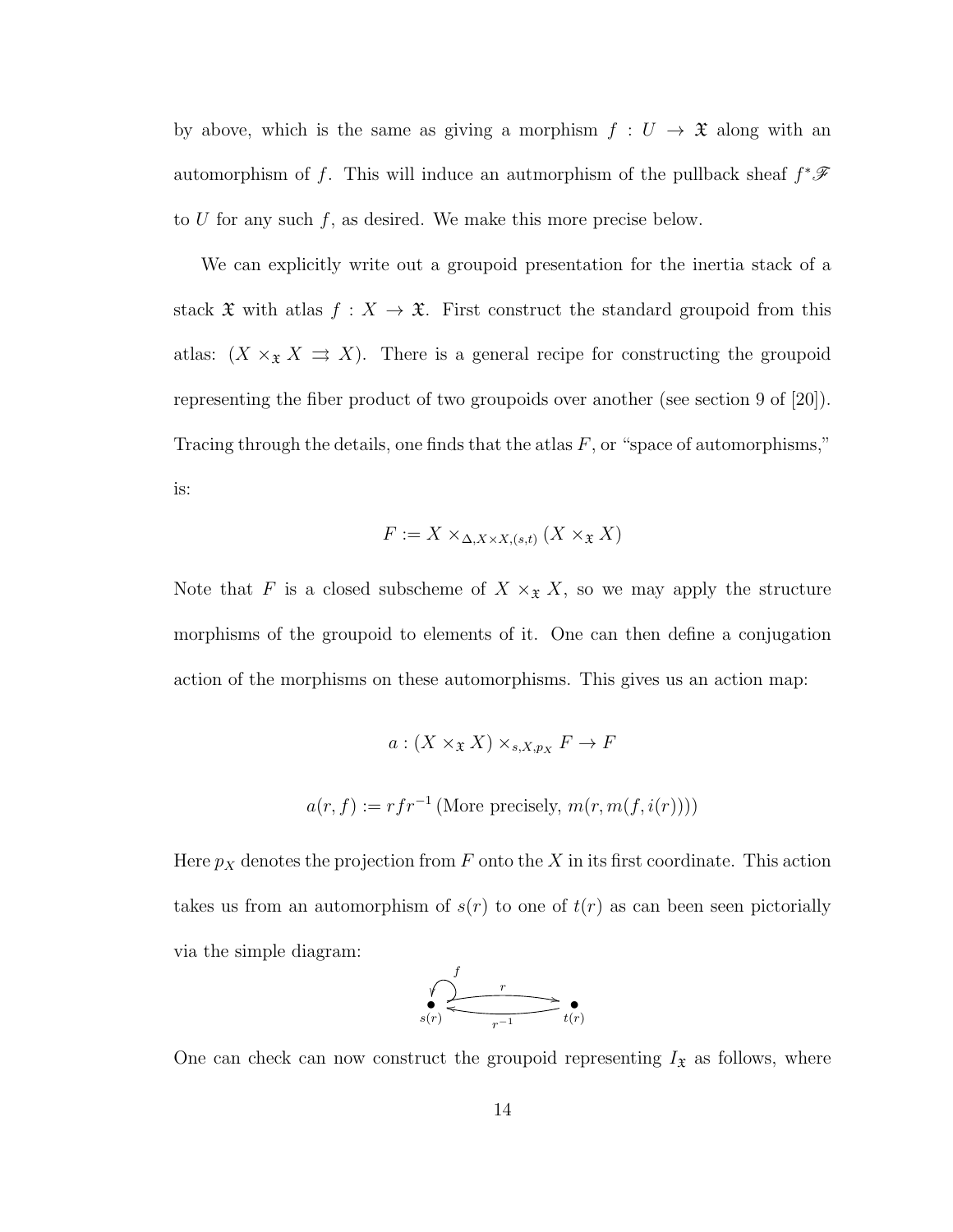by above, which is the same as giving a morphism  $f: U \to \mathfrak{X}$  along with an automorphism of f. This will induce an autmorphism of the pullback sheaf  $f^*\mathscr{F}$ to  $U$  for any such  $f$ , as desired. We make this more precise below.

We can explicitly write out a groupoid presentation for the inertia stack of a stack  $\mathfrak X$  with atlas  $f : X \to \mathfrak X$ . First construct the standard groupoid from this atlas:  $(X \times_{\mathfrak{X}} X \rightrightarrows X)$ . There is a general recipe for constructing the groupoid representing the fiber product of two groupoids over another (see section 9 of [20]). Tracing through the details, one finds that the atlas  $F$ , or "space of automorphisms," is:

$$
F := X \times_{\Delta, X \times X, (s,t)} (X \times_{\mathfrak{X}} X)
$$

Note that F is a closed subscheme of  $X \times_{\mathfrak{X}} X$ , so we may apply the structure morphisms of the groupoid to elements of it. One can then define a conjugation action of the morphisms on these automorphisms. This gives us an action map:

$$
a: (X \times_{\mathfrak{X}} X) \times_{s, X, p_X} F \to F
$$

$$
a(r, f) := rfr^{-1} \left( \text{More precisely, } m(r, m(f, i(r))) \right)
$$

Here  $p_X$  denotes the projection from F onto the X in its first coordinate. This action takes us from an automorphism of  $s(r)$  to one of  $t(r)$  as can been seen pictorially via the simple diagram:



One can check can now construct the groupoid representing  $I_x$  as follows, where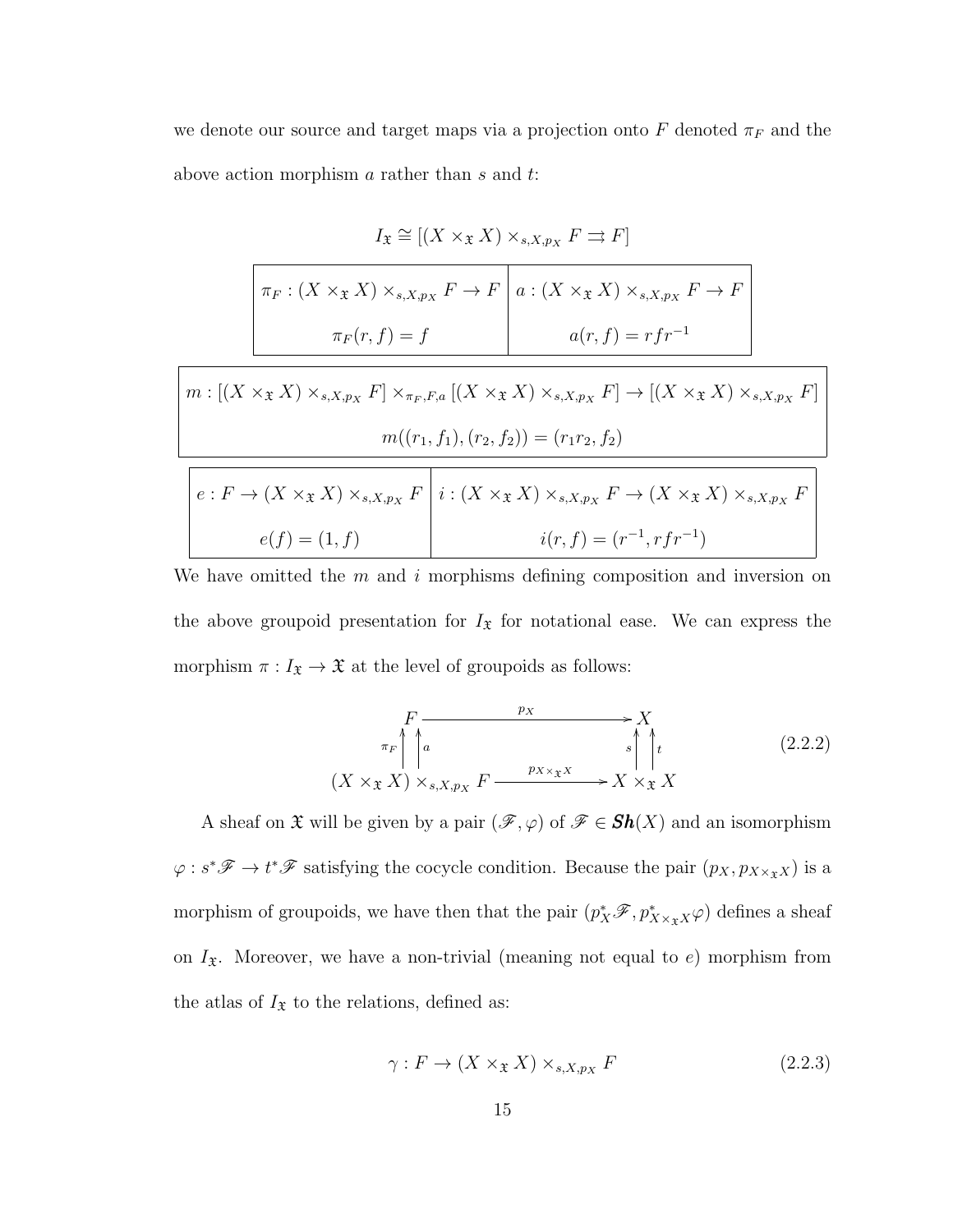we denote our source and target maps via a projection onto  $F$  denoted  $\pi_F$  and the above action morphism  $a$  rather than  $s$  and  $t$ :

$$
I_{\mathfrak{X}} \cong [(X \times_{\mathfrak{X}} X) \times_{s,X,p_X} F \Rightarrow F]
$$
\n
$$
\pi_F : (X \times_{\mathfrak{X}} X) \times_{s,X,p_X} F \to F
$$
\n
$$
\begin{array}{c|c|c|c}\n\hline\n\pi_F : (X \times_{\mathfrak{X}} X) \times_{s,X,p_X} F \to F & a: (X \times_{\mathfrak{X}} X) \times_{s,X,p_X} F \to F \\
\hline\n\pi_F(r, f) = f & a(r, f) = rfr^{-1}\n\end{array}
$$
\n
$$
m : [(X \times_{\mathfrak{X}} X) \times_{s,X,p_X} F] \times_{\pi_F, F, a} [(X \times_{\mathfrak{X}} X) \times_{s,X,p_X} F] \to [(X \times_{\mathfrak{X}} X) \times_{s,X,p_X} F]
$$
\n
$$
m((r_1, f_1), (r_2, f_2)) = (r_1r_2, f_2)
$$
\n
$$
e : F \to (X \times_{\mathfrak{X}} X) \times_{s,X,p_X} F & i : (X \times_{\mathfrak{X}} X) \times_{s,X,p_X} F \to (X \times_{\mathfrak{X}} X) \times_{s,X,p_X} F
$$
\n
$$
e(f) = (1, f) & i(r, f) = (r^{-1}, rfr^{-1})
$$

We have omitted the  $m$  and  $i$  morphisms defining composition and inversion on the above groupoid presentation for  $I_{\mathfrak{X}}$  for notational ease. We can express the morphism  $\pi : I_{\mathfrak{X}} \to \mathfrak{X}$  at the level of groupoids as follows:

$$
\begin{array}{ccc}\n & P & & \longrightarrow & X \\
\pi_F \uparrow & a & & \longrightarrow & X \\
(X \times_X X) \times_{s, X, p_X} & F & \xrightarrow{p_{X \times_X X}} & X \times_X X\n\end{array} \tag{2.2.2}
$$

A sheaf on  $\mathfrak X$  will be given by a pair  $(\mathscr F,\varphi)$  of  $\mathscr F\in\mathbf{Sh}(X)$  and an isomorphism  $\varphi: s^*\mathscr{F} \to t^*\mathscr{F}$  satisfying the cocycle condition. Because the pair  $(p_X, p_{X \times_{\mathfrak{X}} X})$  is a morphism of groupoids, we have then that the pair  $(p_X^*, \mathscr{F}, p_{X \times_X X}^* \varphi)$  defines a sheaf on  $I_{\mathfrak{X}}$ . Moreover, we have a non-trivial (meaning not equal to e) morphism from the atlas of  $I_{\mathfrak{X}}$  to the relations, defined as:

$$
\gamma: F \to (X \times_{\mathfrak{X}} X) \times_{s, X, p_X} F \tag{2.2.3}
$$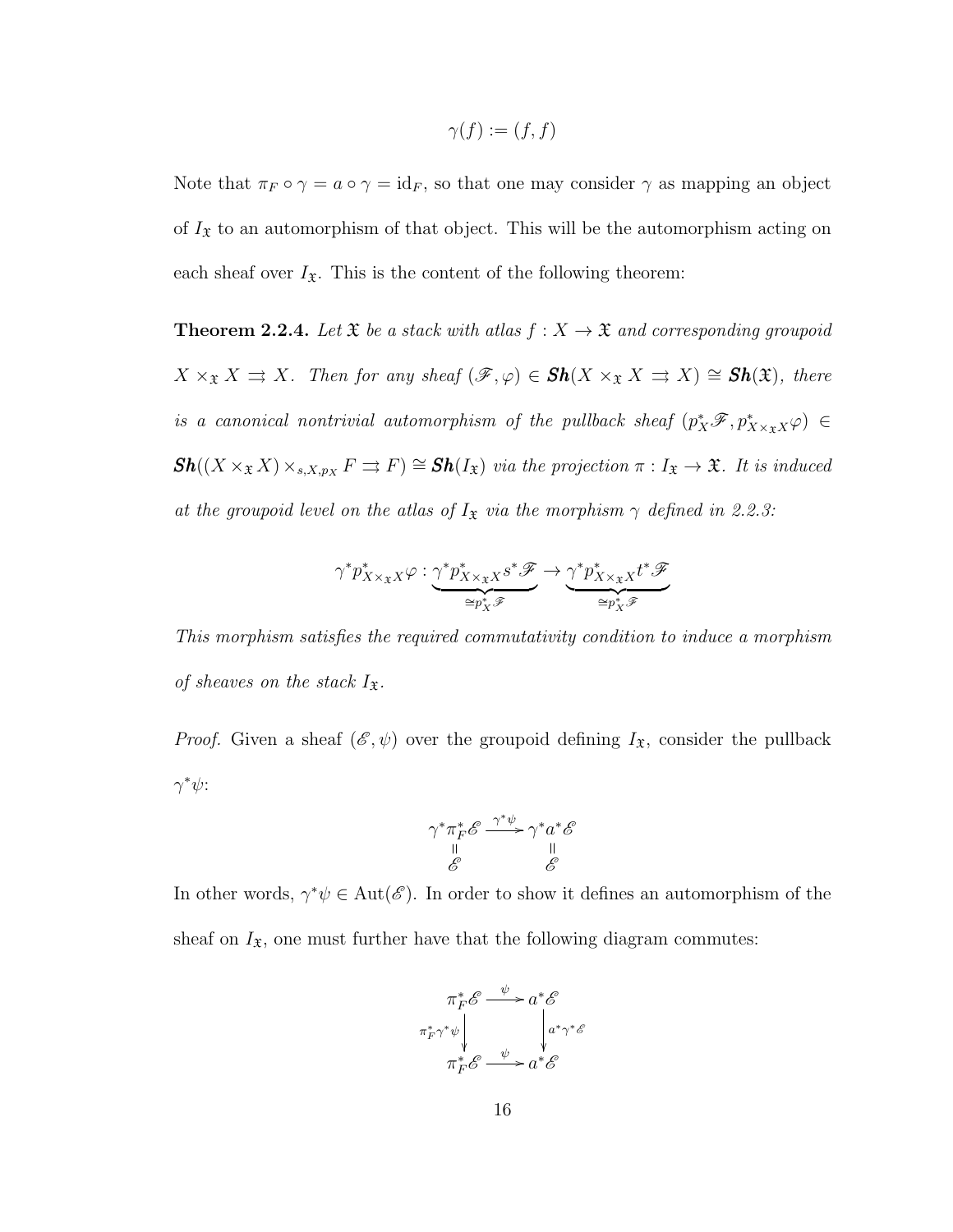$$
\gamma(f) := (f, f)
$$

Note that  $\pi_F \circ \gamma = a \circ \gamma = id_F$ , so that one may consider  $\gamma$  as mapping an object of  $I_{\mathfrak{X}}$  to an automorphism of that object. This will be the automorphism acting on each sheaf over  $I_{\mathfrak{X}}$ . This is the content of the following theorem:

**Theorem 2.2.4.** Let  $\mathfrak{X}$  be a stack with atlas  $f : X \to \mathfrak{X}$  and corresponding groupoid  $X \times_{\mathfrak{X}} X \rightrightarrows X$ . Then for any sheaf  $(\mathscr{F}, \varphi) \in Sh(X \times_{\mathfrak{X}} X \rightrightarrows X) \cong Sh(\mathfrak{X})$ , there is a canonical nontrivial automorphism of the pullback sheaf  $(p_X^*, p_{X\times_X X}^*\varphi) \in$  $\mathbf{Sh}((X\times_{\mathfrak{X}} X)\times_{s,X,p_X} F \rightrightarrows F) \cong \mathbf{Sh}(I_{\mathfrak{X}})$  via the projection  $\pi: I_{\mathfrak{X}} \to \mathfrak{X}$ . It is induced at the groupoid level on the atlas of  $I_{\mathfrak{X}}$  via the morphism  $\gamma$  defined in 2.2.3:

$$
\gamma^*p^*_{X \times_{\mathfrak{X}} X} \varphi: \underbrace{\gamma^*p^*_{X \times_{\mathfrak{X}} X} s^* \mathscr{F}}_{\cong p_X^* \mathscr{F}} \rightarrow \underbrace{\gamma^*p^*_{X \times_{\mathfrak{X}} X} t^* \mathscr{F}}_{\cong p_X^* \mathscr{F}}
$$

This morphism satisfies the required commutativity condition to induce a morphism of sheaves on the stack  $I_{\mathfrak{X}}$ .

*Proof.* Given a sheaf  $(\mathscr{E}, \psi)$  over the groupoid defining  $I_{\mathfrak{X}}$ , consider the pullback  $\gamma^*\psi$ :

$$
\begin{array}{l} \gamma^*\pi_F^*\mathscr{E} \xrightarrow{\gamma^*\psi} \gamma^*a^*\mathscr{E} \\ \parallel \qquad \qquad \mathscr{E} \qquad \qquad \mathscr{E} \end{array}
$$

In other words,  $\gamma^*\psi \in \text{Aut}(\mathscr{E})$ . In order to show it defines an automorphism of the sheaf on  $I_{\mathfrak{X}}$ , one must further have that the following diagram commutes:

$$
\pi_F^* \mathscr{E} \xrightarrow{\psi} a^* \mathscr{E}
$$
\n
$$
\pi_F^* \gamma^* \psi \downarrow \pi_F^* \mathscr{E} \xrightarrow{\psi} a^* \mathscr{E}
$$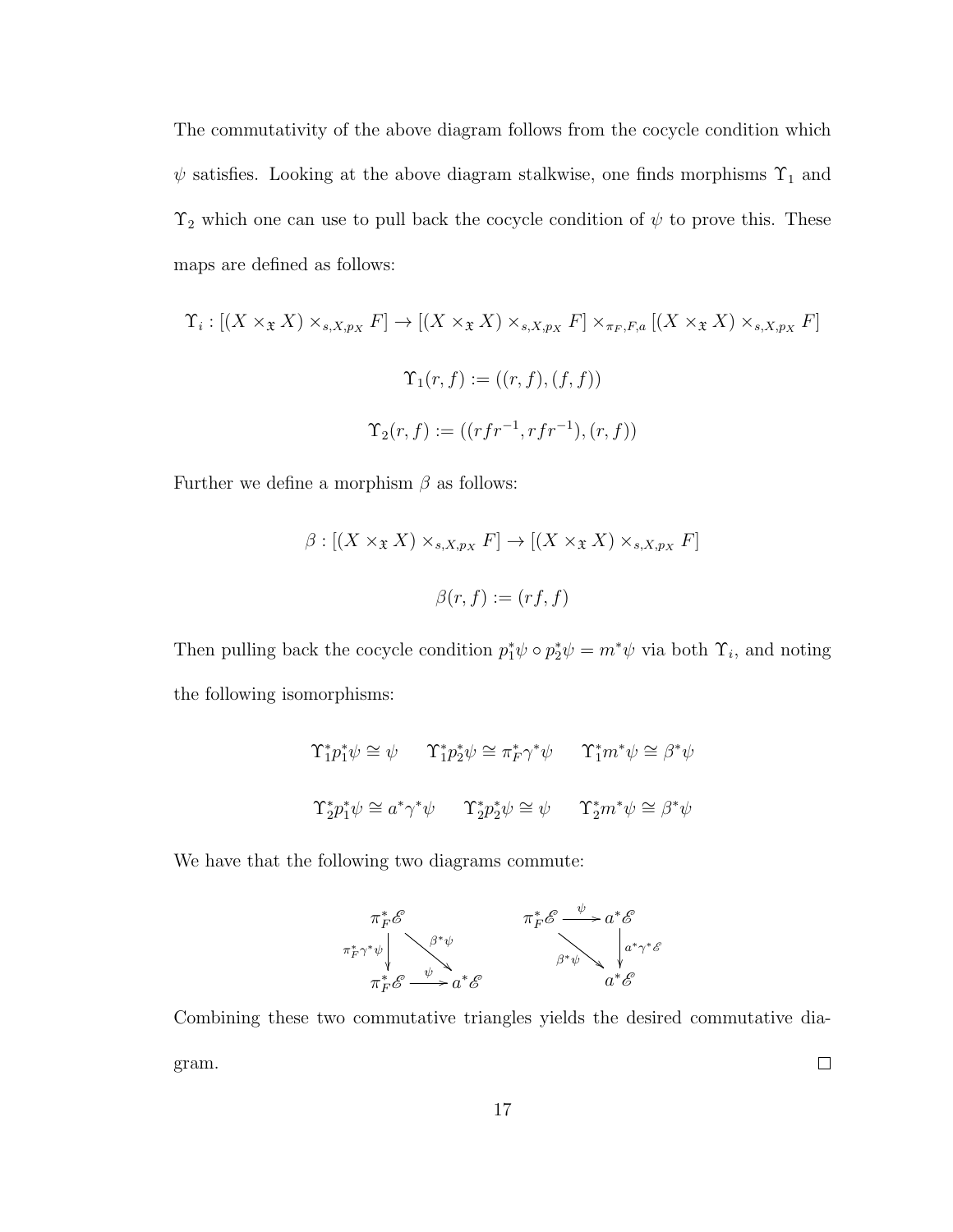The commutativity of the above diagram follows from the cocycle condition which  $\psi$  satisfies. Looking at the above diagram stalkwise, one finds morphisms  $\Upsilon_1$  and  $\Upsilon_2$  which one can use to pull back the cocycle condition of  $\psi$  to prove this. These maps are defined as follows:

$$
\Upsilon_i : [(X \times_X X) \times_{s, X, p_X} F] \to [(X \times_X X) \times_{s, X, p_X} F] \times_{\pi_F, F, a} [(X \times_X X) \times_{s, X, p_X} F]
$$

$$
\Upsilon_1(r, f) := ((r, f), (f, f))
$$

$$
\Upsilon_2(r, f) := ((rfr^{-1}, rfr^{-1}), (r, f))
$$

Further we define a morphism  $\beta$  as follows:

$$
\beta : [(X \times_{\mathfrak{X}} X) \times_{s, X, p_X} F] \to [(X \times_{\mathfrak{X}} X) \times_{s, X, p_X} F]
$$

$$
\beta(r, f) := (rf, f)
$$

Then pulling back the cocycle condition  $p_1^*\psi \circ p_2^*\psi = m^*\psi$  via both  $\Upsilon_i$ , and noting the following isomorphisms:

$$
\begin{array}{ll}\Upsilon_1^* p_1^* \psi \cong \psi & \Upsilon_1^* p_2^* \psi \cong \pi_F^* \gamma^* \psi & \Upsilon_1^* m^* \psi \cong \beta^* \psi \\
\Upsilon_2^* p_1^* \psi \cong a^* \gamma^* \psi & \Upsilon_2^* p_2^* \psi \cong \psi & \Upsilon_2^* m^* \psi \cong \beta^* \psi\n\end{array}
$$

We have that the following two diagrams commute:



Combining these two commutative triangles yields the desired commutative dia- $\Box$ gram.

17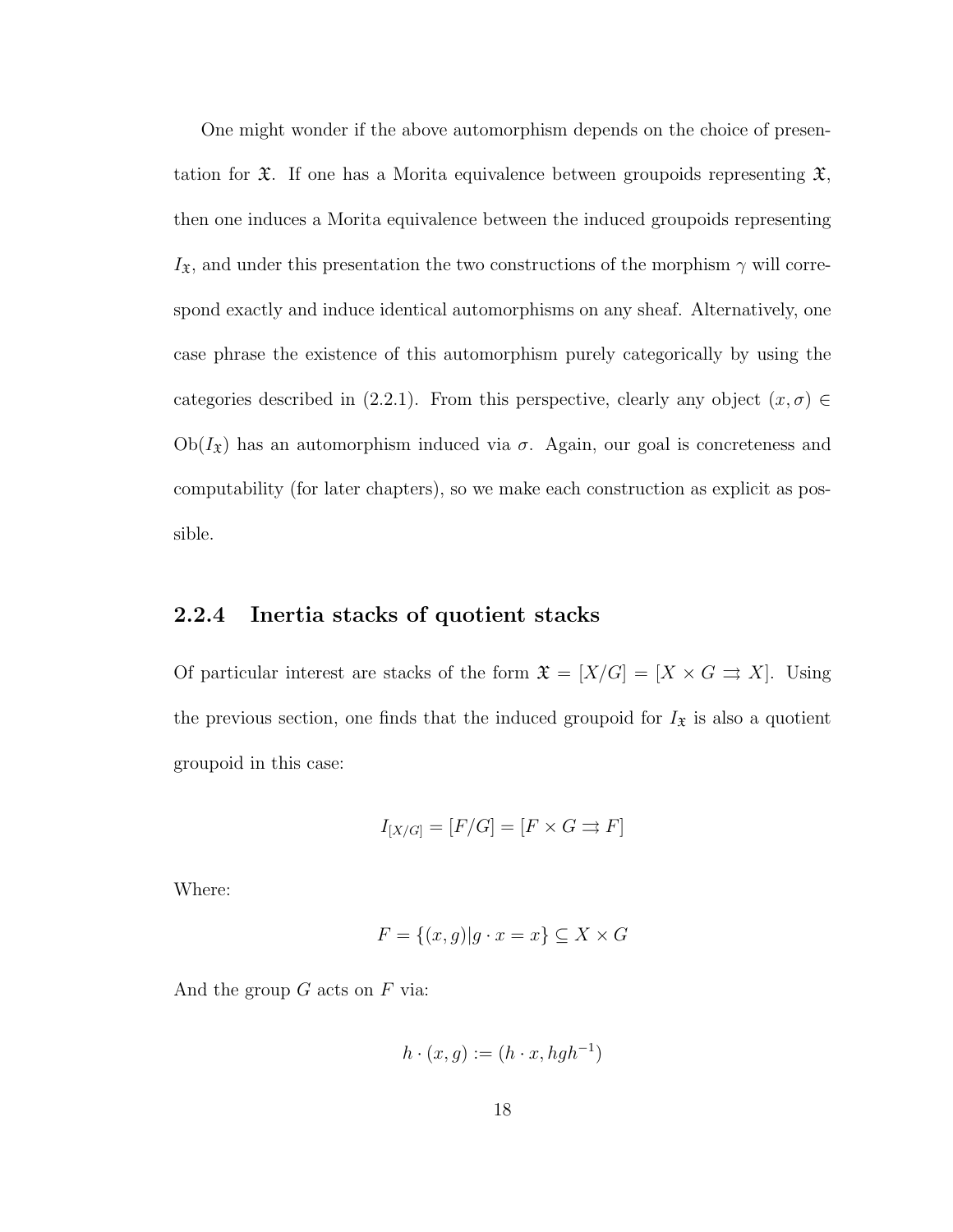One might wonder if the above automorphism depends on the choice of presentation for  $\mathfrak{X}$ . If one has a Morita equivalence between groupoids representing  $\mathfrak{X}$ , then one induces a Morita equivalence between the induced groupoids representing  $I_{\mathfrak{X}}$ , and under this presentation the two constructions of the morphism  $\gamma$  will correspond exactly and induce identical automorphisms on any sheaf. Alternatively, one case phrase the existence of this automorphism purely categorically by using the categories described in (2.2.1). From this perspective, clearly any object  $(x, \sigma) \in$  $Ob(I_{\mathfrak{X}})$  has an automorphism induced via  $\sigma$ . Again, our goal is concreteness and computability (for later chapters), so we make each construction as explicit as possible.

#### 2.2.4 Inertia stacks of quotient stacks

Of particular interest are stacks of the form  $\mathfrak{X} = [X/G] = [X \times G \rightrightarrows X]$ . Using the previous section, one finds that the induced groupoid for  $I_{\mathfrak{X}}$  is also a quotient groupoid in this case:

$$
I_{[X/G]} = [F/G] = [F \times G \rightrightarrows F]
$$

Where:

$$
F = \{(x, g) | g \cdot x = x\} \subseteq X \times G
$$

And the group  $G$  acts on  $F$  via:

$$
h \cdot (x, g) := (h \cdot x, hgh^{-1})
$$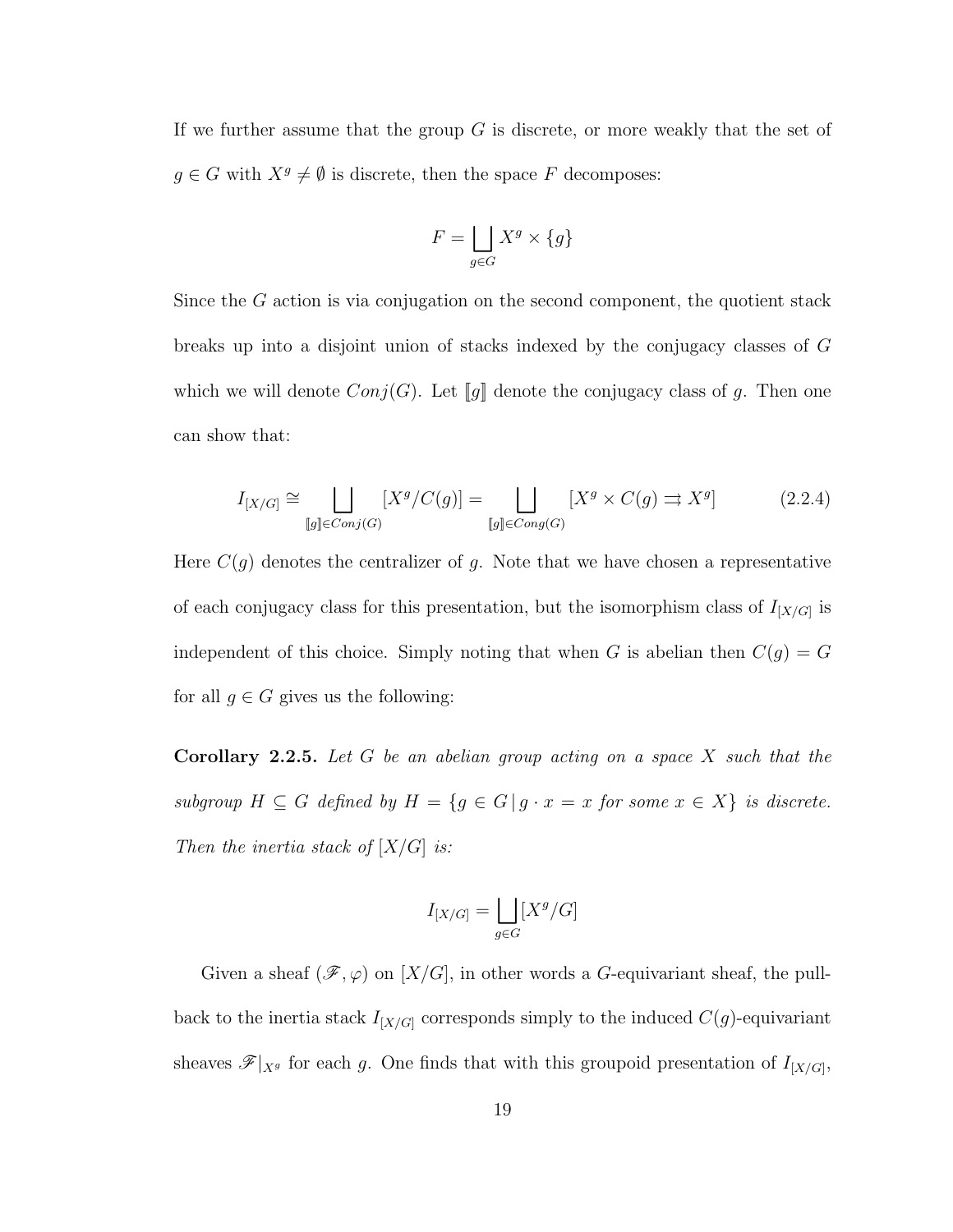If we further assume that the group  $G$  is discrete, or more weakly that the set of  $g \in G$  with  $X^g \neq \emptyset$  is discrete, then the space F decomposes:

$$
F = \bigsqcup_{g \in G} X^g \times \{g\}
$$

Since the G action is via conjugation on the second component, the quotient stack breaks up into a disjoint union of stacks indexed by the conjugacy classes of G which we will denote  $Conj(G)$ . Let  $\llbracket g \rrbracket$  denote the conjugacy class of g. Then one can show that:

$$
I_{[X/G]} \cong \bigsqcup_{[g] \in Conj(G)} [X^g/C(g)] = \bigsqcup_{[g] \in Cong(G)} [X^g \times C(g) \rightrightarrows X^g]
$$
(2.2.4)

Here  $C(g)$  denotes the centralizer of g. Note that we have chosen a representative of each conjugacy class for this presentation, but the isomorphism class of  $I_{[X/G]}$  is independent of this choice. Simply noting that when G is abelian then  $C(g) = G$ for all  $g \in G$  gives us the following:

**Corollary 2.2.5.** Let G be an abelian group acting on a space  $X$  such that the subgroup  $H \subseteq G$  defined by  $H = \{g \in G \mid g \cdot x = x \text{ for some } x \in X\}$  is discrete. Then the inertia stack of  $[X/G]$  is:

$$
I_{[X/G]} = \bigsqcup_{g \in G} [X^g / G]
$$

Given a sheaf  $(\mathscr{F}, \varphi)$  on  $[X/G]$ , in other words a G-equivariant sheaf, the pullback to the inertia stack  $I_{[X/G]}$  corresponds simply to the induced  $C(g)$ -equivariant sheaves  $\mathscr{F}|_{X^g}$  for each g. One finds that with this groupoid presentation of  $I_{[X/G]}$ ,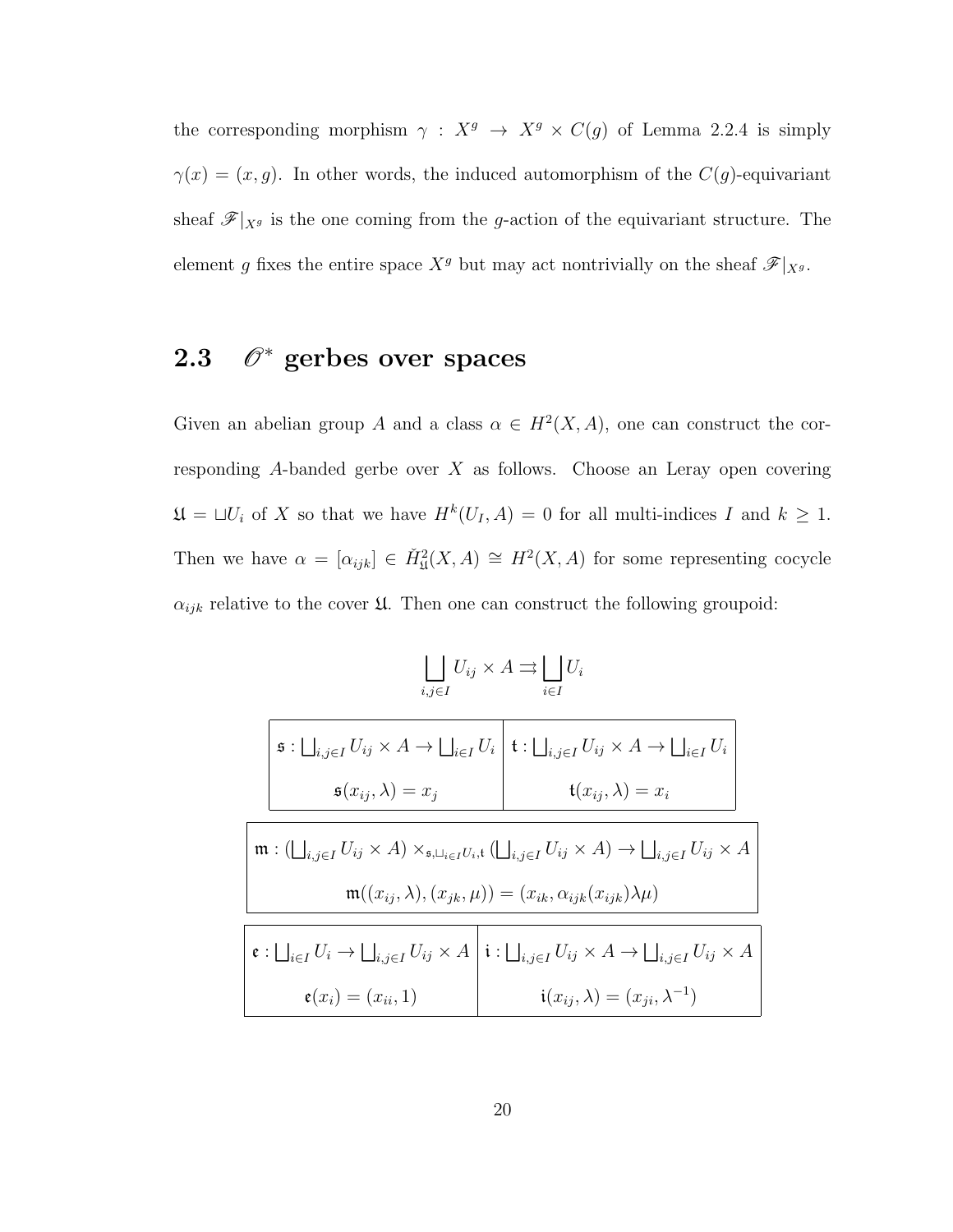the corresponding morphism  $\gamma$  :  $X^g \rightarrow X^g \times C(g)$  of Lemma 2.2.4 is simply  $\gamma(x) = (x, g)$ . In other words, the induced automorphism of the  $C(g)$ -equivariant sheaf  $\mathscr{F}|_{X^g}$  is the one coming from the g-action of the equivariant structure. The element g fixes the entire space  $X^g$  but may act nontrivially on the sheaf  $\mathscr{F}|_{X^g}$ .

# 2.3  $\mathcal{O}^*$  gerbes over spaces

Given an abelian group A and a class  $\alpha \in H^2(X, A)$ , one can construct the corresponding A-banded gerbe over  $X$  as follows. Choose an Leray open covering  $\mathfrak{U} = \sqcup U_i$  of X so that we have  $H^k(U_I, A) = 0$  for all multi-indices I and  $k \geq 1$ . Then we have  $\alpha = [\alpha_{ijk}] \in \check{H}^2_{\mathfrak{U}}(X,A) \cong H^2(X,A)$  for some representing cocycle  $\alpha_{ijk}$  relative to the cover  $\frak{U}.$  Then one can construct the following groupoid:

 $\left| \right| U_{ij} \times A \rightrightarrows \left| \right| U_i$ 

$$
\begin{array}{c|c}\n\overrightarrow{\mathbf{i},j\in I} & \overrightarrow{\mathbf{i}\in I} \\
\hline\n\mathbf{s}: \bigsqcup_{i,j\in I} U_{ij} \times A \to \bigsqcup_{i\in I} U_i & \mathbf{t}: \bigsqcup_{i,j\in I} U_{ij} \times A \to \bigsqcup_{i\in I} U_i \\
\hline\n\mathbf{s}(x_{ij}, \lambda) = x_j & \mathbf{t}(x_{ij}, \lambda) = x_i \\
\hline\n\mathfrak{m}: (\bigsqcup_{i,j\in I} U_{ij} \times A) \times_{\mathfrak{s}, \bigsqcup_{i\in I} U_i, \mathbf{t}} (\bigsqcup_{i,j\in I} U_{ij} \times A) \to \bigsqcup_{i,j\in I} U_{ij} \times A \\
\hline\n\mathfrak{m}((x_{ij}, \lambda), (x_{jk}, \mu)) = (x_{ik}, \alpha_{ijk}(x_{ijk})\lambda\mu) \\
\mathfrak{e}: \bigsqcup_{i\in I} U_i \to \bigsqcup_{i,j\in I} U_{ij} \times A & \mathbf{t}: \bigsqcup_{i,j\in I} U_{ij} \times A \to \bigsqcup_{i,j\in I} U_{ij} \times A \\
\hline\n\mathbf{e}(x_i) = (x_{ii}, 1) & \mathbf{i}(x_{ij}, \lambda) = (x_{ji}, \lambda^{-1})\n\end{array}
$$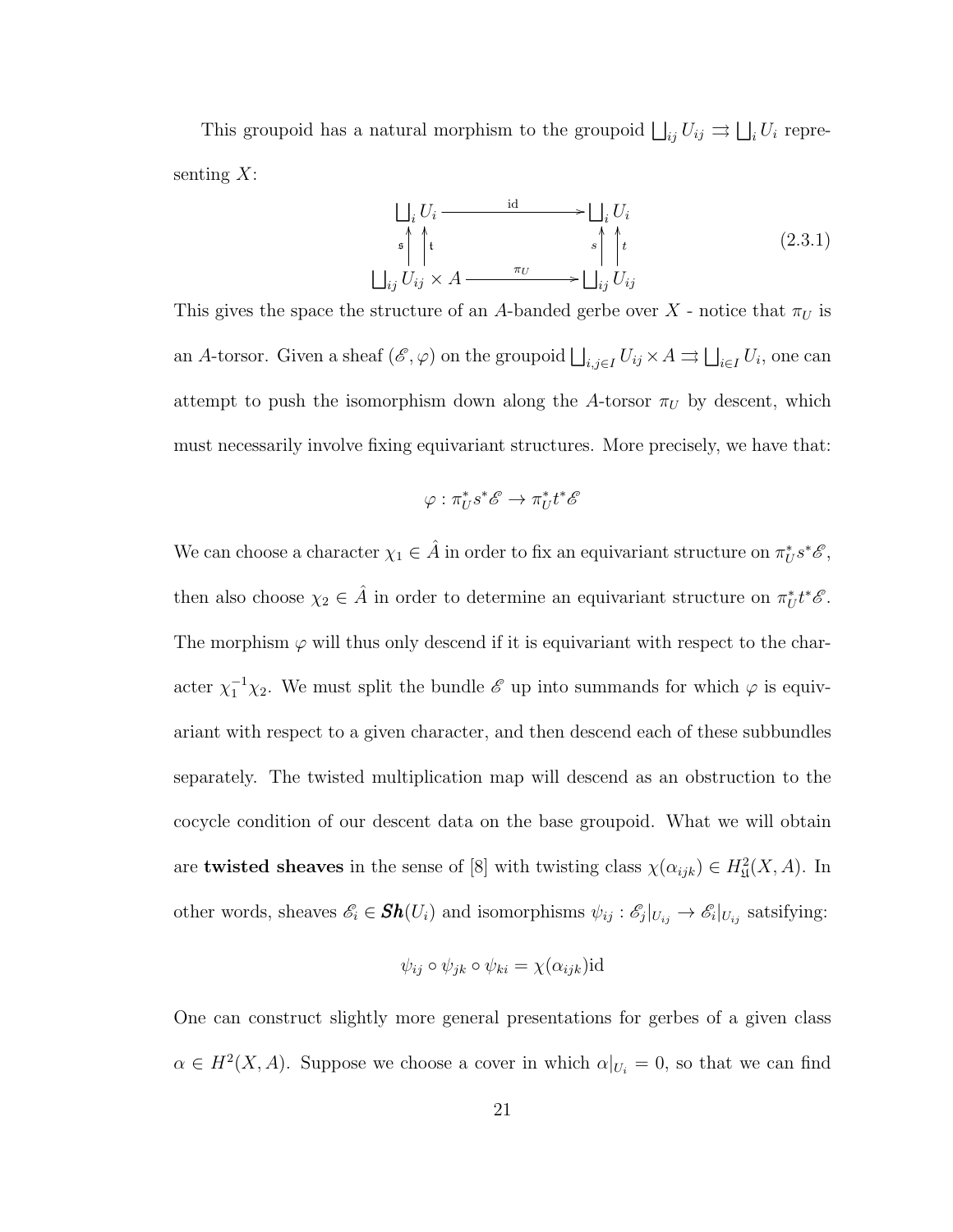This groupoid has a natural morphism to the groupoid  $\bigsqcup_{i,j} U_{ij} \rightrightarrows \bigsqcup_i U_i$  representing  $X$ :

$$
\begin{array}{ccc}\n\downarrow_i U_i & \xrightarrow{\text{id}} & \downarrow_i U_i \\
\downarrow_s \uparrow_t & \downarrow_t & \downarrow_t \\
\downarrow_t U_{ij} & \times A & \xrightarrow{\pi_U} & \downarrow_t U_{ij} \\
\downarrow_t U_{ij} & \downarrow_t & \downarrow_t U_{ij} \\
\end{array} \tag{2.3.1}
$$

This gives the space the structure of an A-banded gerbe over X - notice that  $\pi_U$  is an A-torsor. Given a sheaf  $(\mathscr{E}, \varphi)$  on the groupoid  $\bigsqcup_{i,j\in I} U_{ij} \times A \rightrightarrows \bigsqcup_{i\in I} U_i$ , one can attempt to push the isomorphism down along the A-torsor  $\pi_U$  by descent, which must necessarily involve fixing equivariant structures. More precisely, we have that:

$$
\varphi: \pi_U^*s^*\mathscr{E} \to \pi_U^*t^*\mathscr{E}
$$

We can choose a character  $\chi_1 \in \hat{A}$  in order to fix an equivariant structure on  $\pi_U^* s^* \mathscr{E}$ , then also choose  $\chi_2 \in \hat{A}$  in order to determine an equivariant structure on  $\pi_U^* t^* \mathscr{E}$ . The morphism  $\varphi$  will thus only descend if it is equivariant with respect to the character  $\chi_1^{-1}\chi_2$ . We must split the bundle  $\mathscr E$  up into summands for which  $\varphi$  is equivariant with respect to a given character, and then descend each of these subbundles separately. The twisted multiplication map will descend as an obstruction to the cocycle condition of our descent data on the base groupoid. What we will obtain are **twisted sheaves** in the sense of [8] with twisting class  $\chi(\alpha_{ijk}) \in H^2_{\mathfrak{U}}(X, A)$ . In other words, sheaves  $\mathscr{E}_i \in \mathbf{Sh}(U_i)$  and isomorphisms  $\psi_{ij} : \mathscr{E}_j|_{U_{ij}} \to \mathscr{E}_i|_{U_{ij}}$  satsifying:

$$
\psi_{ij} \circ \psi_{jk} \circ \psi_{ki} = \chi(\alpha_{ijk}) \text{id}
$$

One can construct slightly more general presentations for gerbes of a given class  $\alpha \in H^2(X, A)$ . Suppose we choose a cover in which  $\alpha|_{U_i} = 0$ , so that we can find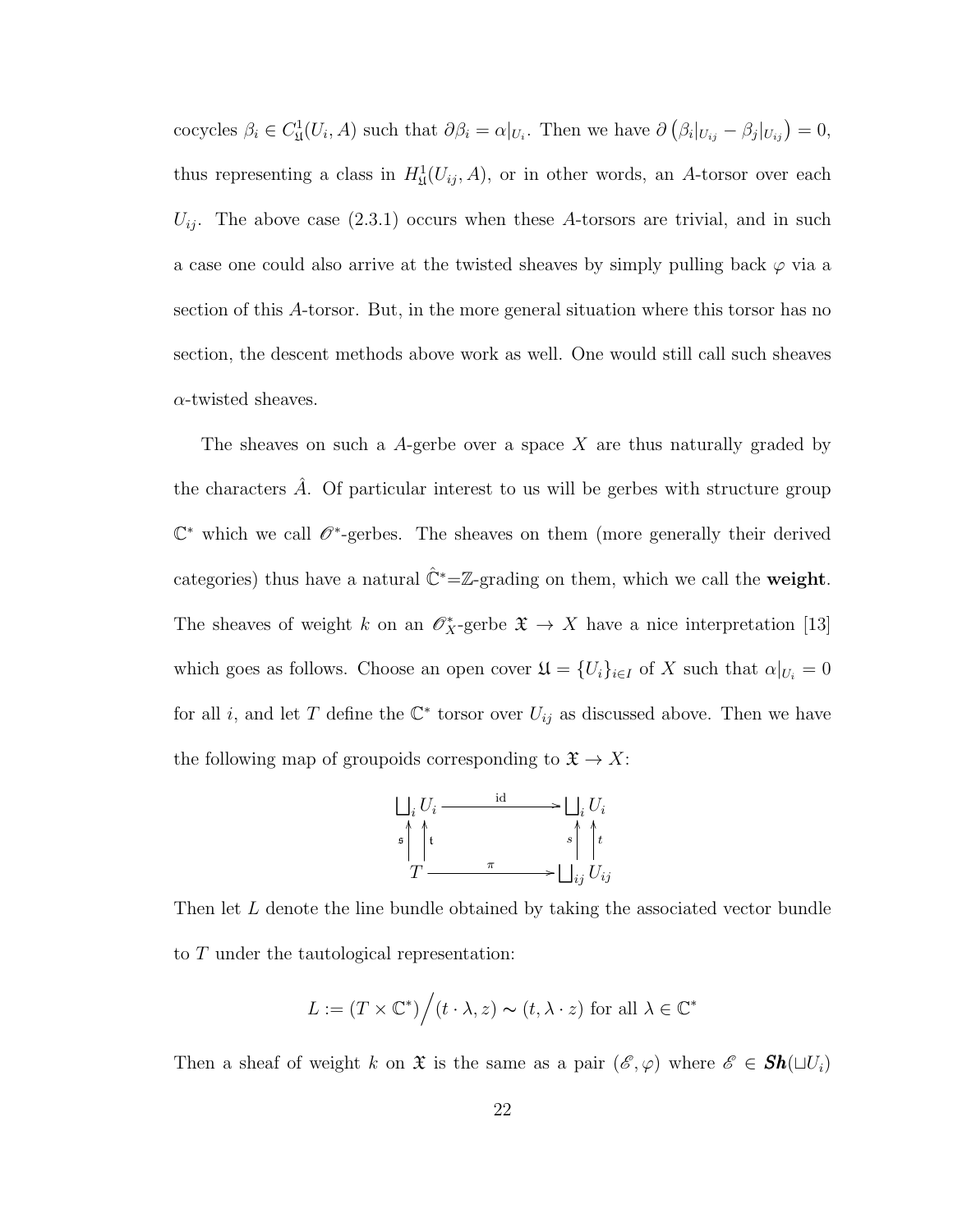cocycles  $\beta_i \in C^1_{\mathfrak{U}}(U_i, A)$  such that  $\partial \beta_i = \alpha|_{U_i}$ . Then we have  $\partial (\beta_i|_{U_{ij}} - \beta_j|_{U_{ij}}) = 0$ , thus representing a class in  $H^1(\mathcal{U}_{ij}, A)$ , or in other words, an A-torsor over each  $U_{ij}$ . The above case (2.3.1) occurs when these A-torsors are trivial, and in such a case one could also arrive at the twisted sheaves by simply pulling back  $\varphi$  via a section of this A-torsor. But, in the more general situation where this torsor has no section, the descent methods above work as well. One would still call such sheaves  $\alpha$ -twisted sheaves.

The sheaves on such a  $A$ -gerbe over a space X are thus naturally graded by the characters  $\hat{A}$ . Of particular interest to us will be gerbes with structure group  $\mathbb{C}^*$  which we call  $\mathscr{O}^*$ -gerbes. The sheaves on them (more generally their derived categories) thus have a natural  $\hat{C}^* = \mathbb{Z}$ -grading on them, which we call the **weight**. The sheaves of weight k on an  $\mathscr{O}_X^*$ -gerbe  $\mathfrak{X} \to X$  have a nice interpretation [13] which goes as follows. Choose an open cover  $\mathfrak{U} = \{U_i\}_{i \in I}$  of X such that  $\alpha|_{U_i} = 0$ for all i, and let T define the  $\mathbb{C}^*$  torsor over  $U_{ij}$  as discussed above. Then we have the following map of groupoids corresponding to  $\mathfrak{X} \to X$ :



Then let L denote the line bundle obtained by taking the associated vector bundle to T under the tautological representation:

$$
L := (T \times \mathbb{C}^*) / (t \cdot \lambda, z) \sim (t, \lambda \cdot z)
$$
 for all  $\lambda \in \mathbb{C}^*$ 

Then a sheaf of weight k on  $\mathfrak X$  is the same as a pair  $(\mathscr E,\varphi)$  where  $\mathscr E \in Sh(\sqcup U_i)$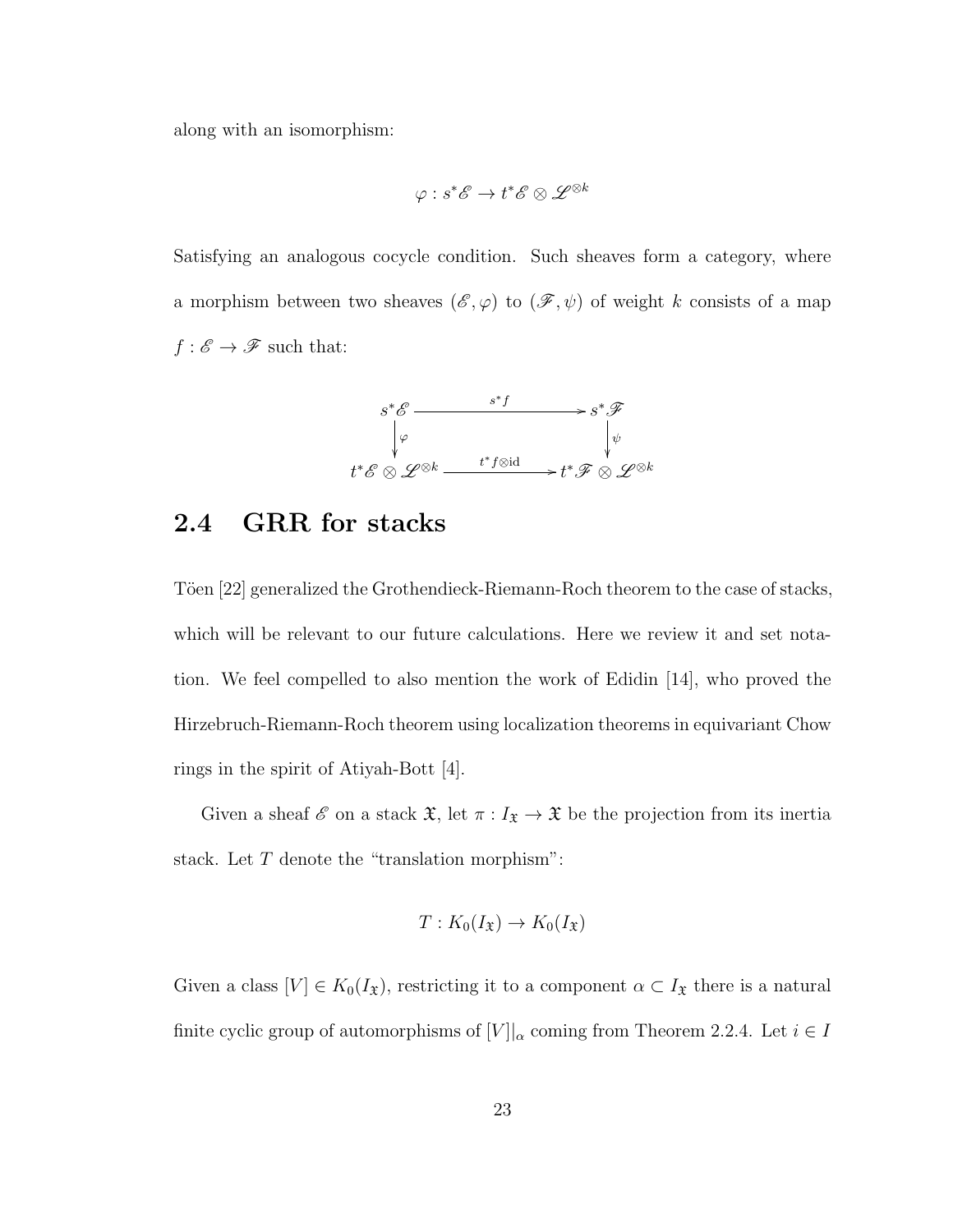along with an isomorphism:

$$
\varphi:s^*\mathscr{E}\to t^*\mathscr{E}\otimes \mathscr{L}^{\otimes k}
$$

Satisfying an analogous cocycle condition. Such sheaves form a category, where a morphism between two sheaves  $(\mathscr{E},\varphi)$  to  $(\mathscr{F},\psi)$  of weight  $k$  consists of a map  $f : \mathscr{E} \to \mathscr{F}$  such that:



## 2.4 GRR for stacks

Töen [22] generalized the Grothendieck-Riemann-Roch theorem to the case of stacks, which will be relevant to our future calculations. Here we review it and set notation. We feel compelled to also mention the work of Edidin [14], who proved the Hirzebruch-Riemann-Roch theorem using localization theorems in equivariant Chow rings in the spirit of Atiyah-Bott [4].

Given a sheaf  $\mathscr E$  on a stack  $\mathfrak X$ , let  $\pi: I_{\mathfrak X} \to \mathfrak X$  be the projection from its inertia stack. Let T denote the "translation morphism":

$$
T: K_0(I_{\mathfrak{X}}) \to K_0(I_{\mathfrak{X}})
$$

Given a class  $[V] \in K_0(I_{\mathfrak{X}})$ , restricting it to a component  $\alpha \subset I_{\mathfrak{X}}$  there is a natural finite cyclic group of automorphisms of  $[V]|_{\alpha}$  coming from Theorem 2.2.4. Let  $i \in I$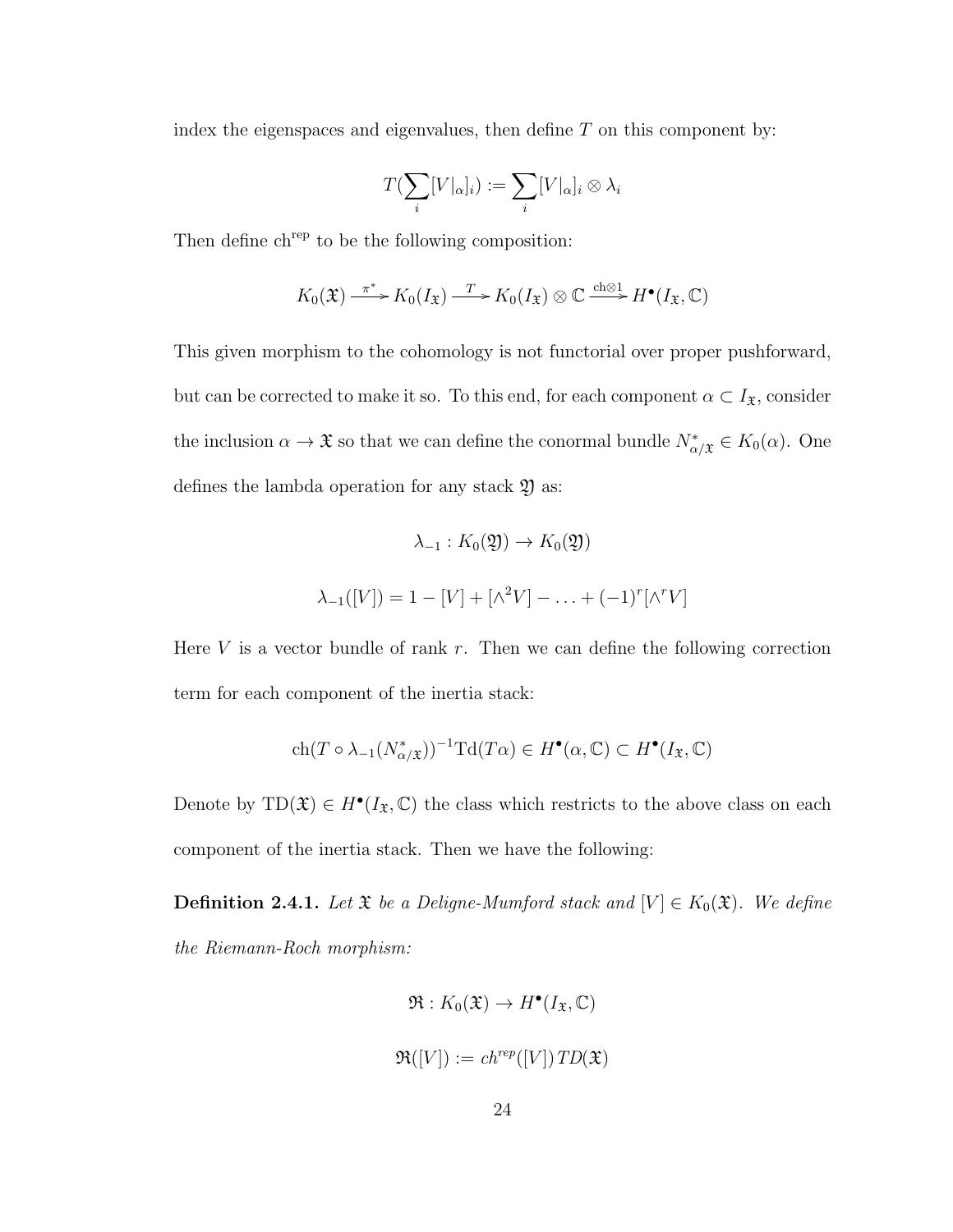index the eigenspaces and eigenvalues, then define  $T$  on this component by:

$$
T(\sum_i [V|_{\alpha}]_i) := \sum_i [V|_{\alpha}]_i \otimes \lambda_i
$$

Then define ch<sup>rep</sup> to be the following composition:

$$
K_0(\mathfrak{X}) \xrightarrow{\pi^*} K_0(I_{\mathfrak{X}}) \xrightarrow{T} K_0(I_{\mathfrak{X}}) \otimes \mathbb{C} \xrightarrow{\text{ch} \otimes 1} H^{\bullet}(I_{\mathfrak{X}}, \mathbb{C})
$$

This given morphism to the cohomology is not functorial over proper pushforward, but can be corrected to make it so. To this end, for each component  $\alpha \subset I_{\mathfrak{X}}$ , consider the inclusion  $\alpha \to \mathfrak{X}$  so that we can define the conormal bundle  $N^*_{\alpha/\mathfrak{X}} \in K_0(\alpha)$ . One defines the lambda operation for any stack  $\mathfrak Y$  as:

$$
\lambda_{-1}: K_0(\mathfrak{Y}) \to K_0(\mathfrak{Y})
$$
  

$$
\lambda_{-1}([V]) = 1 - [V] + [\wedge^2 V] - \ldots + (-1)^r [\wedge^r V]
$$

Here  $V$  is a vector bundle of rank  $r$ . Then we can define the following correction term for each component of the inertia stack:

$$
ch(T \circ \lambda_{-1}(N^*_{\alpha/\mathfrak{X}}))^{-1} \mathrm{Td}(T\alpha) \in H^{\bullet}(\alpha, \mathbb{C}) \subset H^{\bullet}(I_{\mathfrak{X}}, \mathbb{C})
$$

Denote by  $TD(\mathfrak{X}) \in H^{\bullet}(I_{\mathfrak{X}}, \mathbb{C})$  the class which restricts to the above class on each component of the inertia stack. Then we have the following:

**Definition 2.4.1.** Let  $\mathfrak{X}$  be a Deligne-Mumford stack and  $[V] \in K_0(\mathfrak{X})$ . We define the Riemann-Roch morphism:

$$
\mathfrak{R}: K_0(\mathfrak{X}) \to H^{\bullet}(I_{\mathfrak{X}}, \mathbb{C})
$$
  

$$
\mathfrak{R}([V]) := ch^{rep}([V]) \, TD(\mathfrak{X})
$$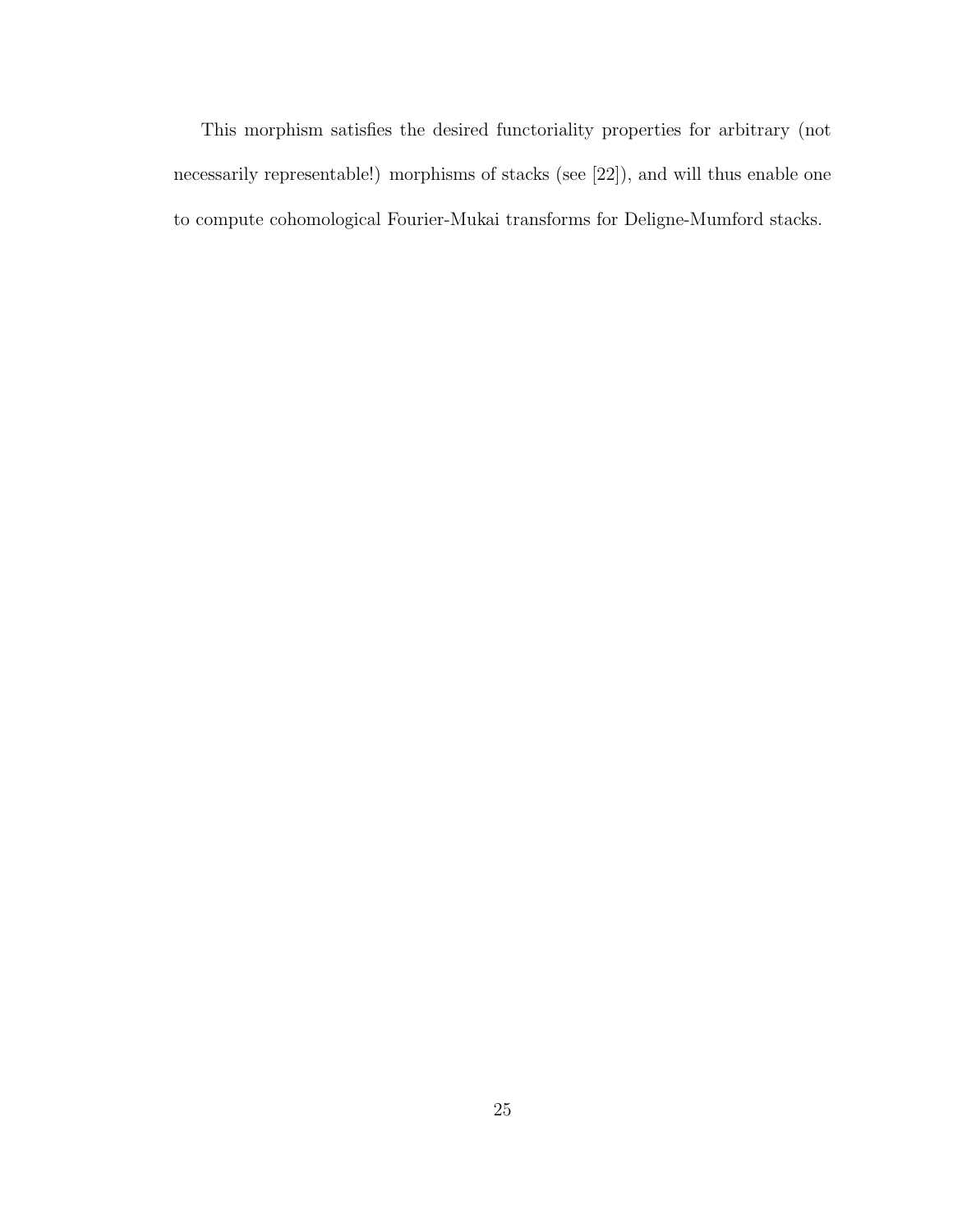This morphism satisfies the desired functoriality properties for arbitrary (not necessarily representable!) morphisms of stacks (see [22]), and will thus enable one to compute cohomological Fourier-Mukai transforms for Deligne-Mumford stacks.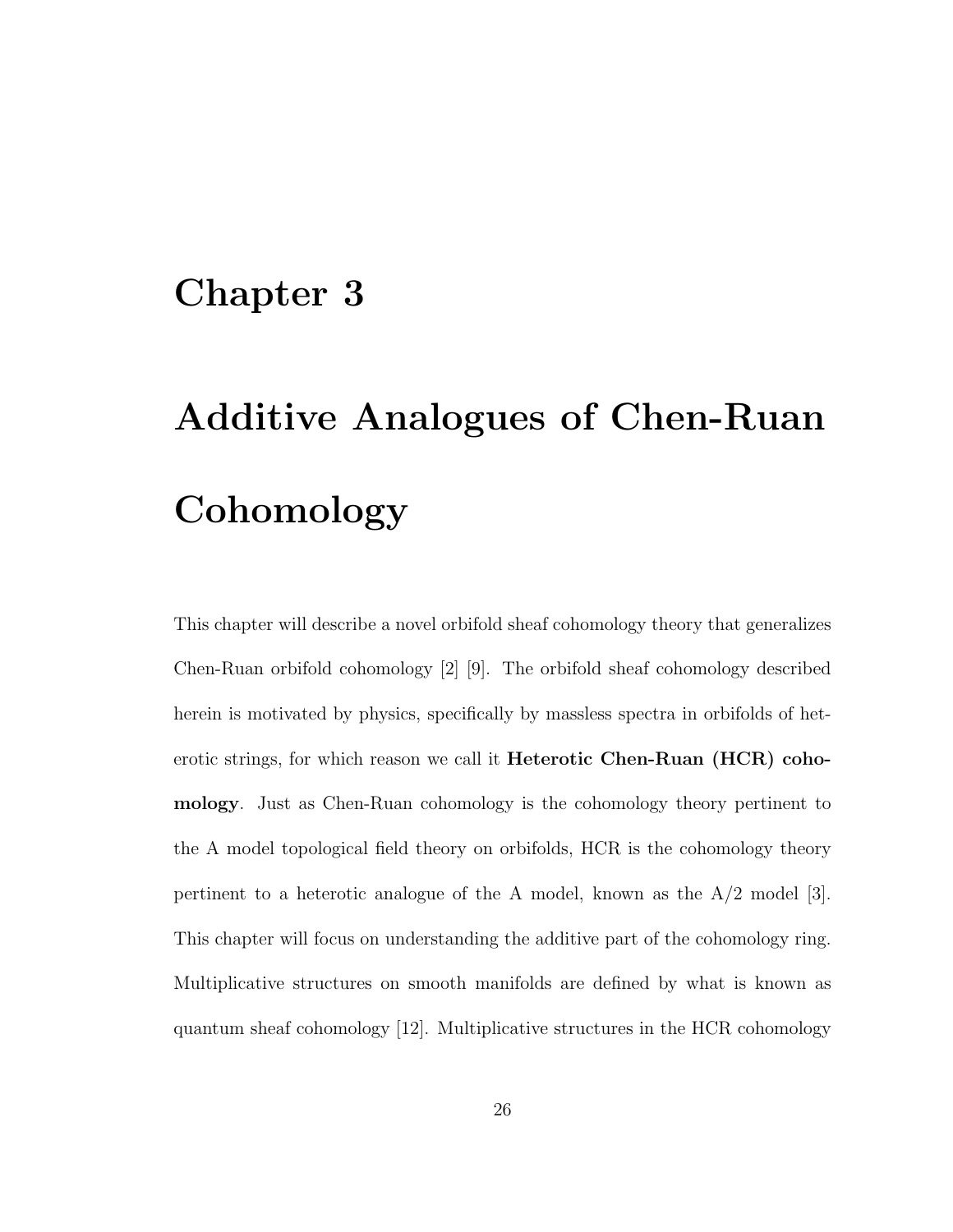# Chapter 3

# Additive Analogues of Chen-Ruan Cohomology

This chapter will describe a novel orbifold sheaf cohomology theory that generalizes Chen-Ruan orbifold cohomology [2] [9]. The orbifold sheaf cohomology described herein is motivated by physics, specifically by massless spectra in orbifolds of heterotic strings, for which reason we call it Heterotic Chen-Ruan (HCR) cohomology. Just as Chen-Ruan cohomology is the cohomology theory pertinent to the A model topological field theory on orbifolds, HCR is the cohomology theory pertinent to a heterotic analogue of the A model, known as the A/2 model [3]. This chapter will focus on understanding the additive part of the cohomology ring. Multiplicative structures on smooth manifolds are defined by what is known as quantum sheaf cohomology [12]. Multiplicative structures in the HCR cohomology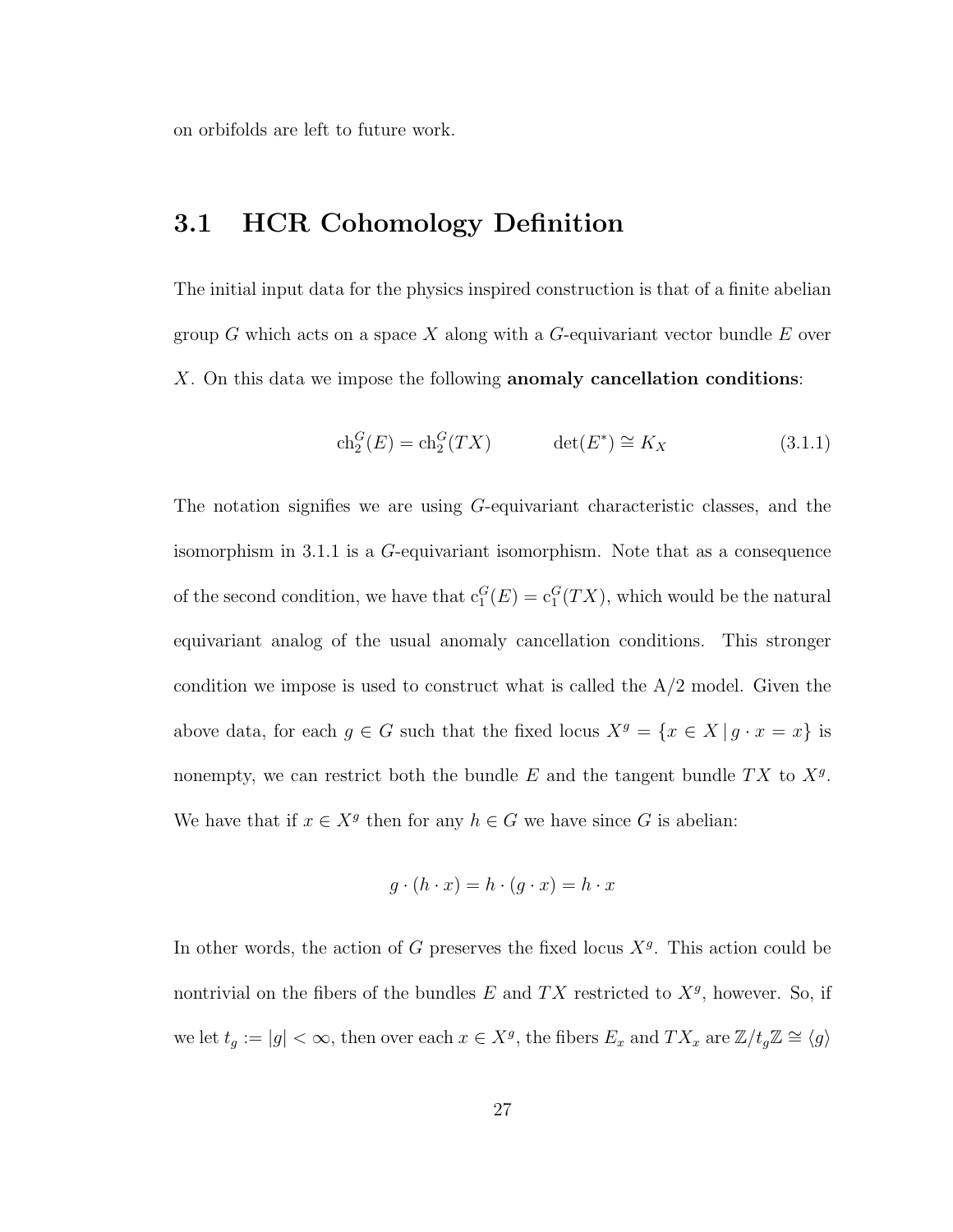on orbifolds are left to future work.

# 3.1 HCR Cohomology Definition

The initial input data for the physics inspired construction is that of a finite abelian group  $G$  which acts on a space  $X$  along with a  $G$ -equivariant vector bundle  $E$  over  $X$ . On this data we impose the following **anomaly cancellation conditions**:

$$
\operatorname{ch}_2^G(E) = \operatorname{ch}_2^G(TX) \qquad \det(E^*) \cong K_X \tag{3.1.1}
$$

The notation signifies we are using G-equivariant characteristic classes, and the isomorphism in 3.1.1 is a G-equivariant isomorphism. Note that as a consequence of the second condition, we have that  $c_1^G(E) = c_1^G(TX)$ , which would be the natural equivariant analog of the usual anomaly cancellation conditions. This stronger condition we impose is used to construct what is called the  $A/2$  model. Given the above data, for each  $g \in G$  such that the fixed locus  $X^g = \{x \in X \mid g \cdot x = x\}$  is nonempty, we can restrict both the bundle  $E$  and the tangent bundle  $TX$  to  $X<sup>g</sup>$ . We have that if  $x \in X^g$  then for any  $h \in G$  we have since G is abelian:

$$
g \cdot (h \cdot x) = h \cdot (g \cdot x) = h \cdot x
$$

In other words, the action of G preserves the fixed locus  $X<sup>g</sup>$ . This action could be nontrivial on the fibers of the bundles  $E$  and  $TX$  restricted to  $X<sup>g</sup>$ , however. So, if we let  $t_g := |g| < \infty$ , then over each  $x \in X^g$ , the fibers  $E_x$  and  $TX_x$  are  $\mathbb{Z}/t_g\mathbb{Z} \cong \langle g \rangle$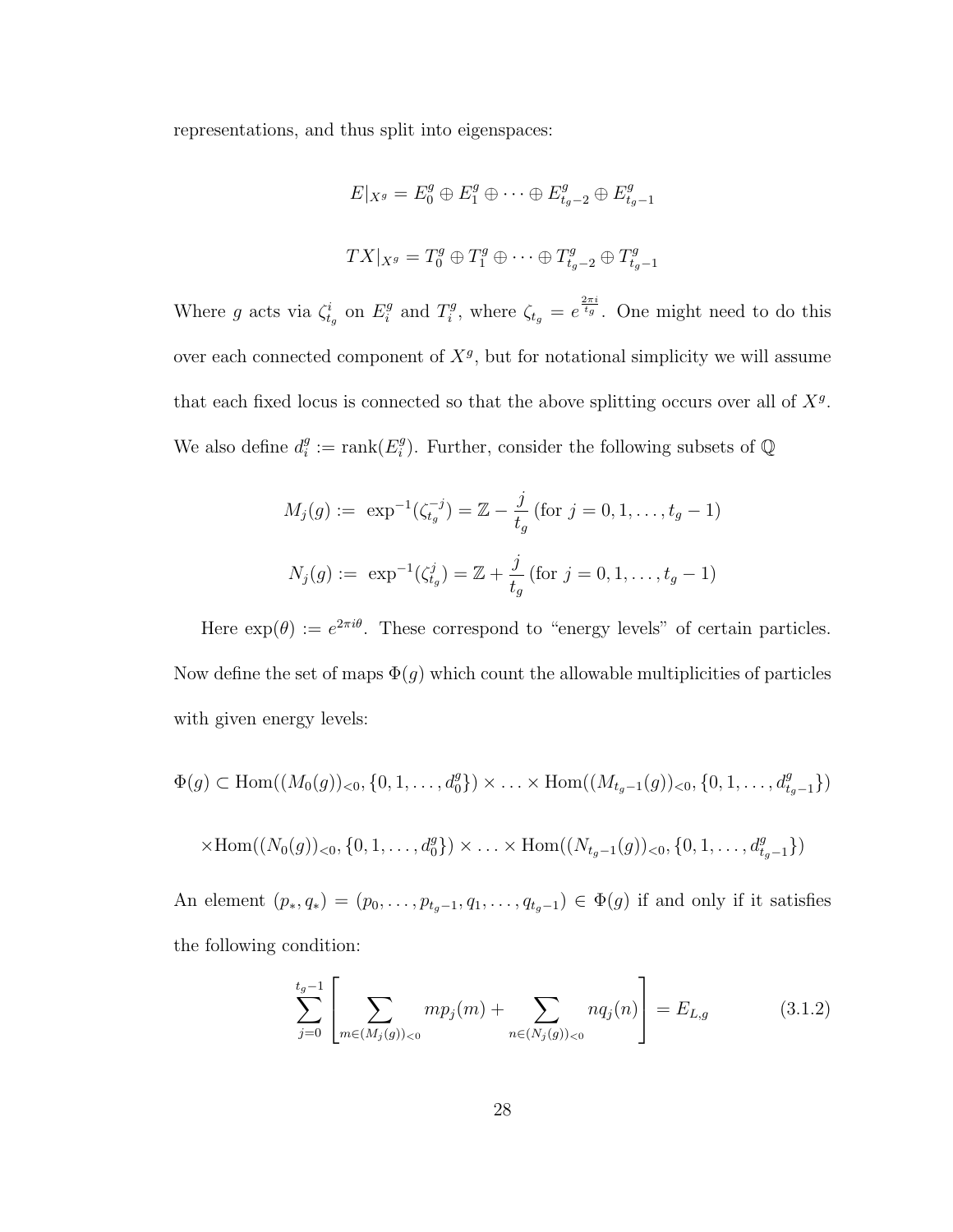representations, and thus split into eigenspaces:

$$
E|_{X^g} = E_0^g \oplus E_1^g \oplus \cdots \oplus E_{t_g-2}^g \oplus E_{t_g-1}^g
$$
  

$$
TX|_{X^g} = T_0^g \oplus T_1^g \oplus \cdots \oplus T_{t_g-2}^g \oplus T_{t_g-1}^g
$$

Where g acts via  $\zeta_{t_g}^i$  on  $E_i^g$  $i^g$  and  $T_i^g$ <sup>19</sup><sub>i</sub>, where  $\zeta_{t_g} = e^{\frac{2\pi i}{t_g}}$ . One might need to do this over each connected component of  $X<sup>g</sup>$ , but for notational simplicity we will assume that each fixed locus is connected so that the above splitting occurs over all of  $X<sup>g</sup>$ . We also define  $d_i^g$  $i^g := \text{rank}(E_i^g)$  $i$ ). Further, consider the following subsets of  $\mathbb{Q}$ 

$$
M_j(g) := \exp^{-1}(\zeta_{t_g}^{-j}) = \mathbb{Z} - \frac{j}{t_g} \text{ (for } j = 0, 1, \dots, t_g - 1)
$$
  

$$
N_j(g) := \exp^{-1}(\zeta_{t_g}^j) = \mathbb{Z} + \frac{j}{t_g} \text{ (for } j = 0, 1, \dots, t_g - 1)
$$

Here  $\exp(\theta) := e^{2\pi i \theta}$ . These correspond to "energy levels" of certain particles. Now define the set of maps  $\Phi(g)$  which count the allowable multiplicities of particles with given energy levels:

$$
\Phi(g) \subset \text{Hom}((M_0(g))_{<0}, \{0, 1, \ldots, d_0^g\}) \times \ldots \times \text{Hom}((M_{t_g-1}(g))_{<0}, \{0, 1, \ldots, d_{t_g-1}^g\})
$$
\n
$$
\times \text{Hom}((N_0(g))_{<0}, \{0, 1, \ldots, d_0^g\}) \times \ldots \times \text{Hom}((N_{t_g-1}(g))_{<0}, \{0, 1, \ldots, d_{t_g-1}^g\})
$$

An element  $(p_*, q_*) = (p_0, \ldots, p_{t_g-1}, q_1, \ldots, q_{t_g-1}) \in \Phi(g)$  if and only if it satisfies the following condition:

$$
\sum_{j=0}^{t_g-1} \left[ \sum_{m \in (M_j(g))_{<0}} mp_j(m) + \sum_{n \in (N_j(g))_{<0}} nq_j(n) \right] = E_{L,g} \tag{3.1.2}
$$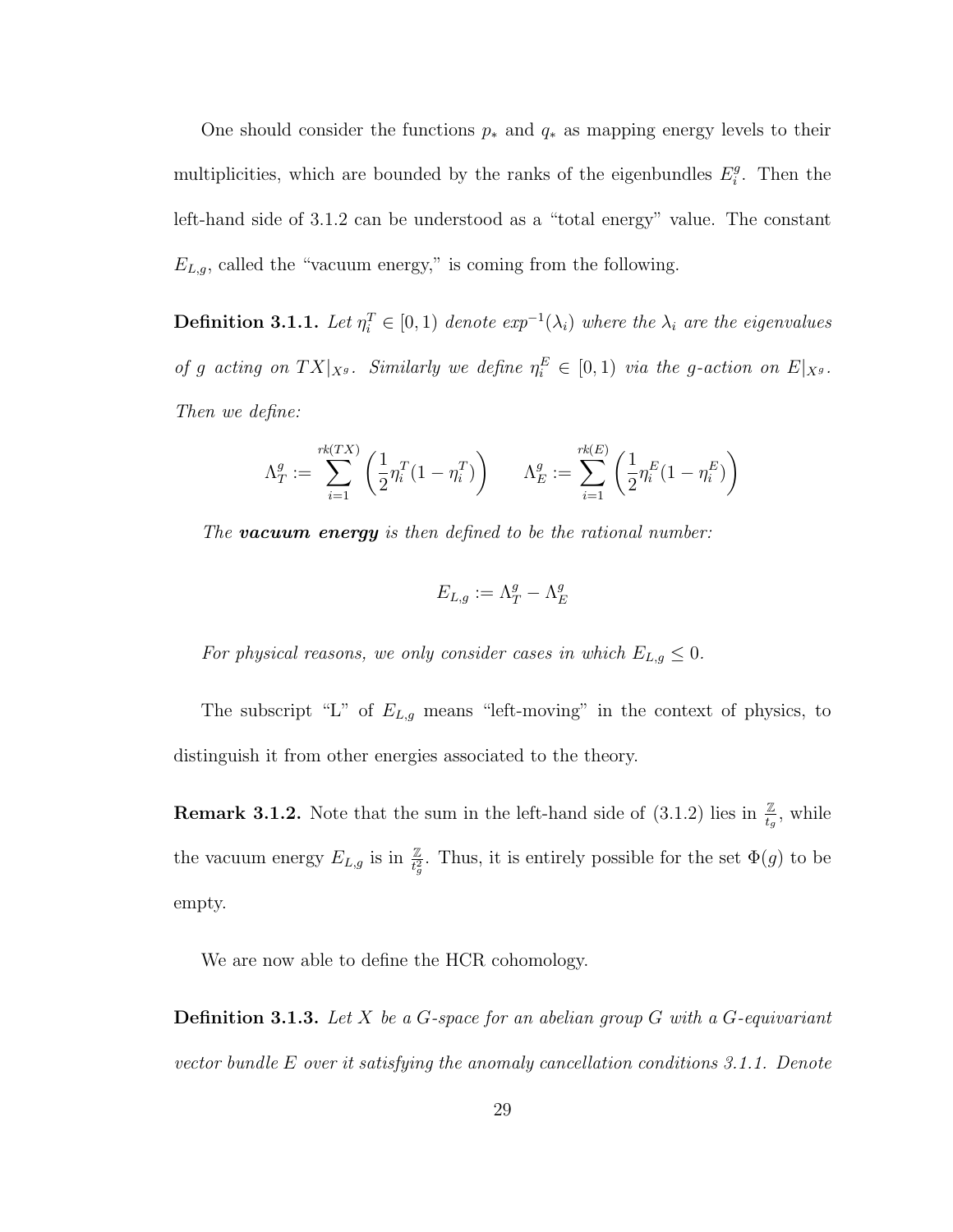One should consider the functions  $p_*$  and  $q_*$  as mapping energy levels to their multiplicities, which are bounded by the ranks of the eigenbundles  $E_i^g$  $i<sup>g</sup>$ . Then the left-hand side of 3.1.2 can be understood as a "total energy" value. The constant  $E_{L,g}$ , called the "vacuum energy," is coming from the following.

**Definition 3.1.1.** Let  $\eta_i^T \in [0,1)$  denote  $exp^{-1}(\lambda_i)$  where the  $\lambda_i$  are the eigenvalues of g acting on  $TX|_{X^g}$ . Similarly we define  $\eta_i^E \in [0,1)$  via the g-action on  $E|_{X^g}$ . Then we define:

$$
\Lambda_T^g := \sum_{i=1}^{rk(TX)} \left( \frac{1}{2} \eta_i^T (1 - \eta_i^T) \right) \qquad \Lambda_E^g := \sum_{i=1}^{rk(E)} \left( \frac{1}{2} \eta_i^E (1 - \eta_i^E) \right)
$$

The **vacuum energy** is then defined to be the rational number:

$$
E_{L,g} := \Lambda_T^g - \Lambda_E^g
$$

For physical reasons, we only consider cases in which  $E_{L,g} \leq 0$ .

The subscript "L" of  $E_{L,g}$  means "left-moving" in the context of physics, to distinguish it from other energies associated to the theory.

**Remark 3.1.2.** Note that the sum in the left-hand side of  $(3.1.2)$  lies in  $\frac{Z}{t_g}$ , while the vacuum energy  $E_{L,g}$  is in  $\frac{Z}{t_g^2}$ . Thus, it is entirely possible for the set  $\Phi(g)$  to be empty.

We are now able to define the HCR cohomology.

**Definition 3.1.3.** Let X be a G-space for an abelian group  $G$  with a G-equivariant vector bundle E over it satisfying the anomaly cancellation conditions 3.1.1. Denote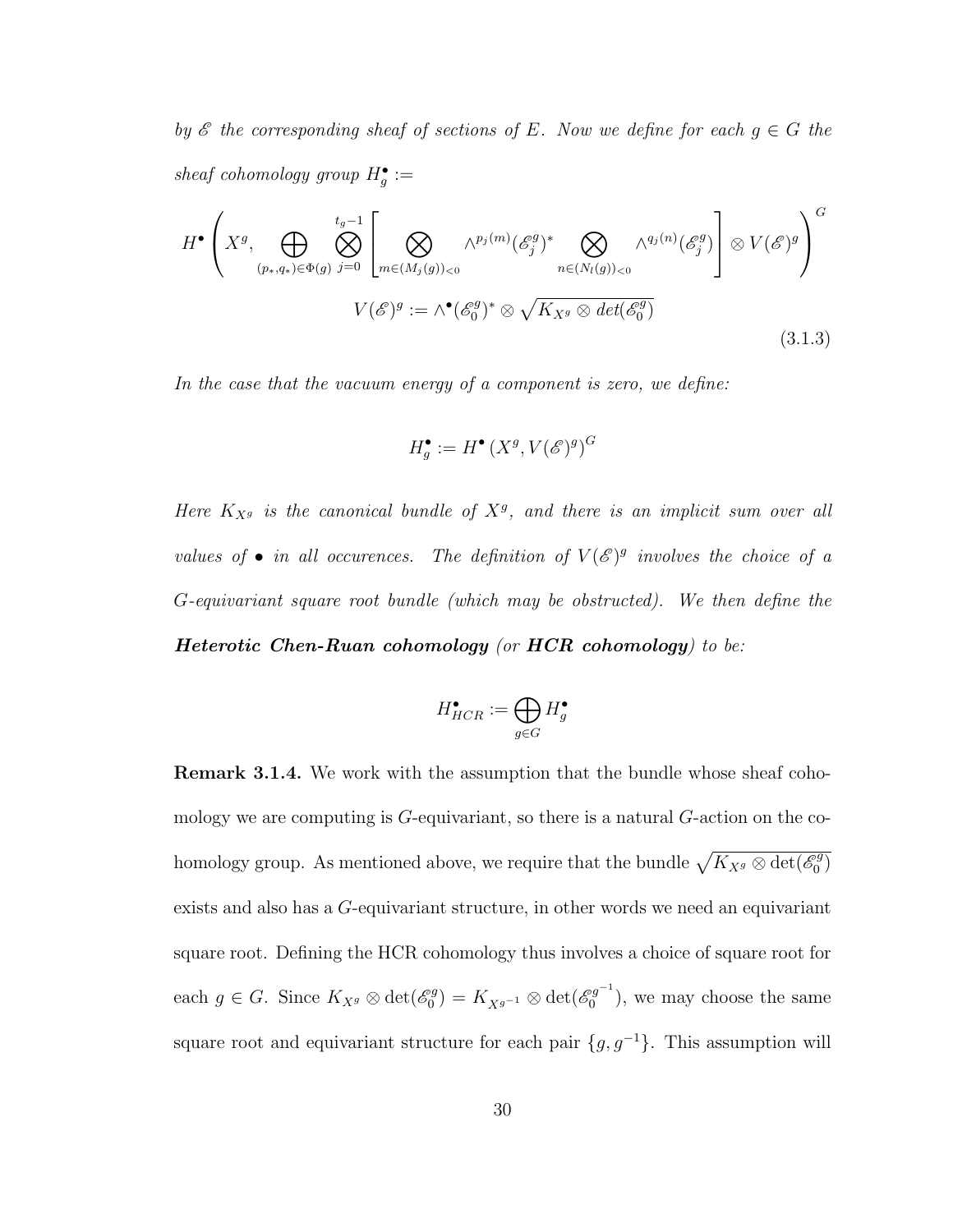by  $\mathscr E$  the corresponding sheaf of sections of E. Now we define for each  $g \in G$  the sheaf cohomology group  $H_g^{\bullet}$  :=

$$
H^{\bullet}\left(X^{g}, \bigoplus_{(p_{*},q_{*})\in\Phi(g)}\bigotimes_{j=0}^{t_{g}-1}\left[\bigotimes_{m\in(M_{j}(g))_{<0}}\wedge^{p_{j}(m)}(\mathcal{E}_{j}^{g})^{*}\bigotimes_{n\in(N_{l}(g))_{<0}}\wedge^{q_{j}(n)}(\mathcal{E}_{j}^{g})\right] \otimes V(\mathcal{E})^{g}\right)^{G}
$$

$$
V(\mathcal{E})^{g} := \wedge^{\bullet}(\mathcal{E}_{0}^{g})^{*} \otimes \sqrt{K_{X^{g}} \otimes \det(\mathcal{E}_{0}^{g})}
$$
(3.1.3)

In the case that the vacuum energy of a component is zero, we define:

$$
H_g^{\bullet} := H^{\bullet}(X^g, V(\mathscr{E})^g)^G
$$

Here  $K_{X^g}$  is the canonical bundle of  $X^g$ , and there is an implicit sum over all values of  $\bullet$  in all occurences. The definition of  $V(\mathscr{E})^g$  involves the choice of a G-equivariant square root bundle (which may be obstructed). We then define the **Heterotic Chen-Ruan cohomology** (or **HCR** cohomology) to be:

$$
H^\bullet_{HCR}:=\bigoplus_{g\in G}H^\bullet_g
$$

Remark 3.1.4. We work with the assumption that the bundle whose sheaf cohomology we are computing is  $G$ -equivariant, so there is a natural  $G$ -action on the cohomology group. As mentioned above, we require that the bundle  $\sqrt{K_{X^g} \otimes \det(\mathscr{E}_0^g)}$  $_0^{99})$ exists and also has a G-equivariant structure, in other words we need an equivariant square root. Defining the HCR cohomology thus involves a choice of square root for each  $g \in G$ . Since  $K_{X^g} \otimes \det(\mathscr{E}_0^g)$  $\delta_0^{g)}=K_{X^{g^{-1}}}\otimes\det(\mathscr{E}_0^{g^{-1}})$  $\binom{99}{0}$ , we may choose the same square root and equivariant structure for each pair  $\{g, g^{-1}\}\$ . This assumption will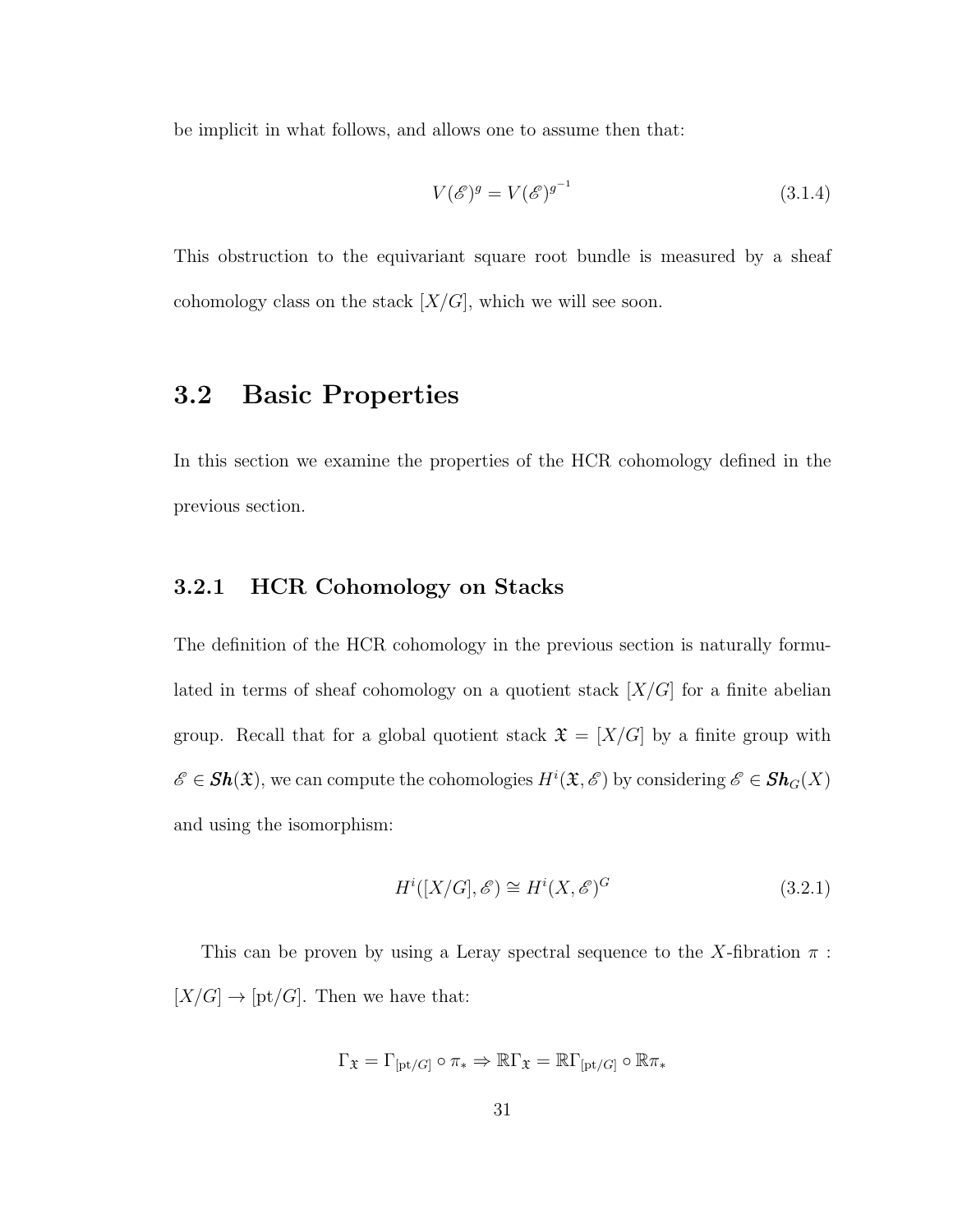be implicit in what follows, and allows one to assume then that:

$$
V(\mathscr{E})^g = V(\mathscr{E})^{g^{-1}} \tag{3.1.4}
$$

This obstruction to the equivariant square root bundle is measured by a sheaf cohomology class on the stack  $[X/G]$ , which we will see soon.

## 3.2 Basic Properties

In this section we examine the properties of the HCR cohomology defined in the previous section.

#### 3.2.1 HCR Cohomology on Stacks

The definition of the HCR cohomology in the previous section is naturally formulated in terms of sheaf cohomology on a quotient stack  $[X/G]$  for a finite abelian group. Recall that for a global quotient stack  $\mathfrak{X} = [X/G]$  by a finite group with  $\mathscr{E} \in \mathbf{Sh}(\mathfrak{X})$ , we can compute the cohomologies  $H^i(\mathfrak{X}, \mathscr{E})$  by considering  $\mathscr{E} \in \mathbf{Sh}_G(X)$ and using the isomorphism:

$$
H^i([X/G], \mathcal{E}) \cong H^i(X, \mathcal{E})^G
$$
\n(3.2.1)

This can be proven by using a Leray spectral sequence to the X-fibration  $\pi$ :  $[X/G] \to [pt/G]$ . Then we have that:

$$
\Gamma_{\mathfrak{X}} = \Gamma_{\left[\mathrm{pt}/G\right]} \circ \pi_* \Rightarrow \mathbb{R}\Gamma_{\mathfrak{X}} = \mathbb{R}\Gamma_{\left[\mathrm{pt}/G\right]} \circ \mathbb{R}\pi_*
$$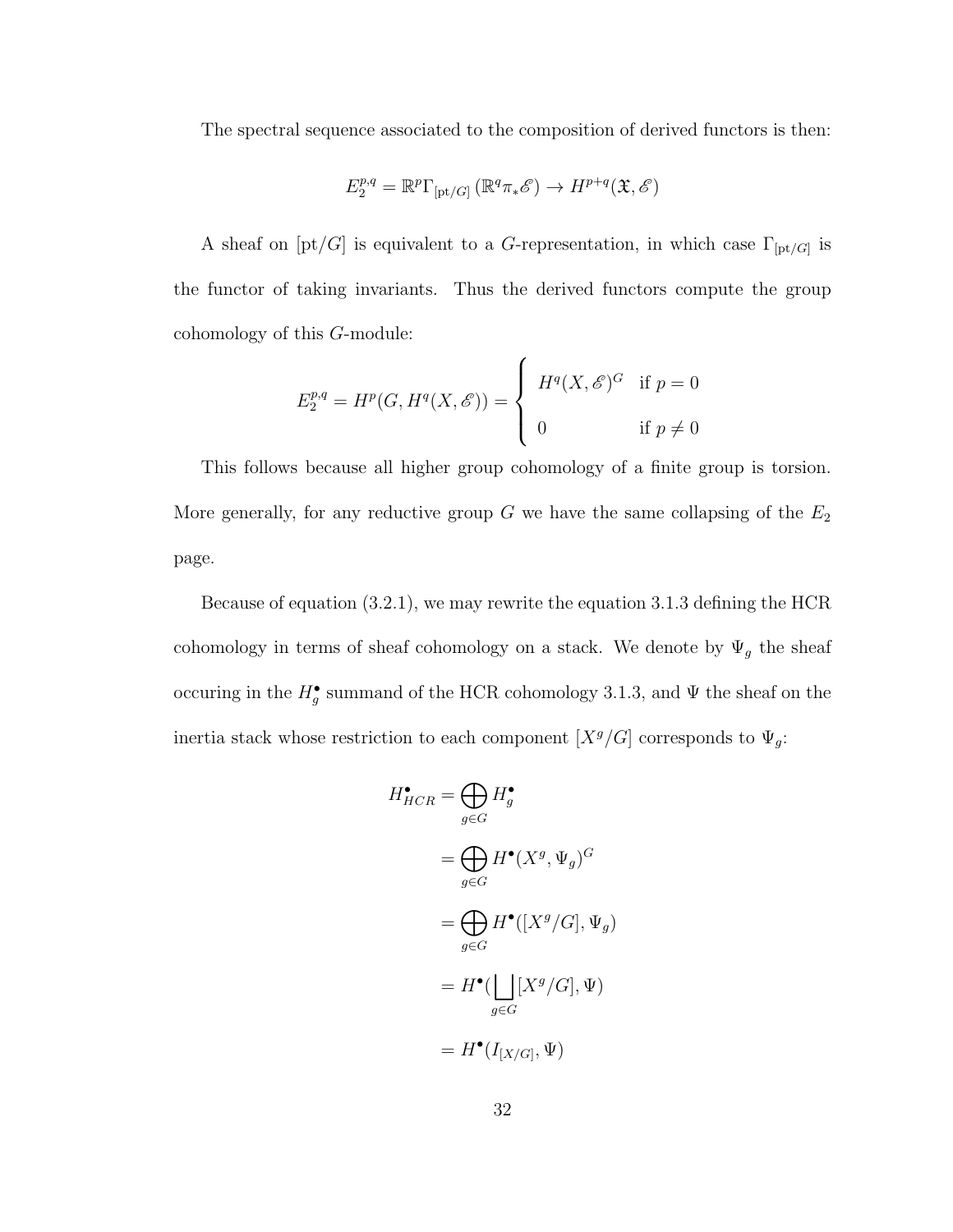The spectral sequence associated to the composition of derived functors is then:

$$
E_2^{p,q} = \mathbb{R}^p \Gamma_{\left[\text{pt}/G\right]} \left(\mathbb{R}^q \pi_* \mathscr{E}\right) \to H^{p+q}(\mathfrak{X}, \mathscr{E})
$$

A sheaf on [pt/G] is equivalent to a G-representation, in which case  $\Gamma_{\text{pt}/G}$  is the functor of taking invariants. Thus the derived functors compute the group cohomology of this G-module:

$$
E_2^{p,q} = H^p(G, H^q(X, \mathscr{E})) = \begin{cases} H^q(X, \mathscr{E})^G & \text{if } p = 0 \\ 0 & \text{if } p \neq 0 \end{cases}
$$

This follows because all higher group cohomology of a finite group is torsion. More generally, for any reductive group  $G$  we have the same collapsing of the  $E_2$ page.

Because of equation (3.2.1), we may rewrite the equation 3.1.3 defining the HCR cohomology in terms of sheaf cohomology on a stack. We denote by  $\Psi_g$  the sheaf occuring in the  $H_g^{\bullet}$  summand of the HCR cohomology 3.1.3, and  $\Psi$  the sheaf on the inertia stack whose restriction to each component  $[X^g/G]$  corresponds to  $\Psi_g$ :

$$
H_{HCR}^{\bullet} = \bigoplus_{g \in G} H_g^{\bullet}
$$
  
= 
$$
\bigoplus_{g \in G} H^{\bullet}(X^g, \Psi_g)^G
$$
  
= 
$$
\bigoplus_{g \in G} H^{\bullet}([X^g/G], \Psi_g)
$$
  
= 
$$
H^{\bullet}(\bigsqcup_{g \in G} [X^g/G], \Psi)
$$
  
= 
$$
H^{\bullet}(I_{[X/G]}, \Psi)
$$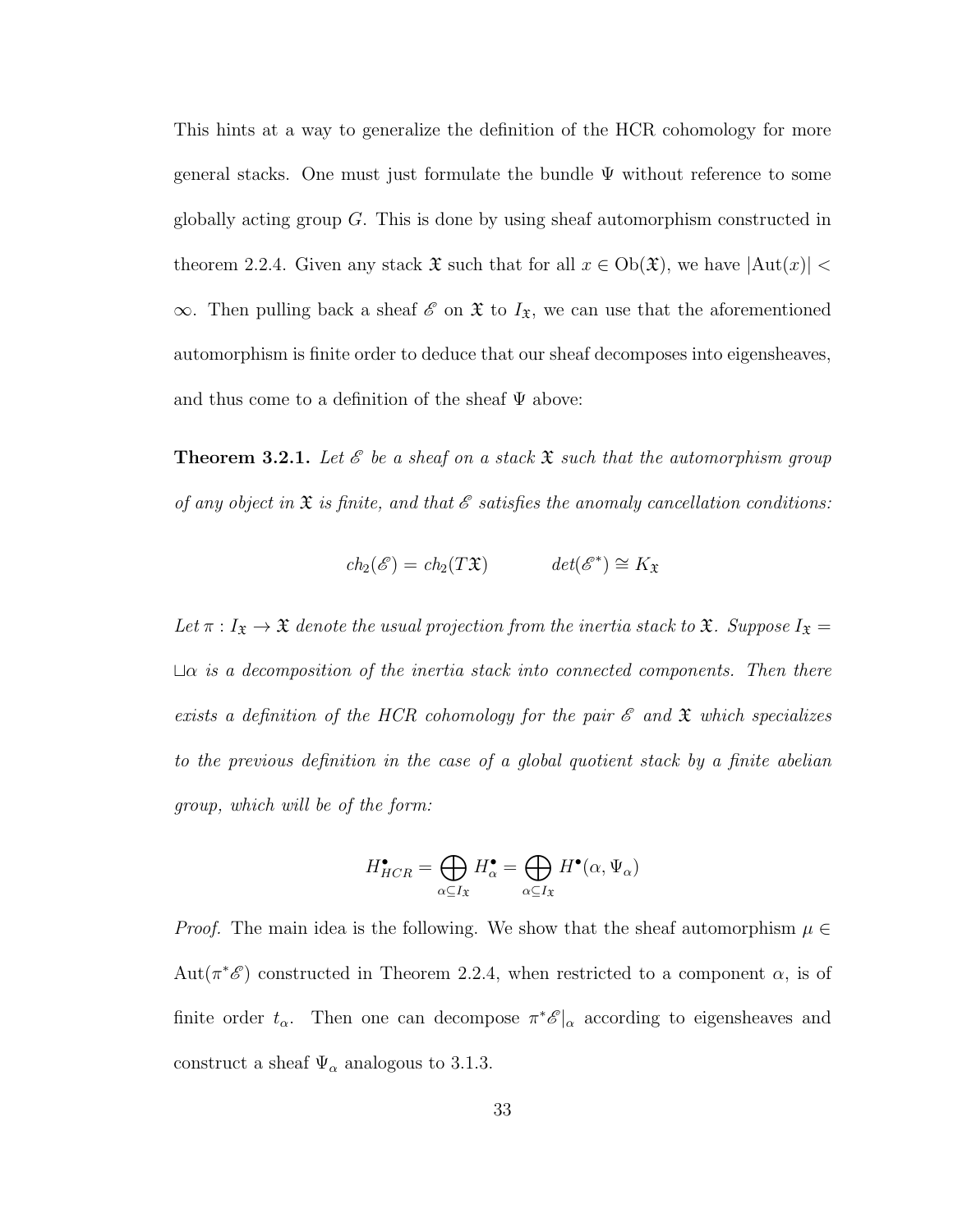This hints at a way to generalize the definition of the HCR cohomology for more general stacks. One must just formulate the bundle  $\Psi$  without reference to some globally acting group  $G$ . This is done by using sheaf automorphism constructed in theorem 2.2.4. Given any stack  $\mathfrak X$  such that for all  $x \in Ob(\mathfrak X)$ , we have  $|\text{Aut}(x)| <$  $\infty$ . Then pulling back a sheaf  $\mathscr E$  on  $\mathfrak X$  to  $I_{\mathfrak X}$ , we can use that the aforementioned automorphism is finite order to deduce that our sheaf decomposes into eigensheaves, and thus come to a definition of the sheaf  $\Psi$  above:

**Theorem 3.2.1.** Let  $\mathscr E$  be a sheaf on a stack  $\mathfrak X$  such that the automorphism group of any object in  $\mathfrak X$  is finite, and that  $\mathscr E$  satisfies the anomaly cancellation conditions:

$$
ch_2(\mathscr{E}) = ch_2(T\mathfrak{X}) \qquad det(\mathscr{E}^*) \cong K_{\mathfrak{X}}
$$

Let  $\pi : I_{\mathfrak{X}} \to \mathfrak{X}$  denote the usual projection from the inertia stack to  $\mathfrak{X}$ . Suppose  $I_{\mathfrak{X}} =$  $\Box \alpha$  is a decomposition of the inertia stack into connected components. Then there exists a definition of the HCR cohomology for the pair  $\mathscr E$  and  $\mathfrak X$  which specializes to the previous definition in the case of a global quotient stack by a finite abelian group, which will be of the form:

$$
H_{HCR}^{\bullet} = \bigoplus_{\alpha \subseteq I_{\mathfrak{X}}} H_{\alpha}^{\bullet} = \bigoplus_{\alpha \subseteq I_{\mathfrak{X}}} H^{\bullet}(\alpha, \Psi_{\alpha})
$$

*Proof.* The main idea is the following. We show that the sheaf automorphism  $\mu \in$  $\text{Aut}(\pi^*\mathscr{E})$  constructed in Theorem 2.2.4, when restricted to a component  $\alpha$ , is of finite order  $t_{\alpha}$ . Then one can decompose  $\pi^*\mathscr{E}|_{\alpha}$  according to eigensheaves and construct a sheaf  $\Psi_\alpha$  analogous to 3.1.3.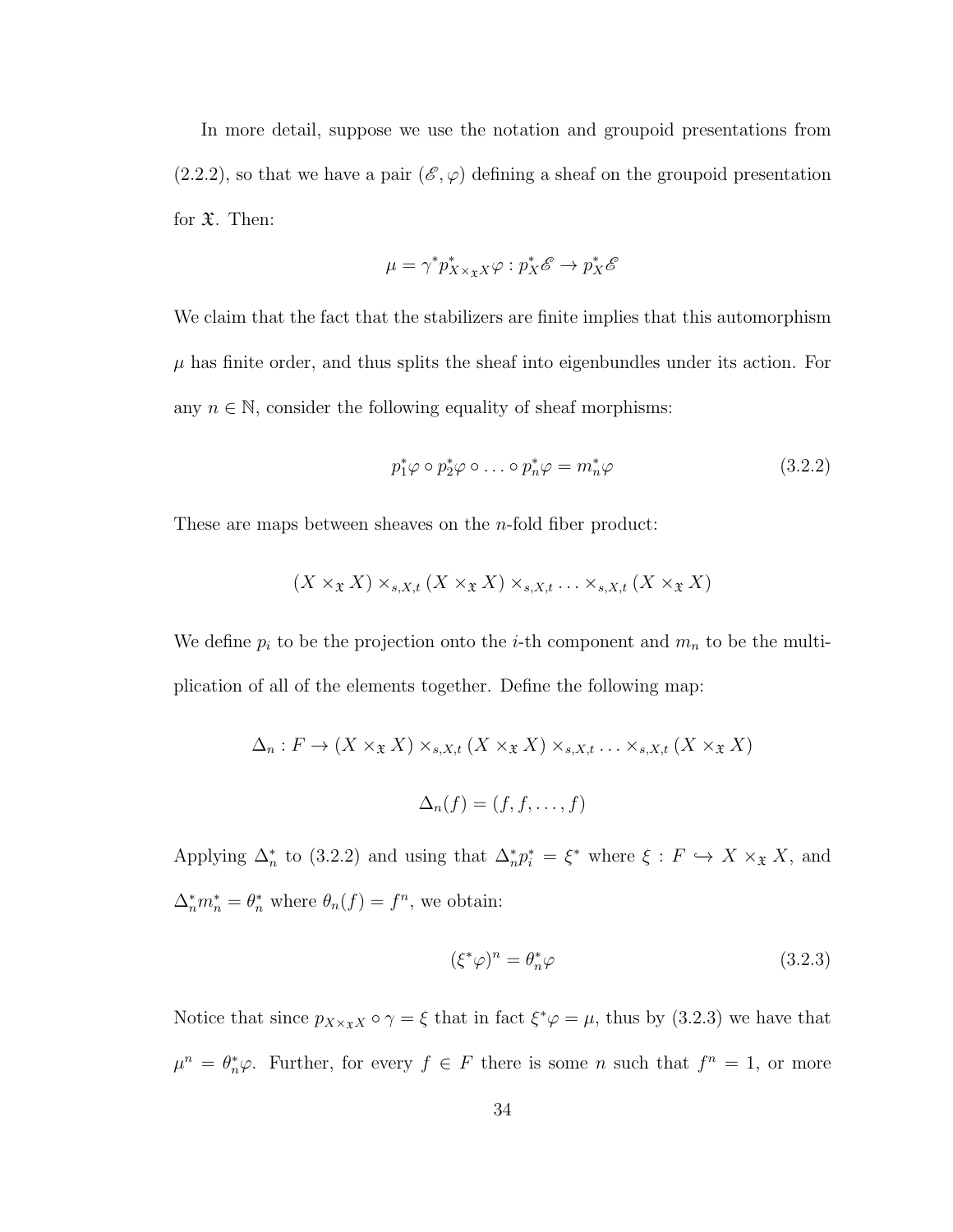In more detail, suppose we use the notation and groupoid presentations from (2.2.2), so that we have a pair  $(\mathscr{E}, \varphi)$  defining a sheaf on the groupoid presentation for  $\mathfrak{X}$ . Then:

$$
\mu = \gamma^*p^*_{X \times_{\mathfrak{X}} X} \varphi : p_X^* \mathscr{E} \to p_X^* \mathscr{E}
$$

We claim that the fact that the stabilizers are finite implies that this automorphism  $\mu$  has finite order, and thus splits the sheaf into eigenbundles under its action. For any  $n \in \mathbb{N}$ , consider the following equality of sheaf morphisms:

$$
p_1^* \varphi \circ p_2^* \varphi \circ \dots \circ p_n^* \varphi = m_n^* \varphi \tag{3.2.2}
$$

These are maps between sheaves on the *n*-fold fiber product:

$$
(X \times_{\mathfrak{X}} X) \times_{s,X,t} (X \times_{\mathfrak{X}} X) \times_{s,X,t} \ldots \times_{s,X,t} (X \times_{\mathfrak{X}} X)
$$

We define  $p_i$  to be the projection onto the *i*-th component and  $m_n$  to be the multiplication of all of the elements together. Define the following map:

$$
\Delta_n: F \to (X \times_{\mathfrak{X}} X) \times_{s,X,t} (X \times_{\mathfrak{X}} X) \times_{s,X,t} \dots \times_{s,X,t} (X \times_{\mathfrak{X}} X)
$$

$$
\Delta_n(f) = (f, f, \dots, f)
$$

Applying  $\Delta_n^*$  to (3.2.2) and using that  $\Delta_n^* p_i^* = \xi^*$  where  $\xi : F \hookrightarrow X \times_{\mathfrak{X}} X$ , and  $\Delta_n^* m_n^* = \theta_n^*$  where  $\theta_n(f) = f^n$ , we obtain:

$$
(\xi^*\varphi)^n = \theta^*_n\varphi\tag{3.2.3}
$$

Notice that since  $p_{X\times_{\mathfrak{X}} X}\circ\gamma=\xi$  that in fact  $\xi^*\varphi=\mu$ , thus by (3.2.3) we have that  $\mu^n = \theta_n^* \varphi$ . Further, for every  $f \in F$  there is some n such that  $f^n = 1$ , or more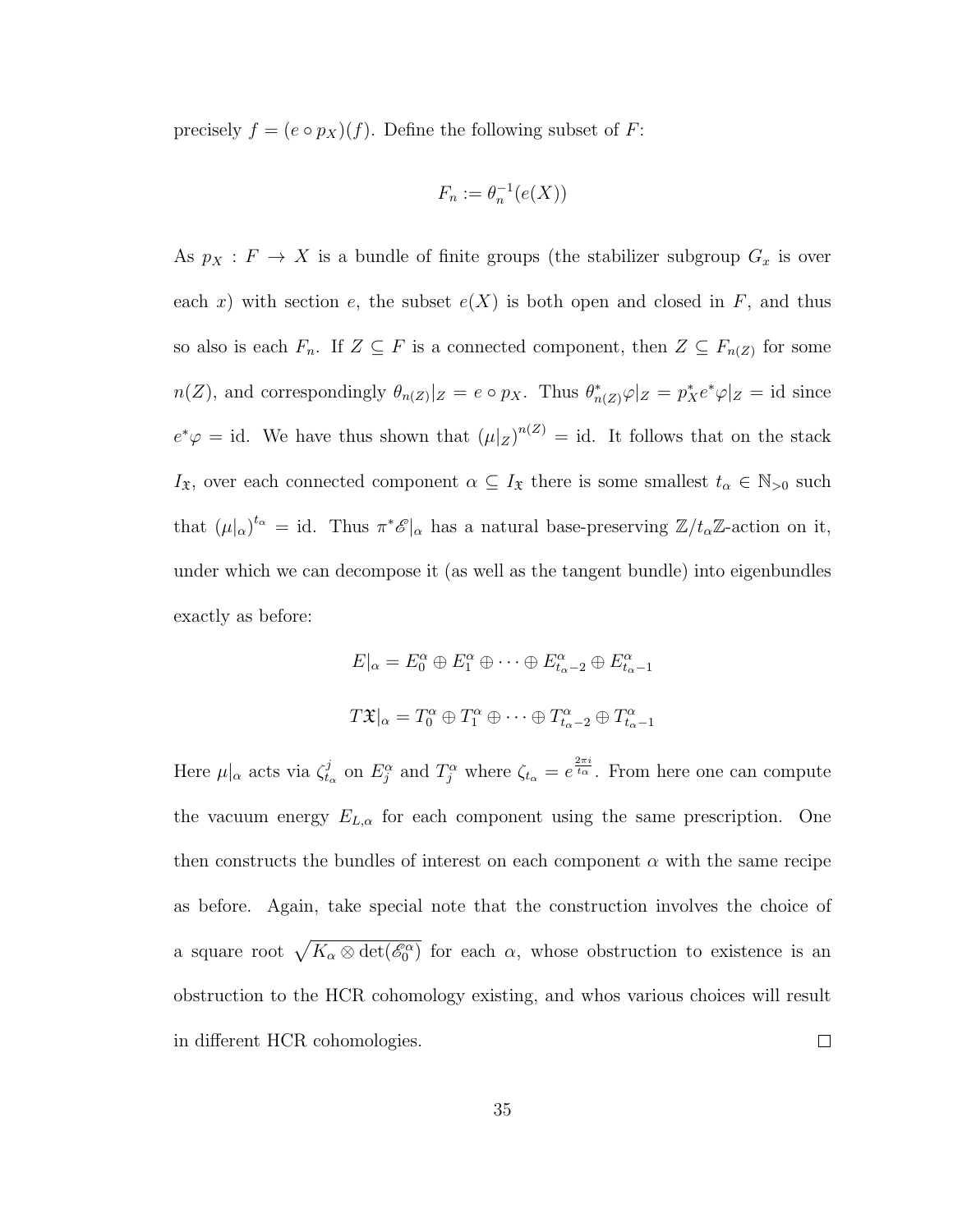precisely  $f = (e \circ p_X)(f)$ . Define the following subset of F:

$$
F_n := \theta_n^{-1}(e(X))
$$

As  $p_X : F \to X$  is a bundle of finite groups (the stabilizer subgroup  $G_x$  is over each x) with section e, the subset  $e(X)$  is both open and closed in F, and thus so also is each  $F_n$ . If  $Z \subseteq F$  is a connected component, then  $Z \subseteq F_{n(Z)}$  for some  $n(Z)$ , and correspondingly  $\theta_{n(Z)}|Z = e \circ p_X$ . Thus  $\theta_{n(Z)}^* \varphi|Z = p_X^* e^* \varphi|Z = id$  since  $e^*\varphi = id$ . We have thus shown that  $(\mu|_Z)^{n(Z)} = id$ . It follows that on the stack  $I_{\mathfrak{X}}$ , over each connected component  $\alpha \subseteq I_{\mathfrak{X}}$  there is some smallest  $t_{\alpha} \in \mathbb{N}_{>0}$  such that  $(\mu|_{\alpha})^{t_{\alpha}} = id$ . Thus  $\pi^*\mathscr{E}|_{\alpha}$  has a natural base-preserving  $\mathbb{Z}/t_{\alpha}\mathbb{Z}$ -action on it, under which we can decompose it (as well as the tangent bundle) into eigenbundles exactly as before:

$$
E|_{\alpha} = E_0^{\alpha} \oplus E_1^{\alpha} \oplus \cdots \oplus E_{t_{\alpha}-2}^{\alpha} \oplus E_{t_{\alpha}-1}^{\alpha}
$$

$$
T\mathfrak{X}|_{\alpha} = T_0^{\alpha} \oplus T_1^{\alpha} \oplus \cdots \oplus T_{t_{\alpha}-2}^{\alpha} \oplus T_{t_{\alpha}-1}^{\alpha}
$$

 $t_{t_{\alpha}}^{j}$  on  $E_{j}^{\alpha}$  and  $T_{j}^{\alpha}$  where  $\zeta_{t_{\alpha}}=e^{\frac{2\pi i}{t_{\alpha}}}$ . From here one can compute Here  $\mu|_{\alpha}$  acts via  $\zeta_{t_i}^j$ the vacuum energy  $E_{L,\alpha}$  for each component using the same prescription. One then constructs the bundles of interest on each component  $\alpha$  with the same recipe as before. Again, take special note that the construction involves the choice of a square root  $\sqrt{K_{\alpha} \otimes \det(\mathscr{E}_{0}^{\alpha})}$  for each  $\alpha$ , whose obstruction to existence is an obstruction to the HCR cohomology existing, and whos various choices will result in different HCR cohomologies.  $\Box$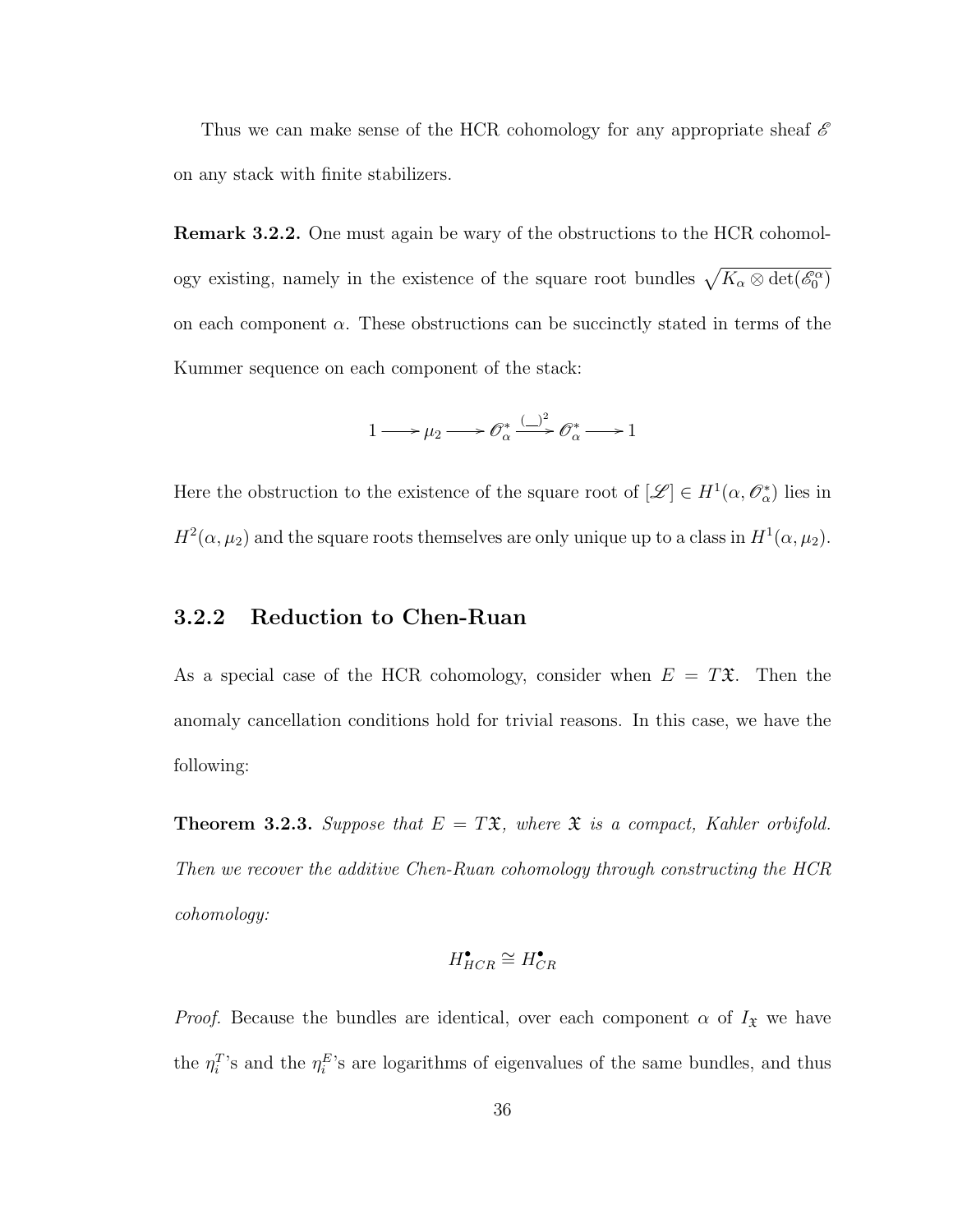Thus we can make sense of the HCR cohomology for any appropriate sheaf  $\mathscr E$ on any stack with finite stabilizers.

Remark 3.2.2. One must again be wary of the obstructions to the HCR cohomology existing, namely in the existence of the square root bundles  $\sqrt{K_{\alpha} \otimes \det(\mathscr{E}_0^{\alpha})}$ on each component  $\alpha$ . These obstructions can be succinctly stated in terms of the Kummer sequence on each component of the stack:

$$
1 \longrightarrow \mu_2 \longrightarrow \mathcal{O}_{\alpha}^* \stackrel{(-)^2}{\longrightarrow} \mathcal{O}_{\alpha}^* \longrightarrow 1
$$

Here the obstruction to the existence of the square root of  $[\mathscr{L}] \in H^1(\alpha, \mathscr{O}_{\alpha}^*)$  lies in  $H^2(\alpha,\mu_2)$  and the square roots themselves are only unique up to a class in  $H^1(\alpha,\mu_2)$ .

### 3.2.2 Reduction to Chen-Ruan

As a special case of the HCR cohomology, consider when  $E = T\mathfrak{X}$ . Then the anomaly cancellation conditions hold for trivial reasons. In this case, we have the following:

**Theorem 3.2.3.** Suppose that  $E = T\mathfrak{X}$ , where  $\mathfrak{X}$  is a compact, Kahler orbifold. Then we recover the additive Chen-Ruan cohomology through constructing the HCR cohomology:

$$
H_{HCR}^{\bullet} \cong H_{CR}^{\bullet}
$$

*Proof.* Because the bundles are identical, over each component  $\alpha$  of  $I_{\mathfrak{X}}$  we have the  $\eta_i^T$ 's and the  $\eta_i^E$ 's are logarithms of eigenvalues of the same bundles, and thus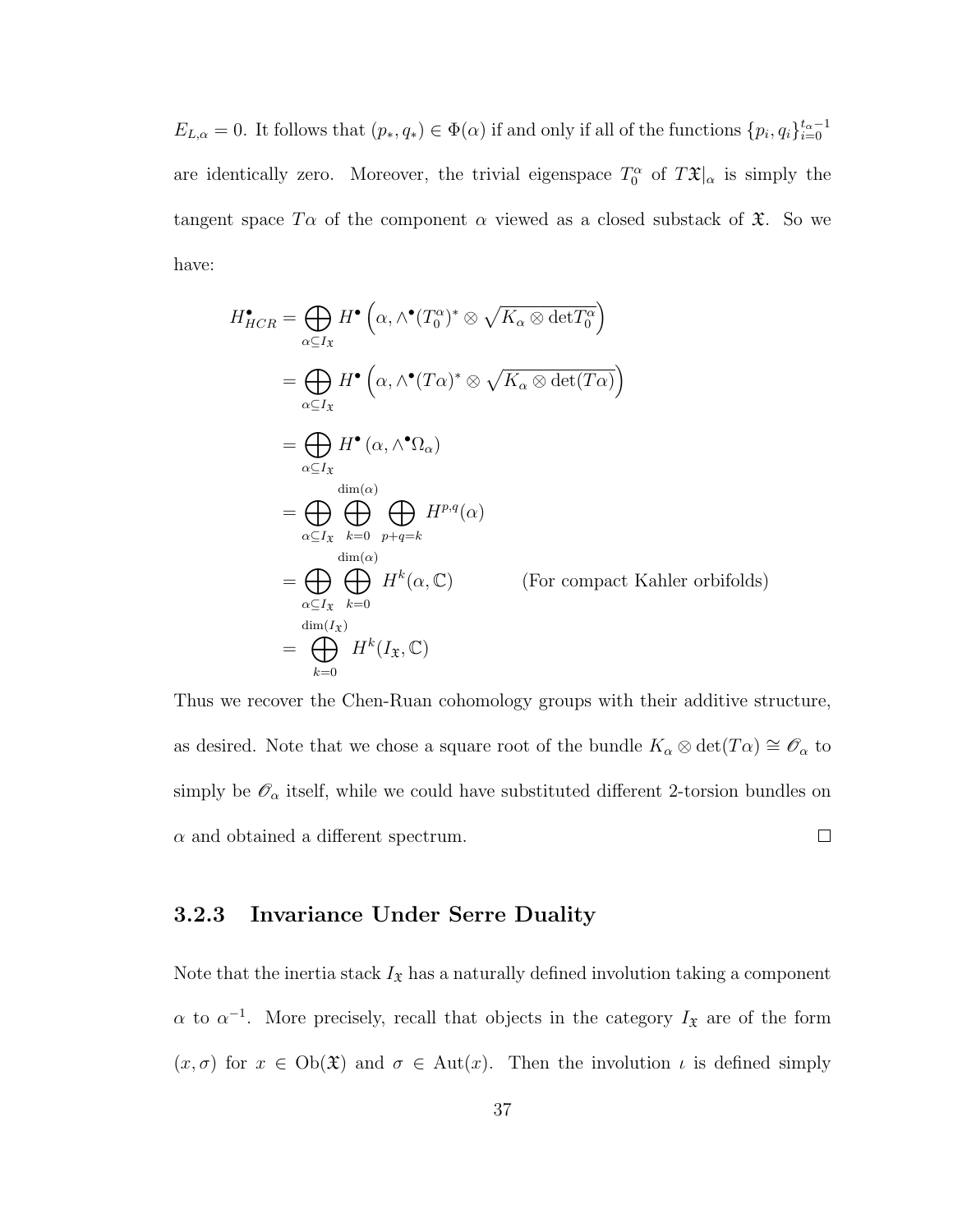$E_{L,\alpha} = 0$ . It follows that  $(p_*, q_*) \in \Phi(\alpha)$  if and only if all of the functions  $\{p_i, q_i\}_{i=0}^{t_{\alpha}-1}$ are identically zero. Moreover, the trivial eigenspace  $T_0^{\alpha}$  of  $T\mathfrak{X}_{\alpha}$  is simply the tangent space  $T\alpha$  of the component  $\alpha$  viewed as a closed substack of  $\mathfrak{X}$ . So we have:

$$
H_{HCR}^{\bullet} = \bigoplus_{\alpha \subseteq I_{\mathfrak{X}}} H^{\bullet}(\alpha, \wedge^{\bullet}(T_0^{\alpha})^* \otimes \sqrt{K_{\alpha} \otimes \det T_0^{\alpha}})
$$
  
\n
$$
= \bigoplus_{\alpha \subseteq I_{\mathfrak{X}}} H^{\bullet}(\alpha, \wedge^{\bullet}(T\alpha)^* \otimes \sqrt{K_{\alpha} \otimes \det(T\alpha)})
$$
  
\n
$$
= \bigoplus_{\alpha \subseteq I_{\mathfrak{X}}} H^{\bullet}(\alpha, \wedge^{\bullet}\Omega_{\alpha})
$$
  
\n
$$
= \bigoplus_{\alpha \subseteq I_{\mathfrak{X}}} H^{\bullet}(\alpha, \wedge^{\bullet}\Omega_{\alpha})
$$
  
\n
$$
= \bigoplus_{\alpha \subseteq I_{\mathfrak{X}}} \bigoplus_{k=0}^{\dim(\alpha)} \bigoplus_{p+q=k} H^{p,q}(\alpha)
$$
  
\n
$$
= \bigoplus_{\alpha \subseteq I_{\mathfrak{X}}} H^k(\alpha, \mathbb{C}) \qquad \text{(For compact Kahler orbifolds)}
$$
  
\n
$$
= \bigoplus_{k=0}^{\dim(I_{\mathfrak{X}})} H^k(I_{\mathfrak{X}}, \mathbb{C})
$$

Thus we recover the Chen-Ruan cohomology groups with their additive structure, as desired. Note that we chose a square root of the bundle  $K_{\alpha} \otimes \det(T\alpha) \cong \mathscr{O}_{\alpha}$  to simply be  $\mathscr{O}_{\alpha}$  itself, while we could have substituted different 2-torsion bundles on  $\alpha$  and obtained a different spectrum.  $\Box$ 

#### 3.2.3 Invariance Under Serre Duality

Note that the inertia stack  $I_{\mathfrak{X}}$  has a naturally defined involution taking a component  $\alpha$  to  $\alpha^{-1}$ . More precisely, recall that objects in the category  $I_{\mathfrak{X}}$  are of the form  $(x, \sigma)$  for  $x \in Ob(\mathfrak{X})$  and  $\sigma \in Aut(x)$ . Then the involution  $\iota$  is defined simply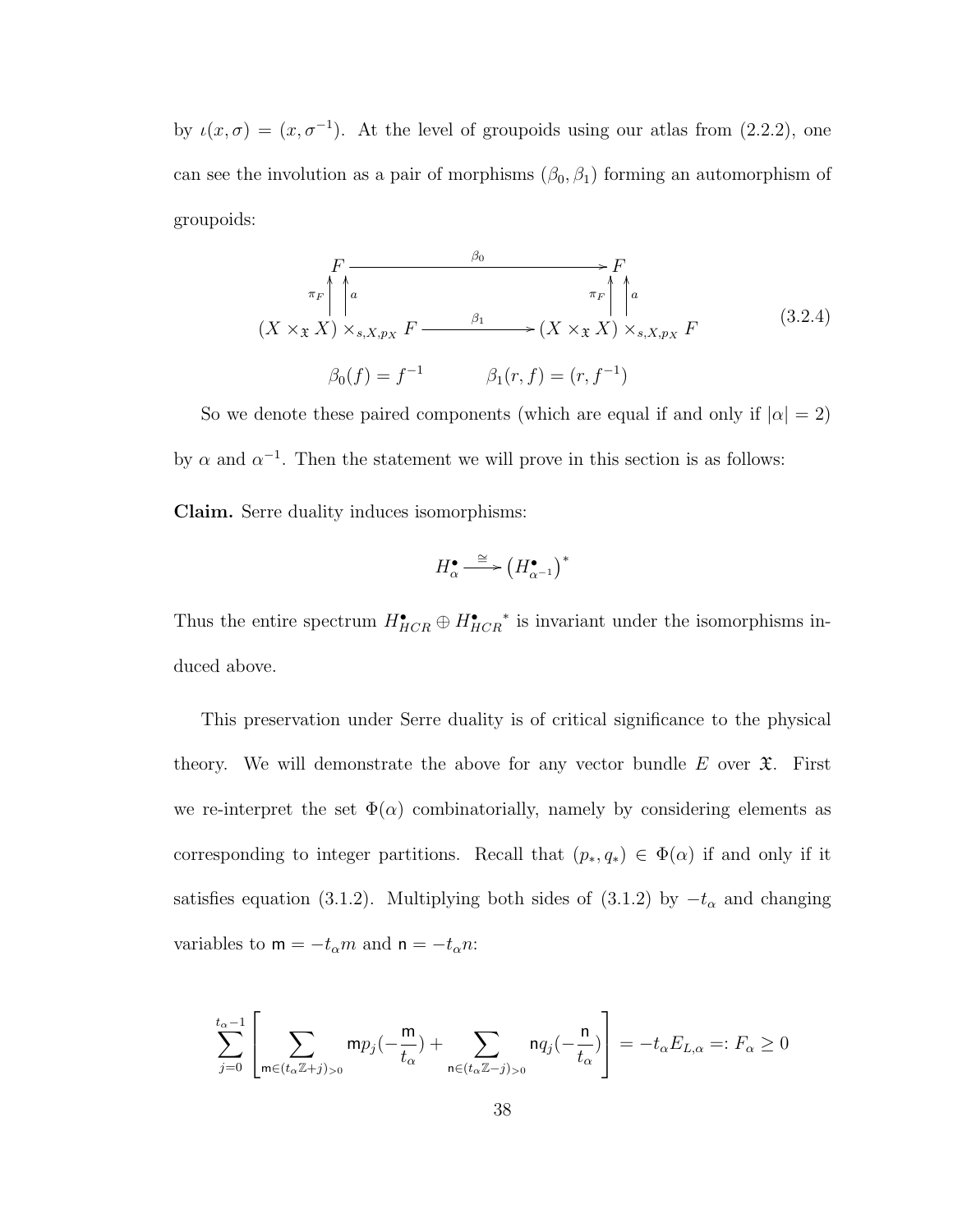by  $\iota(x,\sigma) = (x,\sigma^{-1})$ . At the level of groupoids using our atlas from (2.2.2), one can see the involution as a pair of morphisms  $(\beta_0, \beta_1)$  forming an automorphism of groupoids:

$$
F \longrightarrow F
$$
  
\n
$$
\pi_F \bigg\| \bigg\|_a
$$
  
\n
$$
(X \times_X X) \times_{s, X, p_X} F \longrightarrow \beta_1
$$
  
\n
$$
\beta_0(f) = f^{-1} \qquad \beta_1(r, f) = (r, f^{-1})
$$
\n(3.2.4)

So we denote these paired components (which are equal if and only if  $|\alpha| = 2$ ) by  $\alpha$  and  $\alpha^{-1}$ . Then the statement we will prove in this section is as follows:

Claim. Serre duality induces isomorphisms:

$$
H^\bullet_\alpha \stackrel{\cong}{\longrightarrow} \left(H^\bullet_{\alpha^{-1}}\right)^*
$$

Thus the entire spectrum  $H_{HCR}^{\bullet} \oplus H_{HCR}^{\bullet}$ ∗ is invariant under the isomorphisms induced above.

This preservation under Serre duality is of critical significance to the physical theory. We will demonstrate the above for any vector bundle  $E$  over  $\mathfrak{X}$ . First we re-interpret the set  $\Phi(\alpha)$  combinatorially, namely by considering elements as corresponding to integer partitions. Recall that  $(p_*, q_*) \in \Phi(\alpha)$  if and only if it satisfies equation (3.1.2). Multiplying both sides of (3.1.2) by  $-t_{\alpha}$  and changing variables to  $m = -t_{\alpha}m$  and  $n = -t_{\alpha}n$ :

$$
\sum_{j=0}^{t_{\alpha}-1} \left[ \sum_{\mathbf{m} \in (t_{\alpha}\mathbb{Z}+j)_{>0}} \mathbf{m} p_j(-\frac{\mathbf{m}}{t_{\alpha}}) + \sum_{\mathbf{n} \in (t_{\alpha}\mathbb{Z}-j)_{>0}} \mathbf{n} q_j(-\frac{\mathbf{n}}{t_{\alpha}}) \right] = -t_{\alpha} E_{L,\alpha} =: F_{\alpha} \ge 0
$$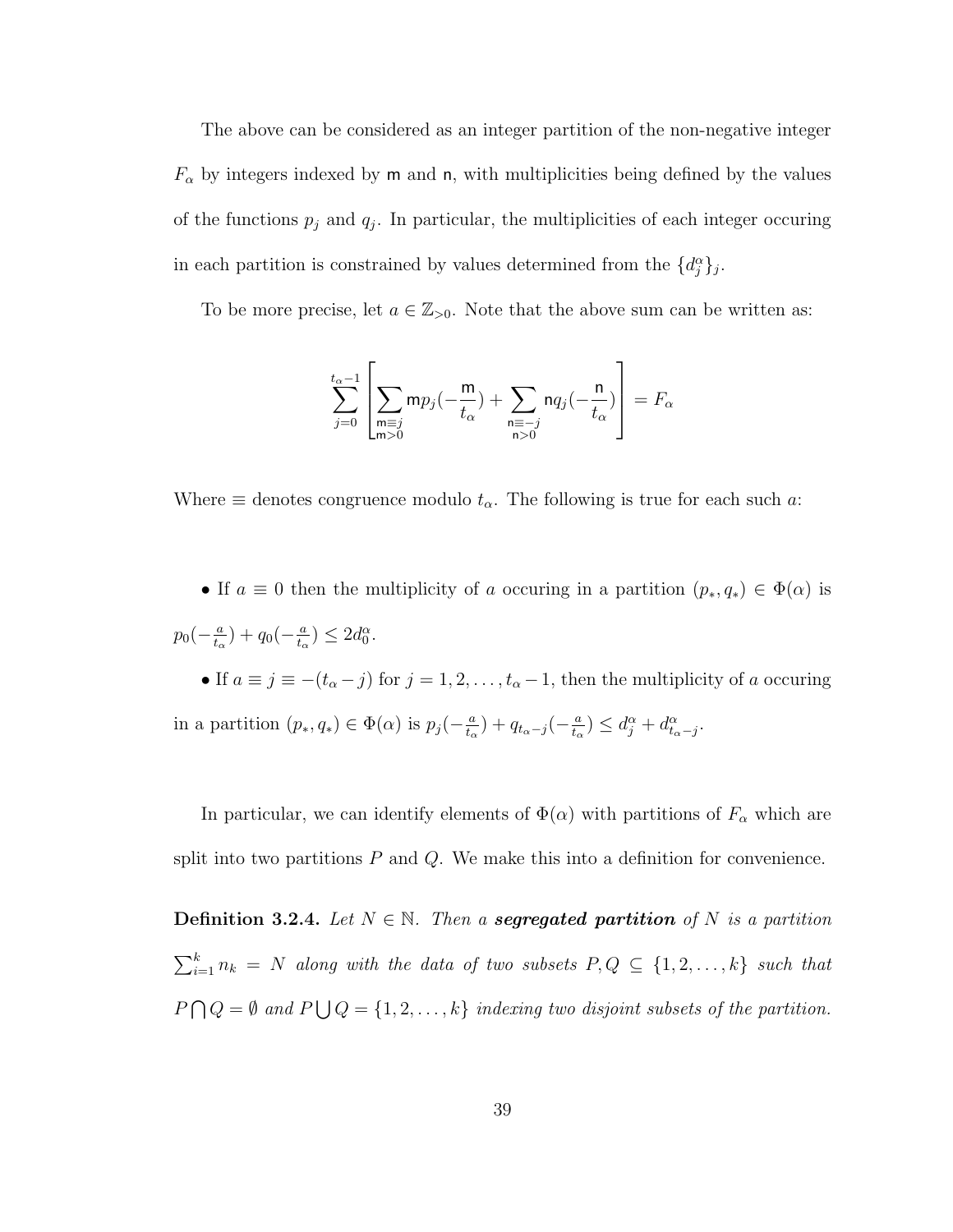The above can be considered as an integer partition of the non-negative integer  $F_{\alpha}$  by integers indexed by  $m$  and  $n$ , with multiplicities being defined by the values of the functions  $p_j$  and  $q_j$ . In particular, the multiplicities of each integer occuring in each partition is constrained by values determined from the  $\{d_j^{\alpha}\}_j$ .

To be more precise, let  $a \in \mathbb{Z}_{>0}$ . Note that the above sum can be written as:

$$
\sum_{j=0}^{t_{\alpha}-1} \left[ \sum_{\substack{\mathbf{m}\equiv j \\ \mathbf{m}>0}} \mathbf{m} p_j(-\frac{\mathbf{m}}{t_{\alpha}}) + \sum_{\substack{\mathbf{n}\equiv -j \\ \mathbf{n}>0}} \mathbf{n} q_j(-\frac{\mathbf{n}}{t_{\alpha}}) \right] = F_{\alpha}
$$

Where  $\equiv$  denotes congruence modulo  $t_{\alpha}$ . The following is true for each such a:

• If  $a \equiv 0$  then the multiplicity of a occuring in a partition  $(p_*, q_*) \in \Phi(\alpha)$  is  $p_0(-\frac{a}{t_a})$  $\frac{a}{t_{\alpha}}$ ) +  $q_0$ ( $-\frac{a}{t_{\alpha}}$  $\frac{a}{t_{\alpha}}$ )  $\leq 2d_0^{\alpha}$ . • If  $a \equiv j \equiv -(t_{\alpha} - j)$  for  $j = 1, 2, \ldots, t_{\alpha} - 1$ , then the multiplicity of a occuring in a partition  $(p_*, q_*) \in \Phi(\alpha)$  is  $p_j(-\frac{a}{t_{\alpha}})$  $\frac{a}{t_{\alpha}}$ ) +  $q_{t_{\alpha}-j}$ ( $-\frac{a}{t_{\alpha}}$  $\frac{a}{t_{\alpha}}$ )  $\leq d_j^{\alpha} + d_{t_{\alpha}-j}^{\alpha}$ .

In particular, we can identify elements of  $\Phi(\alpha)$  with partitions of  $F_{\alpha}$  which are split into two partitions  $P$  and  $Q$ . We make this into a definition for convenience.

**Definition 3.2.4.** Let  $N \in \mathbb{N}$ . Then a **segregated partition** of N is a partition  $\sum_{i=1}^{k} n_k = N$  along with the data of two subsets  $P, Q \subseteq \{1, 2, ..., k\}$  such that  $P \bigcap Q = \emptyset$  and  $P \bigcup Q = \{1, 2, ..., k\}$  indexing two disjoint subsets of the partition.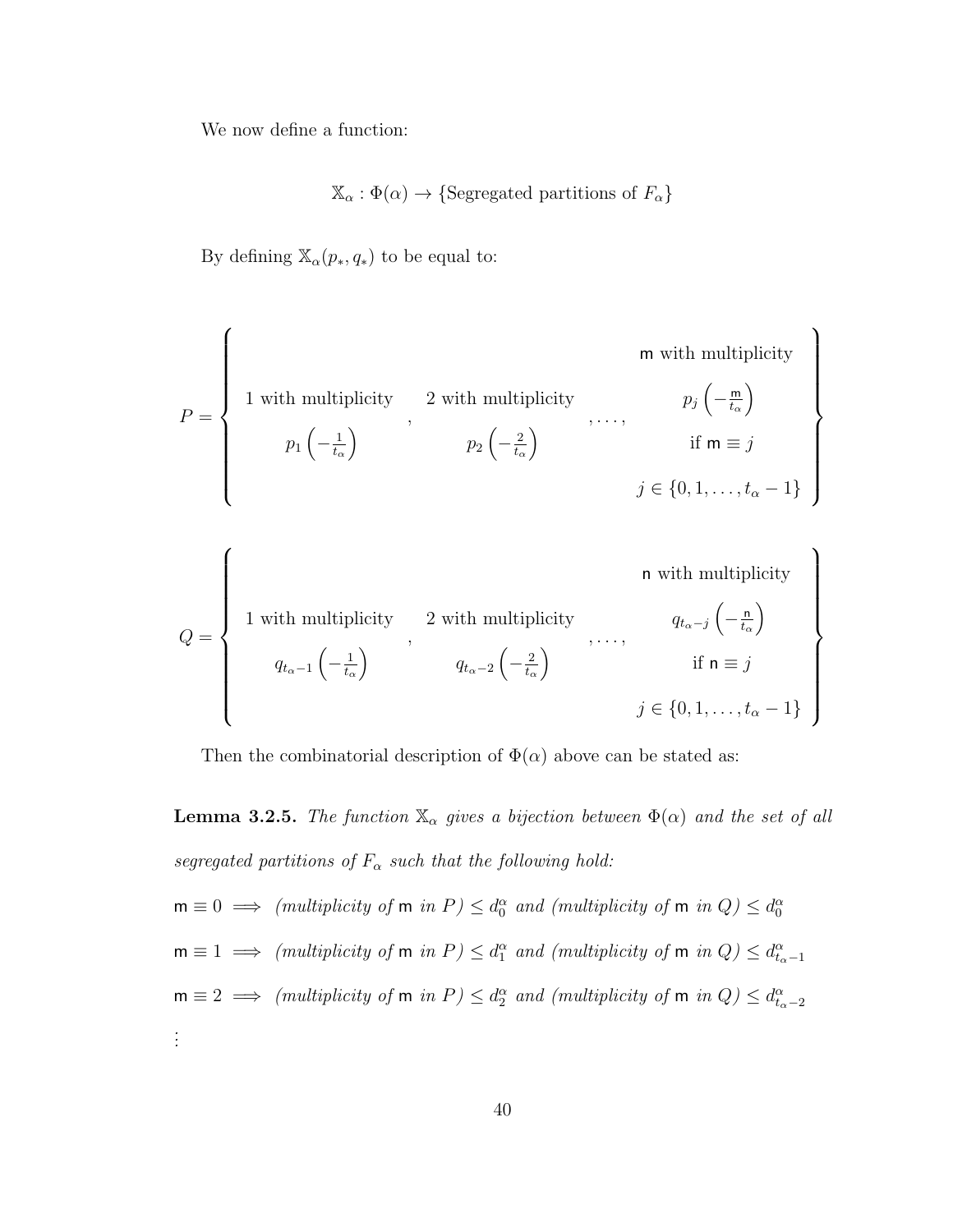We now define a function:

$$
\mathbb{X}_{\alpha} : \Phi(\alpha) \to \{\text{Segregated partitions of } F_{\alpha}\}\
$$

By defining  $\mathbb{X}_{\alpha}(p_*,q_*)$  to be equal to:

$$
P = \left\{\begin{array}{c}\n\text{with multiplicity} & 2 \text{ with multiplicity} \\
p_1\left(-\frac{1}{t_{\alpha}}\right) & p_2\left(-\frac{2}{t_{\alpha}}\right) & \text{if } \mathsf{m} \equiv j \\
\text{with multiplicity} & p_2\left(-\frac{2}{t_{\alpha}}\right) & \text{if } \mathsf{m} \equiv j \\
j \in \{0, 1, \ldots, t_{\alpha} - 1\} & \text{with multiplicity} \\
Q = \left\{\begin{array}{c}\n1 \text{ with multiplicity} & 2 \text{ with multiplicity} \\
\text{at the multiplicity} & q_{t_{\alpha}-j}\left(-\frac{\mathsf{n}}{t_{\alpha}}\right) \\
q_{t_{\alpha}-1}\left(-\frac{1}{t_{\alpha}}\right) & q_{t_{\alpha}-2}\left(-\frac{2}{t_{\alpha}}\right) & \text{if } \mathsf{n} \equiv j \\
\text{if } \mathsf{n} \equiv j \\
j \in \{0, 1, \ldots, t_{\alpha} - 1\}\n\end{array}\right\}
$$

Then the combinatorial description of  $\Phi(\alpha)$  above can be stated as:

**Lemma 3.2.5.** The function  $\mathbb{X}_{\alpha}$  gives a bijection between  $\Phi(\alpha)$  and the set of all segregated partitions of  $F_\alpha$  such that the following hold:

$$
\mathsf{m} \equiv 0 \implies (multiplicity of \mathsf{m} \text{ in } P) \leq d_0^{\alpha} \text{ and (multiplicity of \mathsf{m} \text{ in } Q) \leq d_0^{\alpha}
$$
\n
$$
\mathsf{m} \equiv 1 \implies (multiplicity of \mathsf{m} \text{ in } P) \leq d_1^{\alpha} \text{ and (multiplicity of \mathsf{m} \text{ in } Q) \leq d_{t_{\alpha}-1}^{\alpha}
$$
\n
$$
\mathsf{m} \equiv 2 \implies (multiplicity of \mathsf{m} \text{ in } P) \leq d_2^{\alpha} \text{ and (multiplicity of \mathsf{m} \text{ in } Q) \leq d_{t_{\alpha}-2}^{\alpha}
$$
\n
$$
\vdots
$$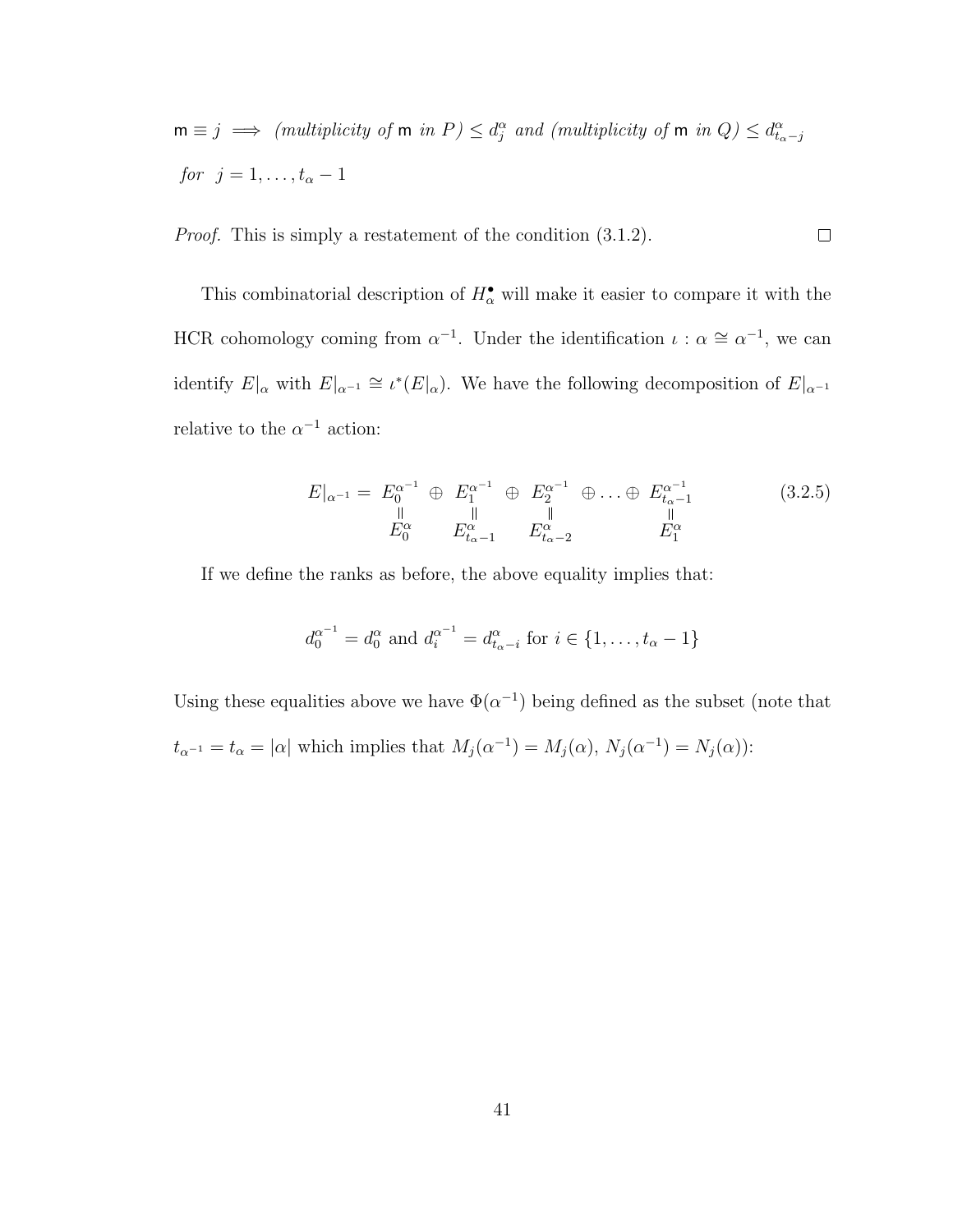$\mathsf{m} \equiv j \implies (multiplicity\ of\ \mathsf{m}\ in\ P) \leq d_j^{\alpha}$  and (multiplicity of  $\mathsf{m}\ in\ Q) \leq d_{t_{\alpha}-j}^{\alpha}$ for  $j = 1, \ldots, t_{\alpha} - 1$ 

Proof. This is simply a restatement of the condition (3.1.2).  $\Box$ 

This combinatorial description of  $H_{\alpha}^{\bullet}$  will make it easier to compare it with the HCR cohomology coming from  $\alpha^{-1}$ . Under the identification  $\iota : \alpha \cong \alpha^{-1}$ , we can identify  $E|_{\alpha}$  with  $E|_{\alpha^{-1}} \cong \iota^*(E|_{\alpha})$ . We have the following decomposition of  $E|_{\alpha^{-1}}$ relative to the  $\alpha^{-1}$  action:

$$
E|_{\alpha^{-1}} = E_0^{\alpha^{-1}} \oplus E_1^{\alpha^{-1}} \oplus E_2^{\alpha^{-1}} \oplus \dots \oplus E_{t_{\alpha^{-1}}}^{\alpha^{-1}} \qquad (3.2.5)
$$
  

$$
E_0^{\alpha} = E_{t_{\alpha^{-1}}}^{\alpha} E_{t_{\alpha^{-2}}}^{\alpha} E_{t_{\alpha^{-2}}}^{\alpha}
$$

If we define the ranks as before, the above equality implies that:

$$
d_0^{\alpha^{-1}} = d_0^{\alpha}
$$
 and  $d_i^{\alpha^{-1}} = d_{t_{\alpha}-i}^{\alpha}$  for  $i \in \{1, ..., t_{\alpha} - 1\}$ 

Using these equalities above we have  $\Phi(\alpha^{-1})$  being defined as the subset (note that  $t_{\alpha^{-1}} = t_{\alpha} = |\alpha|$  which implies that  $M_j(\alpha^{-1}) = M_j(\alpha)$ ,  $N_j(\alpha^{-1}) = N_j(\alpha)$ :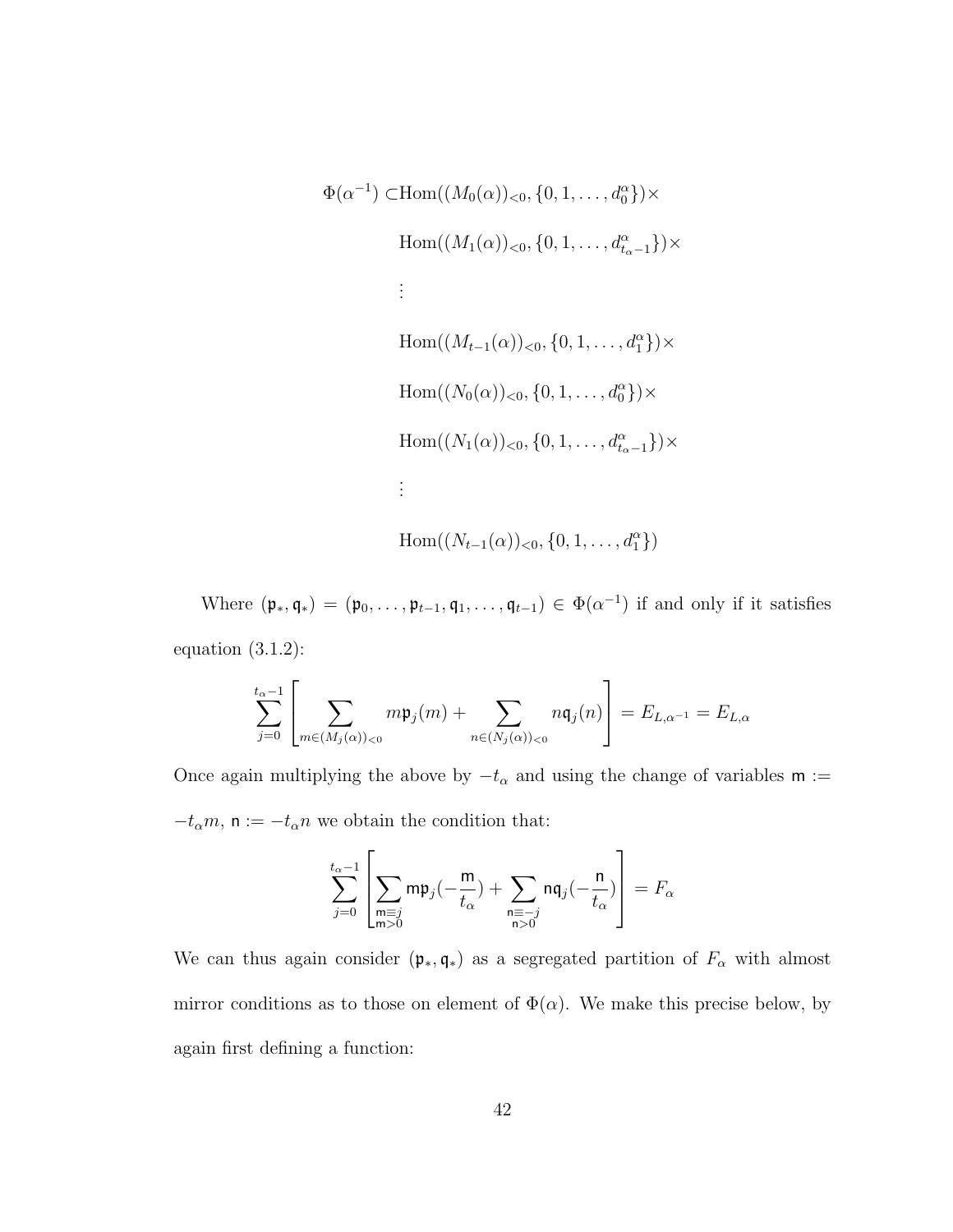$$
\Phi(\alpha^{-1}) \subset \text{Hom}((M_0(\alpha))_{<0}, \{0, 1, \ldots, d_0^{\alpha}\}) \times
$$
\n
$$
\text{Hom}((M_1(\alpha))_{<0}, \{0, 1, \ldots, d_{t_{\alpha}-1}^{\alpha}\}) \times
$$
\n
$$
\vdots
$$
\n
$$
\text{Hom}((M_{t-1}(\alpha))_{<0}, \{0, 1, \ldots, d_1^{\alpha}\}) \times
$$
\n
$$
\text{Hom}((N_0(\alpha))_{<0}, \{0, 1, \ldots, d_{t_{\alpha}-1}^{\alpha}\}) \times
$$
\n
$$
\vdots
$$
\n
$$
\text{Hom}((N_{t-1}(\alpha))_{<0}, \{0, 1, \ldots, d_{t_{\alpha}-1}^{\alpha}\}) \times
$$

Where  $(\mathfrak{p}_*, \mathfrak{q}_*) = (\mathfrak{p}_0, \ldots, \mathfrak{p}_{t-1}, \mathfrak{q}_1, \ldots, \mathfrak{q}_{t-1}) \in \Phi(\alpha^{-1})$  if and only if it satisfies equation  $(3.1.2)$ :

$$
\sum_{j=0}^{t_\alpha-1}\left[\sum_{m\in (M_j(\alpha))_{<0}}m\mathfrak{p}_j(m)+\sum_{n\in (N_j(\alpha))_{<0}}n\mathfrak{q}_j(n)\right]=E_{L,\alpha^{-1}}=E_{L,\alpha}
$$

Once again multiplying the above by  $-t_{\alpha}$  and using the change of variables  $m :=$  $-t_{\alpha}m,$   $\mathsf{n}:=-t_{\alpha}n$  we obtain the condition that:

$$
\sum_{j=0}^{t_\alpha-1} \left[ \sum_{\substack{\mathbf{m}\equiv j \\ \mathbf{m}>0}} \mathbf{m} \mathfrak{p}_j(-\frac{\mathbf{m}}{t_\alpha}) + \sum_{\substack{\mathbf{n}\equiv -j \\ \mathbf{n}>0}} \mathbf{n} \mathfrak{q}_j(-\frac{\mathbf{n}}{t_\alpha}) \right] = F_\alpha
$$

We can thus again consider  $(\mathfrak{p}_*, \mathfrak{q}_*)$  as a segregated partition of  $F_\alpha$  with almost mirror conditions as to those on element of  $\Phi(\alpha)$ . We make this precise below, by again first defining a function: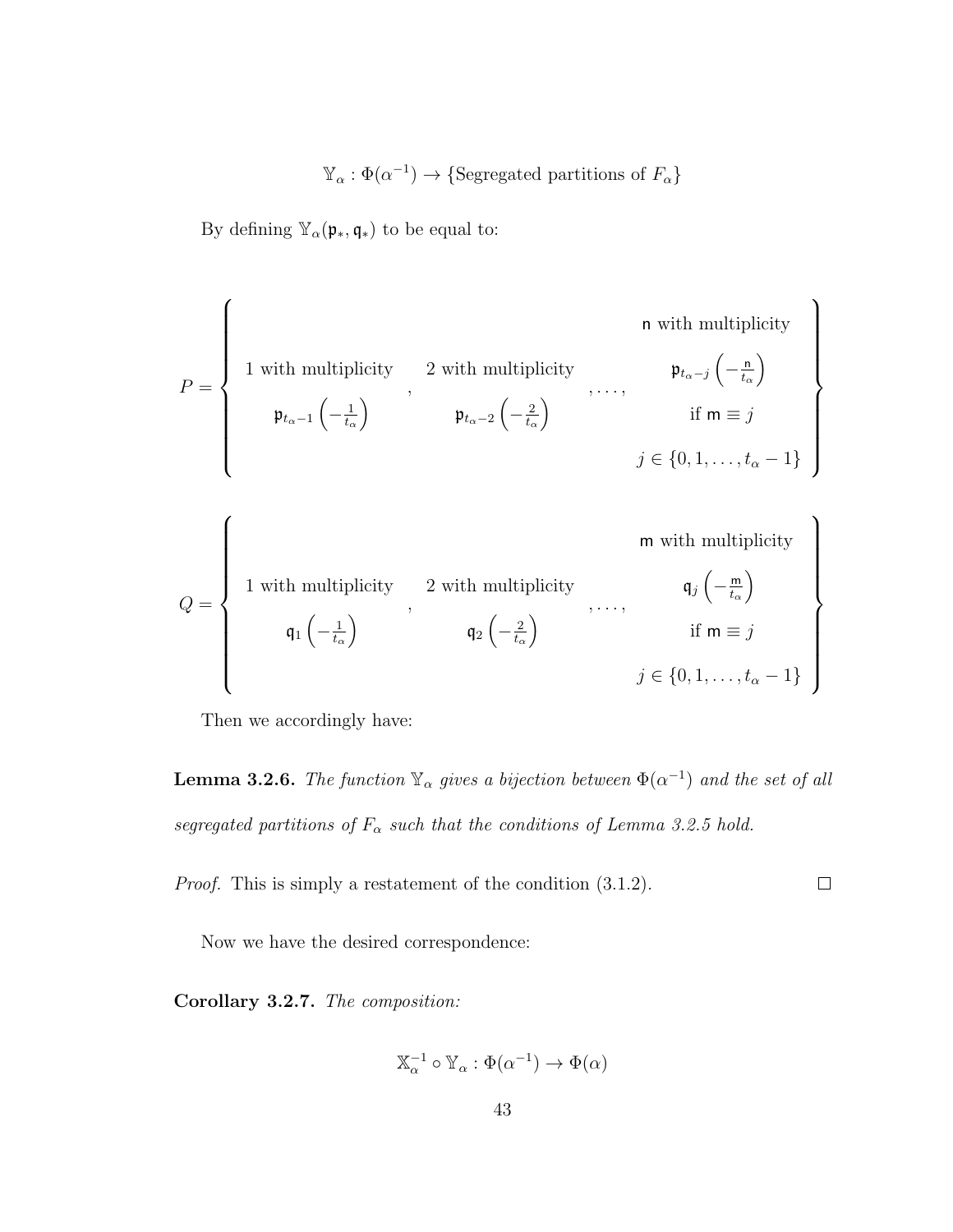$\mathbb{Y}_{\alpha} : \Phi(\alpha^{-1}) \to \{$ Segregated partitions of  $F_{\alpha}\}$ 

By defining  $\mathbb{Y}_\alpha(\mathfrak{p}_*,\mathfrak{q}_*)$  to be equal to:

$$
P = \left\{\begin{array}{c}\text{1 with multiplicity} \\ 1 \text{ with multiplicity} \\ \mathfrak{p}_{t_{\alpha}-1}\left(-\frac{1}{t_{\alpha}}\right) & \mathfrak{p}_{t_{\alpha}-2}\left(-\frac{2}{t_{\alpha}}\right) & \text{if } \mathsf{m} \equiv j \\ & \mathfrak{p}_{t_{\alpha}-1}\left(-\frac{1}{t_{\alpha}}\right) & \mathfrak{p}_{t_{\alpha}-2}\left(-\frac{2}{t_{\alpha}}\right) & \text{if } \mathsf{m} \equiv j \\ & j \in \{0,1,\ldots,t_{\alpha}-1\} \end{array}\right\}
$$
\n
$$
Q = \left\{\begin{array}{c}\text{1 with multiplicity} \\ 1 \text{ with multiplicity} \\ & \mathsf{q}_1\left(-\frac{1}{t_{\alpha}}\right) & \mathsf{q}_2\left(-\frac{2}{t_{\alpha}}\right) & \text{if } \mathsf{m} \equiv j \\ & \mathfrak{q}_2\left(-\frac{2}{t_{\alpha}}\right) & \text{if } \mathsf{m} \equiv j \\ & j \in \{0,1,\ldots,t_{\alpha}-1\} \end{array}\right\}
$$

Then we accordingly have:

**Lemma 3.2.6.** The function  $\mathbb{Y}_{\alpha}$  gives a bijection between  $\Phi(\alpha^{-1})$  and the set of all segregated partitions of  $F_{\alpha}$  such that the conditions of Lemma 3.2.5 hold.

Proof. This is simply a restatement of the condition (3.1.2).  $\Box$ 

Now we have the desired correspondence:

Corollary 3.2.7. The composition:

$$
\mathbb{X}_\alpha^{-1} \circ \mathbb{Y}_\alpha : \Phi(\alpha^{-1}) \to \Phi(\alpha)
$$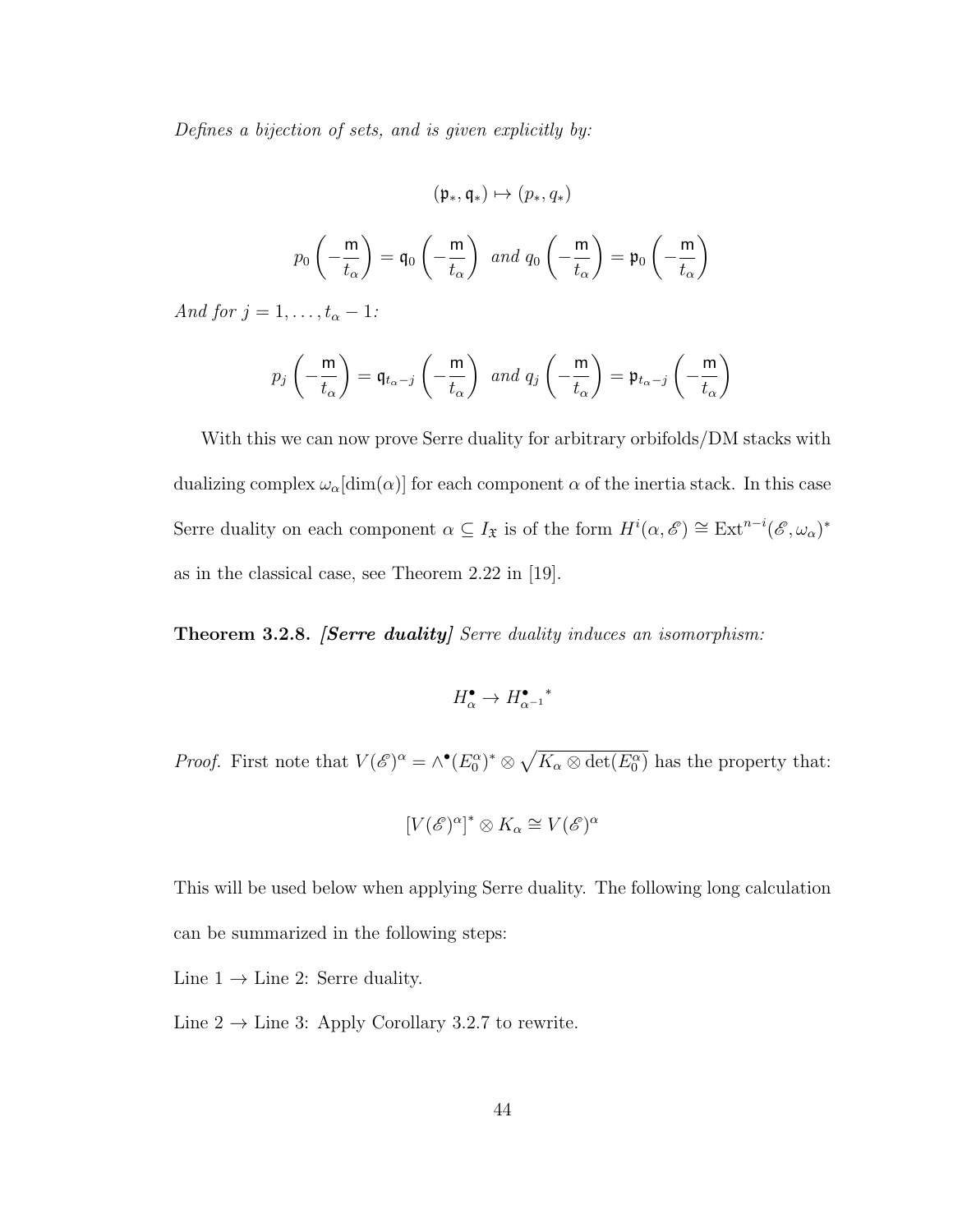Defines a bijection of sets, and is given explicitly by:

$$
(\mathfrak{p}_*, \mathfrak{q}_*) \mapsto (p_*, q_*)
$$

$$
p_0\left(-\frac{\mathsf{m}}{t_\alpha}\right) = \mathsf{q}_0\left(-\frac{\mathsf{m}}{t_\alpha}\right) \text{ and } q_0\left(-\frac{\mathsf{m}}{t_\alpha}\right) = \mathsf{p}_0\left(-\frac{\mathsf{m}}{t_\alpha}\right)
$$

And for  $j = 1, \ldots, t_{\alpha} - 1$ :

$$
p_j\left(-\frac{m}{t_{\alpha}}\right) = \mathfrak{q}_{t_{\alpha}-j}\left(-\frac{m}{t_{\alpha}}\right) \text{ and } q_j\left(-\frac{m}{t_{\alpha}}\right) = \mathfrak{p}_{t_{\alpha}-j}\left(-\frac{m}{t_{\alpha}}\right)
$$

With this we can now prove Serre duality for arbitrary orbifolds/DM stacks with dualizing complex  $\omega_{\alpha}[\text{dim}(\alpha)]$  for each component  $\alpha$  of the inertia stack. In this case Serre duality on each component  $\alpha \subseteq I_{\mathfrak{X}}$  is of the form  $H^i(\alpha, \mathscr{E}) \cong \text{Ext}^{n-i}(\mathscr{E}, \omega_\alpha)^*$ as in the classical case, see Theorem 2.22 in [19].

Theorem 3.2.8. *[Serre duality]* Serre duality induces an isomorphism:

$$
H_{\alpha}^{\bullet} \to {H_{\alpha^{-1}}^{\bullet}}^*
$$

*Proof.* First note that  $V(\mathscr{E})^{\alpha} = \wedge^{\bullet} (E_0^{\alpha})^* \otimes \sqrt{K_{\alpha} \otimes \det(E_0^{\alpha})}$  has the property that:

$$
[V(\mathscr{E})^{\alpha}]^* \otimes K_{\alpha} \cong V(\mathscr{E})^{\alpha}
$$

This will be used below when applying Serre duality. The following long calculation can be summarized in the following steps:

Line  $1 \rightarrow$  Line 2: Serre duality.

Line  $2 \rightarrow$  Line 3: Apply Corollary 3.2.7 to rewrite.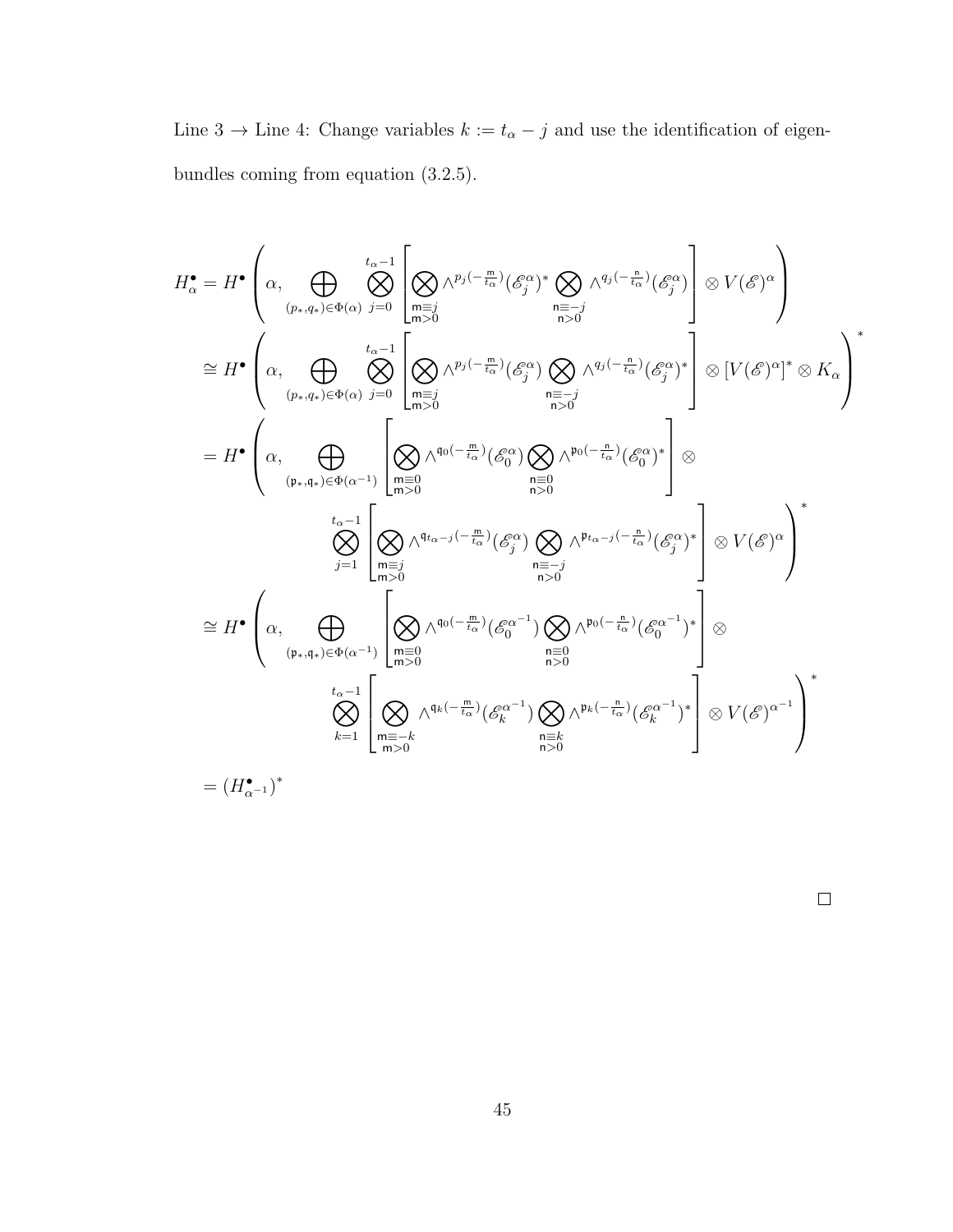Line 3 → Line 4: Change variables  $k := t_{\alpha} - j$  and use the identification of eigenbundles coming from equation (3.2.5).

$$
H_{\alpha}^{\bullet} = H^{\bullet} \left( \alpha, \bigoplus_{(p_{*},q_{*}) \in \Phi(\alpha)} \bigotimes_{j=0}^{t_{\alpha}-1} \left[ \bigotimes_{\substack{m=j \\ m>0}} \wedge^{p_{j}(-\frac{n}{t_{\alpha}})} (\mathscr{E}_{j}^{\alpha})^{*} \bigotimes_{\substack{n=j \\ n>0}} \wedge^{q_{j}(-\frac{n}{t_{\alpha}})} (\mathscr{E}_{j}^{\alpha}) \right] \otimes V(\mathscr{E})^{\alpha} \right)
$$
  
\n
$$
\cong H^{\bullet} \left( \alpha, \bigoplus_{(p_{*},q_{*}) \in \Phi(\alpha)} \bigotimes_{j=0}^{t_{\alpha}-1} \left[ \bigotimes_{\substack{m=j \\ m>0 \\ m>0}} \wedge^{p_{j}(-\frac{n}{t_{\alpha}})} (\mathscr{E}_{j}^{\alpha}) \bigotimes_{\substack{n=j \\ n>0 \\ n>0}} \wedge^{q_{j}(-\frac{n}{t_{\alpha}})} (\mathscr{E}_{j}^{\alpha})^{*} \right] \otimes [V(\mathscr{E})^{\alpha}]^{*} \otimes K_{\alpha} \right)^{*}
$$
  
\n
$$
= H^{\bullet} \left( \alpha, \bigoplus_{(p_{*},q_{*}) \in \Phi(\alpha^{-1})} \left[ \bigotimes_{\substack{m=0 \\ m>0 \\ m>0}} \wedge^{q_{0}(-\frac{m}{t_{\alpha}})} (\mathscr{E}_{0}^{\alpha}) \bigotimes_{\substack{n=0 \\ n>0 \\ n>0}} \wedge^{p_{t_{\alpha}-j}(-\frac{n}{t_{\alpha}})} (\mathscr{E}_{0}^{\alpha})^{*} \right] \otimes
$$
  
\n
$$
\cong H^{\bullet} \left( \alpha, \bigoplus_{(p_{*},q_{*}) \in \Phi(\alpha^{-1})} \left[ \bigotimes_{\substack{m=0 \\ m>0 \\ m>0}} \wedge^{q_{t_{\alpha}-j}(-\frac{n}{t_{\alpha}})} (\mathscr{E}_{0}^{\alpha}) \bigotimes_{\substack{n=0 \\ n>0 \\ n>0}} \wedge^{p_{t_{\alpha}-j}(-\frac{n}{t_{\alpha}})} (\mathscr{E}_{0}^{\alpha^{-1}})^{*} \right] \otimes
$$
  
\n
$$
\cong H^{\bullet} \left( \alpha, \bigoplus_{(p_{*
$$

 $\Box$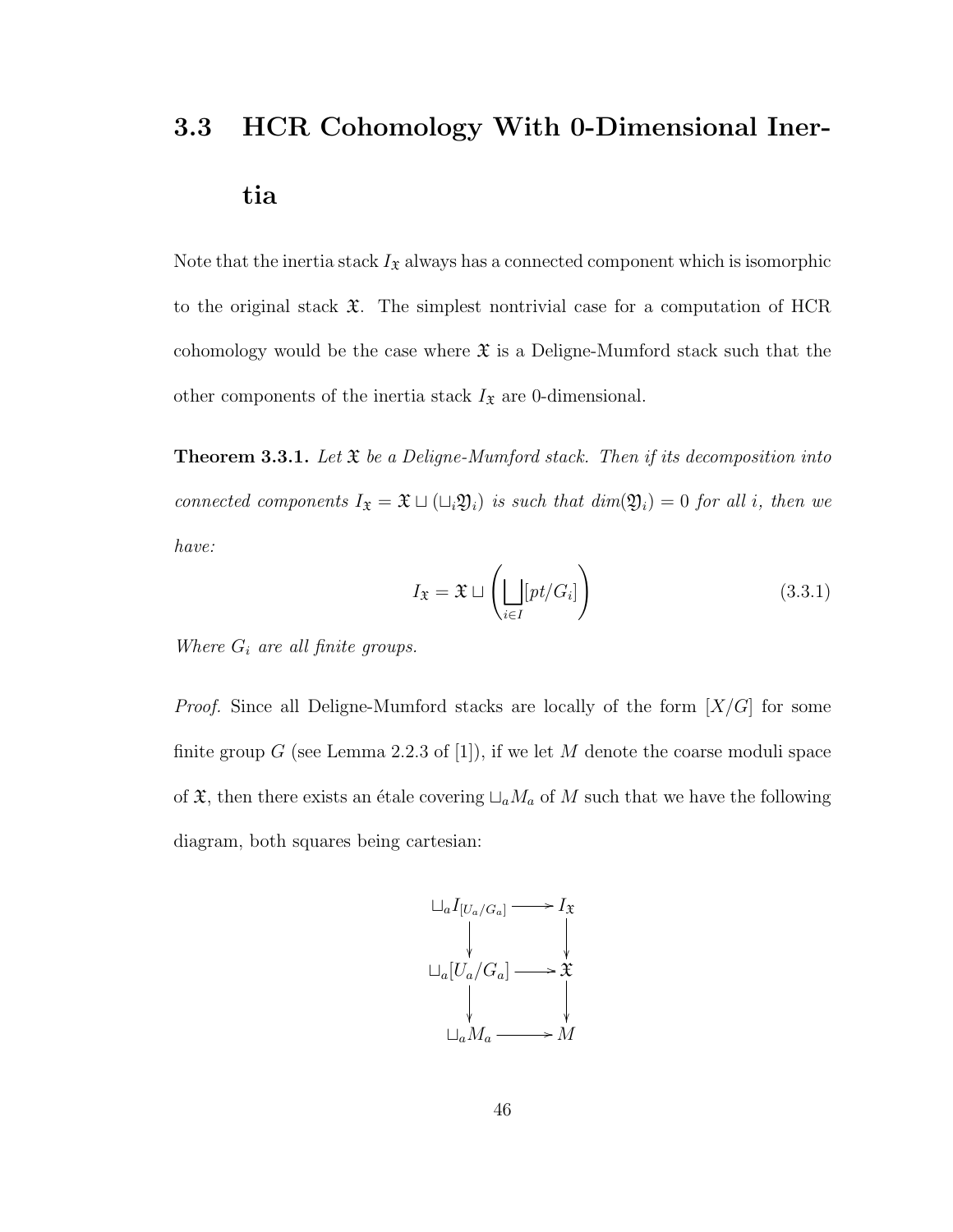# 3.3 HCR Cohomology With 0-Dimensional Inertia

Note that the inertia stack  $I_{\mathfrak{X}}$  always has a connected component which is isomorphic to the original stack  $\mathfrak{X}$ . The simplest nontrivial case for a computation of HCR cohomology would be the case where  $\mathfrak X$  is a Deligne-Mumford stack such that the other components of the inertia stack  $I_{\mathfrak{X}}$  are 0-dimensional.

**Theorem 3.3.1.** Let  $\mathfrak X$  be a Deligne-Mumford stack. Then if its decomposition into connected components  $I_{\mathfrak{X}} = \mathfrak{X} \sqcup (\sqcup_i \mathfrak{Y}_i)$  is such that  $dim(\mathfrak{Y}_i) = 0$  for all i, then we have:

$$
I_{\mathfrak{X}} = \mathfrak{X} \sqcup \left( \bigsqcup_{i \in I} [pt/G_i] \right) \tag{3.3.1}
$$

Where  $G_i$  are all finite groups.

*Proof.* Since all Deligne-Mumford stacks are locally of the form  $[X/G]$  for some finite group G (see Lemma 2.2.3 of [1]), if we let M denote the coarse moduli space of  $\mathfrak{X}$ , then there exists an étale covering  $\sqcup_a M_a$  of M such that we have the following diagram, both squares being cartesian:

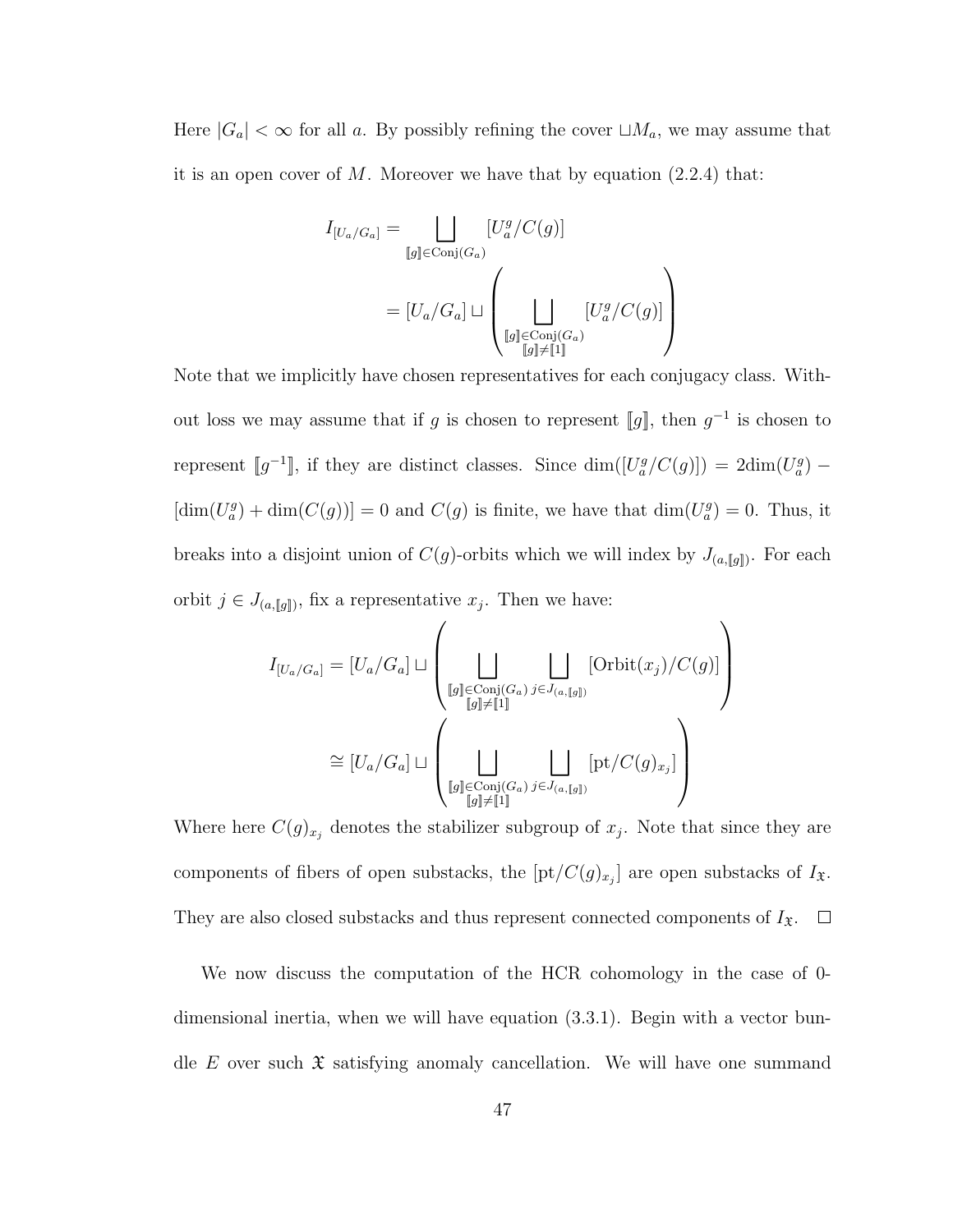Here  $|G_a| < \infty$  for all a. By possibly refining the cover  $\sqcup M_a$ , we may assume that it is an open cover of M. Moreover we have that by equation  $(2.2.4)$  that:

$$
I_{[U_a/G_a]} = \bigsqcup_{[\![g]\!]\in \text{Conj}(G_a)} [U_a^g/C(g)]
$$
  

$$
= [U_a/G_a] \sqcup \left(\bigsqcup_{\substack{[\![g]\!]\in \text{Conj}(G_a) \\ [\![g]\!]\neq [1]\!]}} [U_a^g/C(g)]\right)
$$

Note that we implicitly have chosen representatives for each conjugacy class. Without loss we may assume that if g is chosen to represent  $[[g]]$ , then  $g^{-1}$  is chosen to represent  $[g^{-1}]$ , if they are distinct classes. Since  $\dim([U_a^g/C(g)]) = 2\dim(U_a^g)$  –  $[\dim(U_a^g) + \dim(C(g))] = 0$  and  $C(g)$  is finite, we have that  $\dim(U_a^g) = 0$ . Thus, it breaks into a disjoint union of  $C(g)$ -orbits which we will index by  $J_{(a,[g])}$ . For each orbit  $j \in J_{(a,\llbracket g \rrbracket)}$ , fix a representative  $x_j$ . Then we have:

$$
I_{[U_a/G_a]} = [U_a/G_a] \sqcup \left(\bigsqcup_{\substack{[g] \in \text{Conj}(G_a) \\ [g] \neq [1]}} \bigsqcup_{j \in J_{(a,[g])}} [\text{Orbit}(x_j)/C(g)] \right)
$$
  

$$
\cong [U_a/G_a] \sqcup \left(\bigsqcup_{\substack{[g] \in \text{Conj}(G_a) \\ [g] \neq [1]}} \bigsqcup_{j \in J_{(a,[g])}} [\text{pt}/C(g)_{x_j}] \right)
$$

Where here  $C(g)_{x_j}$  denotes the stabilizer subgroup of  $x_j$ . Note that since they are components of fibers of open substacks, the  $[\text{pt}/C(g)_{x_j}]$  are open substacks of  $I_{\mathfrak{X}}$ . They are also closed substacks and thus represent connected components of  $I_{\mathfrak{X}}$ .  $\Box$ 

We now discuss the computation of the HCR cohomology in the case of 0 dimensional inertia, when we will have equation (3.3.1). Begin with a vector bundle E over such  $\mathfrak X$  satisfying anomaly cancellation. We will have one summand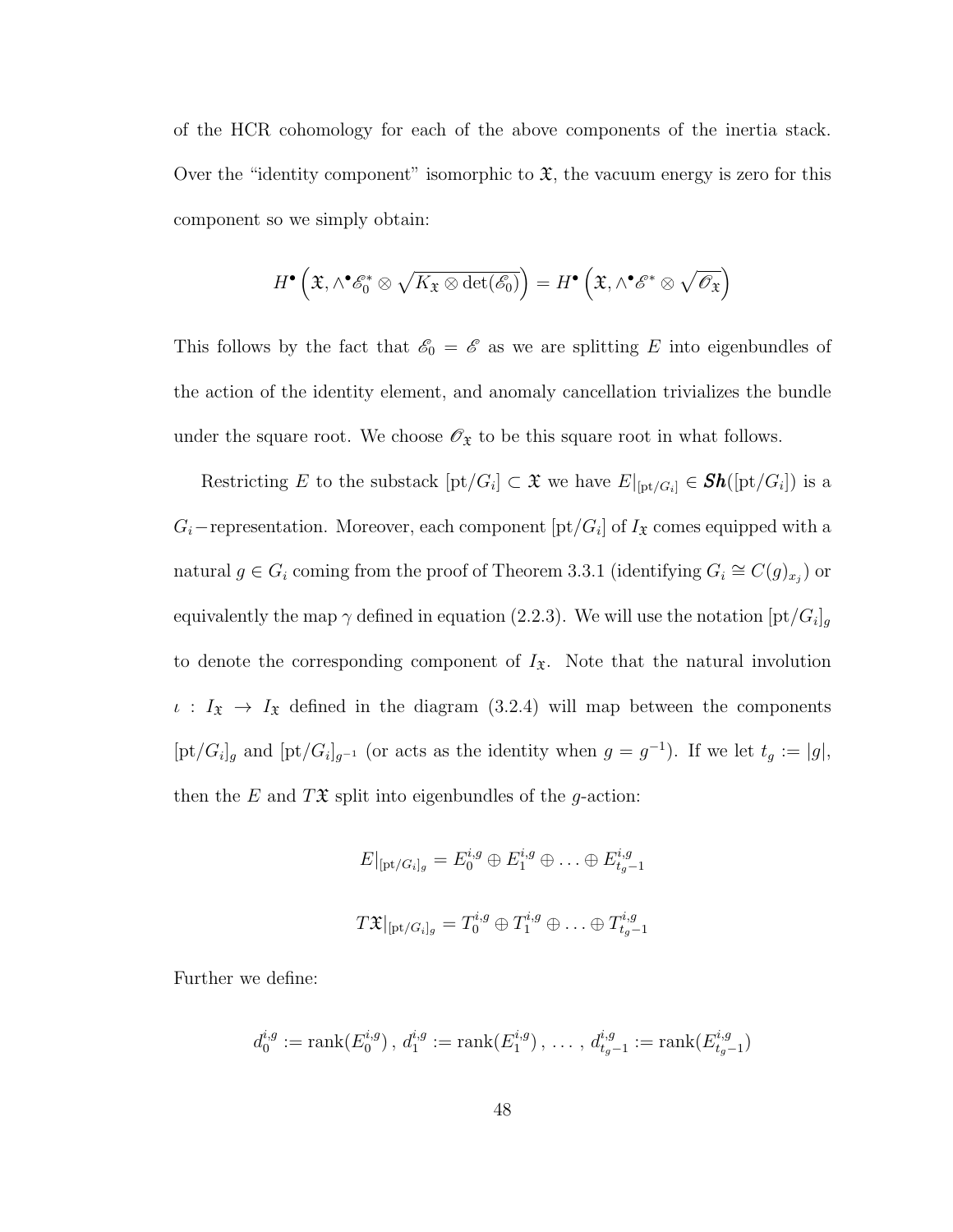of the HCR cohomology for each of the above components of the inertia stack. Over the "identity component" isomorphic to  $\mathfrak{X}$ , the vacuum energy is zero for this component so we simply obtain:

$$
H^{\bullet}\left(\mathfrak{X}, \wedge^{\bullet}\mathscr{E}_0^* \otimes \sqrt{K_{\mathfrak{X}} \otimes \det(\mathscr{E}_0)}\right) = H^{\bullet}\left(\mathfrak{X}, \wedge^{\bullet}\mathscr{E}^* \otimes \sqrt{\mathscr{O}_{\mathfrak{X}}}\right)
$$

This follows by the fact that  $\mathscr{E}_0 = \mathscr{E}$  as we are splitting E into eigenbundles of the action of the identity element, and anomaly cancellation trivializes the bundle under the square root. We choose  $\mathscr{O}_{\mathfrak{X}}$  to be this square root in what follows.

Restricting E to the substack  $[\text{pt}/G_i] \subset \mathfrak{X}$  we have  $E|_{[\text{pt}/G_i]} \in Sh([\text{pt}/G_i])$  is a  $G_i$ –representation. Moreover, each component  $[\text{pt}/G_i]$  of  $I_{\mathfrak{X}}$  comes equipped with a natural  $g \in G_i$  coming from the proof of Theorem 3.3.1 (identifying  $G_i \cong C(g)_{x_j}$ ) or equivalently the map  $\gamma$  defined in equation (2.2.3). We will use the notation  $[\text{pt}/G_i]_g$ to denote the corresponding component of  $I_{\mathfrak{X}}$ . Note that the natural involution  $\iota$  :  $I_x \to I_x$  defined in the diagram (3.2.4) will map between the components  $[\text{pt}/G_i]_g$  and  $[\text{pt}/G_i]_{g^{-1}}$  (or acts as the identity when  $g = g^{-1}$ ). If we let  $t_g := |g|$ , then the E and  $T\mathfrak{X}$  split into eigenbundles of the q-action:

$$
E|_{[\text{pt}/G_i]_g} = E_0^{i,g} \oplus E_1^{i,g} \oplus \ldots \oplus E_{t_g-1}^{i,g}
$$
  

$$
T\mathfrak{X}|_{[\text{pt}/G_i]_g} = T_0^{i,g} \oplus T_1^{i,g} \oplus \ldots \oplus T_{t_g-1}^{i,g}
$$

Further we define:

$$
d_0^{i,g}
$$
 := rank $(E_0^{i,g})$ ,  $d_1^{i,g}$  := rank $(E_1^{i,g})$ , ...,  $d_{t_g-1}^{i,g}$  := rank $(E_{t_g-1}^{i,g})$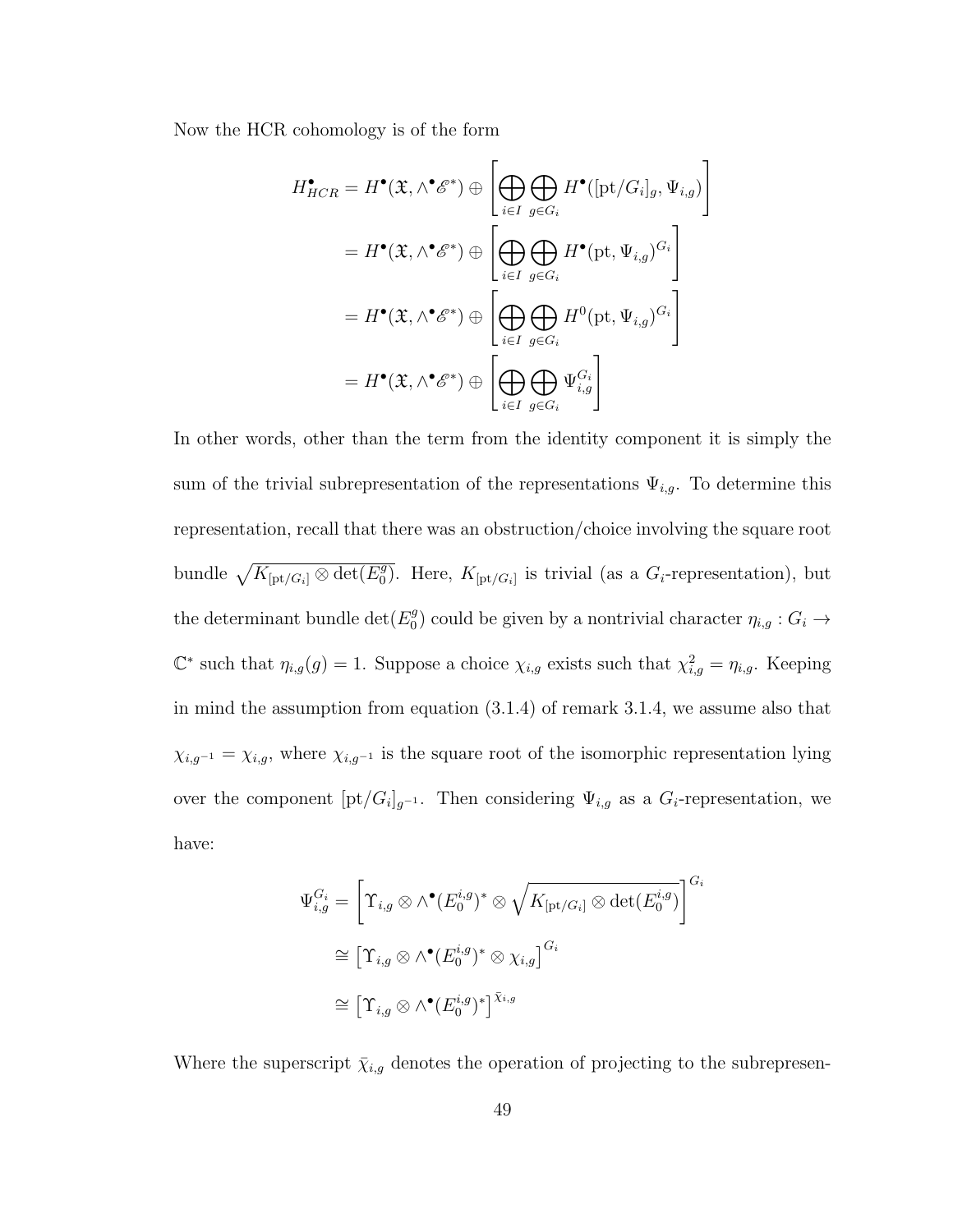Now the HCR cohomology is of the form

$$
H_{HCR}^{\bullet} = H^{\bullet}(\mathfrak{X}, \wedge^{\bullet} \mathscr{E}^{*}) \oplus \left[\bigoplus_{i \in I} \bigoplus_{g \in G_{i}} H^{\bullet}([\text{pt}/G_{i}]_{g}, \Psi_{i,g})\right]
$$
  
\n
$$
= H^{\bullet}(\mathfrak{X}, \wedge^{\bullet} \mathscr{E}^{*}) \oplus \left[\bigoplus_{i \in I} \bigoplus_{g \in G_{i}} H^{\bullet}(\text{pt}, \Psi_{i,g})^{G_{i}}\right]
$$
  
\n
$$
= H^{\bullet}(\mathfrak{X}, \wedge^{\bullet} \mathscr{E}^{*}) \oplus \left[\bigoplus_{i \in I} \bigoplus_{g \in G_{i}} H^{0}(\text{pt}, \Psi_{i,g})^{G_{i}}\right]
$$
  
\n
$$
= H^{\bullet}(\mathfrak{X}, \wedge^{\bullet} \mathscr{E}^{*}) \oplus \left[\bigoplus_{i \in I} \bigoplus_{g \in G_{i}} \Psi_{i,g}^{G_{i}}\right]
$$

In other words, other than the term from the identity component it is simply the sum of the trivial subrepresentation of the representations  $\Psi_{i,g}$ . To determine this representation, recall that there was an obstruction/choice involving the square root bundle  $\sqrt{K_{\left[\mathrm{pt}/G_i\right]}\otimes \det(E_0^g)}$ <sup>9</sup>/<sub>0</sub>). Here,  $K_{\left[\mathrm{pt}/G_i\right]}$  is trivial (as a  $G_i$ -representation), but the determinant bundle det $(E_0^g)$ <sup>g</sup>) could be given by a nontrivial character  $\eta_{i,g}: G_i \to$  $\mathbb{C}^*$  such that  $\eta_{i,g}(g) = 1$ . Suppose a choice  $\chi_{i,g}$  exists such that  $\chi_{i,g}^2 = \eta_{i,g}$ . Keeping in mind the assumption from equation (3.1.4) of remark 3.1.4, we assume also that  $\chi_{i,g^{-1}} = \chi_{i,g}$ , where  $\chi_{i,g^{-1}}$  is the square root of the isomorphic representation lying over the component  $[\text{pt}/G_i]_{g^{-1}}$ . Then considering  $\Psi_{i,g}$  as a  $G_i$ -representation, we have:

$$
\Psi_{i,g}^{G_i} = \left[ \Upsilon_{i,g} \otimes \wedge^{\bullet} (E_0^{i,g})^* \otimes \sqrt{K_{[\text{pt}/G_i]} \otimes \det(E_0^{i,g})} \right]^{G_i}
$$
  
\n
$$
\cong \left[ \Upsilon_{i,g} \otimes \wedge^{\bullet} (E_0^{i,g})^* \otimes \chi_{i,g} \right]^{G_i}
$$
  
\n
$$
\cong \left[ \Upsilon_{i,g} \otimes \wedge^{\bullet} (E_0^{i,g})^* \right]^{\bar{\chi}_{i,g}}
$$

Where the superscript  $\bar{\chi}_{i,g}$  denotes the operation of projecting to the subrepresen-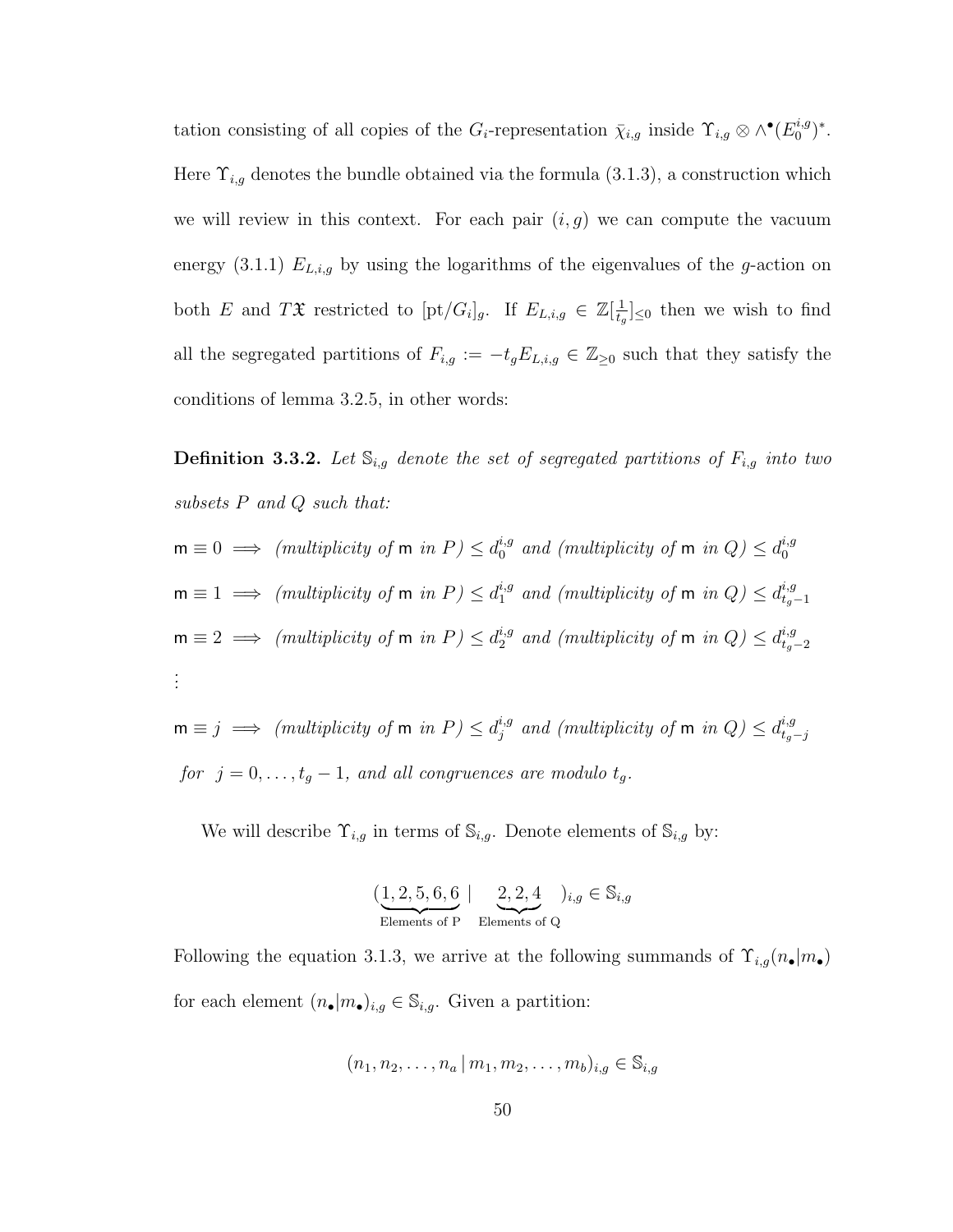tation consisting of all copies of the  $G_i$ -representation  $\bar{\chi}_{i,g}$  inside  $\Upsilon_{i,g} \otimes \wedge^{\bullet} (E_0^{i,g})$  $_{0}^{i,g})^{\ast}.$ Here  $\Upsilon_{i,g}$  denotes the bundle obtained via the formula (3.1.3), a construction which we will review in this context. For each pair  $(i, g)$  we can compute the vacuum energy (3.1.1)  $E_{L,i,g}$  by using the logarithms of the eigenvalues of the g-action on both E and TX restricted to  $[\text{pt}/G_i]_g$ . If  $E_{L,i,g} \in \mathbb{Z}[\frac{1}{t}]$  $\frac{1}{t_g}$ <sub>s</sub><sup>1</sup><sub>s</sub> then we wish to find all the segregated partitions of  $F_{i,g} := -t_g E_{L,i,g} \in \mathbb{Z}_{\geq 0}$  such that they satisfy the conditions of lemma 3.2.5, in other words:

**Definition 3.3.2.** Let  $\mathbb{S}_{i,g}$  denote the set of segregated partitions of  $F_{i,g}$  into two subsets P and Q such that:

$$
\mathsf{m} \equiv 0 \implies (multiplicity of \mathsf{m} \text{ in } P) \leq d_0^{i,g} \text{ and (multiplicity of \mathsf{m} \text{ in } Q) \leq d_0^{i,g}
$$
\n
$$
\mathsf{m} \equiv 1 \implies (multiplicity of \mathsf{m} \text{ in } P) \leq d_1^{i,g} \text{ and (multiplicity of \mathsf{m} \text{ in } Q) \leq d_{t_g-1}^{i,g}
$$
\n
$$
\mathsf{m} \equiv 2 \implies (multiplicity of \mathsf{m} \text{ in } P) \leq d_2^{i,g} \text{ and (multiplicity of \mathsf{m} \text{ in } Q) \leq d_{t_g-2}^{i,g}
$$
\n
$$
\vdots
$$

 $m \equiv j \implies (multiplicity of m in P) \leq d_i^{i,g}$  $j_j^{i,g}$  and (multiplicity of  $m$  in  $Q$ )  $\leq d_{t_q}^{i,g}$  $t_g-j$ for  $j = 0, \ldots, t_g - 1$ , and all congruences are modulo  $t_g$ .

We will describe  $\Upsilon_{i,g}$  in terms of  $\mathbb{S}_{i,g}$ . Denote elements of  $\mathbb{S}_{i,g}$  by:

$$
(\underbrace{1,2,5,6,6}_{\text{Elements of P}} \mid \underbrace{2,2,4}_{\text{Elements of Q}} )_{i,g} \in \mathbb{S}_{i,g}
$$

Following the equation 3.1.3, we arrive at the following summands of  $\Upsilon_{i,g}(n_{\bullet}|m_{\bullet})$ for each element  $(n_{\bullet}|m_{\bullet})_{i,g} \in \mathbb{S}_{i,g}$ . Given a partition:

$$
(n_1, n_2, \ldots, n_a \, | \, m_1, m_2, \ldots, m_b)_{i,g} \in \mathbb{S}_{i,g}
$$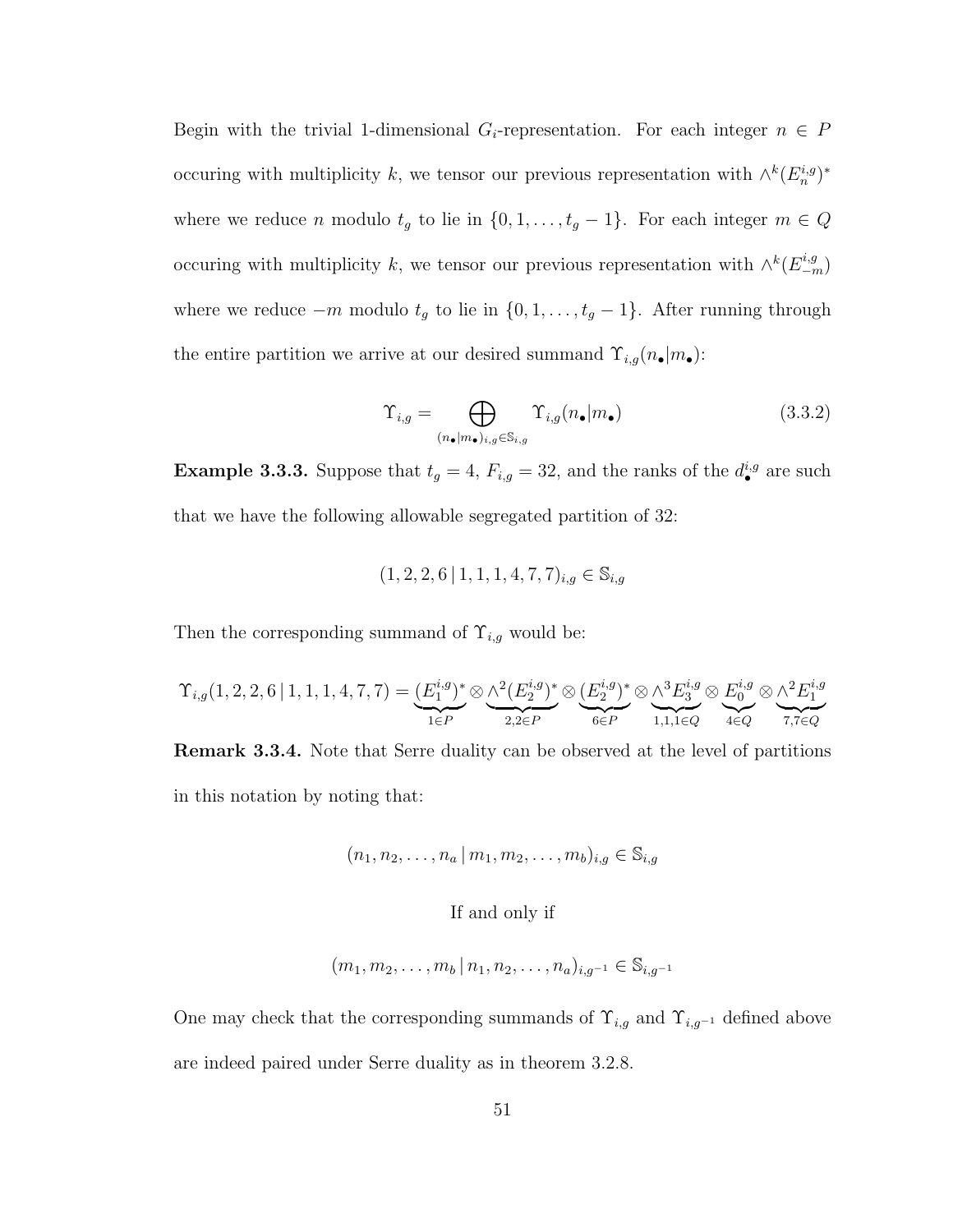Begin with the trivial 1-dimensional  $G_i$ -representation. For each integer  $n \in P$ occuring with multiplicity k, we tensor our previous representation with  $\wedge^k (E_n^{i,g})^*$ where we reduce n modulo  $t_g$  to lie in  $\{0, 1, \ldots, t_g - 1\}$ . For each integer  $m \in Q$ occuring with multiplicity k, we tensor our previous representation with  $\wedge^k(E_{-m}^{i,g})$ where we reduce  $-m$  modulo  $t_g$  to lie in  $\{0, 1, \ldots, t_g - 1\}$ . After running through the entire partition we arrive at our desired summand  $\Upsilon_{i,g}(n_{\bullet}|m_{\bullet})$ :

$$
\Upsilon_{i,g} = \bigoplus_{(n_{\bullet}|m_{\bullet})_{i,g} \in \mathbb{S}_{i,g}} \Upsilon_{i,g}(n_{\bullet}|m_{\bullet})
$$
\n(3.3.2)

**Example 3.3.3.** Suppose that  $t_g = 4$ ,  $F_{i,g} = 32$ , and the ranks of the  $d_{\bullet}^{i,g}$  are such that we have the following allowable segregated partition of 32:

$$
(1, 2, 2, 6 \mid 1, 1, 1, 4, 7, 7)_{i,g} \in \mathbb{S}_{i,g}
$$

Then the corresponding summand of  $\Upsilon_{i,g}$  would be:

$$
\Upsilon_{i,g}(1,2,2,6|1,1,1,4,7,7) = \underbrace{(E_1^{i,g})^*}_{1 \in P} \otimes \underbrace{\wedge^2 (E_2^{i,g})^*}_{2,2 \in P} \otimes \underbrace{(E_2^{i,g})^*}_{6 \in P} \otimes \underbrace{\wedge^3 E_3^{i,g}}_{1,1,1 \in Q} \otimes \underbrace{E_0^{i,g}}_{4 \in Q} \otimes \underbrace{\wedge^2 E_1^{i,g}}_{7,7 \in Q}
$$

Remark 3.3.4. Note that Serre duality can be observed at the level of partitions in this notation by noting that:

$$
(n_1, n_2, \dots, n_a \, | \, m_1, m_2, \dots, m_b)_{i,g} \in \mathbb{S}_{i,g}
$$

#### If and only if

$$
(m_1, m_2, \ldots, m_b | n_1, n_2, \ldots, n_a)_{i,g^{-1}} \in \mathbb{S}_{i,g^{-1}}
$$

One may check that the corresponding summands of  $\Upsilon_{i,g}$  and  $\Upsilon_{i,g^{-1}}$  defined above are indeed paired under Serre duality as in theorem 3.2.8.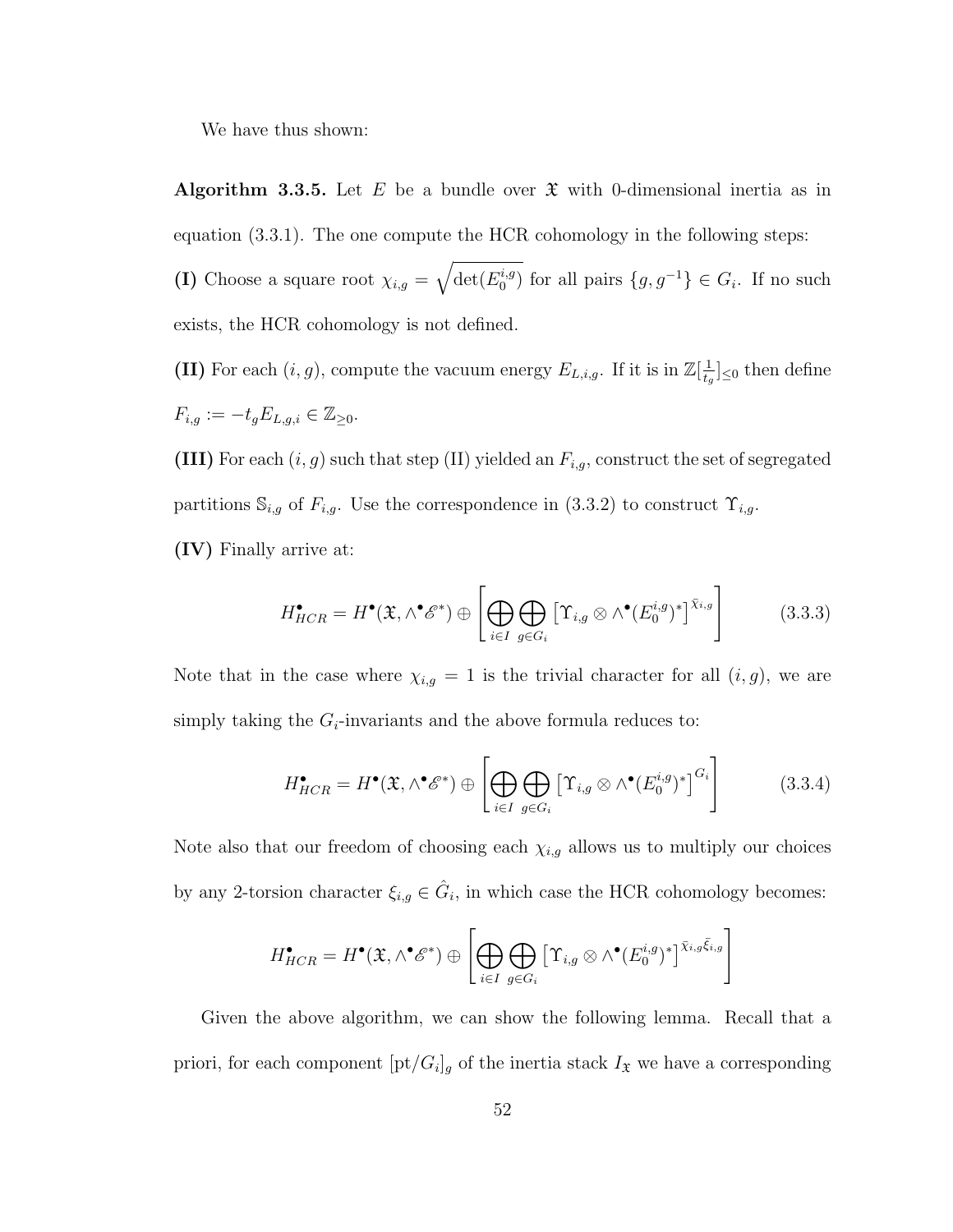We have thus shown:

Algorithm 3.3.5. Let E be a bundle over  $\mathfrak X$  with 0-dimensional inertia as in equation (3.3.1). The one compute the HCR cohomology in the following steps:

(I) Choose a square root  $\chi_{i,g} = \sqrt{\det(E_0^{i,g})}$  $\binom{n,g}{0}$  for all pairs  $\{g, g^{-1}\}\in G_i$ . If no such exists, the HCR cohomology is not defined.

(II) For each  $(i, g)$ , compute the vacuum energy  $E_{L,i,g}$ . If it is in  $\mathbb{Z}[\frac{1}{t}]$  $\frac{1}{t_g}$  = then define  $F_{i,g}:=-t_g E_{L,g,i}\in \mathbb{Z}_{\geq 0}.$ 

(III) For each  $(i, g)$  such that step (II) yielded an  $F_{i,g}$ , construct the set of segregated partitions  $\mathbb{S}_{i,g}$  of  $F_{i,g}$ . Use the correspondence in (3.3.2) to construct  $\Upsilon_{i,g}$ .

(IV) Finally arrive at:

$$
H_{HCR}^{\bullet} = H^{\bullet}(\mathfrak{X}, \wedge^{\bullet} \mathscr{E}^*) \oplus \left[ \bigoplus_{i \in I} \bigoplus_{g \in G_i} \left[ \Upsilon_{i,g} \otimes \wedge^{\bullet} (E_0^{i,g})^* \right]^{\bar{\chi}_{i,g}} \right] \tag{3.3.3}
$$

Note that in the case where  $\chi_{i,g} = 1$  is the trivial character for all  $(i, g)$ , we are simply taking the  $G_i$ -invariants and the above formula reduces to:

$$
H_{HCR}^{\bullet} = H^{\bullet}(\mathfrak{X}, \wedge^{\bullet} \mathscr{E}^*) \oplus \left[ \bigoplus_{i \in I} \bigoplus_{g \in G_i} \left[ \Upsilon_{i,g} \otimes \wedge^{\bullet} (E_0^{i,g})^* \right]^{G_i} \right] \tag{3.3.4}
$$

Note also that our freedom of choosing each  $\chi_{i,g}$  allows us to multiply our choices by any 2-torsion character  $\xi_{i,g} \in \hat{G}_i$ , in which case the HCR cohomology becomes:

$$
H_{HCR}^{\bullet}=H^{\bullet}(\mathfrak{X},\wedge^{\bullet}\mathscr{E}^{*})\oplus\left[\bigoplus_{i\in I}\bigoplus_{g\in G_{i}}\left[\Upsilon_{i,g}\otimes\wedge^{\bullet}(E_{0}^{i,g})^{*}\right]^{\bar{\chi}_{i,g}\bar{\xi}_{i,g}}\right]
$$

Given the above algorithm, we can show the following lemma. Recall that a priori, for each component  $[\text{pt}/G_i]_g$  of the inertia stack  $I_{\mathfrak{X}}$  we have a corresponding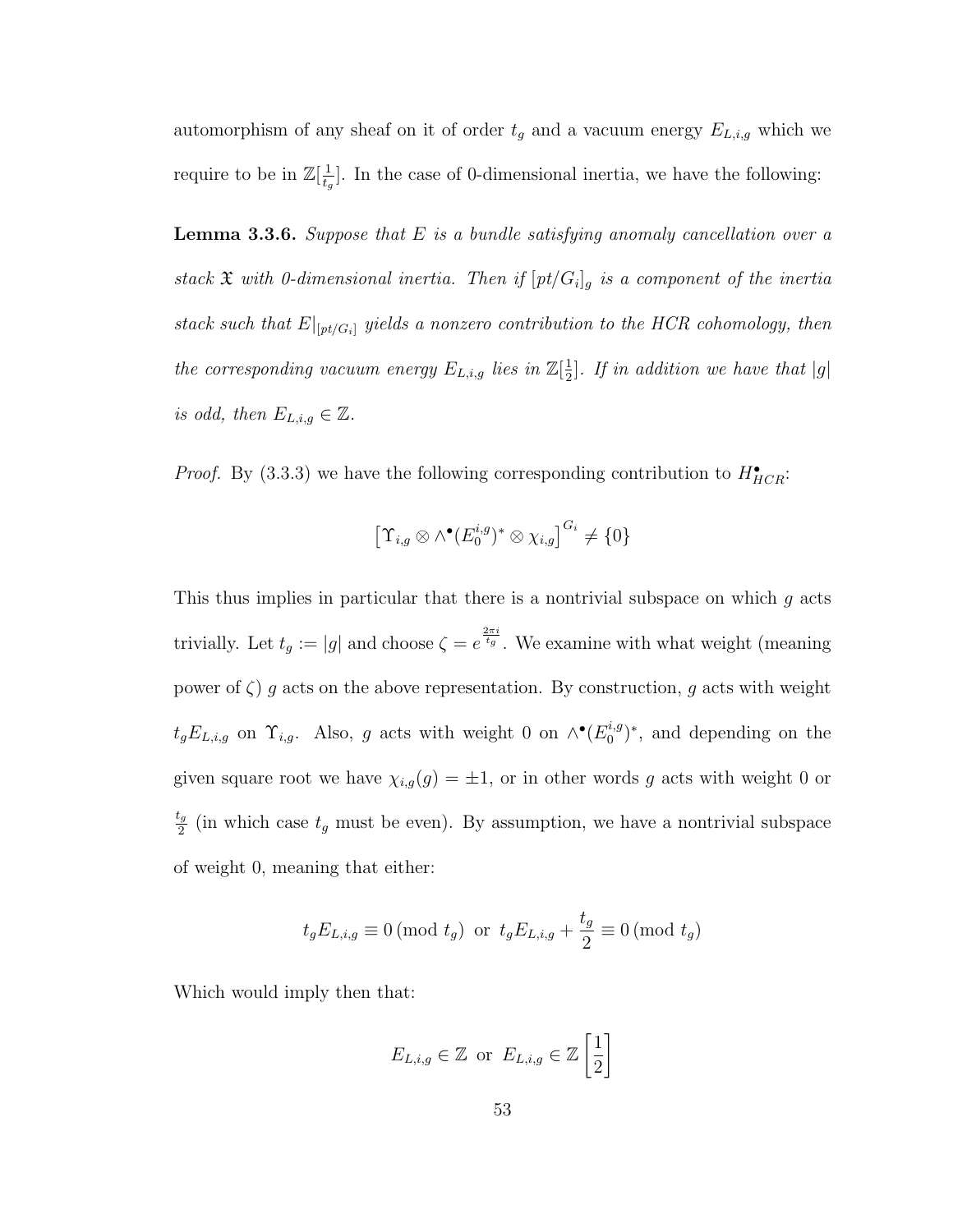automorphism of any sheaf on it of order  $t_g$  and a vacuum energy  $E_{L,i,g}$  which we require to be in  $\mathbb{Z}[\frac{1}{t}]$  $\frac{1}{t_g}$ . In the case of 0-dimensional inertia, we have the following:

**Lemma 3.3.6.** Suppose that E is a bundle satisfying anomaly cancellation over a stack  $\mathfrak X$  with 0-dimensional inertia. Then if  $[pt/G_i]_g$  is a component of the inertia stack such that  $E|_{[pt/G_i]}$  yields a nonzero contribution to the HCR cohomology, then the corresponding vacuum energy  $E_{L,i,g}$  lies in  $\mathbb{Z}[\frac{1}{2}]$  $\frac{1}{2}$ . If in addition we have that |g| is odd, then  $E_{L,i,g} \in \mathbb{Z}$ .

*Proof.* By (3.3.3) we have the following corresponding contribution to  $H_{HCR}^{\bullet}$ .

$$
\left[\Upsilon_{i,g}\otimes\wedge^{\bullet}(E_0^{i,g})^*\otimes\chi_{i,g}\right]^{G_i}\neq\{0\}
$$

This thus implies in particular that there is a nontrivial subspace on which  $g$  acts trivially. Let  $t_g := |g|$  and choose  $\zeta = e^{\frac{2\pi i}{t_g}}$ . We examine with what weight (meaning power of  $\zeta$ ) g acts on the above representation. By construction, g acts with weight  $t_g E_{L,i,g}$  on  $\Upsilon_{i,g}$ . Also, g acts with weight 0 on  $\wedge^{\bullet}(E_0^{i,g})$  $\binom{n}{0}^*$ , and depending on the given square root we have  $\chi_{i,g}(g) = \pm 1$ , or in other words g acts with weight 0 or  $t_g$  $\frac{z_g}{2}$  (in which case  $t_g$  must be even). By assumption, we have a nontrivial subspace of weight 0, meaning that either:

$$
t_g E_{L,i,g} \equiv 0 \pmod{t_g} \text{ or } t_g E_{L,i,g} + \frac{t_g}{2} \equiv 0 \pmod{t_g}
$$

Which would imply then that:

$$
E_{L,i,g} \in \mathbb{Z} \text{ or } E_{L,i,g} \in \mathbb{Z}\left[\frac{1}{2}\right]
$$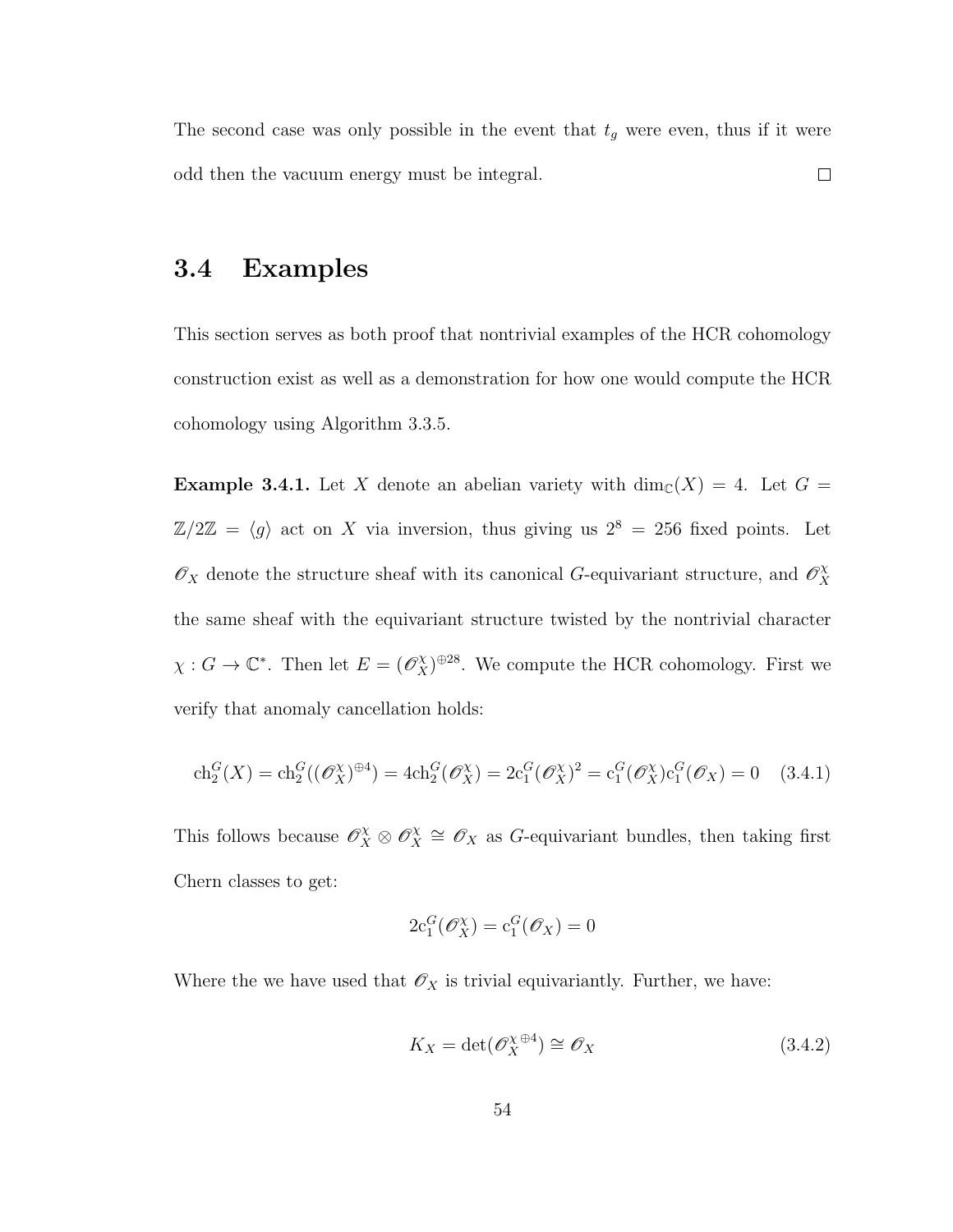The second case was only possible in the event that  $t_g$  were even, thus if it were  $\Box$ odd then the vacuum energy must be integral.

## 3.4 Examples

This section serves as both proof that nontrivial examples of the HCR cohomology construction exist as well as a demonstration for how one would compute the HCR cohomology using Algorithm 3.3.5.

**Example 3.4.1.** Let X denote an abelian variety with  $\dim_{\mathbb{C}}(X) = 4$ . Let  $G =$  $\mathbb{Z}/2\mathbb{Z} = \langle g \rangle$  act on X via inversion, thus giving us  $2^8 = 256$  fixed points. Let  $\mathscr{O}_X$  denote the structure sheaf with its canonical G-equivariant structure, and  $\mathscr{O}_X^{\times}$ X the same sheaf with the equivariant structure twisted by the nontrivial character  $\chi: G \to \mathbb{C}^*$ . Then let  $E = (\mathscr{O}_X^{\chi})^{\oplus 28}$ . We compute the HCR cohomology. First we verify that anomaly cancellation holds:

$$
\text{ch}_2^G(X) = \text{ch}_2^G((\mathscr{O}_X^{\chi})^{\oplus 4}) = 4\text{ch}_2^G(\mathscr{O}_X^{\chi}) = 2\text{c}_1^G(\mathscr{O}_X^{\chi})^2 = \text{c}_1^G(\mathscr{O}_X^{\chi})\text{c}_1^G(\mathscr{O}_X) = 0 \quad (3.4.1)
$$

This follows because  $\mathscr{O}_X^{\chi} \otimes \mathscr{O}_X^{\chi}$  $\mathcal{O}_X^{\chi} \cong \mathcal{O}_X$  as G-equivariant bundles, then taking first Chern classes to get:

$$
2c_1^G(\mathscr{O}_X^{\chi}) = c_1^G(\mathscr{O}_X) = 0
$$

Where the we have used that  $\mathscr{O}_X$  is trivial equivariantly. Further, we have:

$$
K_X = \det(\mathcal{O}_X^{\chi \oplus 4}) \cong \mathcal{O}_X \tag{3.4.2}
$$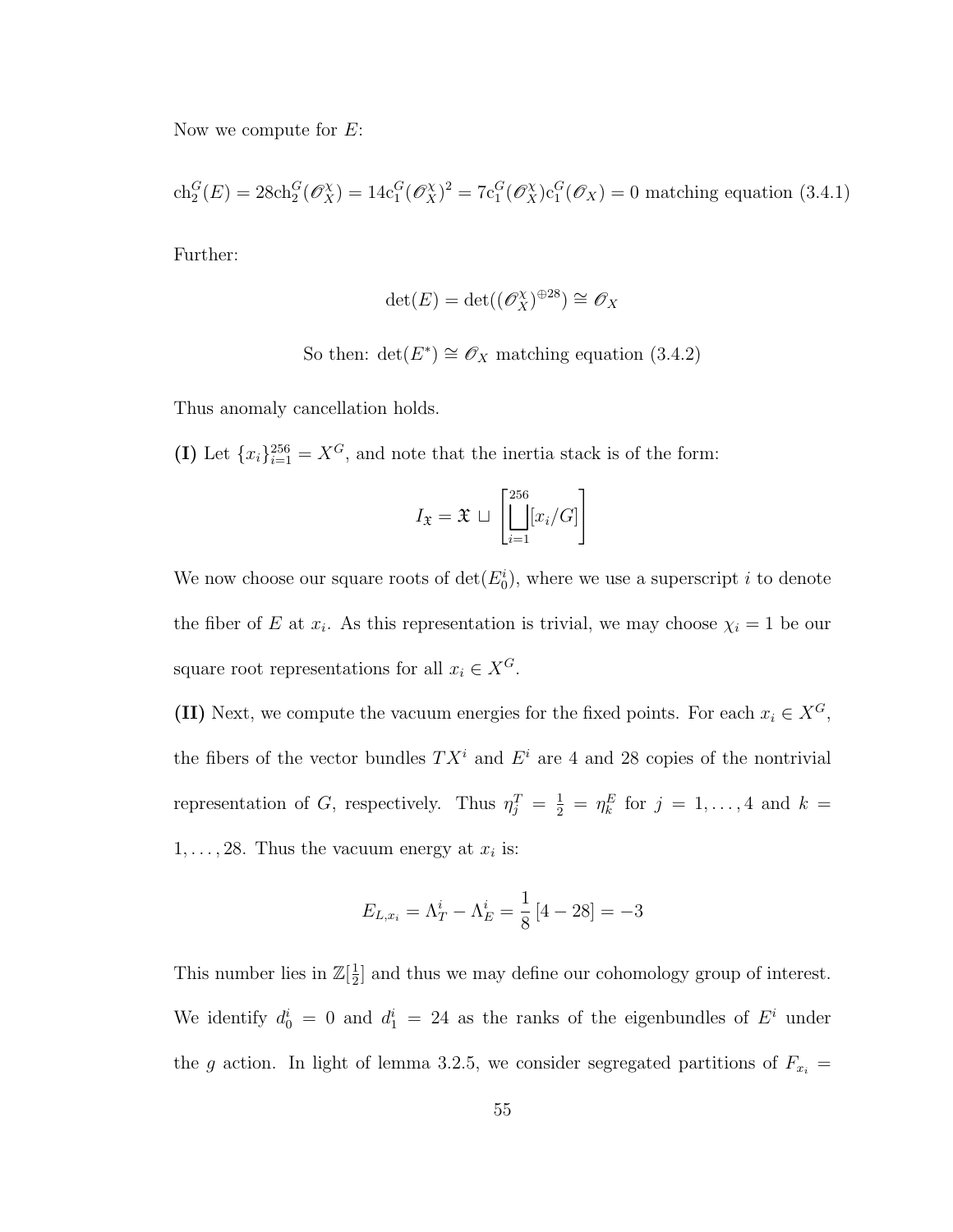Now we compute for E:

$$
ch_2^G(E) = 28ch_2^G(\mathcal{O}_X^{\chi}) = 14c_1^G(\mathcal{O}_X^{\chi})^2 = 7c_1^G(\mathcal{O}_X^{\chi})c_1^G(\mathcal{O}_X) = 0
$$
 matching equation (3.4.1)

Further:

$$
\det(E) = \det((\mathscr{O}_X^{\chi})^{\oplus 28}) \cong \mathscr{O}_X
$$

So then:  $\det(E^*) \cong \mathscr{O}_X$  matching equation (3.4.2)

Thus anomaly cancellation holds.

(I) Let  ${x_i}_{i=1}^{256} = X^G$ , and note that the inertia stack is of the form:

$$
I_{\mathfrak{X}} = \mathfrak{X} \,\sqcup\,\left[\bigsqcup_{i=1}^{256} [x_i/G]\right]
$$

We now choose our square roots of  $\det(E_0^i)$ , where we use a superscript i to denote the fiber of E at  $x_i$ . As this representation is trivial, we may choose  $\chi_i = 1$  be our square root representations for all  $x_i \in X^G$ .

(II) Next, we compute the vacuum energies for the fixed points. For each  $x_i \in X^G$ , the fibers of the vector bundles  $TX^i$  and  $E^i$  are 4 and 28 copies of the nontrivial representation of G, respectively. Thus  $\eta_j^T = \frac{1}{2} = \eta_k^E$  for  $j = 1, ..., 4$  and  $k =$  $1, \ldots, 28$ . Thus the vacuum energy at  $x_i$  is:

$$
E_{L,x_i} = \Lambda_T^i - \Lambda_E^i = \frac{1}{8} [4 - 28] = -3
$$

This number lies in  $\mathbb{Z}[\frac{1}{2}]$  $\frac{1}{2}$  and thus we may define our cohomology group of interest. We identify  $d_0^i = 0$  and  $d_1^i = 24$  as the ranks of the eigenbundles of  $E^i$  under the g action. In light of lemma 3.2.5, we consider segregated partitions of  $F_{x_i}$  =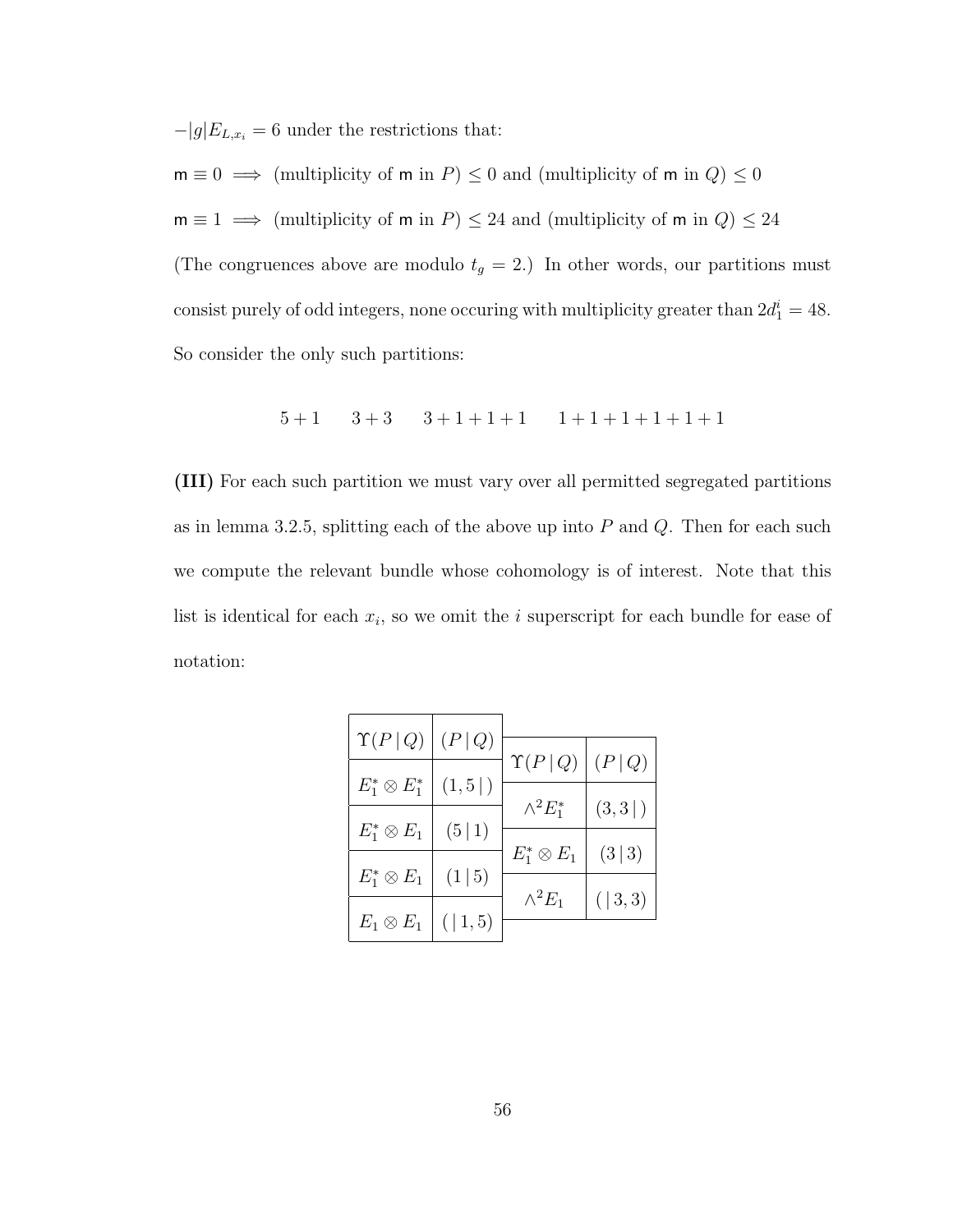$-|g|E_{L,x_i} = 6$  under the restrictions that:

 $m \equiv 0 \implies$  (multiplicity of m in P)  $\leq 0$  and (multiplicity of m in Q)  $\leq 0$  $m \equiv 1 \implies$  (multiplicity of m in P) ≤ 24 and (multiplicity of m in Q) ≤ 24 (The congruences above are modulo  $t<sub>g</sub> = 2$ .) In other words, our partitions must consist purely of odd integers, none occuring with multiplicity greater than  $2d_1^i = 48$ . So consider the only such partitions:

$$
5+1 \quad 3+3 \quad 3+1+1+1 \quad 1+1+1+1+1+1
$$

(III) For each such partition we must vary over all permitted segregated partitions as in lemma 3.2.5, splitting each of the above up into  $P$  and  $Q$ . Then for each such we compute the relevant bundle whose cohomology is of interest. Note that this list is identical for each  $x_i$ , so we omit the *i* superscript for each bundle for ease of notation:

| $\Upsilon(P Q)$      | (P Q)   |                     |           |
|----------------------|---------|---------------------|-----------|
|                      |         | $\Upsilon(P Q)$     | (P Q)     |
| $E_1^*\otimes E_1^*$ | (1,5)   |                     |           |
|                      |         | $\wedge^2 E_1^*$    | (3,3)     |
| $E_1^* \otimes E_1$  | (5 1)   |                     |           |
|                      |         | $E_1^* \otimes E_1$ | (3 3)     |
| $E_1^* \otimes E_1$  | (1   5) | $\wedge^2 E_1$      | (   3, 3) |
| $E_1\otimes E_1$     | (1, 5)  |                     |           |
|                      |         |                     |           |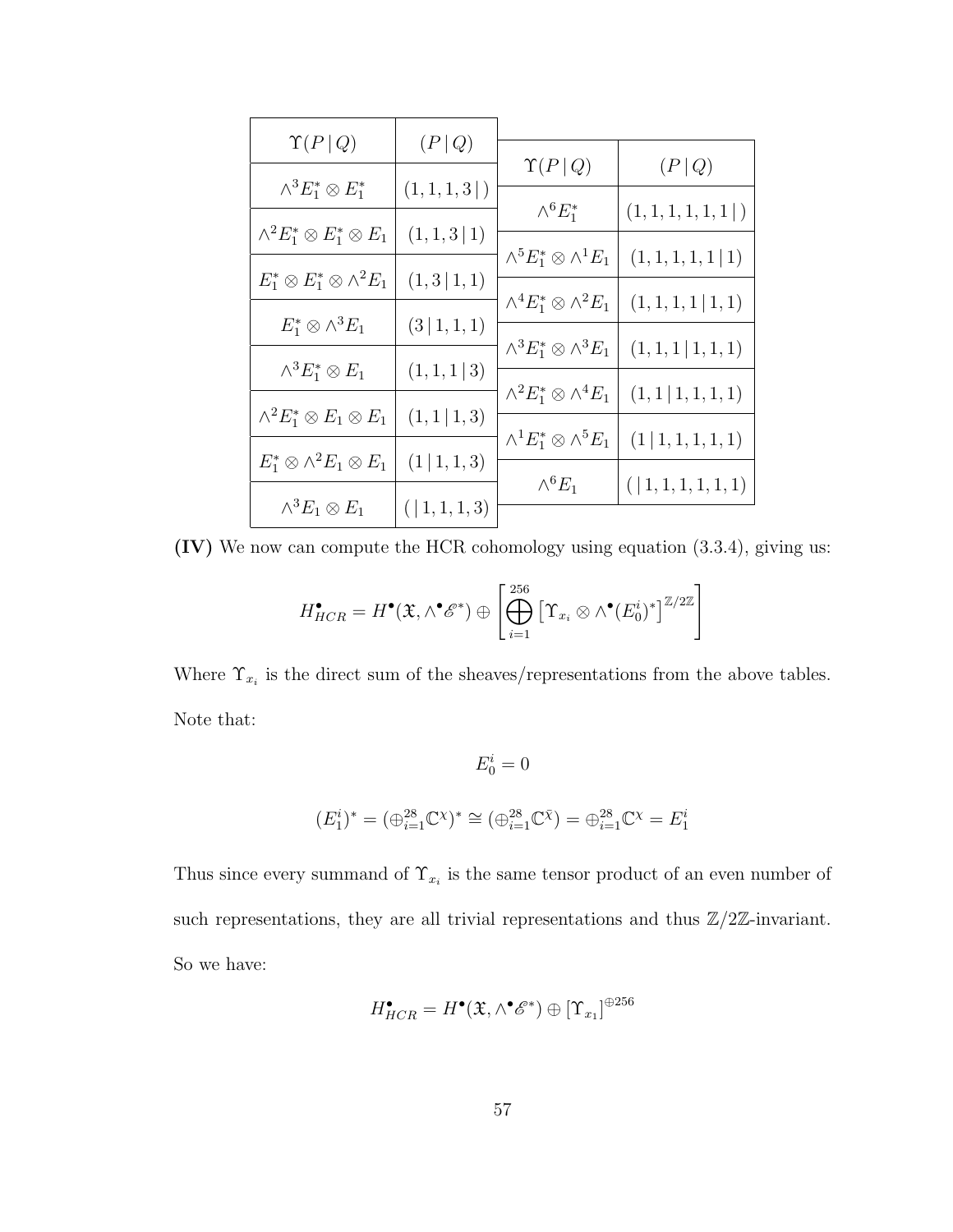| $\Upsilon(P\, \,Q)$                        | (P   Q)             | $\Upsilon(P Q)$                       | (P Q)                    |
|--------------------------------------------|---------------------|---------------------------------------|--------------------------|
| $\wedge^3 E_1^*\otimes E_1^*$              | (1,1,1,3)           | $\wedge^6 E_1^\ast$                   |                          |
| $\wedge^2 E_1^* \otimes E_1^* \otimes E_1$ | $(1, 1, 3 \, \, 1)$ |                                       | (1,1,1,1,1,1 )           |
|                                            |                     | $\wedge^5 E_1^* \otimes \wedge^1 E_1$ | $(1, 1, 1, 1, 1 \mid 1)$ |
| $E_1^* \otimes E_1^* \otimes \wedge^2 E_1$ | (1,3 1,1)           | $\wedge^4 E_1^* \otimes \wedge^2 E_1$ | $(1,1,1,1\, \,1,1)$      |
| $E_1^* \otimes \wedge^3 E_1$               | (3 1,1,1)           |                                       |                          |
|                                            |                     | $\wedge^3 E_1^* \otimes \wedge^3 E_1$ | $(1,1,1\, \,1,1,1)$      |
| $\wedge^3 E_1^*\otimes E_1$                | (1,1,1 3)           | $\wedge^2 E_1^* \otimes \wedge^4 E_1$ |                          |
| $\wedge^2 E_1^* \otimes E_1 \otimes E_1$   | (1, 1   1, 3)       |                                       | (1,1 1,1,1,1)            |
|                                            |                     | $\wedge^1 E_1^* \otimes \wedge^5 E_1$ | (1   1, 1, 1, 1, 1)      |
| $E_1^* \otimes \wedge^2 E_1 \otimes E_1$   | (1   1, 1, 3)       |                                       |                          |
| $\wedge^3 E_1 \otimes E_1$                 | ( 1,1,1,3)          | $\wedge^6 E_1$                        | (   1, 1, 1, 1, 1, 1)    |
|                                            |                     |                                       |                          |

(IV) We now can compute the HCR cohomology using equation (3.3.4), giving us:

$$
H_{HCR}^{\bullet} = H^{\bullet}(\mathfrak{X}, \wedge^{\bullet} \mathscr{E}^*) \oplus \left[ \bigoplus_{i=1}^{256} \left[ \Upsilon_{x_i} \otimes \wedge^{\bullet} (E_0^i)^* \right]^{\mathbb{Z}/2\mathbb{Z}} \right]
$$

Where  $\Upsilon_{x_i}$  is the direct sum of the sheaves/representations from the above tables. Note that:

$$
E_0^i = 0
$$
  

$$
(E_1^i)^* = (\oplus_{i=1}^{28} \mathbb{C}^{\chi})^* \cong (\oplus_{i=1}^{28} \mathbb{C}^{\bar{\chi}}) = \oplus_{i=1}^{28} \mathbb{C}^{\chi} = E_1^i
$$

Thus since every summand of  $\Upsilon_{x_i}$  is the same tensor product of an even number of such representations, they are all trivial representations and thus  $\mathbb{Z}/2\mathbb{Z}$ -invariant. So we have:

$$
H_{HCR}^{\bullet} = H^{\bullet}(\mathfrak{X}, \wedge^{\bullet} \mathscr{E}^*) \oplus [\Upsilon_{x_1}]^{\oplus 256}
$$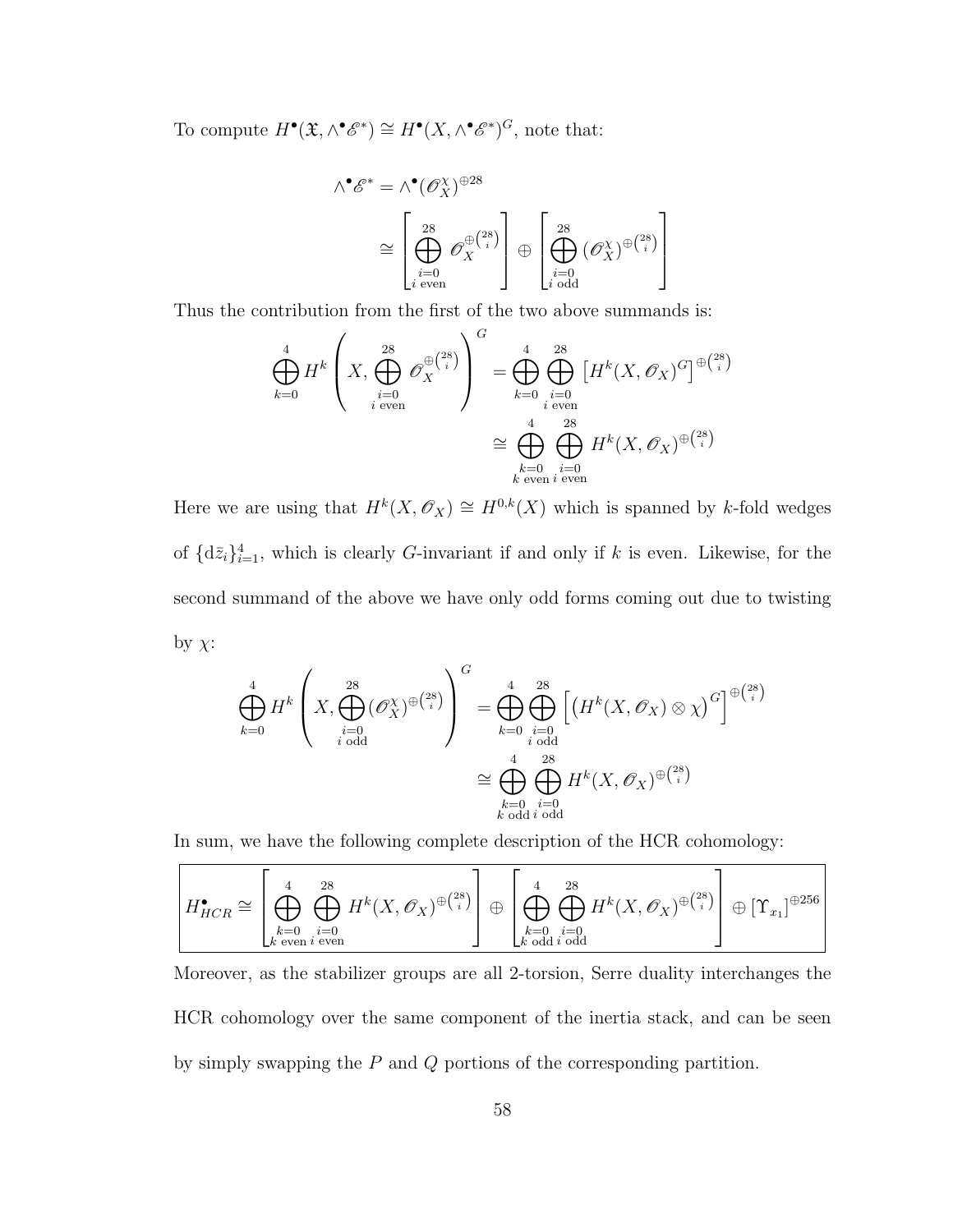To compute  $H^{\bullet}(\mathfrak{X}, \wedge^{\bullet} \mathscr{E}^*) \cong H^{\bullet}(X, \wedge^{\bullet} \mathscr{E}^*)^G$ , note that:

$$
\wedge^{\bullet} \mathscr{E}^* = \wedge^{\bullet} (\mathscr{O}_X^{\chi})^{\oplus 28}
$$

$$
\cong \left[ \bigoplus_{\substack{i=0 \ i \text{ even}}}^{28} \mathscr{O}_X^{\oplus {28 \choose i}} \right] \oplus \left[ \bigoplus_{\substack{i=0 \ i \text{ odd}}}^{28} (\mathscr{O}_X^{\chi})^{\oplus {28 \choose i}} \right]
$$

Thus the contribution from the first of the two above summands is:

$$
\bigoplus_{k=0}^{4} H^{k} \left(X, \bigoplus_{\substack{i=0 \ i \text{ even}}}^{28} \mathscr{O}_{X}^{\oplus {28 \choose i}}\right)^{G} = \bigoplus_{k=0}^{4} \bigoplus_{\substack{i=0 \ i \text{ even}}}^{28} \left[H^{k}(X, \mathscr{O}_{X})^{G}\right]^{\oplus {28 \choose i}}
$$

$$
\cong \bigoplus_{\substack{k=0 \ i \text{ even}}}^{4} \bigoplus_{\substack{i=0 \ k \text{ even}}}^{28} H^{k}(X, \mathscr{O}_{X})^{\oplus {28 \choose i}}
$$

Here we are using that  $H^k(X, \mathcal{O}_X) \cong H^{0,k}(X)$  which is spanned by k-fold wedges of  $\{d\bar{z}_i\}_{i=1}^4$ , which is clearly *G*-invariant if and only if *k* is even. Likewise, for the second summand of the above we have only odd forms coming out due to twisting by  $\chi$ :

$$
\bigoplus_{k=0}^{4} H^{k} \left(X, \bigoplus_{\substack{i=0 \ i \text{ odd}}}^{28} (\mathscr{O}_{X}^{\chi})^{\oplus {28 \choose i}}\right)^{G} = \bigoplus_{k=0}^{4} \bigoplus_{\substack{i=0 \ i \text{ odd} \ i \text{ odd}}}^{28} \left[ \left(H^{k}(X, \mathscr{O}_{X}) \otimes \chi\right)^{G} \right]^{\oplus {28 \choose i}}
$$

$$
\cong \bigoplus_{\substack{k=0 \ i \text{ odd} \ i \text{ odd}}}^{4} H^{k}(X, \mathscr{O}_{X})^{\oplus {28 \choose i}}
$$

In sum, we have the following complete description of the HCR cohomology:

$$
H_{HCR}^{\bullet} \cong \left[\bigoplus_{\substack{k=0 \ k \text{ even } i \text{ even}}}^{4} H^{k}(X, \mathscr{O}_{X})^{\oplus {28 \choose i}}\right] \oplus \left[\bigoplus_{\substack{k=0 \ i \text{ odd } i \text{ odd}}}^{4} H^{k}(X, \mathscr{O}_{X})^{\oplus {28 \choose i}}\right] \oplus \left[\Upsilon_{x_{1}}\right]^{\oplus 256}
$$

Moreover, as the stabilizer groups are all 2-torsion, Serre duality interchanges the HCR cohomology over the same component of the inertia stack, and can be seen by simply swapping the  $P$  and  $Q$  portions of the corresponding partition.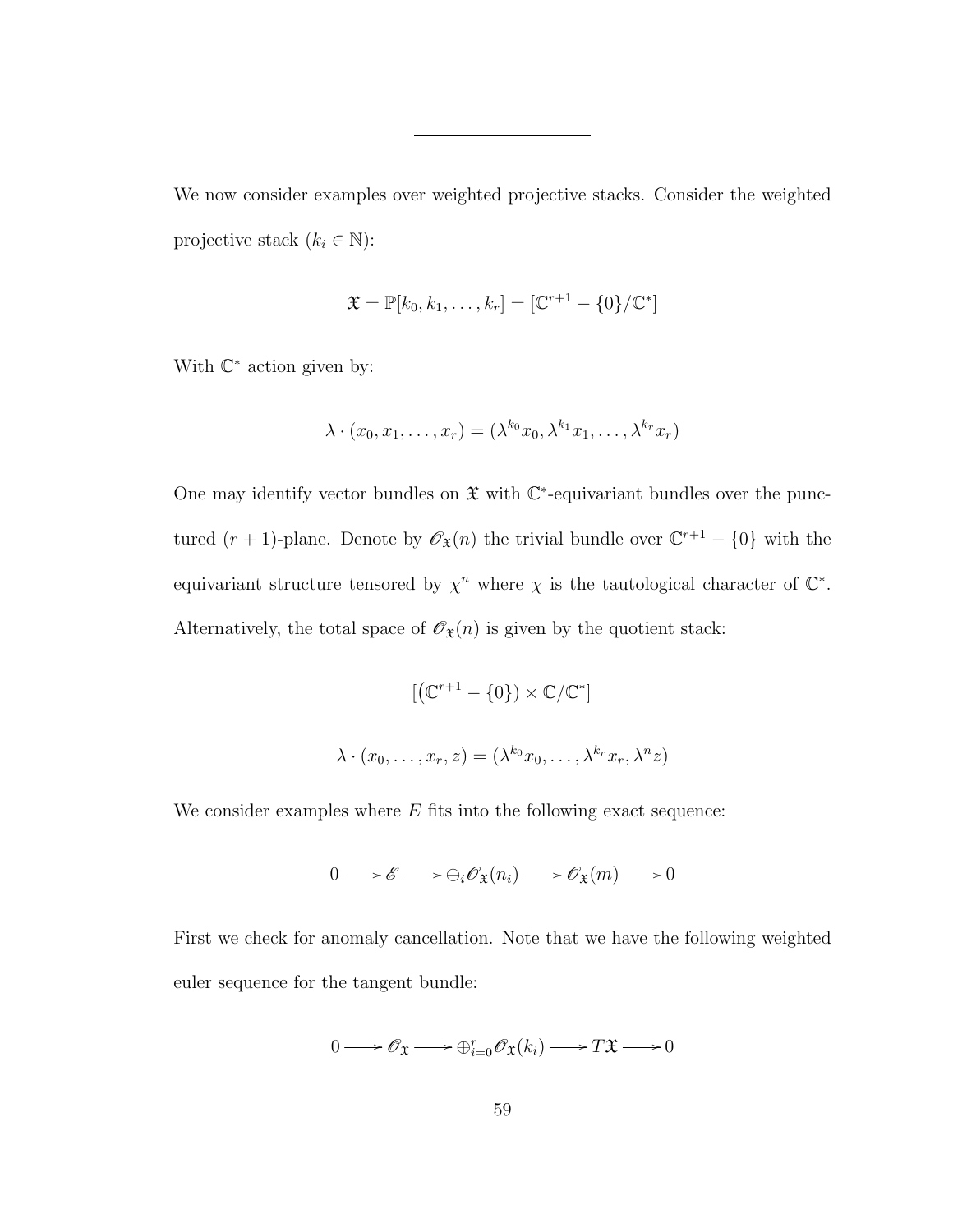We now consider examples over weighted projective stacks. Consider the weighted projective stack  $(k_i \in \mathbb{N})$ :

$$
\mathfrak{X} = \mathbb{P}[k_0, k_1, \dots, k_r] = [\mathbb{C}^{r+1} - \{0\}/\mathbb{C}^*]
$$

With  $\mathbb{C}^*$  action given by:

$$
\lambda \cdot (x_0, x_1, \dots, x_r) = (\lambda^{k_0} x_0, \lambda^{k_1} x_1, \dots, \lambda^{k_r} x_r)
$$

One may identify vector bundles on  $\mathfrak X$  with  $\mathbb C^*$ -equivariant bundles over the punctured  $(r + 1)$ -plane. Denote by  $\mathscr{O}_{\mathfrak{X}}(n)$  the trivial bundle over  $\mathbb{C}^{r+1} - \{0\}$  with the equivariant structure tensored by  $\chi^n$  where  $\chi$  is the tautological character of  $\mathbb{C}^*$ . Alternatively, the total space of  $\mathcal{O}_{\mathfrak{X}}(n)$  is given by the quotient stack:

$$
[(\mathbb{C}^{r+1} - \{0\}) \times \mathbb{C}/\mathbb{C}^*]
$$

$$
\lambda \cdot (x_0, \dots, x_r, z) = (\lambda^{k_0} x_0, \dots, \lambda^{k_r} x_r, \lambda^n z)
$$

We consider examples where  $E$  fits into the following exact sequence:

$$
0 \longrightarrow \mathscr{E} \longrightarrow \bigoplus_i \mathscr{O}_{\mathfrak{X}}(n_i) \longrightarrow \mathscr{O}_{\mathfrak{X}}(m) \longrightarrow 0
$$

First we check for anomaly cancellation. Note that we have the following weighted euler sequence for the tangent bundle:

$$
0 \longrightarrow \mathscr{O}_{\mathfrak{X}} \longrightarrow \bigoplus_{i=0}^{r} \mathscr{O}_{\mathfrak{X}}(k_i) \longrightarrow T\mathfrak{X} \longrightarrow 0
$$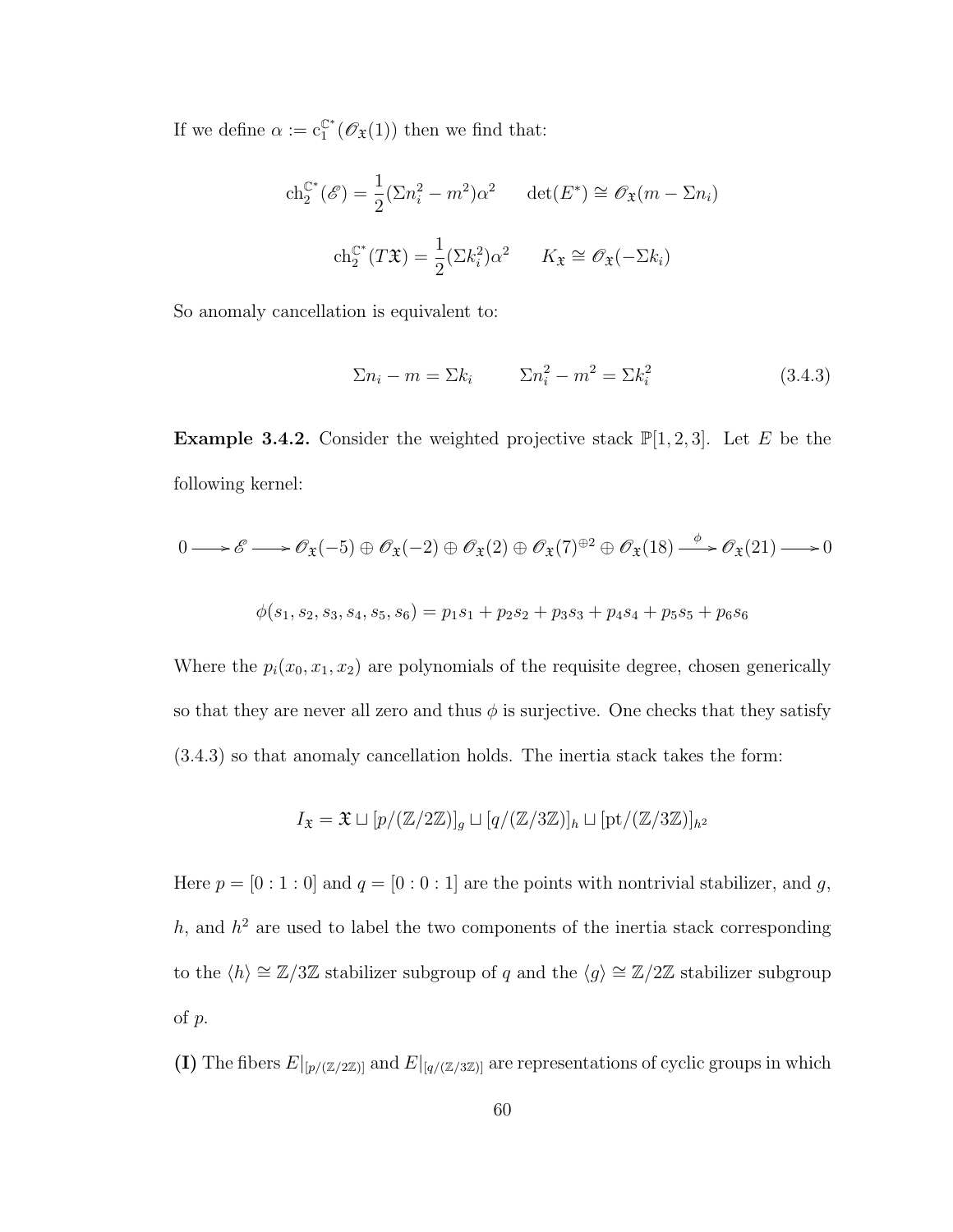If we define  $\alpha := c_1^{\mathbb{C}^*}(\mathscr{O}_{\mathfrak{X}}(1))$  then we find that:

$$
\operatorname{ch}_{2}^{\mathbb{C}^{*}}(\mathscr{E}) = \frac{1}{2} (\Sigma n_{i}^{2} - m^{2}) \alpha^{2} \qquad \det(E^{*}) \cong \mathscr{O}_{\mathfrak{X}}(m - \Sigma n_{i})
$$

$$
\operatorname{ch}_{2}^{\mathbb{C}^{*}}(T\mathfrak{X}) = \frac{1}{2} (\Sigma k_{i}^{2}) \alpha^{2} \qquad K_{\mathfrak{X}} \cong \mathscr{O}_{\mathfrak{X}}(-\Sigma k_{i})
$$

So anomaly cancellation is equivalent to:

$$
\Sigma n_i - m = \Sigma k_i \qquad \Sigma n_i^2 - m^2 = \Sigma k_i^2 \qquad (3.4.3)
$$

**Example 3.4.2.** Consider the weighted projective stack  $\mathbb{P}[1, 2, 3]$ . Let E be the following kernel:

$$
0 \longrightarrow \mathscr{E} \longrightarrow \mathscr{O}_{\mathfrak{X}}(-5) \oplus \mathscr{O}_{\mathfrak{X}}(-2) \oplus \mathscr{O}_{\mathfrak{X}}(2) \oplus \mathscr{O}_{\mathfrak{X}}(7)^{\oplus 2} \oplus \mathscr{O}_{\mathfrak{X}}(18) \longrightarrow \mathscr{O}_{\mathfrak{X}}(21) \longrightarrow 0
$$
  

$$
\phi(s_1, s_2, s_3, s_4, s_5, s_6) = p_1s_1 + p_2s_2 + p_3s_3 + p_4s_4 + p_5s_5 + p_6s_6
$$

Where the  $p_i(x_0, x_1, x_2)$  are polynomials of the requisite degree, chosen generically so that they are never all zero and thus  $\phi$  is surjective. One checks that they satisfy (3.4.3) so that anomaly cancellation holds. The inertia stack takes the form:

$$
I_{\mathfrak{X}} = \mathfrak{X} \sqcup [p/(\mathbb{Z}/2\mathbb{Z})]_g \sqcup [q/(\mathbb{Z}/3\mathbb{Z})]_h \sqcup [pt/(\mathbb{Z}/3\mathbb{Z})]_{h^2}
$$

Here  $p = [0:1:0]$  and  $q = [0:0:1]$  are the points with nontrivial stabilizer, and g, h, and  $h^2$  are used to label the two components of the inertia stack corresponding to the  $\langle h \rangle \cong {\mathbb Z}/3{\mathbb Z}$  stabilizer subgroup of  $q$  and the  $\langle g \rangle \cong {\mathbb Z}/2{\mathbb Z}$  stabilizer subgroup of p.

(I) The fibers  $E|_{[p/(\mathbb{Z}/2\mathbb{Z})]}$  and  $E|_{[q/(\mathbb{Z}/3\mathbb{Z})]}$  are representations of cyclic groups in which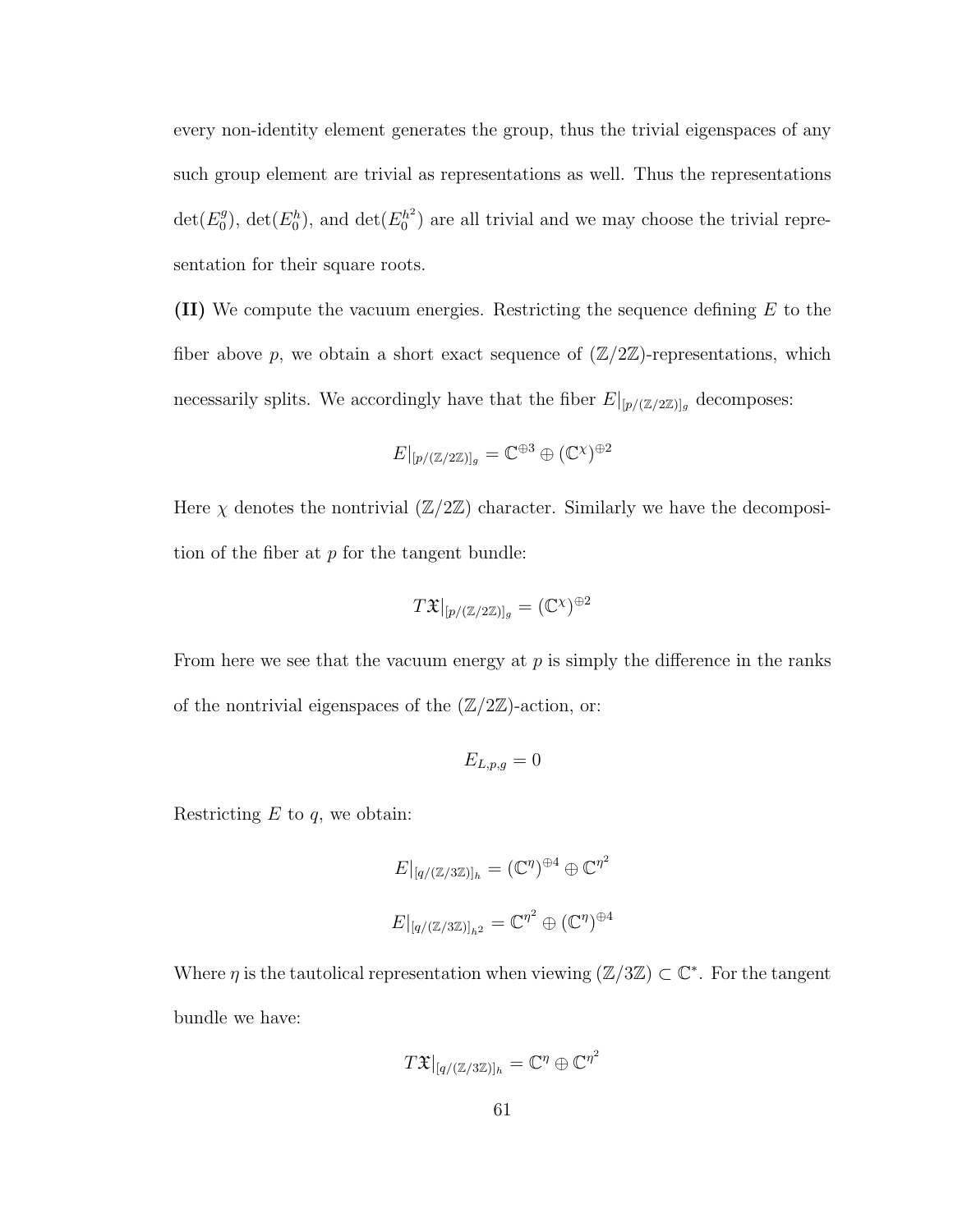every non-identity element generates the group, thus the trivial eigenspaces of any such group element are trivial as representations as well. Thus the representations  $\det(E_0^g)$ <sup>9</sup>/<sub>0</sub>), det( $E_0^h$ ), and det( $E_0^{h^2}$  $\binom{h^2}{0}$  are all trivial and we may choose the trivial representation for their square roots.

(II) We compute the vacuum energies. Restricting the sequence defining E to the fiber above p, we obtain a short exact sequence of  $(\mathbb{Z}/2\mathbb{Z})$ -representations, which necessarily splits. We accordingly have that the fiber  $E|_{[p/(\mathbb{Z}/2\mathbb{Z})]_g}$  decomposes:

$$
E|_{[p/(\mathbb{Z}/2\mathbb{Z})]_g} = \mathbb{C}^{\oplus 3} \oplus (\mathbb{C}^{\chi})^{\oplus 2}
$$

Here  $\chi$  denotes the nontrivial  $(\mathbb{Z}/2\mathbb{Z})$  character. Similarly we have the decomposition of the fiber at  $p$  for the tangent bundle:

$$
T\mathfrak{X}|_{[p/(\mathbb{Z}/2\mathbb{Z})]_g} = (\mathbb{C}^{\chi})^{\oplus 2}
$$

From here we see that the vacuum energy at  $p$  is simply the difference in the ranks of the nontrivial eigenspaces of the  $(\mathbb{Z}/2\mathbb{Z})$ -action, or:

$$
E_{L,p,g} = 0
$$

Restricting  $E$  to  $q$ , we obtain:

$$
E|_{[q/(\mathbb{Z}/3\mathbb{Z})]_h} = (\mathbb{C}^\eta)^{\oplus 4} \oplus \mathbb{C}^{\eta^2}
$$

$$
E|_{[q/(\mathbb{Z}/3\mathbb{Z})]_h^2} = \mathbb{C}^{\eta^2} \oplus (\mathbb{C}^\eta)^{\oplus 4}
$$

Where  $\eta$  is the tautolical representation when viewing  $(\mathbb{Z}/3\mathbb{Z}) \subset \mathbb{C}^*$ . For the tangent bundle we have:

$$
T\mathfrak{X}|_{[q/(\mathbb{Z}/3\mathbb{Z})]_h}=\mathbb{C}^\eta\oplus\mathbb{C}^{\eta^2}
$$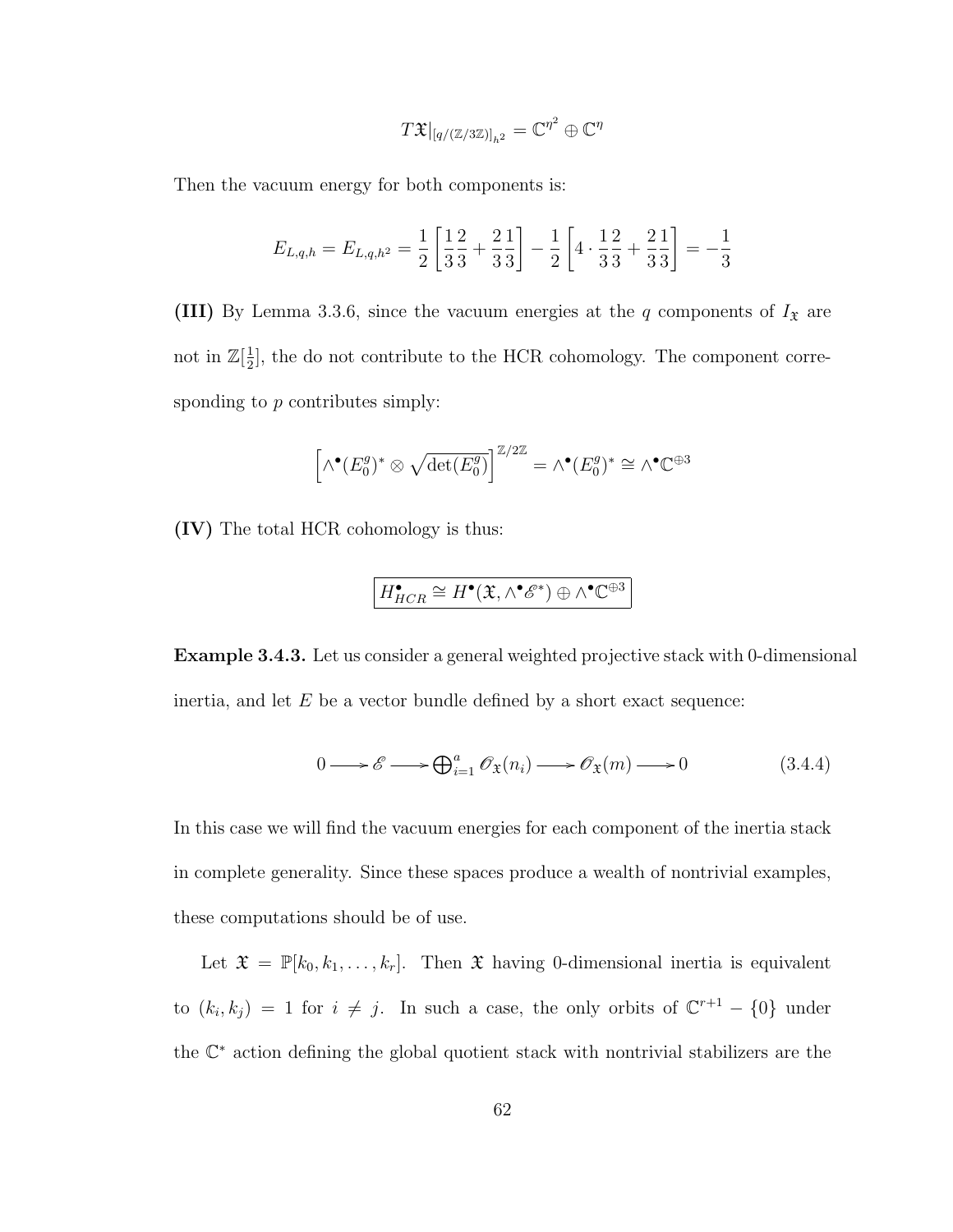$$
T\mathfrak{X}|_{\left[q/\left(\mathbb{Z}/3\mathbb{Z}\right)\right]_{h^2}}=\mathbb{C}^{\eta^2}\oplus\mathbb{C}^{\eta}
$$

Then the vacuum energy for both components is:

$$
E_{L,q,h} = E_{L,q,h^2} = \frac{1}{2} \left[ \frac{1}{3} \frac{2}{3} + \frac{2}{3} \frac{1}{3} \right] - \frac{1}{2} \left[ 4 \cdot \frac{1}{3} \frac{2}{3} + \frac{2}{3} \frac{1}{3} \right] = -\frac{1}{3}
$$

(III) By Lemma 3.3.6, since the vacuum energies at the  $q$  components of  $I_x$  are not in  $\mathbb{Z}[\frac{1}{2}]$  $\frac{1}{2}$ , the do not contribute to the HCR cohomology. The component corresponding to  $p$  contributes simply:

$$
\left[\wedge^{\bullet}(E_0^g)^* \otimes \sqrt{\det(E_0^g)}\right]^{\mathbb{Z}/2\mathbb{Z}} = \wedge^{\bullet}(E_0^g)^* \cong \wedge^{\bullet}\mathbb{C}^{\oplus 3}
$$

(IV) The total HCR cohomology is thus:

$$
\boxed{H^\bullet_{HCR} \cong H^\bullet(\mathfrak{X}, \wedge^\bullet \mathscr{E}^*) \oplus \wedge^\bullet \mathbb{C}^{\oplus 3}}
$$

Example 3.4.3. Let us consider a general weighted projective stack with 0-dimensional inertia, and let  $E$  be a vector bundle defined by a short exact sequence:

$$
0 \longrightarrow \mathscr{E} \longrightarrow \bigoplus_{i=1}^{a} \mathscr{O}_{\mathfrak{X}}(n_i) \longrightarrow \mathscr{O}_{\mathfrak{X}}(m) \longrightarrow 0 \tag{3.4.4}
$$

In this case we will find the vacuum energies for each component of the inertia stack in complete generality. Since these spaces produce a wealth of nontrivial examples, these computations should be of use.

Let  $\mathfrak{X} = \mathbb{P}[k_0, k_1, \ldots, k_r]$ . Then  $\mathfrak{X}$  having 0-dimensional inertia is equivalent to  $(k_i, k_j) = 1$  for  $i \neq j$ . In such a case, the only orbits of  $\mathbb{C}^{r+1} - \{0\}$  under the C <sup>∗</sup> action defining the global quotient stack with nontrivial stabilizers are the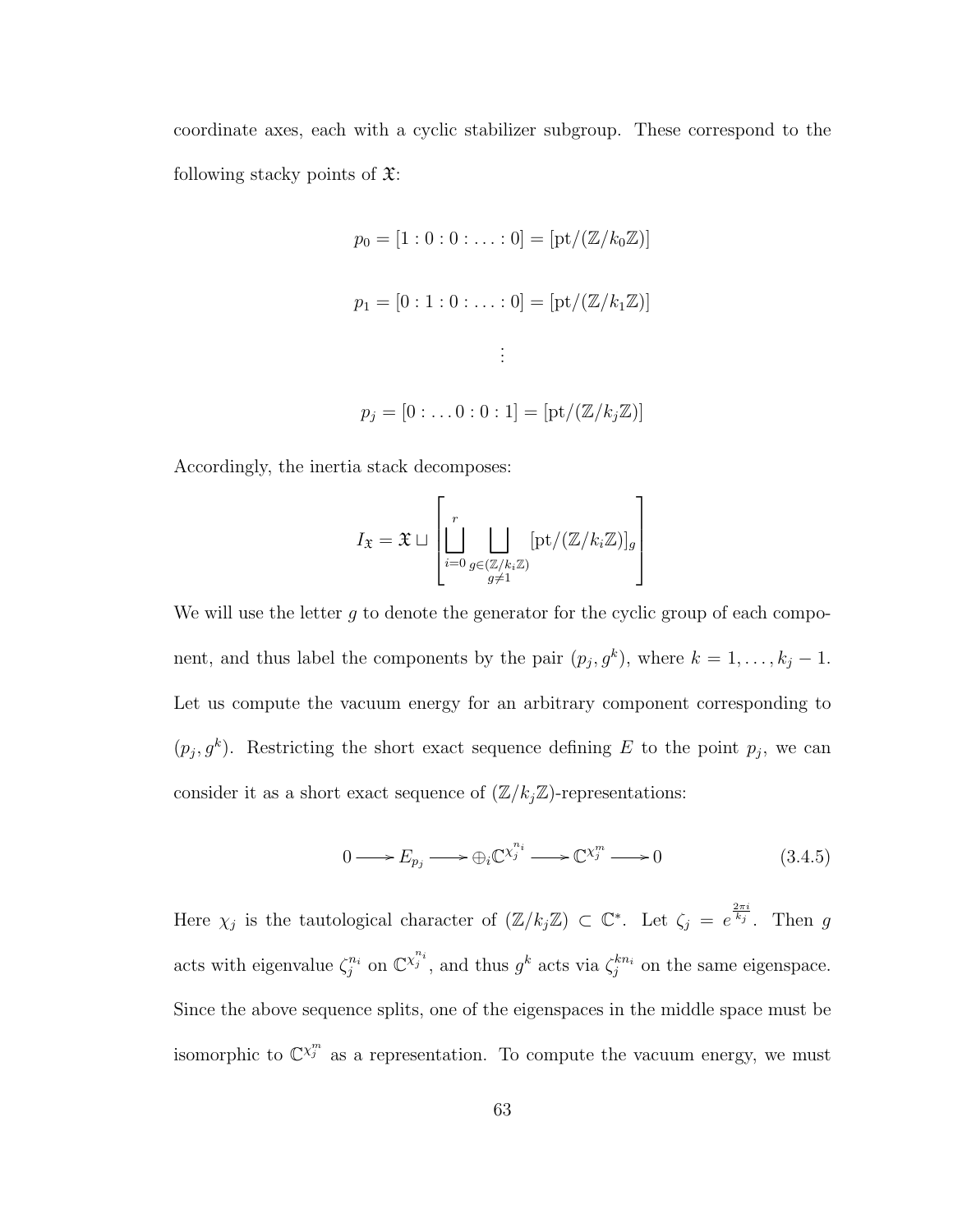coordinate axes, each with a cyclic stabilizer subgroup. These correspond to the following stacky points of  $\mathfrak{X}$ :

$$
p_0 = [1:0:0:...:0] = [\text{pt}/(\mathbb{Z}/k_0\mathbb{Z})]
$$
  

$$
p_1 = [0:1:0:...:0] = [\text{pt}/(\mathbb{Z}/k_1\mathbb{Z})]
$$
  

$$
\vdots
$$
  

$$
p_j = [0:...0:0:1] = [\text{pt}/(\mathbb{Z}/k_j\mathbb{Z})]
$$

Accordingly, the inertia stack decomposes:

$$
I_{\mathfrak{X}} = \mathfrak{X} \sqcup \left[ \bigsqcup_{\substack{i=0}}^r \bigsqcup_{\substack{g \in (\mathbb{Z}/k_i\mathbb{Z}) \\ g \neq 1}} [\text{pt}/(\mathbb{Z}/k_i\mathbb{Z})]_g \right]
$$

We will use the letter g to denote the generator for the cyclic group of each component, and thus label the components by the pair  $(p_j, g^k)$ , where  $k = 1, \ldots, k_j - 1$ . Let us compute the vacuum energy for an arbitrary component corresponding to  $(p_j, g^k)$ . Restricting the short exact sequence defining E to the point  $p_j$ , we can consider it as a short exact sequence of  $(\mathbb{Z}/k_j\mathbb{Z})$ -representations:

$$
0 \longrightarrow E_{p_j} \longrightarrow \bigoplus_i \mathbb{C}^{\chi_j^{n_i}} \longrightarrow \mathbb{C}^{\chi_j^{m}} \longrightarrow 0 \tag{3.4.5}
$$

Here  $\chi_j$  is the tautological character of  $(\mathbb{Z}/k_j\mathbb{Z}) \subset \mathbb{C}^*$ . Let  $\zeta_j = e^{\frac{2\pi i}{k_j}}$ . Then g acts with eigenvalue  $\zeta_j^{n_i}$  on  $\mathbb{C}^{\chi_j^{n_i}}$ , and thus  $g^k$  acts via  $\zeta_j^{kn_i}$  on the same eigenspace. Since the above sequence splits, one of the eigenspaces in the middle space must be isomorphic to  $\mathbb{C}^{\chi_j^m}$  as a representation. To compute the vacuum energy, we must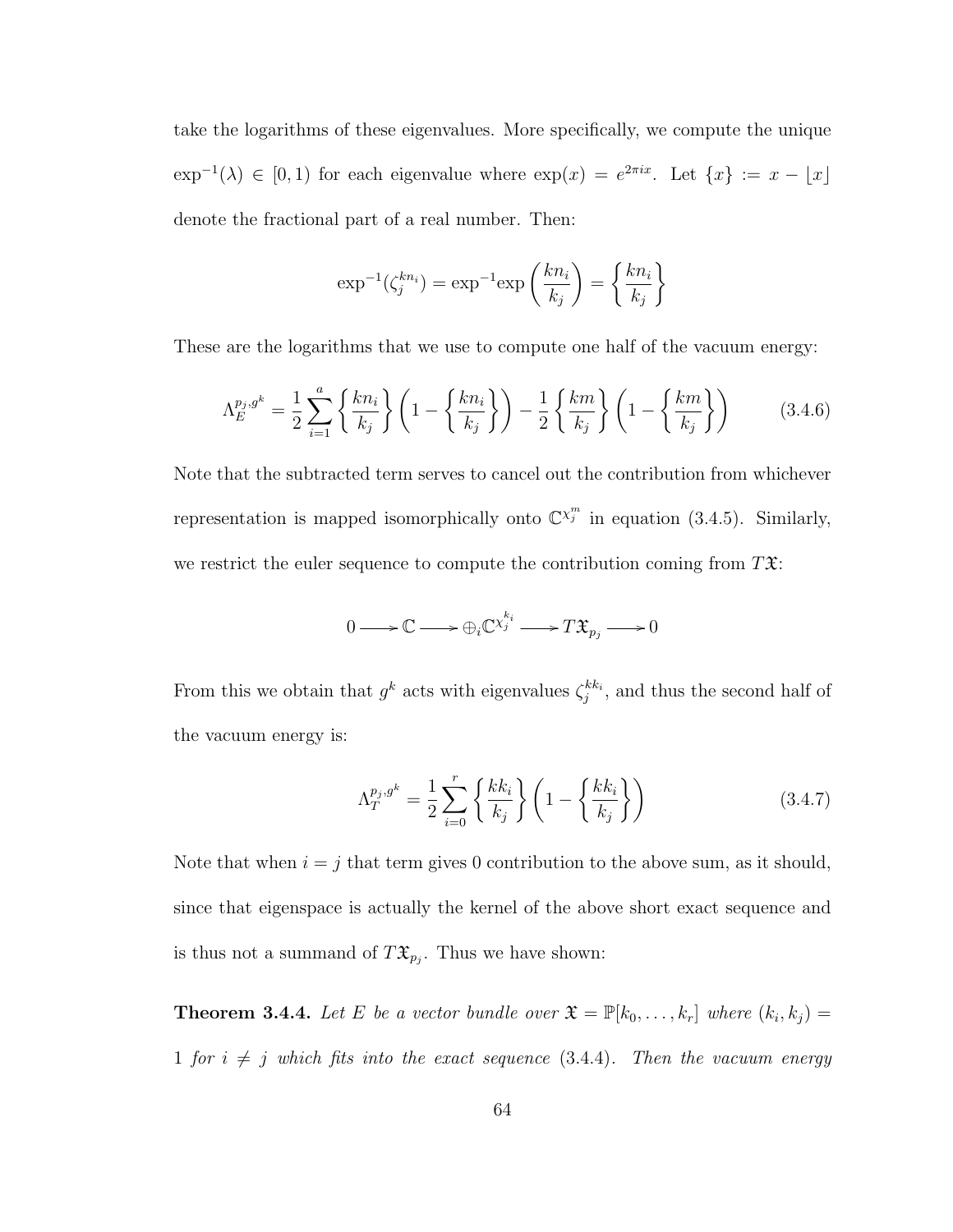take the logarithms of these eigenvalues. More specifically, we compute the unique  $\exp^{-1}(\lambda) \in [0,1)$  for each eigenvalue where  $\exp(x) = e^{2\pi ix}$ . Let  $\{x\} := x - |x|$ denote the fractional part of a real number. Then:

$$
\exp^{-1}(\zeta_j^{kn_i}) = \exp^{-1}\exp\left(\frac{kn_i}{k_j}\right) = \left\{\frac{kn_i}{k_j}\right\}
$$

These are the logarithms that we use to compute one half of the vacuum energy:

$$
\Lambda_E^{p_j,g^k} = \frac{1}{2} \sum_{i=1}^a \left\{ \frac{k n_i}{k_j} \right\} \left( 1 - \left\{ \frac{k n_i}{k_j} \right\} \right) - \frac{1}{2} \left\{ \frac{k m}{k_j} \right\} \left( 1 - \left\{ \frac{k m}{k_j} \right\} \right) \tag{3.4.6}
$$

Note that the subtracted term serves to cancel out the contribution from whichever representation is mapped isomorphically onto  $\mathbb{C}^{\chi_j^m}$  in equation (3.4.5). Similarly, we restrict the euler sequence to compute the contribution coming from  $T\mathfrak{X}$ :

$$
0 \longrightarrow \mathbb{C} \longrightarrow \bigoplus_i \mathbb{C}^{\chi_j^{k_i}} \longrightarrow T\mathfrak{X}_{p_j} \longrightarrow 0
$$

From this we obtain that  $g^k$  acts with eigenvalues  $\zeta_j^{kk_i}$ , and thus the second half of the vacuum energy is:

$$
\Lambda_T^{p_j, g^k} = \frac{1}{2} \sum_{i=0}^r \left\{ \frac{k k_i}{k_j} \right\} \left( 1 - \left\{ \frac{k k_i}{k_j} \right\} \right) \tag{3.4.7}
$$

Note that when  $i = j$  that term gives 0 contribution to the above sum, as it should, since that eigenspace is actually the kernel of the above short exact sequence and is thus not a summand of  $T\mathfrak{X}_{p_j}$ . Thus we have shown:

**Theorem 3.4.4.** Let E be a vector bundle over  $\mathfrak{X} = \mathbb{P}[k_0, \ldots, k_r]$  where  $(k_i, k_j) =$ 1 for  $i \neq j$  which fits into the exact sequence (3.4.4). Then the vacuum energy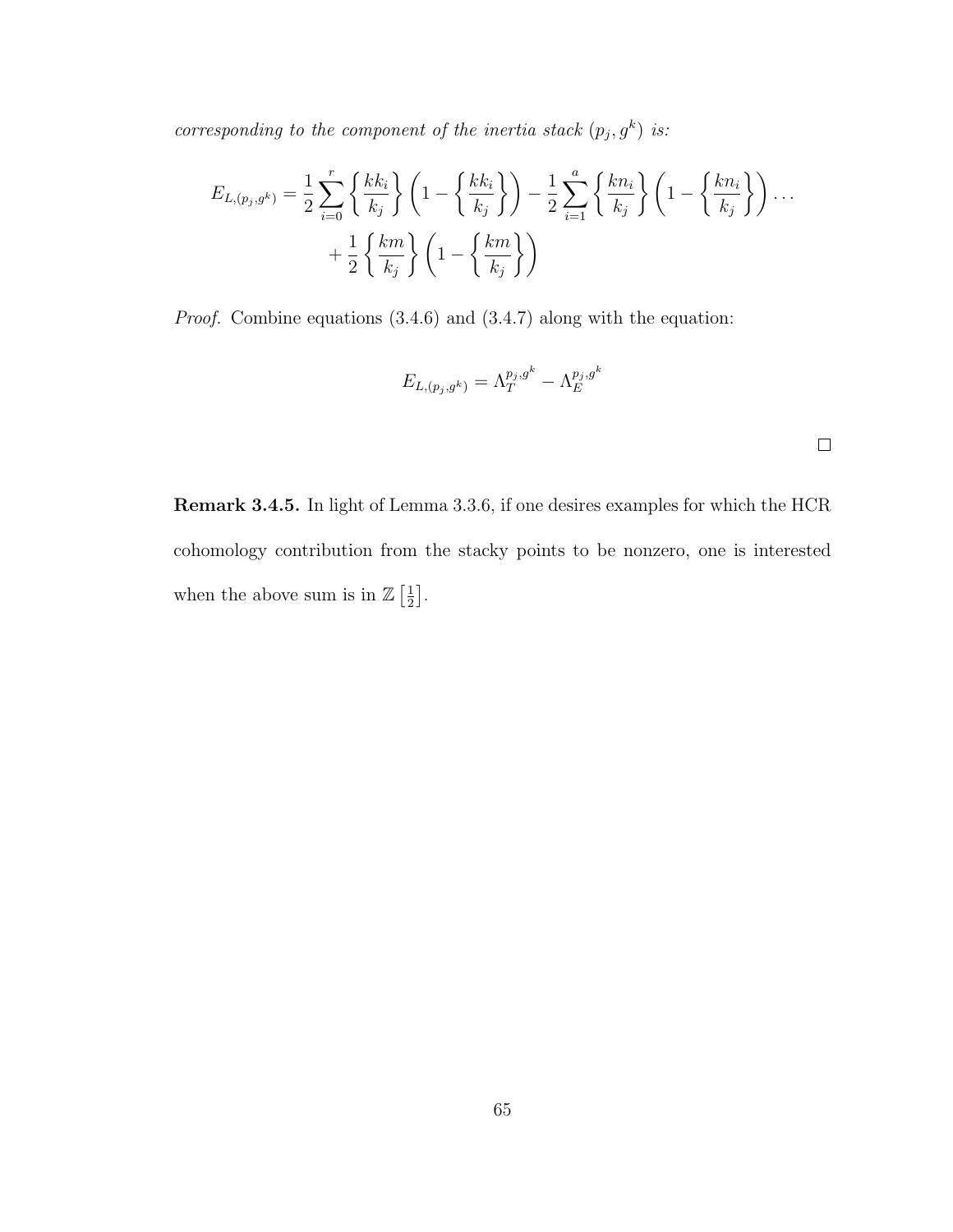corresponding to the component of the inertia stack  $(p_j, g^k)$  is:

$$
E_{L,(p_j,g^k)} = \frac{1}{2} \sum_{i=0}^r \left\{ \frac{k k_i}{k_j} \right\} \left( 1 - \left\{ \frac{k k_i}{k_j} \right\} \right) - \frac{1}{2} \sum_{i=1}^a \left\{ \frac{k n_i}{k_j} \right\} \left( 1 - \left\{ \frac{k n_i}{k_j} \right\} \right) \cdots
$$

$$
+ \frac{1}{2} \left\{ \frac{k m}{k_j} \right\} \left( 1 - \left\{ \frac{k m}{k_j} \right\} \right)
$$

Proof. Combine equations (3.4.6) and (3.4.7) along with the equation:

$$
E_{L,(p_j,g^k)} = \Lambda_T^{p_j,g^k} - \Lambda_E^{p_j,g^k}
$$

Remark 3.4.5. In light of Lemma 3.3.6, if one desires examples for which the HCR cohomology contribution from the stacky points to be nonzero, one is interested when the above sum is in  $\mathbb{Z}\left[\frac{1}{2}\right]$  $\frac{1}{2}$ .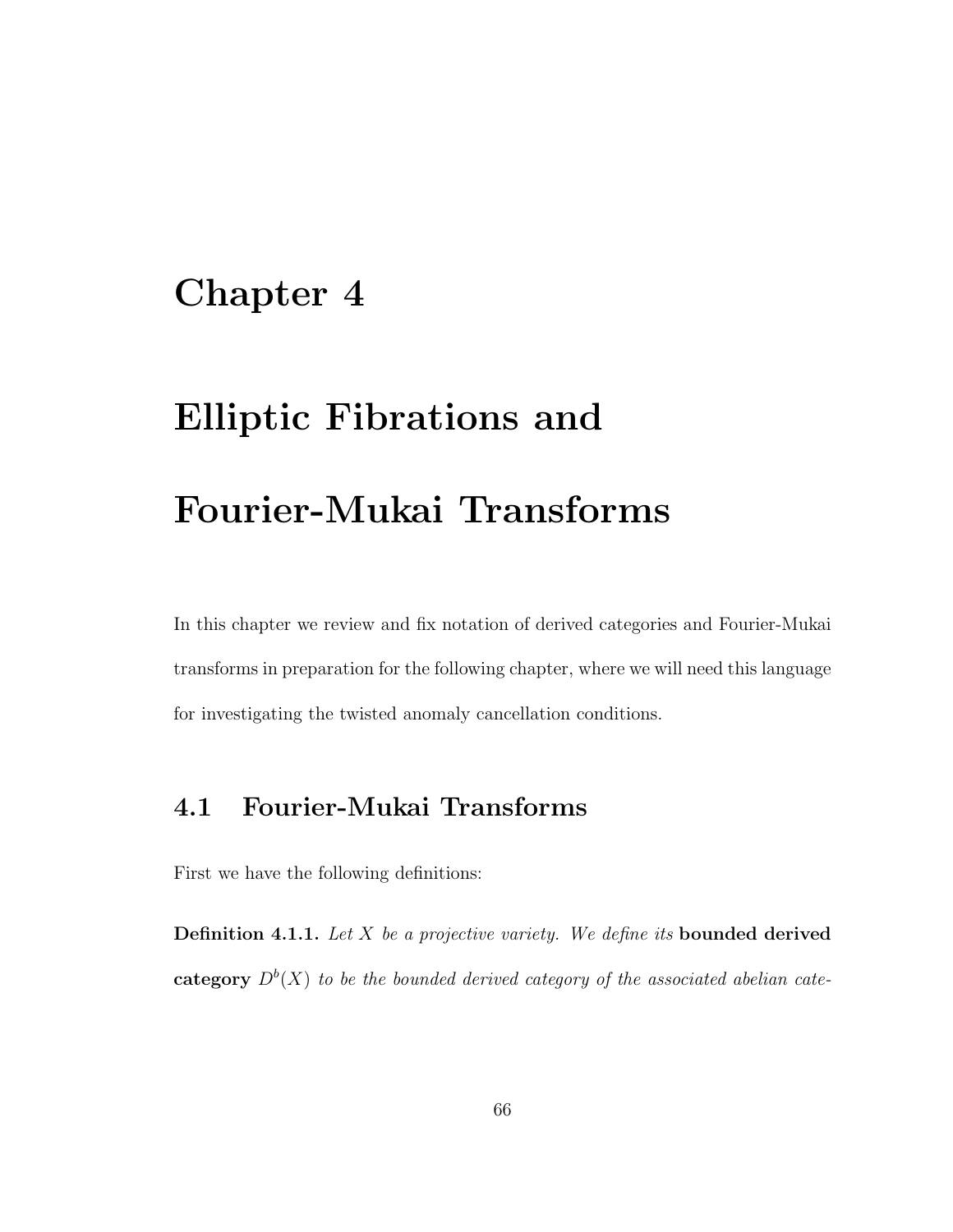# Chapter 4

# Elliptic Fibrations and

# Fourier-Mukai Transforms

In this chapter we review and fix notation of derived categories and Fourier-Mukai transforms in preparation for the following chapter, where we will need this language for investigating the twisted anomaly cancellation conditions.

# 4.1 Fourier-Mukai Transforms

First we have the following definitions:

**Definition 4.1.1.** Let  $X$  be a projective variety. We define its **bounded derived** category  $D^{b}(X)$  to be the bounded derived category of the associated abelian cate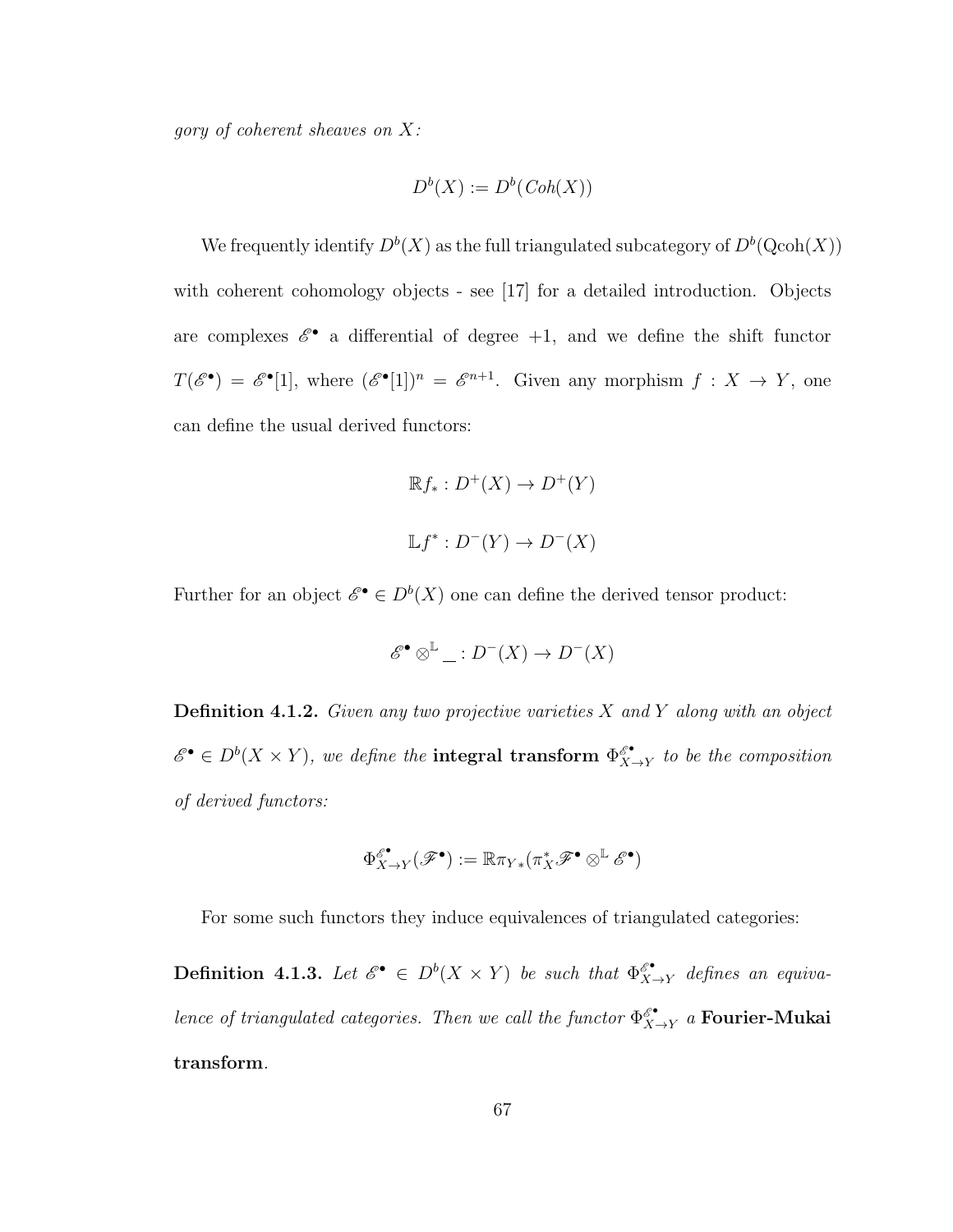gory of coherent sheaves on X:

$$
D^b(X) := D^b(Coh(X))
$$

We frequently identify  $D^b(X)$  as the full triangulated subcategory of  $D^b(Qcoh(X))$ with coherent cohomology objects - see [17] for a detailed introduction. Objects are complexes  $\mathscr{E}^{\bullet}$  a differential of degree  $+1$ , and we define the shift functor  $T(\mathscr{E}^{\bullet}) = \mathscr{E}^{\bullet}[1],$  where  $(\mathscr{E}^{\bullet}[1])^n = \mathscr{E}^{n+1}$ . Given any morphism  $f : X \to Y$ , one can define the usual derived functors:

$$
\mathbb{R}f_*: D^+(X) \to D^+(Y)
$$
  

$$
\mathbb{L}f^*: D^-(Y) \to D^-(X)
$$

Further for an object  $\mathscr{E}^{\bullet} \in D^{b}(X)$  one can define the derived tensor product:

$$
\mathscr{E}^{\bullet} \otimes^{\mathbb{L}} \_ : D^{-}(X) \rightarrow D^{-}(X)
$$

**Definition 4.1.2.** Given any two projective varieties  $X$  and  $Y$  along with an object  $\mathscr{E}^{\bullet} \in D^b(X \times Y)$ , we define the integral transform  $\Phi_{X}^{\mathscr{E}^{\bullet}}$  $\int_{X \to Y}^{\varepsilon}$  to be the composition of derived functors:

$$
\Phi_{X \to Y}^{\mathscr{E}^\bullet} (\mathscr{F}^\bullet) := \mathbb{R} \pi_{Y \ast} (\pi_X^* \mathscr{F}^\bullet \otimes^\mathbb{L} \mathscr{E}^\bullet)
$$

For some such functors they induce equivalences of triangulated categories:

**Definition 4.1.3.** Let  $\mathscr{E}^{\bullet} \in D^b(X \times Y)$  be such that  $\Phi_{X}^{\mathscr{E}^{\bullet}}$  $\int_{X \to Y}^{\varepsilon} \, d e \text{f}$ ines an equivalence of triangulated categories. Then we call the functor  $\Phi_{X}^{\mathscr{E}^{\bullet}}$  $\int_{X \to Y}^{\mathscr{E}^{\bullet}} a$  Fourier-Mukai transform.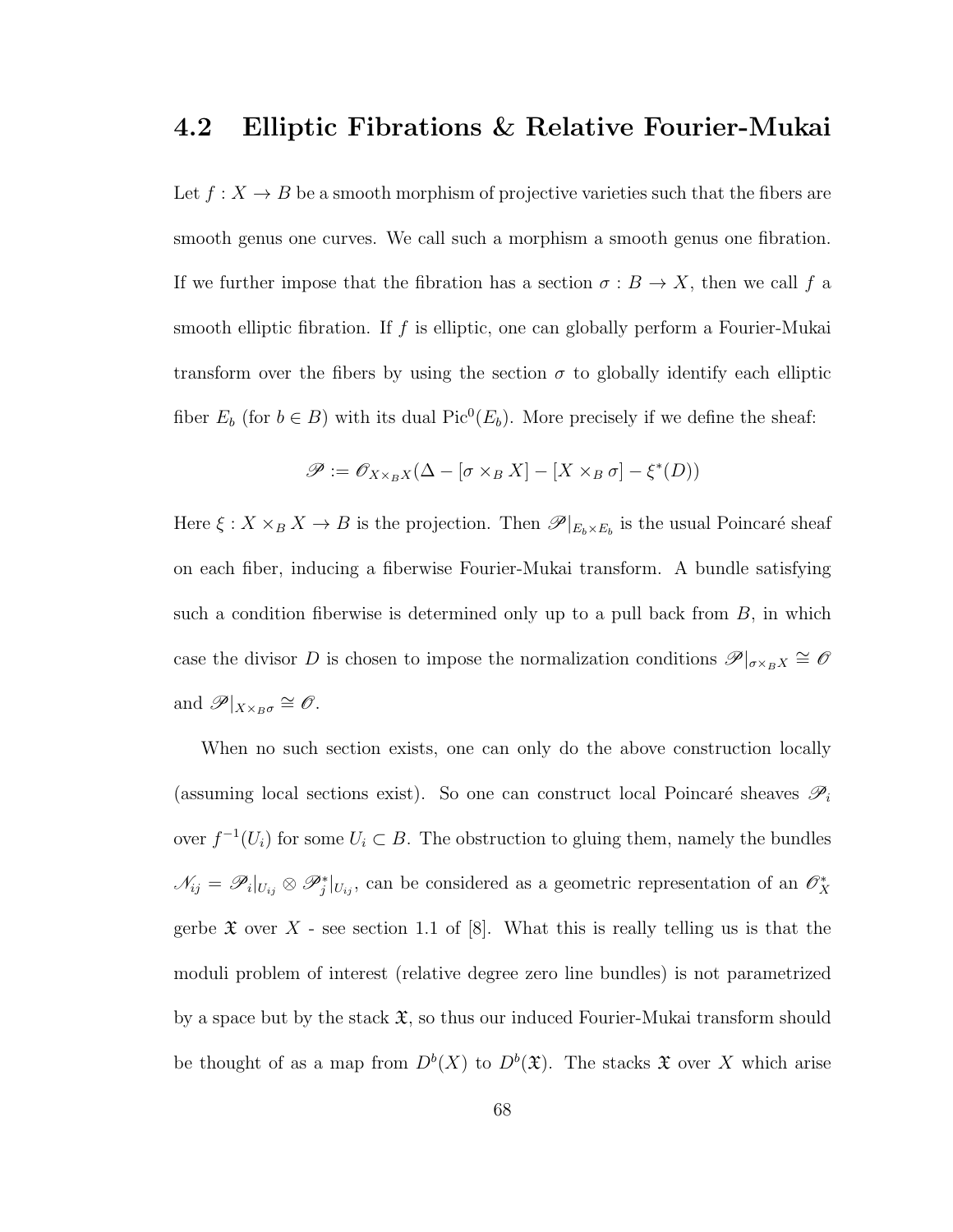## 4.2 Elliptic Fibrations & Relative Fourier-Mukai

Let  $f: X \to B$  be a smooth morphism of projective varieties such that the fibers are smooth genus one curves. We call such a morphism a smooth genus one fibration. If we further impose that the fibration has a section  $\sigma : B \to X$ , then we call f a smooth elliptic fibration. If  $f$  is elliptic, one can globally perform a Fourier-Mukai transform over the fibers by using the section  $\sigma$  to globally identify each elliptic fiber  $E_b$  (for  $b \in B$ ) with its dual Pic<sup>0</sup>( $E_b$ ). More precisely if we define the sheaf:

$$
\mathscr{P} := \mathscr{O}_{X \times_B X}(\Delta - [\sigma \times_B X] - [X \times_B \sigma] - \xi^*(D))
$$

Here  $\xi: X \times_B X \to B$  is the projection. Then  $\mathscr{P}|_{E_b \times E_b}$  is the usual Poincaré sheaf on each fiber, inducing a fiberwise Fourier-Mukai transform. A bundle satisfying such a condition fiberwise is determined only up to a pull back from  $B$ , in which case the divisor D is chosen to impose the normalization conditions  $\mathscr{P}|_{\sigma \times_B X} \cong \mathscr{O}$ and  $\mathscr{P}|_{X\times_B \sigma}\cong \mathscr{O}.$ 

When no such section exists, one can only do the above construction locally (assuming local sections exist). So one can construct local Poincaré sheaves  $\mathscr{P}_i$ over  $f^{-1}(U_i)$  for some  $U_i \subset B$ . The obstruction to gluing them, namely the bundles  $\mathcal{N}_{ij} = \mathcal{P}_i|_{U_{ij}} \otimes \mathcal{P}_j^*|_{U_{ij}}$ , can be considered as a geometric representation of an  $\mathcal{O}_X^*$ gerbe  $\mathfrak X$  over X - see section 1.1 of [8]. What this is really telling us is that the moduli problem of interest (relative degree zero line bundles) is not parametrized by a space but by the stack  $\mathfrak{X}$ , so thus our induced Fourier-Mukai transform should be thought of as a map from  $D^b(X)$  to  $D^b(\mathfrak{X})$ . The stacks  $\mathfrak{X}$  over X which arise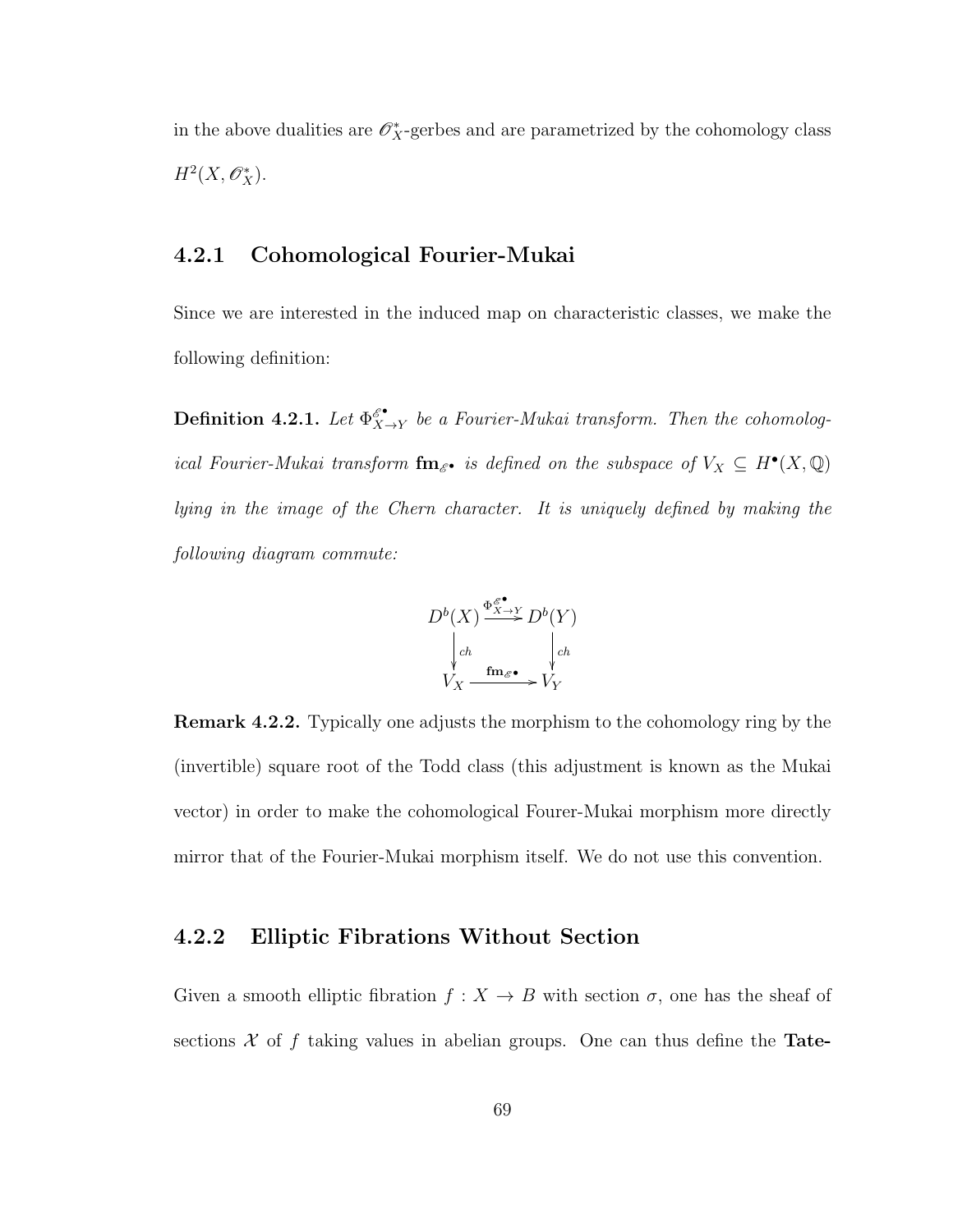in the above dualities are  $\mathscr{O}_X^*$ -gerbes and are parametrized by the cohomology class  $H^2(X, \mathscr{O}_X^*)$ .

#### 4.2.1 Cohomological Fourier-Mukai

Since we are interested in the induced map on characteristic classes, we make the following definition:

Definition 4.2.1. Let  $\Phi^{{\mathscr E}^\bullet}_{{X}_-}$  $\int_{X \to Y}^{\varepsilon^*}$  be a Fourier-Mukai transform. Then the cohomological Fourier-Mukai transform  $\mathbf{f}_{\mathbf{m}_{\mathscr{E}}\bullet}$  is defined on the subspace of  $V_X \subseteq H^{\bullet}(X, \mathbb{Q})$ lying in the image of the Chern character. It is uniquely defined by making the following diagram commute:

$$
D^{b}(X) \xrightarrow{\Phi_{X \to Y}^{\mathscr{E}^{\bullet}}} D^{b}(Y)
$$
  
\n
$$
\downarrow_{ch} \qquad \qquad \downarrow_{ch}
$$
  
\n
$$
V_X \xrightarrow{f m_{\mathscr{E}^{\bullet}}} V_Y
$$

Remark 4.2.2. Typically one adjusts the morphism to the cohomology ring by the (invertible) square root of the Todd class (this adjustment is known as the Mukai vector) in order to make the cohomological Fourer-Mukai morphism more directly mirror that of the Fourier-Mukai morphism itself. We do not use this convention.

### 4.2.2 Elliptic Fibrations Without Section

Given a smooth elliptic fibration  $f : X \to B$  with section  $\sigma$ , one has the sheaf of sections  $\mathcal X$  of f taking values in abelian groups. One can thus define the Tate-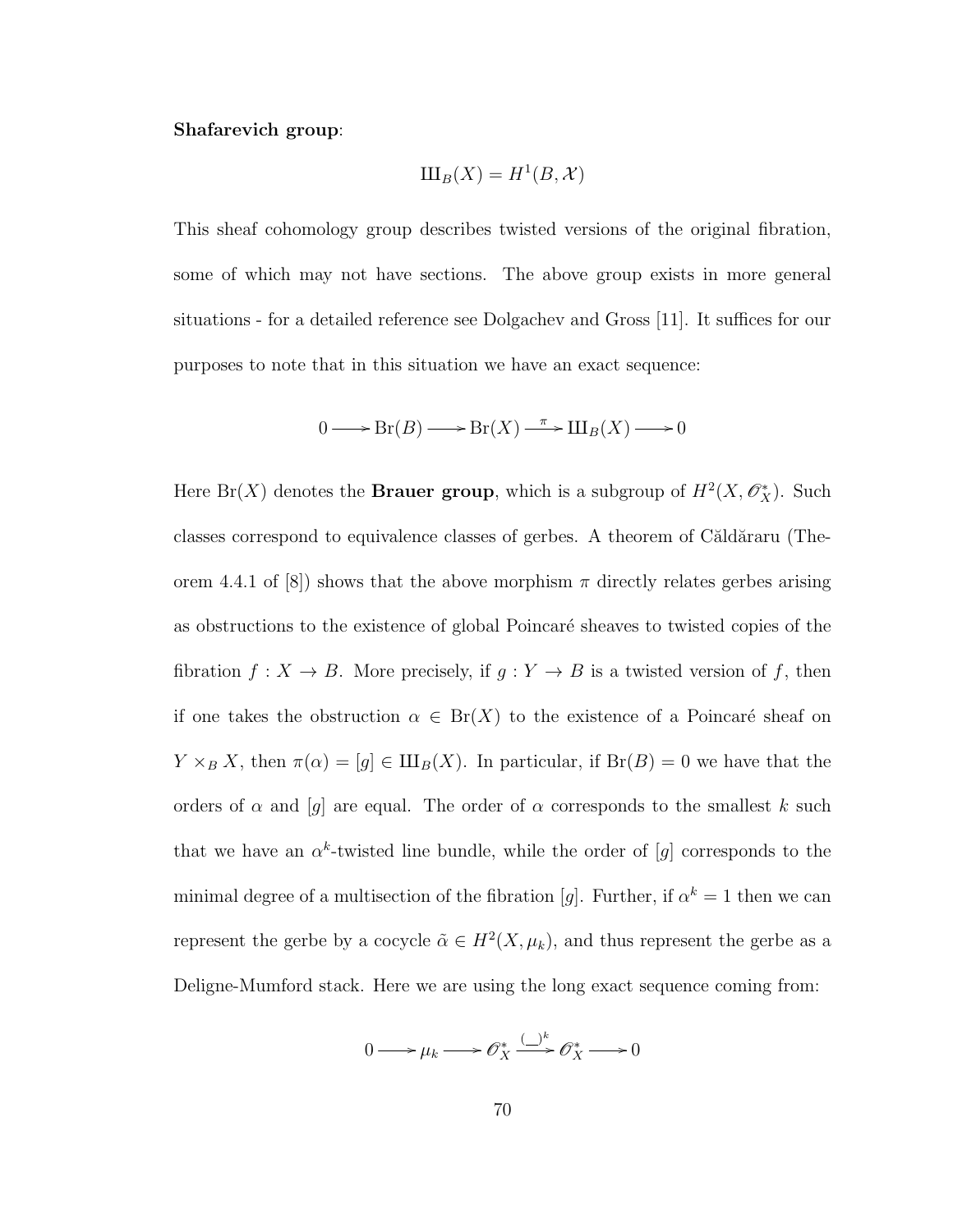#### Shafarevich group:

$$
\mathop{\mathrm{III}}\nolimits_B(X) = H^1(B, \mathcal{X})
$$

This sheaf cohomology group describes twisted versions of the original fibration, some of which may not have sections. The above group exists in more general situations - for a detailed reference see Dolgachev and Gross [11]. It suffices for our purposes to note that in this situation we have an exact sequence:

$$
0 \longrightarrow Br(B) \longrightarrow Br(X) \xrightarrow{\pi} \text{III}_B(X) \longrightarrow 0
$$

Here Br(X) denotes the **Brauer group**, which is a subgroup of  $H^2(X, \mathcal{O}_X^*)$ . Such classes correspond to equivalence classes of gerbes. A theorem of Căldăraru (Theorem 4.4.1 of [8]) shows that the above morphism  $\pi$  directly relates gerbes arising as obstructions to the existence of global Poincaré sheaves to twisted copies of the fibration  $f : X \to B$ . More precisely, if  $g : Y \to B$  is a twisted version of f, then if one takes the obstruction  $\alpha \in Br(X)$  to the existence of a Poincaré sheaf on  $Y \times_B X$ , then  $\pi(\alpha) = [g] \in \mathrm{III}_B(X)$ . In particular, if  $\mathrm{Br}(B) = 0$  we have that the orders of  $\alpha$  and  $[g]$  are equal. The order of  $\alpha$  corresponds to the smallest k such that we have an  $\alpha^k$ -twisted line bundle, while the order of [g] corresponds to the minimal degree of a multisection of the fibration [g]. Further, if  $\alpha^k = 1$  then we can represent the gerbe by a cocycle  $\tilde{\alpha} \in H^2(X, \mu_k)$ , and thus represent the gerbe as a Deligne-Mumford stack. Here we are using the long exact sequence coming from:

$$
0 \longrightarrow \mu_k \longrightarrow \mathscr{O}_X^* \xrightarrow{(-)^k} \mathscr{O}_X^* \longrightarrow 0
$$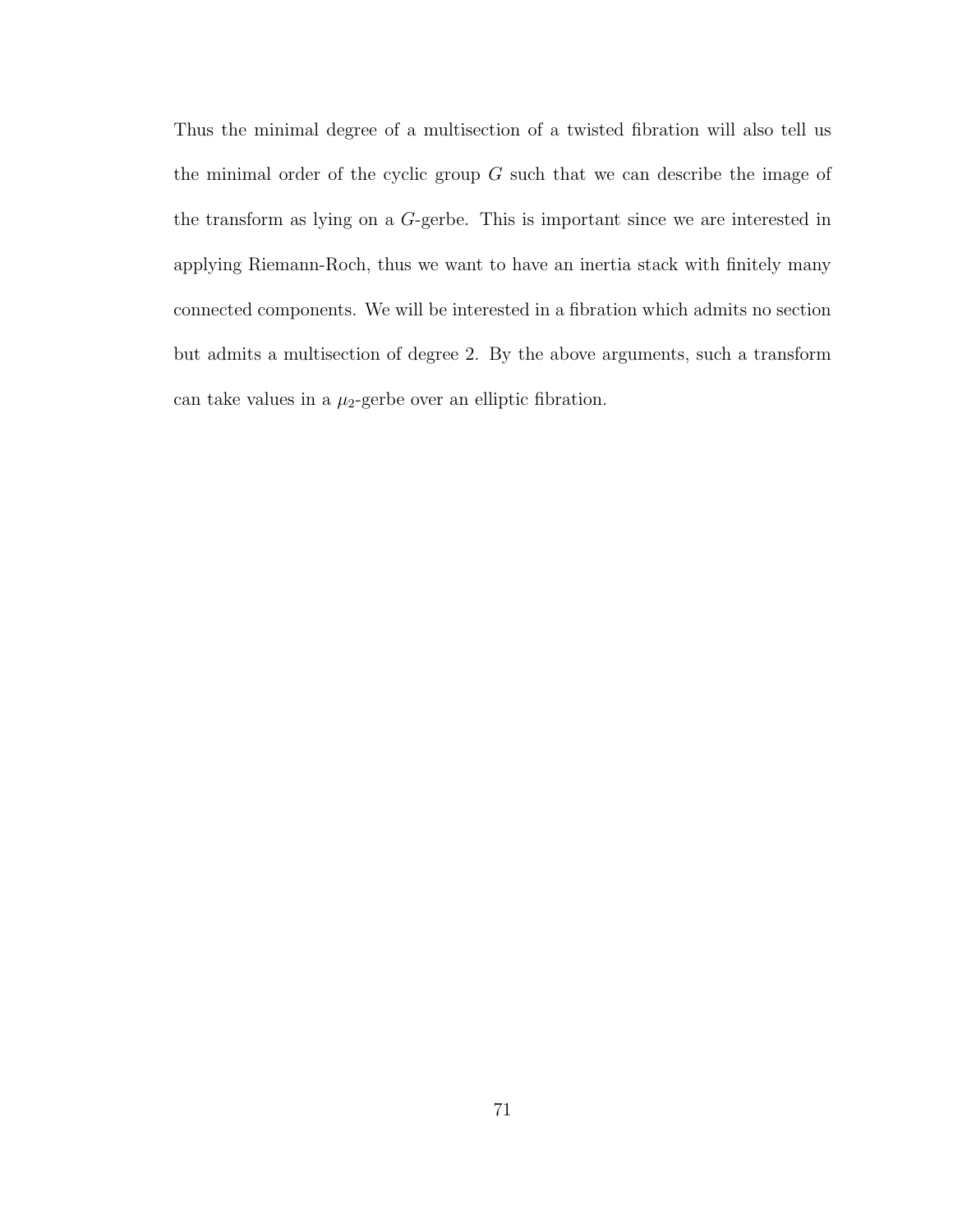Thus the minimal degree of a multisection of a twisted fibration will also tell us the minimal order of the cyclic group  $G$  such that we can describe the image of the transform as lying on a G-gerbe. This is important since we are interested in applying Riemann-Roch, thus we want to have an inertia stack with finitely many connected components. We will be interested in a fibration which admits no section but admits a multisection of degree 2. By the above arguments, such a transform can take values in a  $\mu_2$ -gerbe over an elliptic fibration.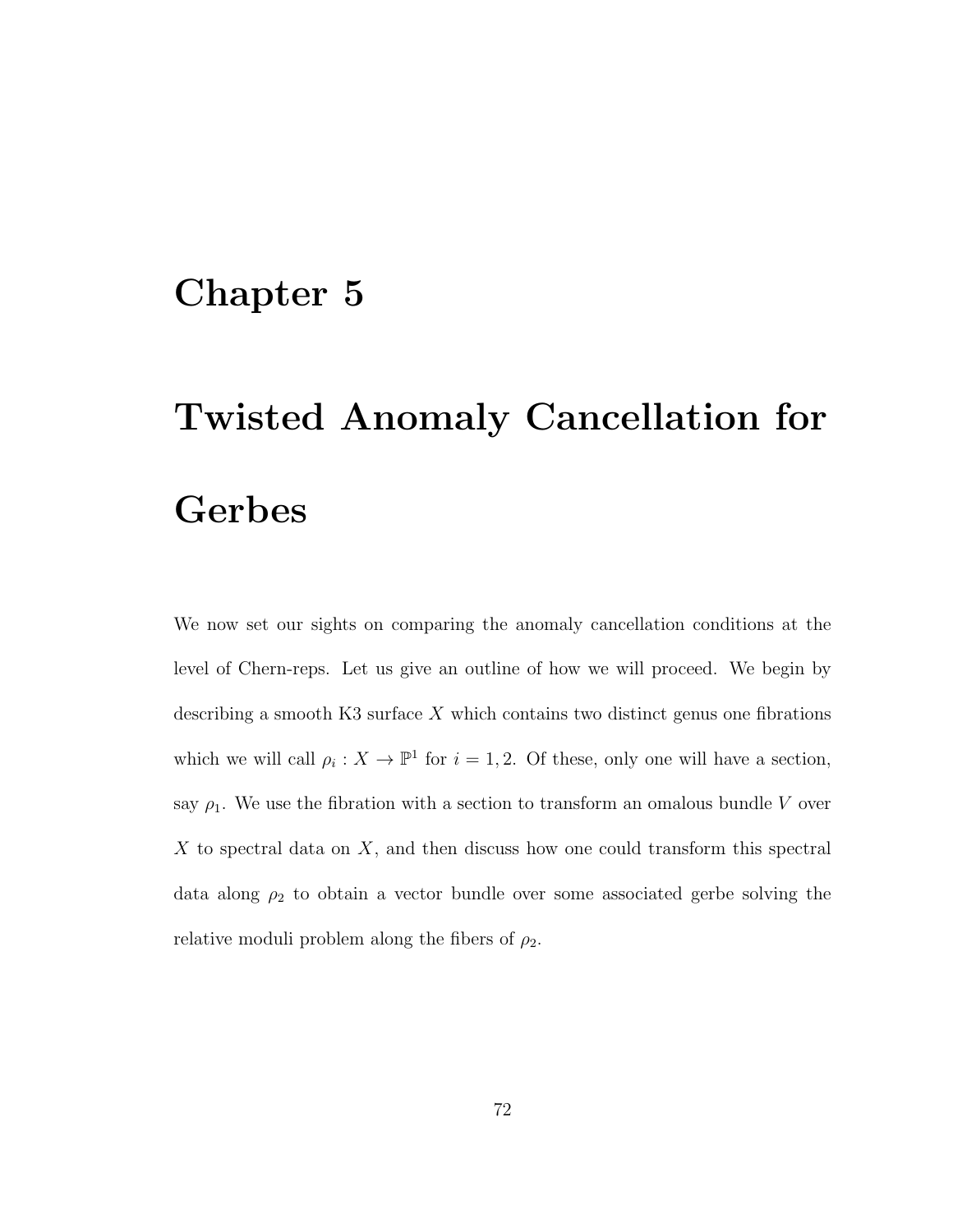# Chapter 5

# Twisted Anomaly Cancellation for Gerbes

We now set our sights on comparing the anomaly cancellation conditions at the level of Chern-reps. Let us give an outline of how we will proceed. We begin by describing a smooth K3 surface  $X$  which contains two distinct genus one fibrations which we will call  $\rho_i : X \to \mathbb{P}^1$  for  $i = 1, 2$ . Of these, only one will have a section, say  $\rho_1$ . We use the fibration with a section to transform an omalous bundle V over  $X$  to spectral data on  $X$ , and then discuss how one could transform this spectral data along  $\rho_2$  to obtain a vector bundle over some associated gerbe solving the relative moduli problem along the fibers of  $\rho_2$ .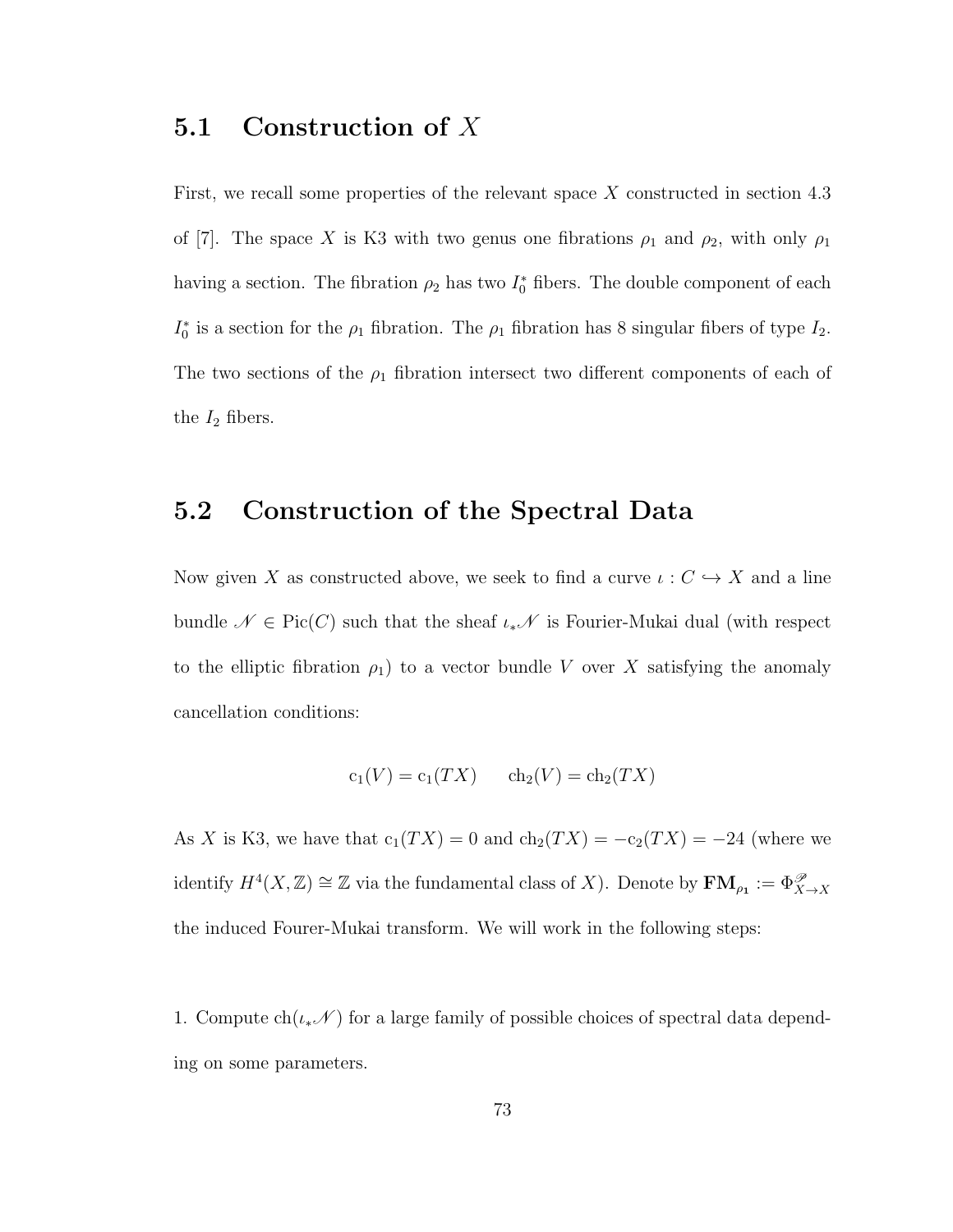## 5.1 Construction of X

First, we recall some properties of the relevant space X constructed in section 4.3 of [7]. The space X is K3 with two genus one fibrations  $\rho_1$  and  $\rho_2$ , with only  $\rho_1$ having a section. The fibration  $\rho_2$  has two  $I_0^*$  fibers. The double component of each  $I_0^*$  is a section for the  $\rho_1$  fibration. The  $\rho_1$  fibration has 8 singular fibers of type  $I_2$ . The two sections of the  $\rho_1$  fibration intersect two different components of each of the  $I_2$  fibers.

## 5.2 Construction of the Spectral Data

Now given X as constructed above, we seek to find a curve  $\iota: C \hookrightarrow X$  and a line bundle  $\mathcal{N} \in Pic(C)$  such that the sheaf  $\iota_*\mathcal{N}$  is Fourier-Mukai dual (with respect to the elliptic fibration  $\rho_1$ ) to a vector bundle V over X satisfying the anomaly cancellation conditions:

$$
c_1(V) = c_1(TX)
$$
  $ch_2(V) = ch_2(TX)$ 

As X is K3, we have that  $c_1(TX) = 0$  and  $ch_2(TX) = -c_2(TX) = -24$  (where we identify  $H^4(X,\mathbb{Z}) \cong \mathbb{Z}$  via the fundamental class of X). Denote by  $\mathbf{FM}_{\rho_1} := \Phi_{X \to X}^{\mathcal{P}}$ the induced Fourer-Mukai transform. We will work in the following steps:

1. Compute  $ch(\iota_*\mathscr{N})$  for a large family of possible choices of spectral data depending on some parameters.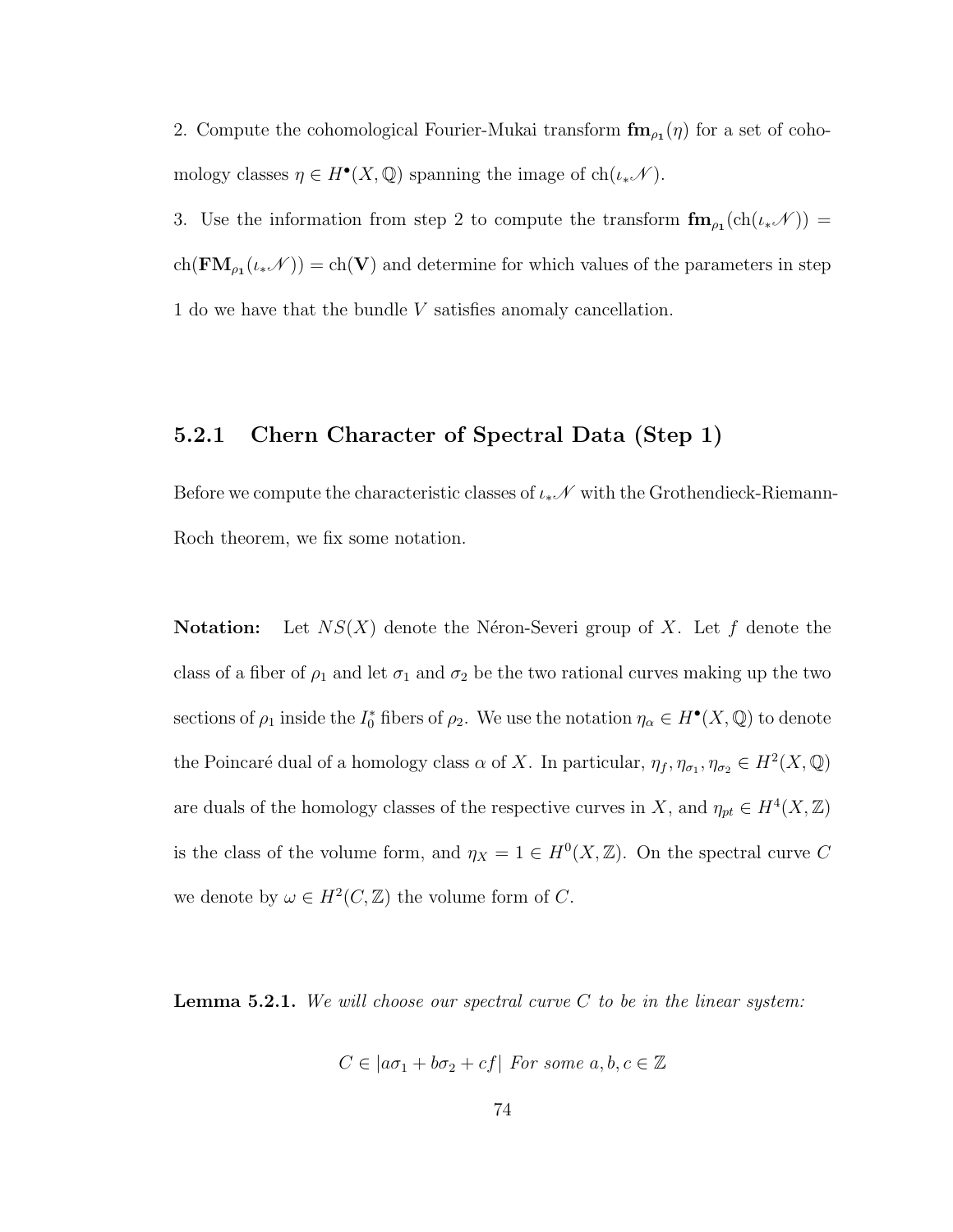2. Compute the cohomological Fourier-Mukai transform  $\mathbf{fm}_{\rho_1}(\eta)$  for a set of cohomology classes  $\eta \in H^{\bullet}(X, \mathbb{Q})$  spanning the image of  $ch(\iota_*\mathscr{N})$ .

3. Use the information from step 2 to compute the transform  $\mathbf{fm}_{\rho_1}(\text{ch}(\iota_*\mathscr{N}))$  =  $ch(\mathbf{FM}_{\rho_1}(\iota_*\mathscr{N})) = ch(\mathbf{V})$  and determine for which values of the parameters in step 1 do we have that the bundle V satisfies anomaly cancellation.

### 5.2.1 Chern Character of Spectral Data (Step 1)

Before we compute the characteristic classes of  $\iota_*\mathscr{N}$  with the Grothendieck-Riemann-Roch theorem, we fix some notation.

**Notation:** Let  $NS(X)$  denote the Néron-Severi group of X. Let f denote the class of a fiber of  $\rho_1$  and let  $\sigma_1$  and  $\sigma_2$  be the two rational curves making up the two sections of  $\rho_1$  inside the  $I_0^*$  fibers of  $\rho_2$ . We use the notation  $\eta_\alpha \in H^{\bullet}(X, \mathbb{Q})$  to denote the Poincaré dual of a homology class  $\alpha$  of X. In particular,  $\eta_f, \eta_{\sigma_1}, \eta_{\sigma_2} \in H^2(X, \mathbb{Q})$ are duals of the homology classes of the respective curves in X, and  $\eta_{pt} \in H^4(X,\mathbb{Z})$ is the class of the volume form, and  $\eta_X = 1 \in H^0(X, \mathbb{Z})$ . On the spectral curve C we denote by  $\omega \in H^2(C, \mathbb{Z})$  the volume form of C.

**Lemma 5.2.1.** We will choose our spectral curve  $C$  to be in the linear system:

$$
C \in |a\sigma_1 + b\sigma_2 + cf| \text{ For some } a, b, c \in \mathbb{Z}
$$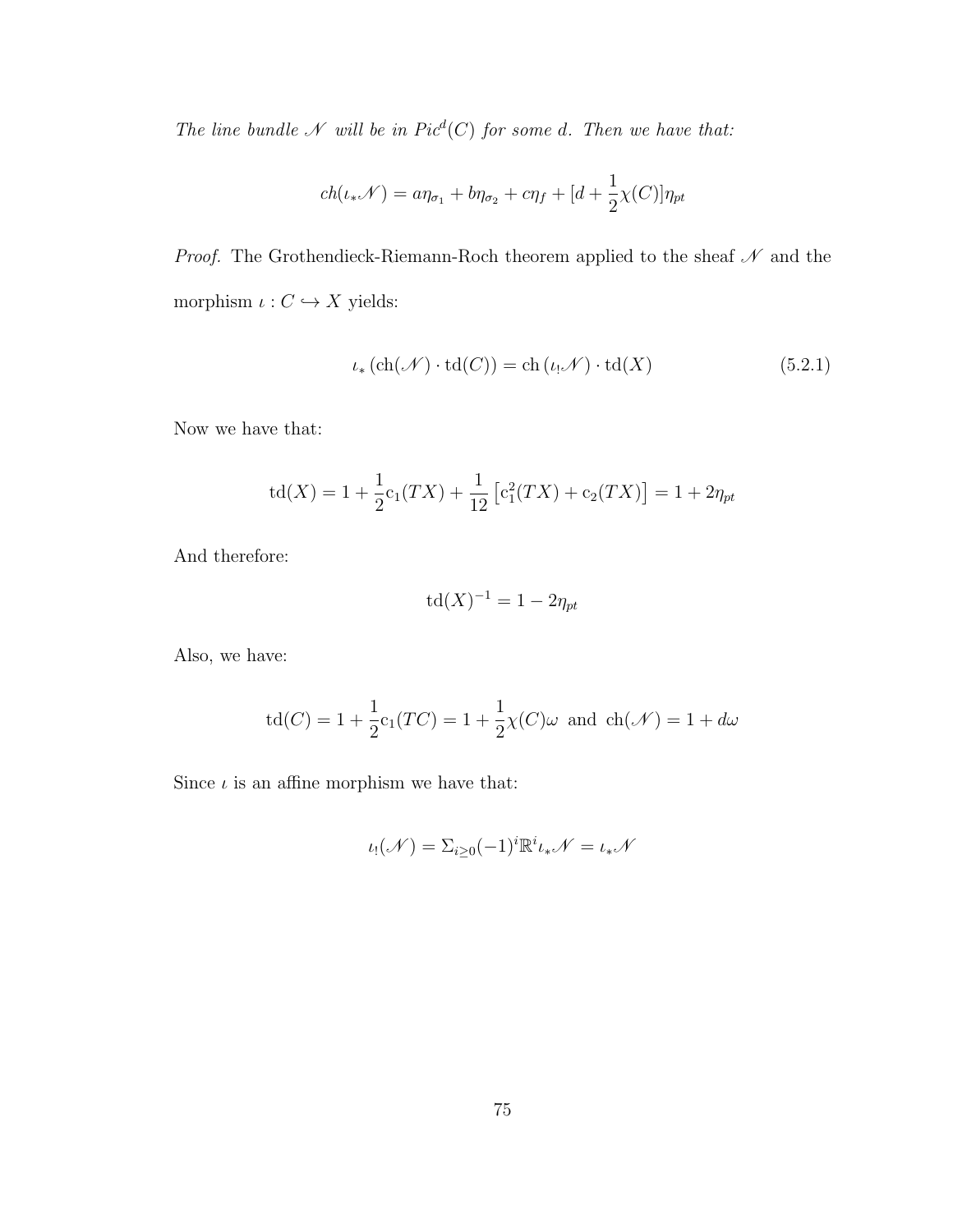The line bundle N will be in  $Pic^d(C)$  for some d. Then we have that:

$$
ch(\iota_* \mathcal{N}) = a\eta_{\sigma_1} + b\eta_{\sigma_2} + c\eta_f + [d + \frac{1}{2}\chi(C)]\eta_{pt}
$$

*Proof.* The Grothendieck-Riemann-Roch theorem applied to the sheaf  $\mathcal N$  and the morphism  $\iota : C \hookrightarrow X$  yields:

$$
\iota_*\left(\text{ch}(\mathcal{N})\cdot\text{td}(C)\right) = \text{ch}\left(\iota_!\mathcal{N}\right)\cdot\text{td}(X) \tag{5.2.1}
$$

Now we have that:

$$
td(X) = 1 + \frac{1}{2}c_1(TX) + \frac{1}{12} [c_1^2(TX) + c_2(TX)] = 1 + 2\eta_{pt}
$$

And therefore:

$$
\operatorname{td}(X)^{-1} = 1 - 2\eta_{pt}
$$

Also, we have:

$$
td(C) = 1 + \frac{1}{2}c_1(TC) = 1 + \frac{1}{2}\chi(C)\omega
$$
 and  $ch(\mathcal{N}) = 1 + d\omega$ 

Since  $\iota$  is an affine morphism we have that:

$$
\iota_!(\mathcal{N}) = \Sigma_{i \geq 0} (-1)^i \mathbb{R}^i \iota_* \mathcal{N} = \iota_* \mathcal{N}
$$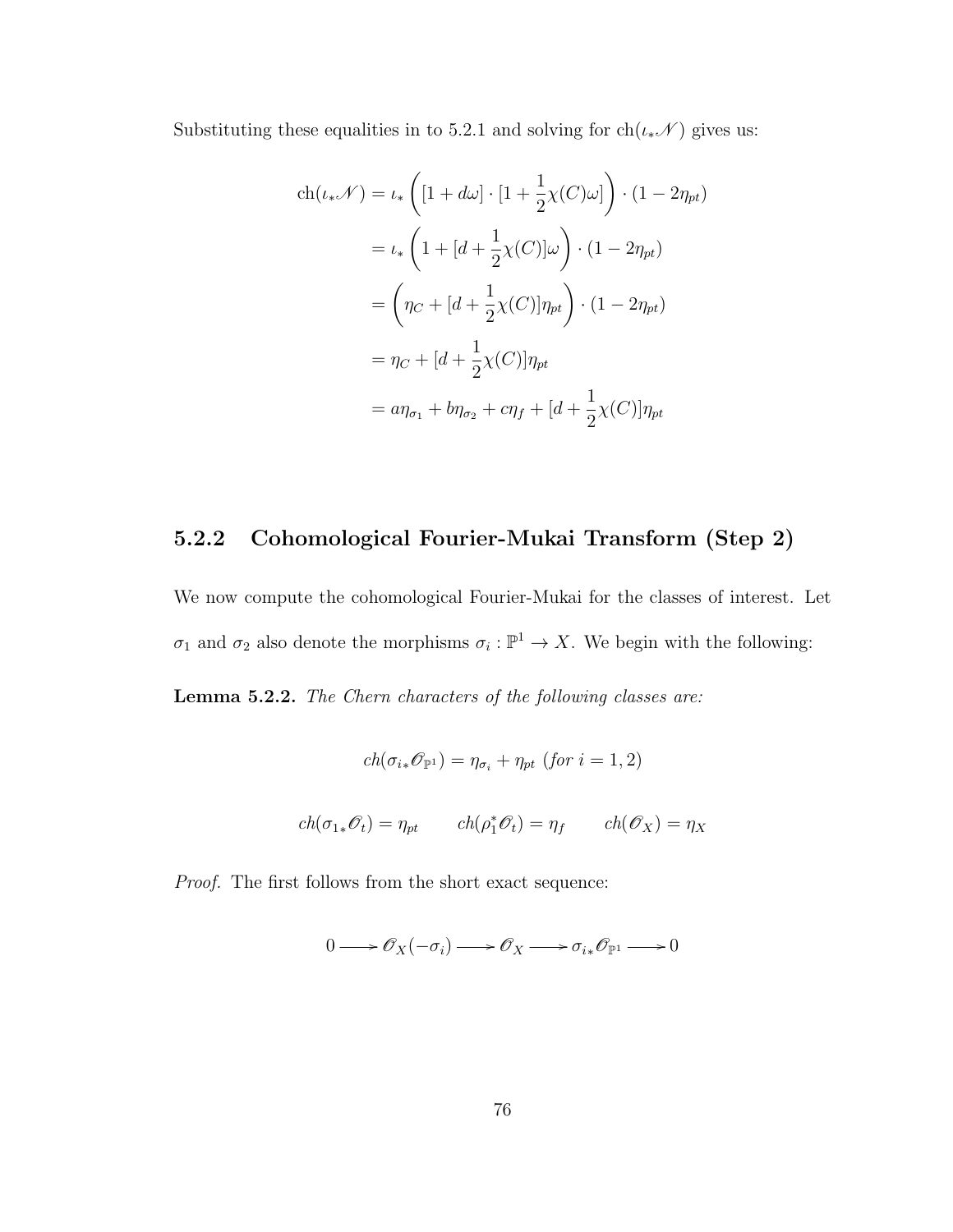Substituting these equalities in to 5.2.1 and solving for  $\mathrm{ch}(\iota_*\mathscr{N})$  gives us:

$$
ch(\iota_* \mathcal{N}) = \iota_* \left( [1 + d\omega] \cdot [1 + \frac{1}{2} \chi(C) \omega] \right) \cdot (1 - 2\eta_{pt})
$$
  

$$
= \iota_* \left( 1 + [d + \frac{1}{2} \chi(C)] \omega \right) \cdot (1 - 2\eta_{pt})
$$
  

$$
= \left( \eta_C + [d + \frac{1}{2} \chi(C)] \eta_{pt} \right) \cdot (1 - 2\eta_{pt})
$$
  

$$
= \eta_C + [d + \frac{1}{2} \chi(C)] \eta_{pt}
$$
  

$$
= a\eta_{\sigma_1} + b\eta_{\sigma_2} + c\eta_f + [d + \frac{1}{2} \chi(C)] \eta_{pt}
$$

### 5.2.2 Cohomological Fourier-Mukai Transform (Step 2)

We now compute the cohomological Fourier-Mukai for the classes of interest. Let  $\sigma_1$  and  $\sigma_2$  also denote the morphisms  $\sigma_i : \mathbb{P}^1 \to X$ . We begin with the following:

Lemma 5.2.2. The Chern characters of the following classes are:

$$
ch(\sigma_{i*}\mathcal{O}_{\mathbb{P}^1}) = \eta_{\sigma_i} + \eta_{pt} \quad (for \ i = 1, 2)
$$
  

$$
ch(\sigma_{1*}\mathcal{O}_t) = \eta_{pt} \qquad ch(\rho_1^*\mathcal{O}_t) = \eta_f \qquad ch(\mathcal{O}_X) = \eta_X
$$

Proof. The first follows from the short exact sequence:

$$
0 \longrightarrow \mathscr{O}_X(-\sigma_i) \longrightarrow \mathscr{O}_X \longrightarrow \sigma_{i*} \mathscr{O}_{\mathbb{P}^1} \longrightarrow 0
$$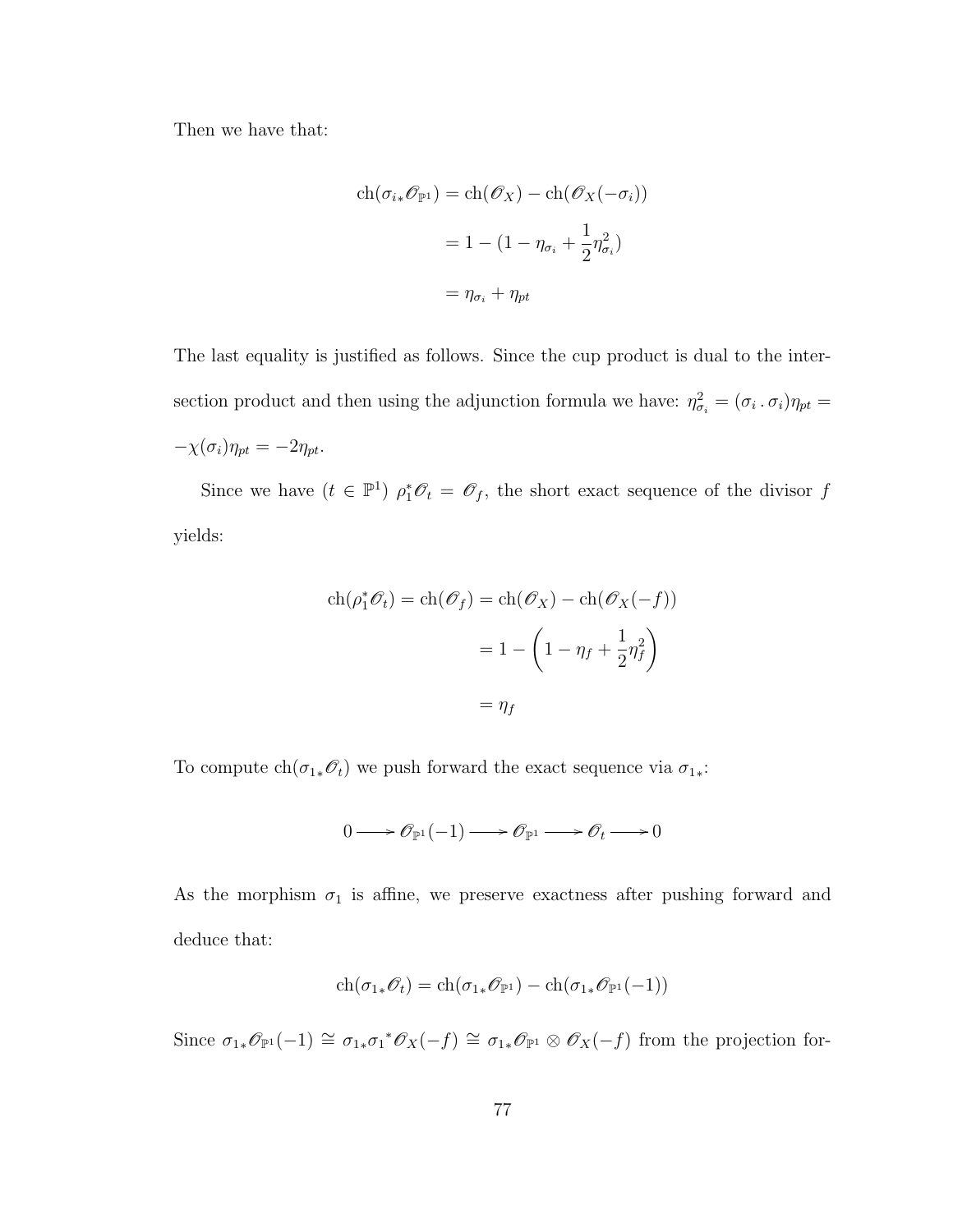Then we have that:

$$
ch(\sigma_{i*}\mathcal{O}_{\mathbb{P}^1}) = ch(\mathcal{O}_X) - ch(\mathcal{O}_X(-\sigma_i))
$$

$$
= 1 - (1 - \eta_{\sigma_i} + \frac{1}{2}\eta_{\sigma_i}^2)
$$

$$
= \eta_{\sigma_i} + \eta_{pt}
$$

The last equality is justified as follows. Since the cup product is dual to the intersection product and then using the adjunction formula we have:  $\eta_{\sigma_i}^2 = (\sigma_i \cdot \sigma_i)\eta_{pt} =$  $-\chi(\sigma_i)\eta_{pt} = -2\eta_{pt}.$ 

Since we have  $(t \in \mathbb{P}^1)$   $\rho_1^* \mathcal{O}_t = \mathcal{O}_f$ , the short exact sequence of the divisor f yields:

$$
ch(\rho_1^* \mathcal{O}_t) = ch(\mathcal{O}_f) = ch(\mathcal{O}_X) - ch(\mathcal{O}_X(-f))
$$

$$
= 1 - \left(1 - \eta_f + \frac{1}{2}\eta_f^2\right)
$$

$$
= \eta_f
$$

To compute  $ch(\sigma_{1*}\mathcal{O}_t)$  we push forward the exact sequence via  $\sigma_{1*}$ :

$$
0 \longrightarrow \mathscr{O}_{\mathbb{P}^1}(-1) \longrightarrow \mathscr{O}_{\mathbb{P}^1} \longrightarrow \mathscr{O}_t \longrightarrow 0
$$

As the morphism  $\sigma_1$  is affine, we preserve exactness after pushing forward and deduce that:

$$
ch(\sigma_{1*}\mathscr{O}_t)=ch(\sigma_{1*}\mathscr{O}_{\mathbb{P}^1})-ch(\sigma_{1*}\mathscr{O}_{\mathbb{P}^1}(-1))
$$

Since  $\sigma_{1*}\mathscr{O}_{\mathbb{P}^1}(-1) \cong \sigma_{1*}\sigma_1^*\mathscr{O}_X(-f) \cong \sigma_{1*}\mathscr{O}_{\mathbb{P}^1} \otimes \mathscr{O}_X(-f)$  from the projection for-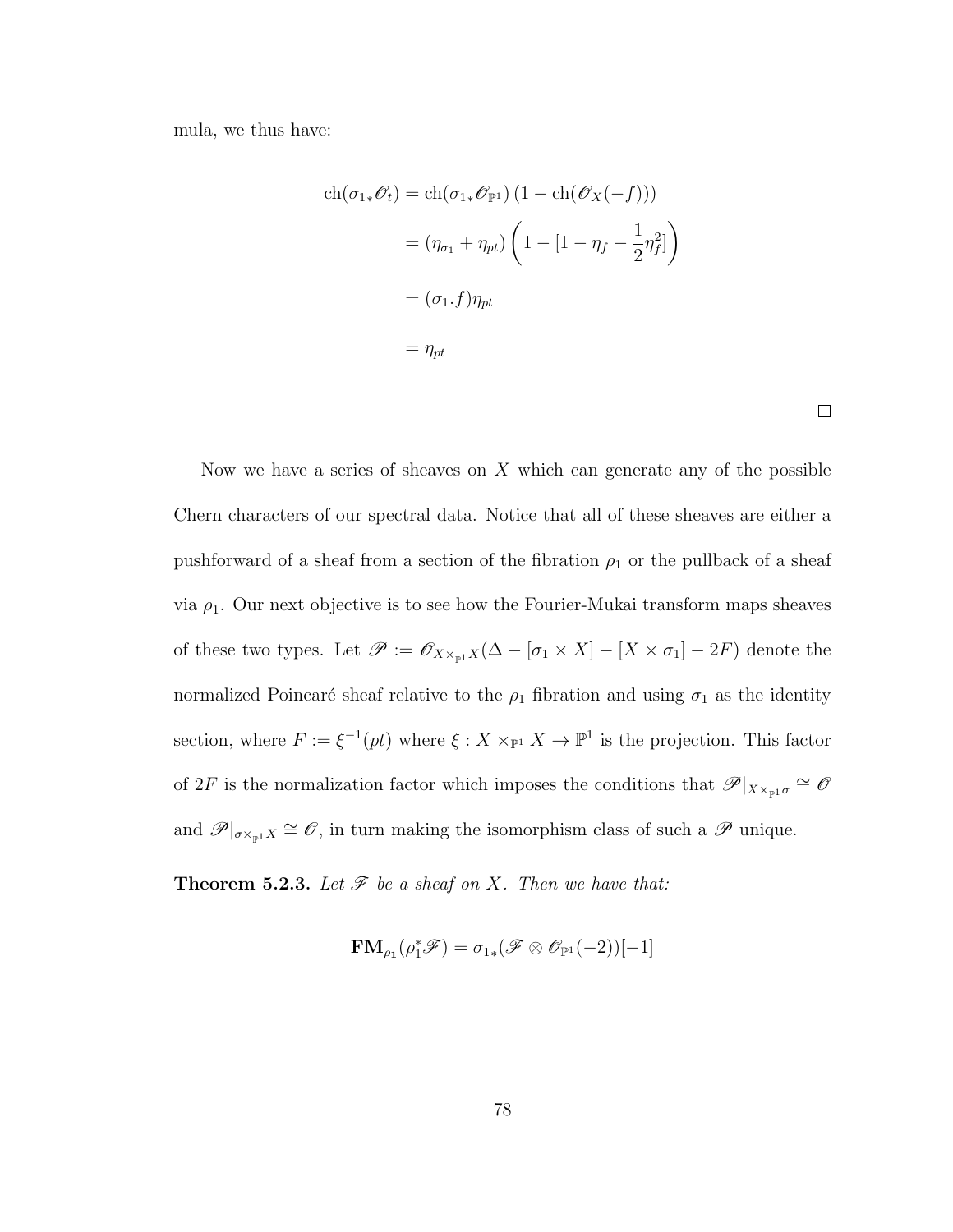mula, we thus have:

$$
ch(\sigma_{1*}\mathcal{O}_t) = ch(\sigma_{1*}\mathcal{O}_{\mathbb{P}^1}) (1 - ch(\mathcal{O}_X(-f)))
$$
  

$$
= (\eta_{\sigma_1} + \eta_{pt}) \left(1 - [1 - \eta_f - \frac{1}{2}\eta_f^2]\right)
$$
  

$$
= (\sigma_1 \cdot f)\eta_{pt}
$$
  

$$
= \eta_{pt}
$$

 $\Box$ 

Now we have a series of sheaves on  $X$  which can generate any of the possible Chern characters of our spectral data. Notice that all of these sheaves are either a pushforward of a sheaf from a section of the fibration  $\rho_1$  or the pullback of a sheaf via  $\rho_1$ . Our next objective is to see how the Fourier-Mukai transform maps sheaves of these two types. Let  $\mathscr{P} := \mathscr{O}_{X \times_{\mathbb{P}^1} X}(\Delta - [\sigma_1 \times X] - [X \times \sigma_1] - 2F)$  denote the normalized Poincaré sheaf relative to the  $\rho_1$  fibration and using  $\sigma_1$  as the identity section, where  $F := \xi^{-1}(pt)$  where  $\xi : X \times_{\mathbb{P}^1} X \to \mathbb{P}^1$  is the projection. This factor of 2F is the normalization factor which imposes the conditions that  $\mathscr{P}|_{X\times_{\mathbb{P}^1}\sigma}\cong\mathscr{O}$ and  $\mathscr{P}|_{\sigma \times_{\mathbb{P}^1} X} \cong \mathscr{O}$ , in turn making the isomorphism class of such a  $\mathscr{P}$  unique.

**Theorem 5.2.3.** Let  $\mathcal F$  be a sheaf on X. Then we have that:

$$
\mathbf{FM}_{\rho_1}(\rho_1^*\mathscr{F})=\sigma_{1*}(\mathscr{F}\otimes \mathscr{O}_{\mathbb{P}^1}(-2))[-1]
$$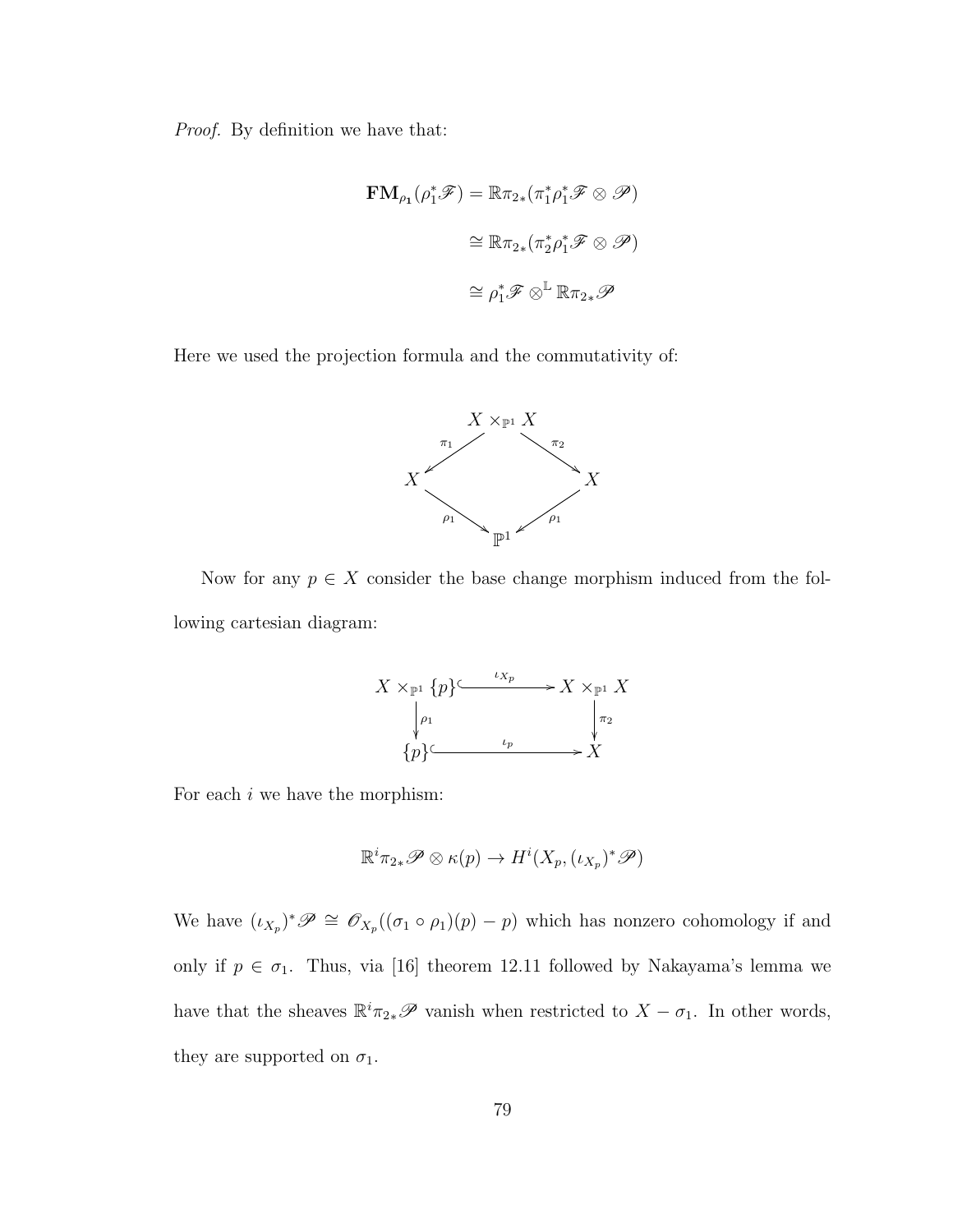Proof. By definition we have that:

$$
\begin{aligned} \mathbf{FM}_{\rho_1}(\rho_1^*\mathscr{F}) = \mathbb{R}\pi_{2*}(\pi_1^*\rho_1^*\mathscr{F}\otimes \mathscr{P}) \\ \cong \mathbb{R}\pi_{2*}(\pi_2^*\rho_1^*\mathscr{F}\otimes \mathscr{P}) \\ \cong \rho_1^*\mathscr{F}\otimes^{\mathbb{L}}\mathbb{R}\pi_{2*}\mathscr{P} \end{aligned}
$$

Here we used the projection formula and the commutativity of:



Now for any  $p \in X$  consider the base change morphism induced from the following cartesian diagram:



For each  $i$  we have the morphism:

$$
\mathbb{R}^i \pi_{2*} \mathscr{P} \otimes \kappa(p) \to H^i(X_p, (\iota_{X_p})^* \mathscr{P})
$$

We have  $(\iota_{X_p})^*\mathscr{P} \cong \mathscr{O}_{X_p}((\sigma_1 \circ \rho_1)(p) - p)$  which has nonzero cohomology if and only if  $p \in \sigma_1$ . Thus, via [16] theorem 12.11 followed by Nakayama's lemma we have that the sheaves  $\mathbb{R}^i\pi_{2*}\mathscr{P}$  vanish when restricted to  $X - \sigma_1$ . In other words, they are supported on  $\sigma_1$ .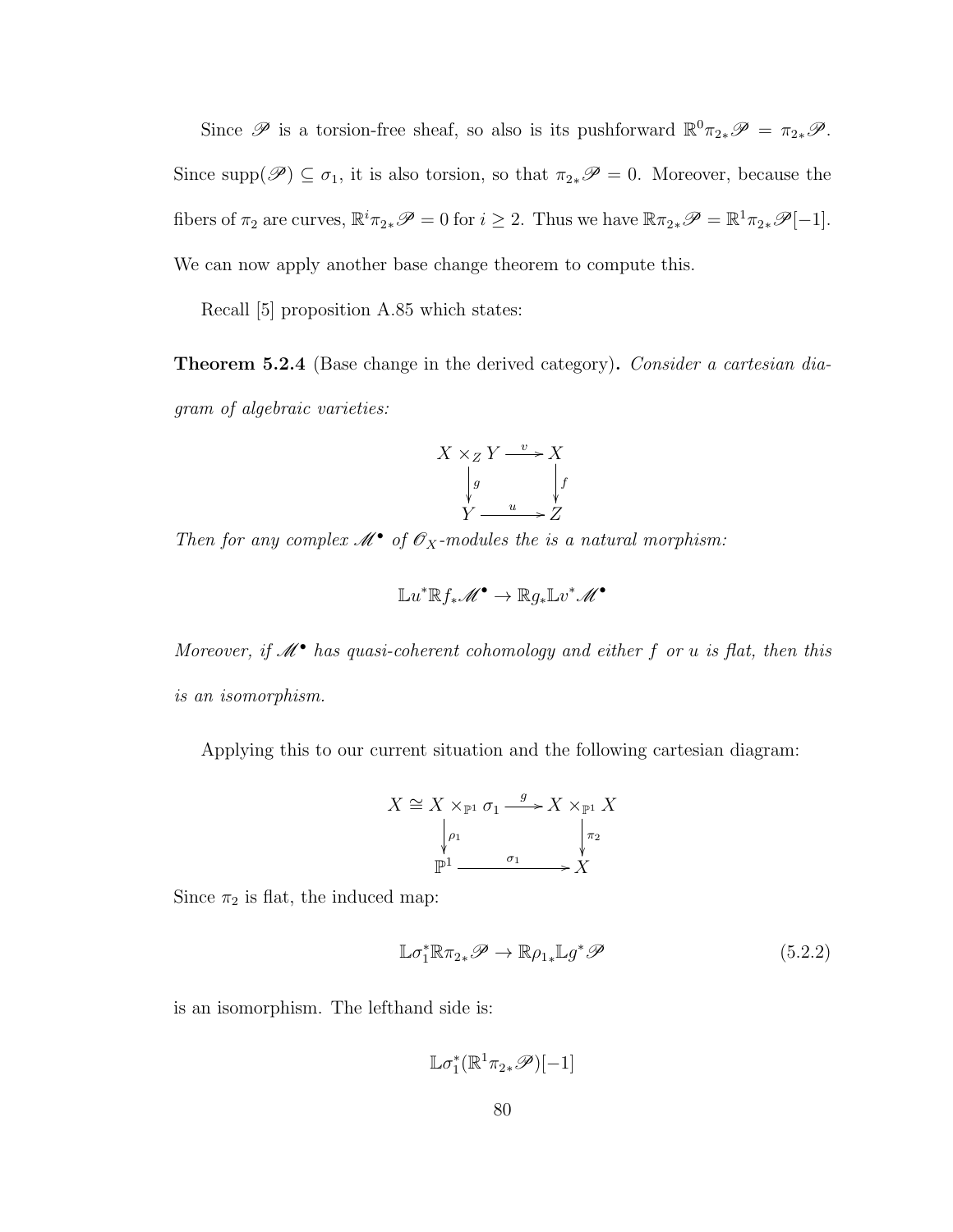Since  $\mathscr P$  is a torsion-free sheaf, so also is its pushforward  $\mathbb{R}^0\pi_{2*}\mathscr P = \pi_{2*}\mathscr P$ . Since supp $(\mathscr{P}) \subseteq \sigma_1$ , it is also torsion, so that  $\pi_{2*}\mathscr{P} = 0$ . Moreover, because the fibers of  $\pi_2$  are curves,  $\mathbb{R}^i \pi_{2*} \mathscr{P} = 0$  for  $i \geq 2$ . Thus we have  $\mathbb{R} \pi_{2*} \mathscr{P} = \mathbb{R}^1 \pi_{2*} \mathscr{P}[-1]$ . We can now apply another base change theorem to compute this.

Recall [5] proposition A.85 which states:

**Theorem 5.2.4** (Base change in the derived category). Consider a cartesian diagram of algebraic varieties:

$$
X \times_Z Y \xrightarrow{v} X
$$
  
\n
$$
\downarrow g
$$
  
\n
$$
Y \xrightarrow{u} Z
$$

Then for any complex  $\mathscr{M}^{\bullet}$  of  $\mathscr{O}_X$ -modules the is a natural morphism:

$$
\mathbb{L}u^*\mathbb{R}f_*\mathscr{M}^\bullet \to \mathbb{R}g_*\mathbb{L}v^*\mathscr{M}^\bullet
$$

Moreover, if  $\mathcal{M}^{\bullet}$  has quasi-coherent cohomology and either f or u is flat, then this is an isomorphism.

Applying this to our current situation and the following cartesian diagram:

$$
X \cong X \times_{\mathbb{P}^1} \sigma_1 \xrightarrow{\qquad g} X \times_{\mathbb{P}^1} X
$$

$$
\downarrow_{\rho_1} \qquad \qquad \downarrow_{\tau_2}
$$

$$
\mathbb{P}^1 \xrightarrow{\qquad \sigma_1} X
$$

Since  $\pi_2$  is flat, the induced map:

$$
\mathbb{L}\sigma_1^* \mathbb{R}\pi_{2*} \mathscr{P} \to \mathbb{R}\rho_{1*} \mathbb{L}g^* \mathscr{P}
$$
\n
$$
(5.2.2)
$$

is an isomorphism. The lefthand side is:

$$
\mathbb{L} \sigma_1^*(\mathbb{R}^1\pi_{2*}\mathscr{P})[-1]
$$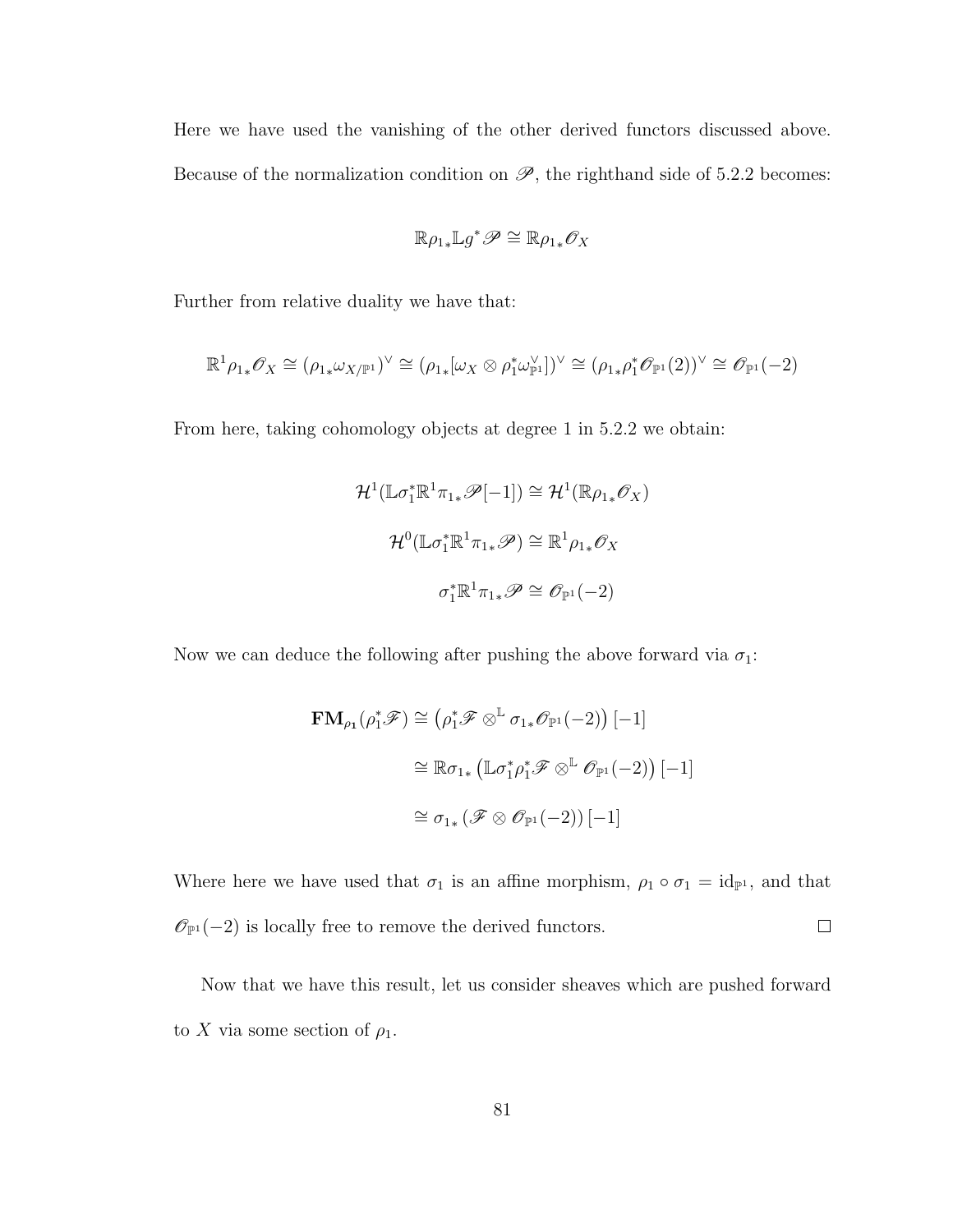Here we have used the vanishing of the other derived functors discussed above. Because of the normalization condition on  $\mathscr{P}$ , the righthand side of 5.2.2 becomes:

$$
\mathbb{R}\rho_{1*}\mathbb{L}g^*\mathscr{P}\cong\mathbb{R}\rho_{1*}\mathscr{O}_X
$$

Further from relative duality we have that:

$$
\mathbb{R}^1\rho_{1*}\mathscr{O}_X \cong (\rho_{1*}\omega_{X/\mathbb{P}^1})^\vee \cong (\rho_{1*}[\omega_X \otimes \rho_1^*\omega_{\mathbb{P}^1}^\vee])^\vee \cong (\rho_{1*}\rho_1^*\mathscr{O}_{\mathbb{P}^1}(2))^\vee \cong \mathscr{O}_{\mathbb{P}^1}(-2)
$$

From here, taking cohomology objects at degree 1 in 5.2.2 we obtain:

$$
\mathcal{H}^1(\mathbb{L}\sigma_1^*\mathbb{R}^1\pi_{1*}\mathscr{P}[-1]) \cong \mathcal{H}^1(\mathbb{R}\rho_{1*}\mathscr{O}_X)
$$

$$
\mathcal{H}^0(\mathbb{L}\sigma_1^*\mathbb{R}^1\pi_{1*}\mathscr{P}) \cong \mathbb{R}^1\rho_{1*}\mathscr{O}_X
$$

$$
\sigma_1^*\mathbb{R}^1\pi_{1*}\mathscr{P} \cong \mathscr{O}_{\mathbb{P}^1}(-2)
$$

Now we can deduce the following after pushing the above forward via  $\sigma_1$ :

$$
\mathbf{FM}_{\rho_1}(\rho_1^* \mathscr{F}) \cong (\rho_1^* \mathscr{F} \otimes^{\mathbb{L}} \sigma_{1*} \mathscr{O}_{\mathbb{P}^1}(-2)) [-1]
$$
  

$$
\cong \mathbb{R} \sigma_{1*} (\mathbb{L} \sigma_1^* \rho_1^* \mathscr{F} \otimes^{\mathbb{L}} \mathscr{O}_{\mathbb{P}^1}(-2)) [-1]
$$
  

$$
\cong \sigma_{1*} (\mathscr{F} \otimes \mathscr{O}_{\mathbb{P}^1}(-2)) [-1]
$$

Where here we have used that  $\sigma_1$  is an affine morphism,  $\rho_1 \circ \sigma_1 = id_{\mathbb{P}^1}$ , and that  $\mathscr{O}_{\mathbb{P}^1}(-2)$  is locally free to remove the derived functors.  $\Box$ 

Now that we have this result, let us consider sheaves which are pushed forward to X via some section of  $\rho_1$ .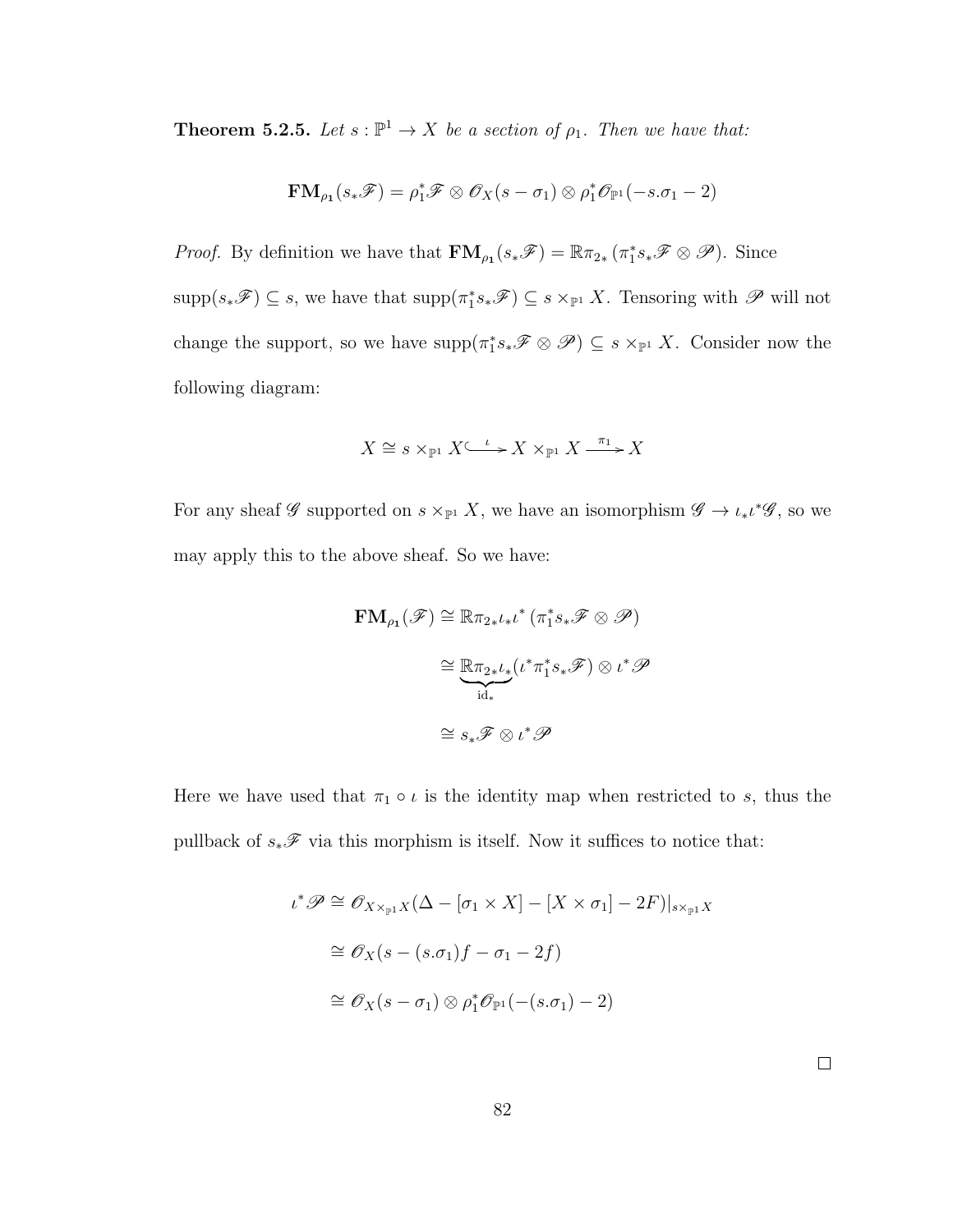**Theorem 5.2.5.** Let  $s : \mathbb{P}^1 \to X$  be a section of  $\rho_1$ . Then we have that:

$$
\mathbf{FM}_{\rho_1}(s_*\mathscr{F}) = \rho_1^*\mathscr{F} \otimes \mathscr{O}_X(s-\sigma_1) \otimes \rho_1^*\mathscr{O}_{\mathbb{P}^1}(-s.\sigma_1-2)
$$

*Proof.* By definition we have that  $\mathbf{FM}_{\rho_1}(s_*\mathscr{F}) = \mathbb{R}\pi_{2*}(\pi_1^*s_*\mathscr{F} \otimes \mathscr{P})$ . Since  $\text{supp}(s_*\mathscr{F}) \subseteq s$ , we have that  $\text{supp}(\pi_1^* s_*\mathscr{F}) \subseteq s \times_{\mathbb{P}^1} X$ . Tensoring with  $\mathscr{P}$  will not change the support, so we have  $\text{supp}(\pi_1^* s_* \mathscr{F} \otimes \mathscr{P}) \subseteq s \times_{\mathbb{P}^1} X$ . Consider now the following diagram:

$$
X \cong s \times_{\mathbb{P}^1} X \xrightarrow{\iota} X \times_{\mathbb{P}^1} X \xrightarrow{\pi_1} X
$$

For any sheaf  $\mathscr G$  supported on  $s \times_{\mathbb P^1} X$ , we have an isomorphism  $\mathscr G \to \iota_* \iota^* \mathscr G$ , so we may apply this to the above sheaf. So we have:

$$
\mathbf{FM}_{\rho_1}(\mathscr{F}) \cong \mathbb{R}\pi_{2*}\iota_*\iota^* (\pi_1^* s_* \mathscr{F} \otimes \mathscr{P})
$$

$$
\cong \underbrace{\mathbb{R}\pi_{2*}\iota_*(\iota^*\pi_1^* s_* \mathscr{F}) \otimes \iota^* \mathscr{P}}_{\mathrm{id}_*}
$$

$$
\cong s_* \mathscr{F} \otimes \iota^* \mathscr{P}
$$

Here we have used that  $\pi_1 \circ \iota$  is the identity map when restricted to s, thus the pullback of  $s_*\mathscr{F}$  via this morphism is itself. Now it suffices to notice that:

$$
\iota^* \mathscr{P} \cong \mathscr{O}_{X \times_{\mathbb{P}^1} X} (\Delta - [\sigma_1 \times X] - [X \times \sigma_1] - 2F)|_{s \times_{\mathbb{P}^1} X}
$$
  
\n
$$
\cong \mathscr{O}_X (s - (s \cdot \sigma_1) f - \sigma_1 - 2f)
$$
  
\n
$$
\cong \mathscr{O}_X (s - \sigma_1) \otimes \rho_1^* \mathscr{O}_{\mathbb{P}^1} (-(s \cdot \sigma_1) - 2)
$$

 $\Box$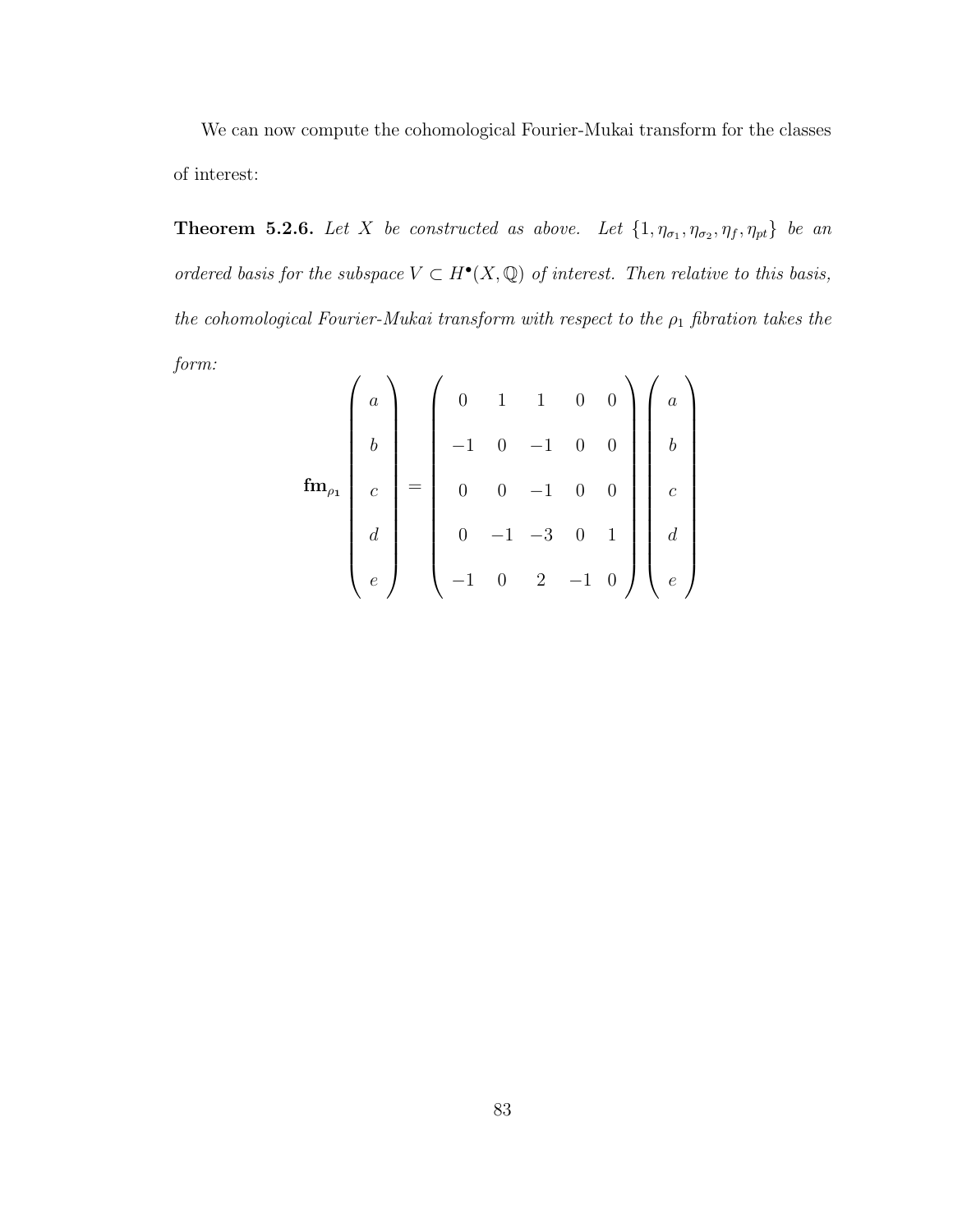We can now compute the cohomological Fourier-Mukai transform for the classes of interest:

**Theorem 5.2.6.** Let X be constructed as above. Let  $\{1, \eta_{\sigma_1}, \eta_{\sigma_2}, \eta_f, \eta_{pt}\}$  be an ordered basis for the subspace  $V \subset H^{\bullet}(X, \mathbb{Q})$  of interest. Then relative to this basis, the cohomological Fourier-Mukai transform with respect to the  $\rho_1$  fibration takes the form:

$$
\mathbf{f}\mathbf{m}_{\rho_1}\begin{pmatrix} a \\ b \\ c \\ d \\ e \end{pmatrix} = \begin{pmatrix} 0 & 1 & 1 & 0 & 0 \\ -1 & 0 & -1 & 0 & 0 \\ 0 & 0 & -1 & 0 & 0 \\ 0 & -1 & -3 & 0 & 1 \\ -1 & 0 & 2 & -1 & 0 \end{pmatrix} \begin{pmatrix} a \\ b \\ c \\ d \\ e \end{pmatrix}
$$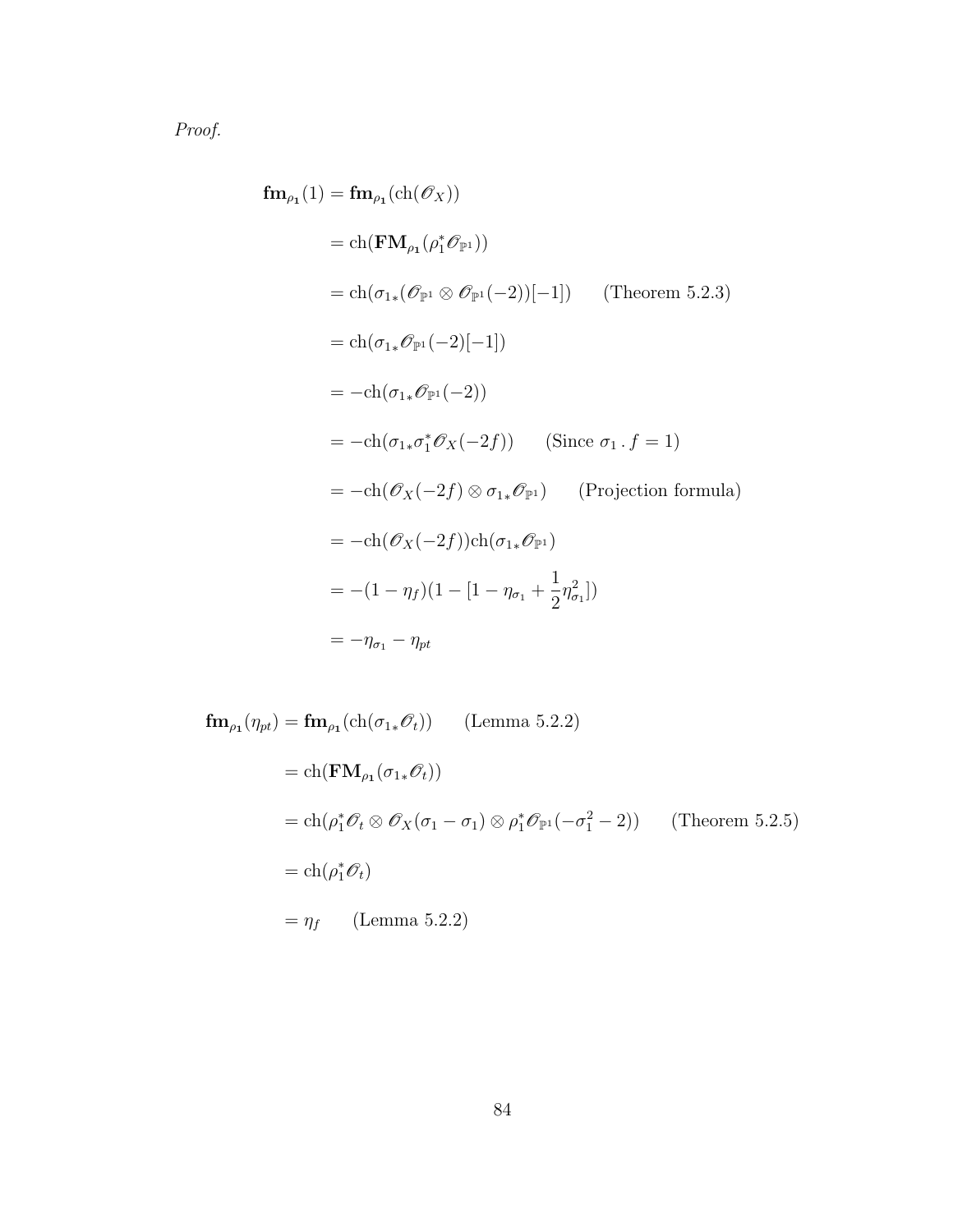Proof.

$$
\begin{aligned}\n\mathbf{f}\mathbf{m}_{\rho_1}(1) &= \mathbf{f}\mathbf{m}_{\rho_1}(\text{ch}(\mathscr{O}_X)) \\
&= \text{ch}(\mathbf{F}\mathbf{M}_{\rho_1}(\rho_1^*\mathscr{O}_{\mathbb{P}^1})) \\
&= \text{ch}(\sigma_{1*}(\mathscr{O}_{\mathbb{P}^1} \otimes \mathscr{O}_{\mathbb{P}^1}(-2))[-1]) \qquad \text{(Theorem 5.2.3)} \\
&= \text{ch}(\sigma_{1*}\mathscr{O}_{\mathbb{P}^1}(-2)[-1]) \\
&= -\text{ch}(\sigma_{1*}\mathscr{O}_{\mathbb{P}^1}(-2)) \\
&= -\text{ch}(\sigma_{1*}\sigma_1^*\mathscr{O}_X(-2f)) \qquad \text{(Since } \sigma_1 \cdot f = 1) \\
&= -\text{ch}(\mathscr{O}_X(-2f) \otimes \sigma_{1*}\mathscr{O}_{\mathbb{P}^1}) \qquad \text{(Projection formula)} \\
&= -\text{ch}(\mathscr{O}_X(-2f))\text{ch}(\sigma_{1*}\mathscr{O}_{\mathbb{P}^1}) \\
&= -(1 - \eta_f)(1 - [1 - \eta_{\sigma_1} + \frac{1}{2}\eta_{\sigma_1}^2]) \\
&= -\eta_{\sigma_1} - \eta_{pt}\n\end{aligned}
$$

$$
\mathbf{f} \mathbf{m}_{\rho_1}(\eta_{pt}) = \mathbf{f} \mathbf{m}_{\rho_1}(\text{ch}(\sigma_{1*}\mathscr{O}_t)) \qquad \text{(Lemma 5.2.2)}
$$
\n
$$
= \text{ch}(\mathbf{F} \mathbf{M}_{\rho_1}(\sigma_{1*}\mathscr{O}_t))
$$
\n
$$
= \text{ch}(\rho_1^* \mathscr{O}_t \otimes \mathscr{O}_X(\sigma_1 - \sigma_1) \otimes \rho_1^* \mathscr{O}_{\mathbb{P}^1}(-\sigma_1^2 - 2)) \qquad \text{(Theorem 5.2.5)}
$$
\n
$$
= \text{ch}(\rho_1^* \mathscr{O}_t)
$$
\n
$$
= \eta_f \qquad \text{(Lemma 5.2.2)}
$$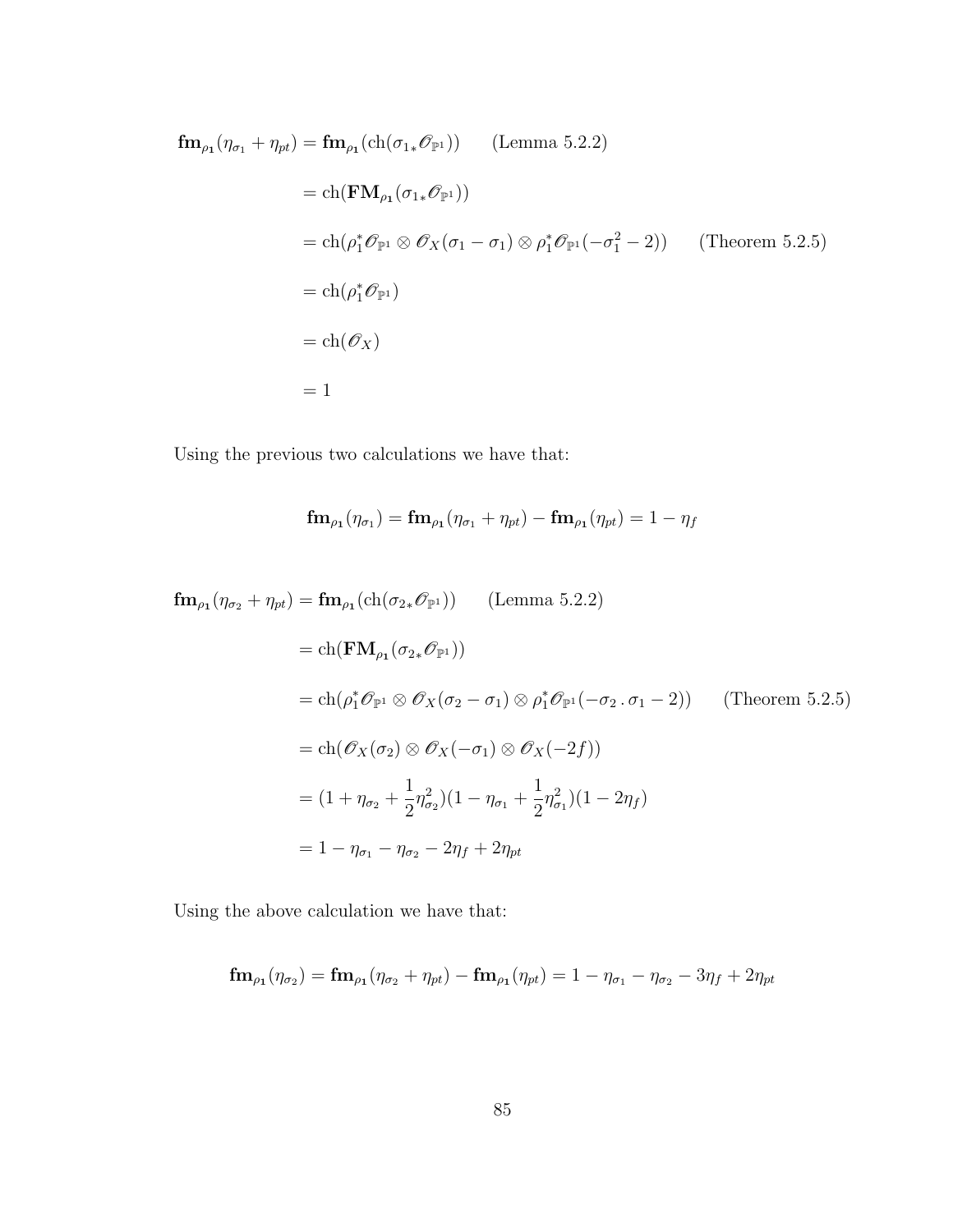$$
\begin{aligned}\n\mathbf{f} \mathbf{m}_{\rho_1}(\eta_{\sigma_1} + \eta_{pt}) &= \mathbf{f} \mathbf{m}_{\rho_1}(\text{ch}(\sigma_{1*}\mathscr{O}_{\mathbb{P}^1})) \qquad \text{(Lemma 5.2.2)} \\
&= \text{ch}(\mathbf{F} \mathbf{M}_{\rho_1}(\sigma_{1*}\mathscr{O}_{\mathbb{P}^1})) \\
&= \text{ch}(\rho_1^* \mathscr{O}_{\mathbb{P}^1} \otimes \mathscr{O}_X(\sigma_1 - \sigma_1) \otimes \rho_1^* \mathscr{O}_{\mathbb{P}^1}(-\sigma_1^2 - 2)) \qquad \text{(Theorem 5.2.5)} \\
&= \text{ch}(\rho_1^* \mathscr{O}_{\mathbb{P}^1}) \\
&= \text{ch}(\mathscr{O}_X) \\
&= 1\n\end{aligned}
$$

Using the previous two calculations we have that:

$$
\operatorname{fm}_{\rho_1}(\eta_{\sigma_1}) = \operatorname{fm}_{\rho_1}(\eta_{\sigma_1} + \eta_{pt}) - \operatorname{fm}_{\rho_1}(\eta_{pt}) = 1 - \eta_f
$$

$$
\mathbf{fm}_{\rho_1}(\eta_{\sigma_2} + \eta_{pt}) = \mathbf{fm}_{\rho_1}(\text{ch}(\sigma_{2*}\mathscr{O}_{\mathbb{P}^1})) \qquad \text{(Lemma 5.2.2)}
$$
\n
$$
= \text{ch}(\mathbf{FM}_{\rho_1}(\sigma_{2*}\mathscr{O}_{\mathbb{P}^1}))
$$
\n
$$
= \text{ch}(\rho_1^*\mathscr{O}_{\mathbb{P}^1} \otimes \mathscr{O}_X(\sigma_2 - \sigma_1) \otimes \rho_1^*\mathscr{O}_{\mathbb{P}^1}(-\sigma_2 \cdot \sigma_1 - 2)) \qquad \text{(Theorem 5.2.5)}
$$
\n
$$
= \text{ch}(\mathscr{O}_X(\sigma_2) \otimes \mathscr{O}_X(-\sigma_1) \otimes \mathscr{O}_X(-2f))
$$
\n
$$
= (1 + \eta_{\sigma_2} + \frac{1}{2}\eta_{\sigma_2}^2)(1 - \eta_{\sigma_1} + \frac{1}{2}\eta_{\sigma_1}^2)(1 - 2\eta_f)
$$
\n
$$
= 1 - \eta_{\sigma_1} - \eta_{\sigma_2} - 2\eta_f + 2\eta_{pt}
$$

Using the above calculation we have that:

$$
f_{\mathbf{m}_{\rho_1}}(\eta_{\sigma_2}) = f_{\mathbf{m}_{\rho_1}}(\eta_{\sigma_2} + \eta_{pt}) - f_{\mathbf{m}_{\rho_1}}(\eta_{pt}) = 1 - \eta_{\sigma_1} - \eta_{\sigma_2} - 3\eta_f + 2\eta_{pt}
$$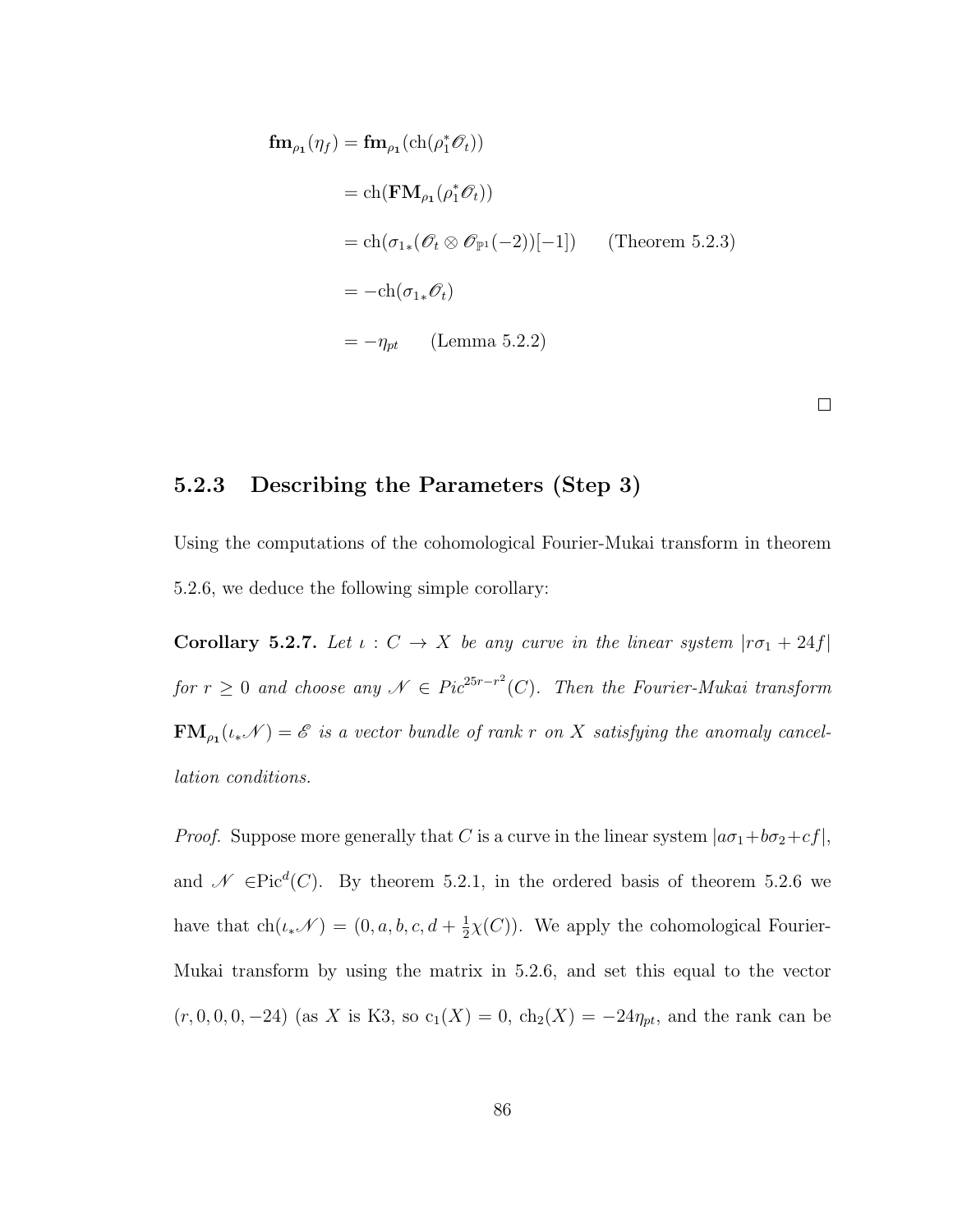$$
\begin{aligned} \mathbf{f} \mathbf{m}_{\rho_1}(\eta_f) &= \mathbf{f} \mathbf{m}_{\rho_1}(\text{ch}(\rho_1^* \mathscr{O}_t)) \\ &= \text{ch}(\mathbf{F} \mathbf{M}_{\rho_1}(\rho_1^* \mathscr{O}_t)) \\ &= \text{ch}(\sigma_{1*}(\mathscr{O}_t \otimes \mathscr{O}_{\mathbb{P}^1}(-2))[-1]) \qquad \text{(Theorem 5.2.3)} \\ &= -\text{ch}(\sigma_{1*} \mathscr{O}_t) \\ &= -\eta_{pt} \qquad \text{(Lemma 5.2.2)} \end{aligned}
$$

 $\Box$ 

### 5.2.3 Describing the Parameters (Step 3)

Using the computations of the cohomological Fourier-Mukai transform in theorem 5.2.6, we deduce the following simple corollary:

Corollary 5.2.7. Let  $\iota : C \to X$  be any curve in the linear system  $|r\sigma_1 + 24f|$ for  $r \geq 0$  and choose any  $\mathcal{N} \in Pic^{25r-r^2}(C)$ . Then the Fourier-Mukai transform  $\text{FM}_{\rho_1}(\iota_*\mathscr{N}) = \mathscr{E}$  is a vector bundle of rank r on X satisfying the anomaly cancellation conditions.

*Proof.* Suppose more generally that C is a curve in the linear system  $|a\sigma_1+b\sigma_2+c f|$ , and  $\mathscr{N} \in \text{Pic}^d(C)$ . By theorem 5.2.1, in the ordered basis of theorem 5.2.6 we have that  $\text{ch}(\iota_*\mathscr{N}) = (0, a, b, c, d + \frac{1}{2})$  $\frac{1}{2}\chi(C)$ ). We apply the cohomological Fourier-Mukai transform by using the matrix in 5.2.6, and set this equal to the vector  $(r, 0, 0, 0, -24)$  (as X is K3, so  $c_1(X) = 0$ ,  $ch_2(X) = -24\eta_{pt}$ , and the rank can be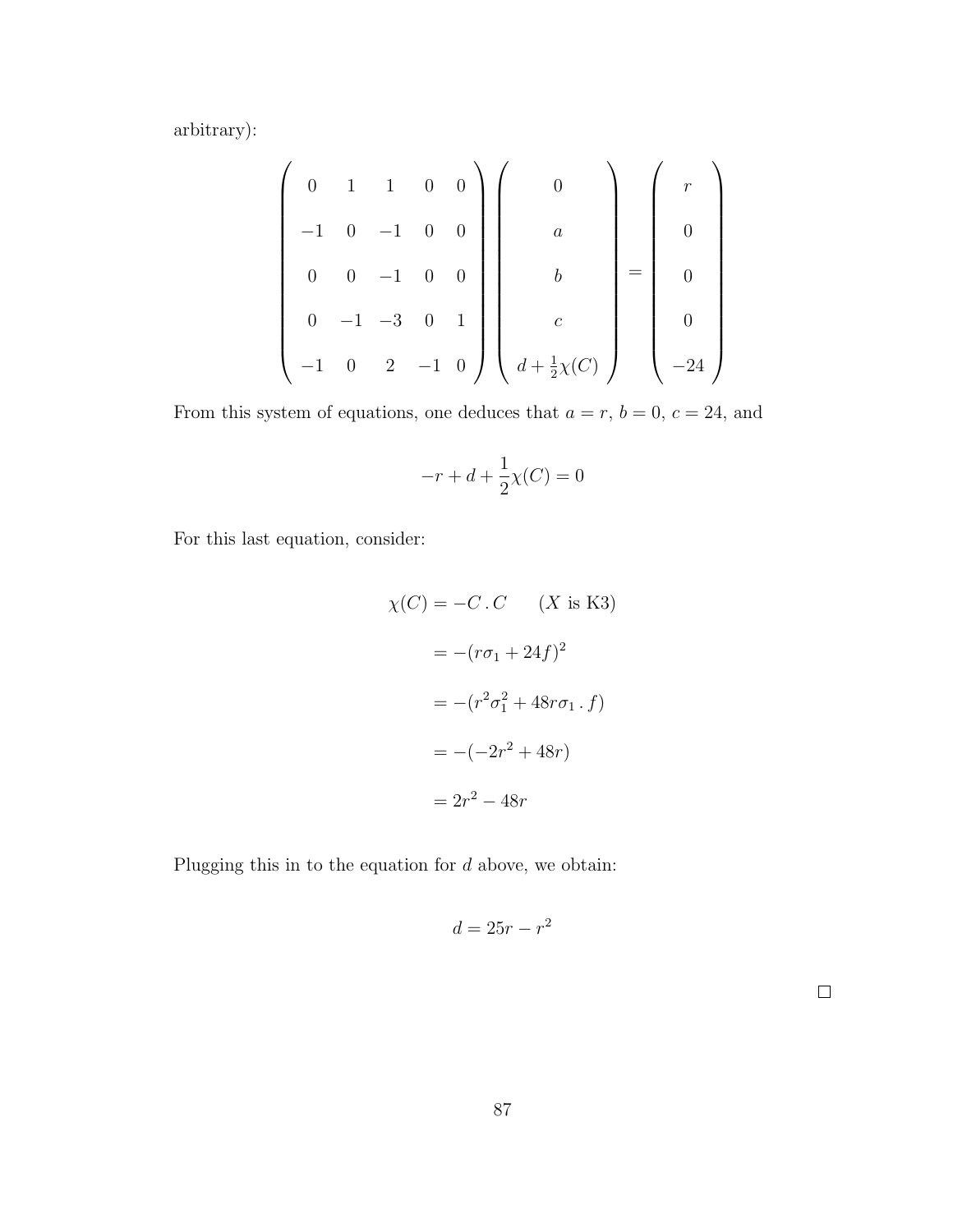arbitrary):

$$
\begin{pmatrix}\n0 & 1 & 1 & 0 & 0 \\
-1 & 0 & -1 & 0 & 0 \\
0 & 0 & -1 & 0 & 0 \\
0 & -1 & -3 & 0 & 1 \\
-1 & 0 & 2 & -1 & 0\n\end{pmatrix}\n\begin{pmatrix}\n0 \\
a \\
b \\
c \\
d + \frac{1}{2}\chi(C)\n\end{pmatrix} = \begin{pmatrix}\nr \\
0 \\
0 \\
0 \\
-24\n\end{pmatrix}
$$

From this system of equations, one deduces that  $a = r$ ,  $b = 0$ ,  $c = 24$ , and

$$
-r + d + \frac{1}{2}\chi(C) = 0
$$

For this last equation, consider:

$$
\chi(C) = -C \cdot C \qquad (X \text{ is K3})
$$

$$
= -(r\sigma_1 + 24f)^2
$$

$$
= -(r^2\sigma_1^2 + 48r\sigma_1 \cdot f)
$$

$$
= -(-2r^2 + 48r)
$$

$$
= 2r^2 - 48r
$$

Plugging this in to the equation for  $d$  above, we obtain:

$$
d = 25r - r^2
$$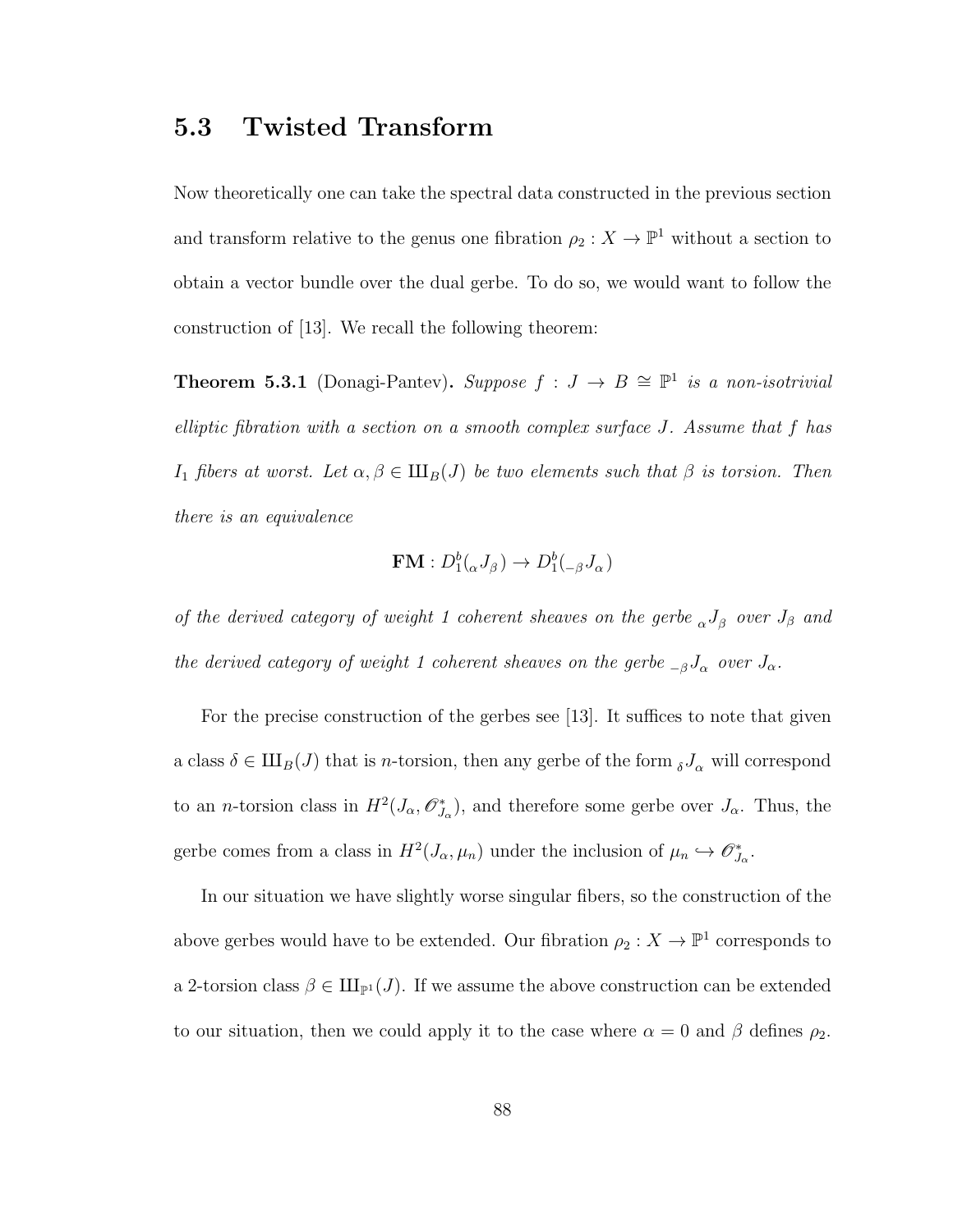## 5.3 Twisted Transform

Now theoretically one can take the spectral data constructed in the previous section and transform relative to the genus one fibration  $\rho_2: X \to \mathbb{P}^1$  without a section to obtain a vector bundle over the dual gerbe. To do so, we would want to follow the construction of [13]. We recall the following theorem:

**Theorem 5.3.1** (Donagi-Pantev). Suppose  $f : J \to B \cong \mathbb{P}^1$  is a non-isotrivial elliptic fibration with a section on a smooth complex surface J. Assume that f has I<sub>1</sub> fibers at worst. Let  $\alpha, \beta \in \mathrm{III}_B(J)$  be two elements such that  $\beta$  is torsion. Then there is an equivalence

$$
\mathbf{FM}: D_1^b({}_{\alpha}J_{\beta}) \to D_1^b({}_{-\beta}J_{\alpha})
$$

of the derived category of weight 1 coherent sheaves on the gerbe  $_{\alpha}J_{\beta}$  over  $J_{\beta}$  and the derived category of weight 1 coherent sheaves on the gerbe  ${}_{-\beta}J_{\alpha}$  over  $J_{\alpha}$ .

For the precise construction of the gerbes see [13]. It suffices to note that given a class  $\delta \in \mathrm{III}_B(J)$  that is *n*-torsion, then any gerbe of the form  $\delta J_\alpha$  will correspond to an *n*-torsion class in  $H^2(J_\alpha, \mathcal{O}_{J_\alpha}^*)$ , and therefore some gerbe over  $J_\alpha$ . Thus, the gerbe comes from a class in  $H^2(J_\alpha,\mu_n)$  under the inclusion of  $\mu_n \hookrightarrow \mathscr{O}_{J_\alpha}^*$ .

In our situation we have slightly worse singular fibers, so the construction of the above gerbes would have to be extended. Our fibration  $\rho_2: X \to \mathbb{P}^1$  corresponds to a 2-torsion class  $\beta \in \mathrm{III}_{\mathbb{P}^1}(J)$ . If we assume the above construction can be extended to our situation, then we could apply it to the case where  $\alpha = 0$  and  $\beta$  defines  $\rho_2$ .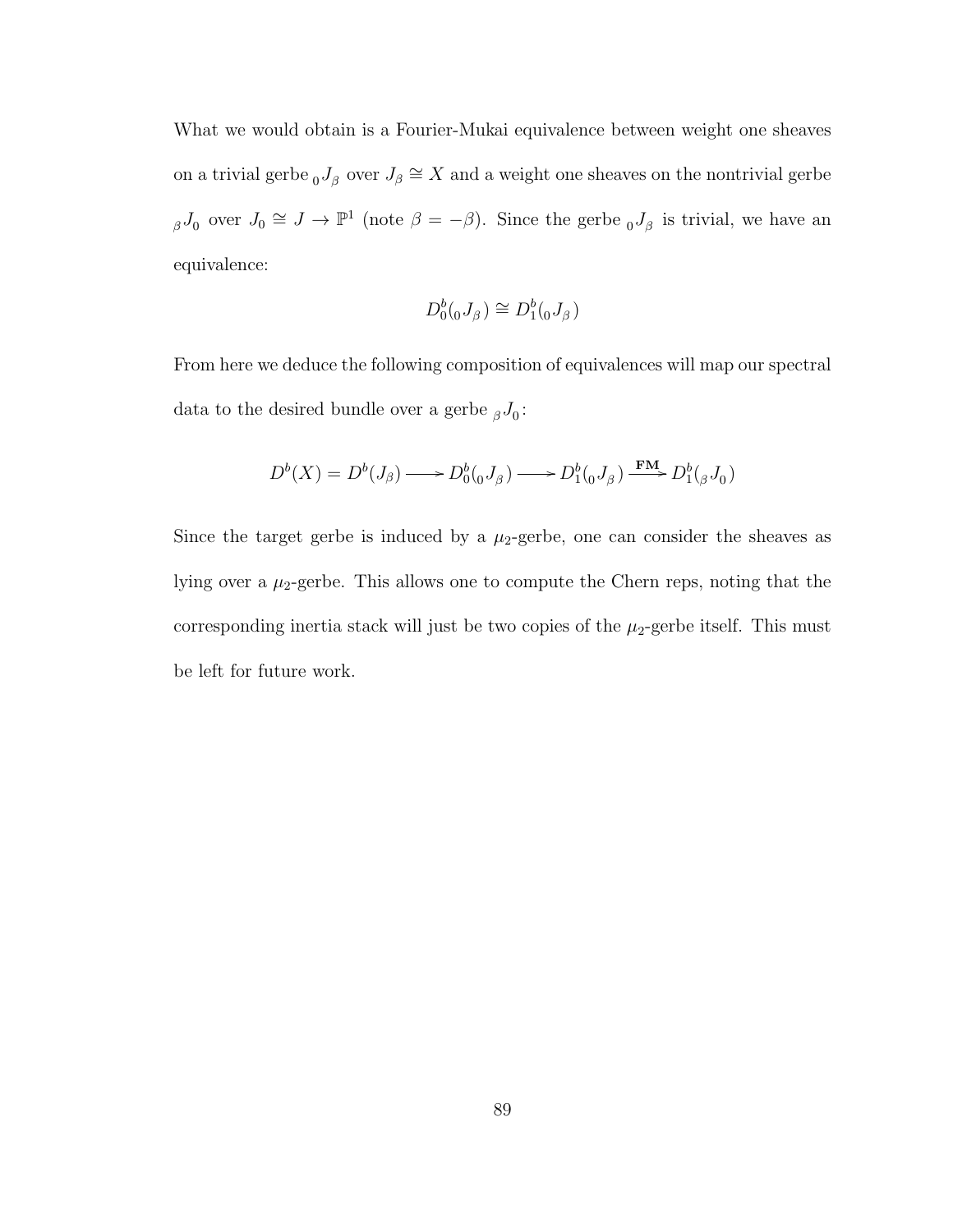What we would obtain is a Fourier-Mukai equivalence between weight one sheaves on a trivial gerbe  $_0J_\beta$  over  $J_\beta \cong X$  and a weight one sheaves on the nontrivial gerbe  $\beta J_0$  over  $J_0 \cong J \to \mathbb{P}^1$  (note  $\beta = -\beta$ ). Since the gerbe  $_0J_\beta$  is trivial, we have an equivalence:

$$
D_0^b(_0J_\beta)\cong D_1^b(_0J_\beta)
$$

From here we deduce the following composition of equivalences will map our spectral data to the desired bundle over a gerbe  $\mathcal{A}_0$ :

$$
D^b(X) = D^b(J_\beta) \longrightarrow D^b_0({}_0J_\beta) \longrightarrow D^b_1({}_0J_\beta) \xrightarrow{\text{FM}} D^b_1({}_\beta J_0)
$$

Since the target gerbe is induced by a  $\mu_2$ -gerbe, one can consider the sheaves as lying over a  $\mu_2$ -gerbe. This allows one to compute the Chern reps, noting that the corresponding inertia stack will just be two copies of the  $\mu_2$ -gerbe itself. This must be left for future work.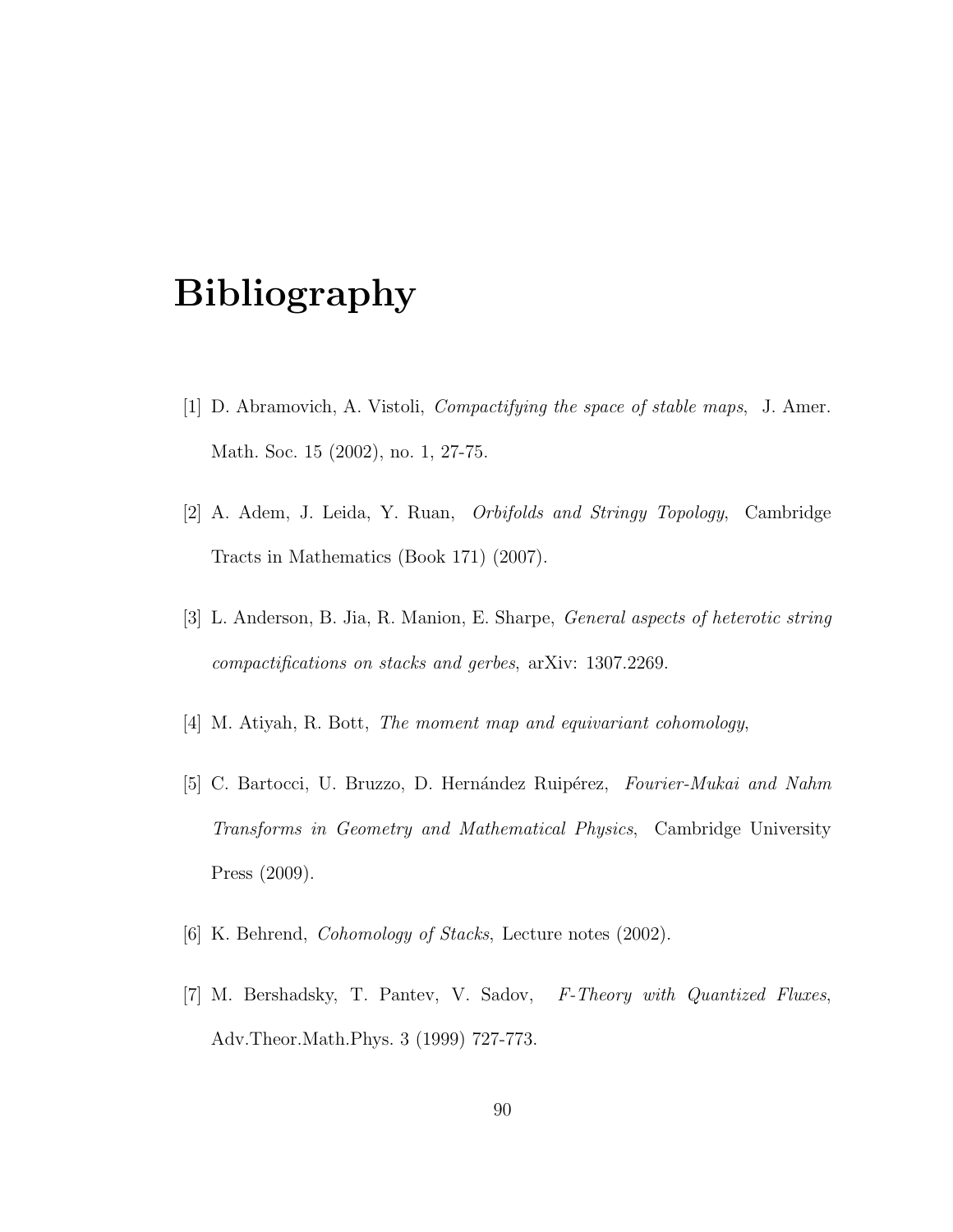# Bibliography

- [1] D. Abramovich, A. Vistoli, Compactifying the space of stable maps, J. Amer. Math. Soc. 15 (2002), no. 1, 27-75.
- [2] A. Adem, J. Leida, Y. Ruan, Orbifolds and Stringy Topology, Cambridge Tracts in Mathematics (Book 171) (2007).
- [3] L. Anderson, B. Jia, R. Manion, E. Sharpe, General aspects of heterotic string compactifications on stacks and gerbes, arXiv: 1307.2269.
- [4] M. Atiyah, R. Bott, The moment map and equivariant cohomology,
- [5] C. Bartocci, U. Bruzzo, D. Hernández Ruipérez, Fourier-Mukai and Nahm Transforms in Geometry and Mathematical Physics, Cambridge University Press (2009).
- [6] K. Behrend, Cohomology of Stacks, Lecture notes (2002).
- [7] M. Bershadsky, T. Pantev, V. Sadov, F-Theory with Quantized Fluxes, Adv.Theor.Math.Phys. 3 (1999) 727-773.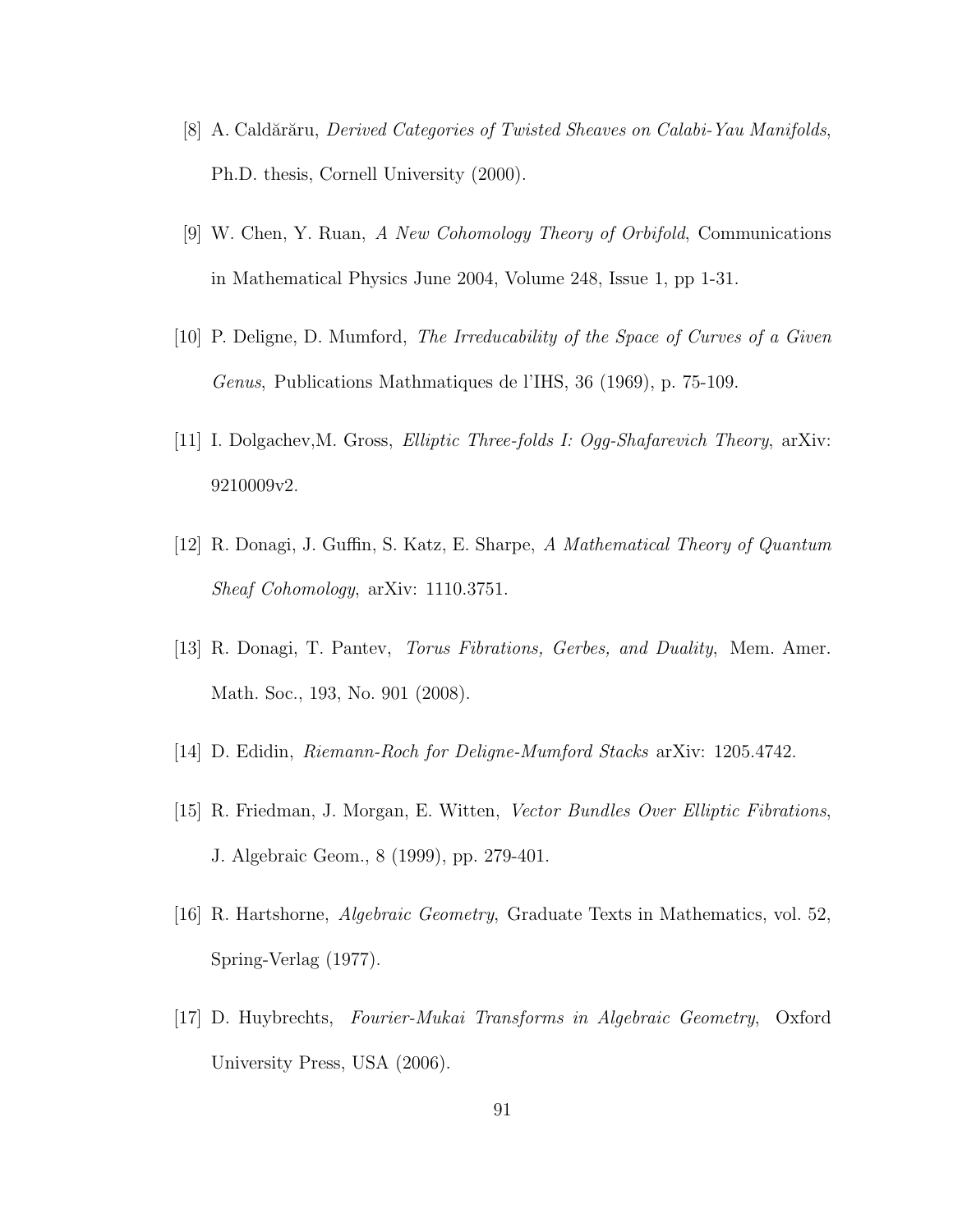- [8] A. Caldărăru, *Derived Categories of Twisted Sheaves on Calabi-Yau Manifolds*, Ph.D. thesis, Cornell University (2000).
- [9] W. Chen, Y. Ruan, A New Cohomology Theory of Orbifold, Communications in Mathematical Physics June 2004, Volume 248, Issue 1, pp 1-31.
- [10] P. Deligne, D. Mumford, The Irreducability of the Space of Curves of a Given Genus, Publications Mathmatiques de l'IHS, 36 (1969), p. 75-109.
- [11] I. Dolgachev,M. Gross, Elliptic Three-folds I: Ogg-Shafarevich Theory, arXiv: 9210009v2.
- [12] R. Donagi, J. Guffin, S. Katz, E. Sharpe, A Mathematical Theory of Quantum Sheaf Cohomology, arXiv: 1110.3751.
- [13] R. Donagi, T. Pantev, Torus Fibrations, Gerbes, and Duality, Mem. Amer. Math. Soc., 193, No. 901 (2008).
- [14] D. Edidin, Riemann-Roch for Deligne-Mumford Stacks arXiv: 1205.4742.
- [15] R. Friedman, J. Morgan, E. Witten, Vector Bundles Over Elliptic Fibrations, J. Algebraic Geom., 8 (1999), pp. 279-401.
- [16] R. Hartshorne, Algebraic Geometry, Graduate Texts in Mathematics, vol. 52, Spring-Verlag (1977).
- [17] D. Huybrechts, Fourier-Mukai Transforms in Algebraic Geometry, Oxford University Press, USA (2006).